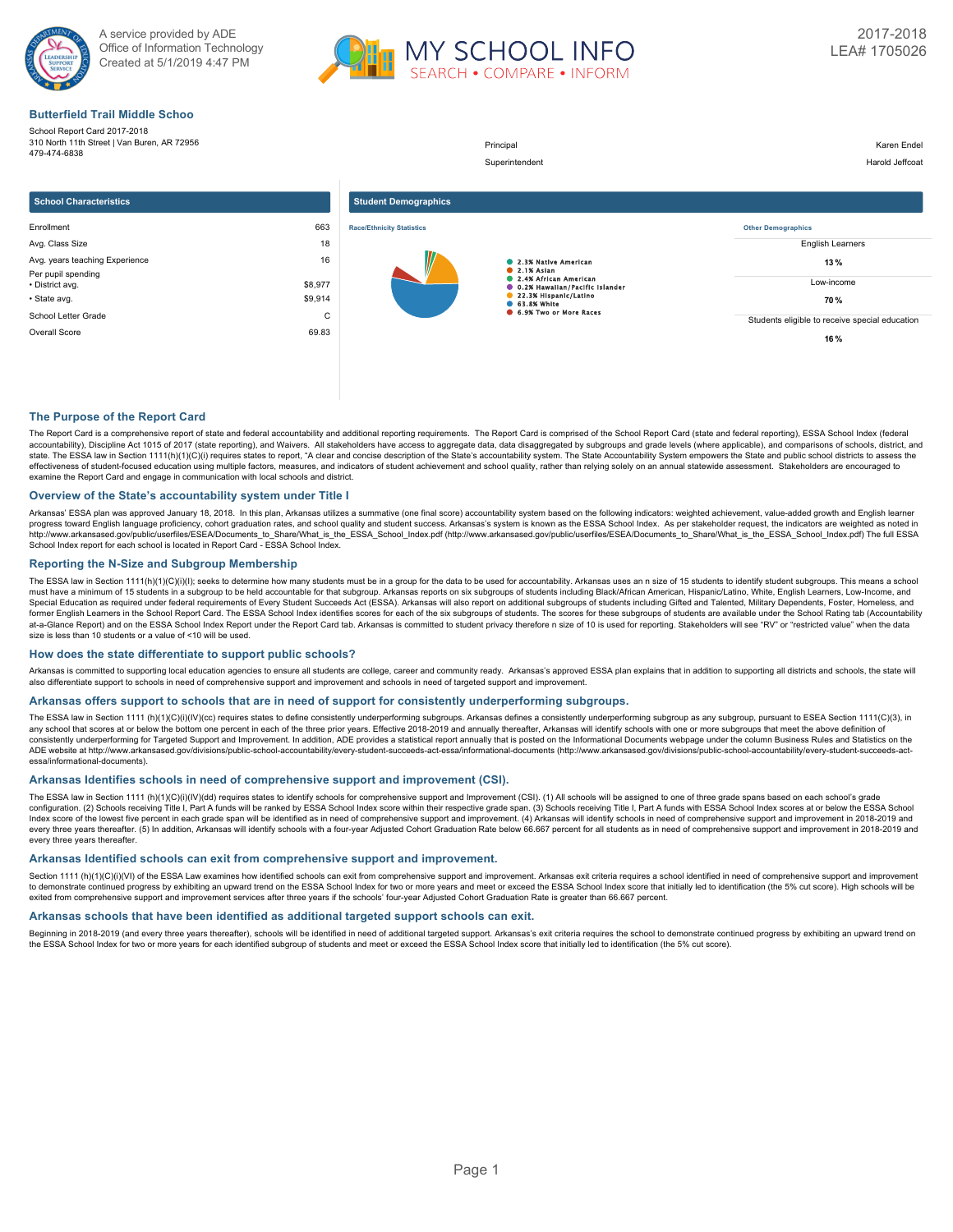

Per pu

A service provided by ADE Office of Information Technology Created at 5/1/2019 4:47 PM



## **Butterfield Trail Middle Schoo**

School Report Card 2017-2018<br>310 North 11th Street I Van Bur 310 North 11th Street | Van Buren, AR 72956 479-4

| School Report Card 2017-2018<br>310 North 11th Street   Van Buren, AR 72956<br>479-474-6838 |         |                                  | Principal<br>Superintendent                             | Karen Endel<br>Harold Jeffcoat                 |
|---------------------------------------------------------------------------------------------|---------|----------------------------------|---------------------------------------------------------|------------------------------------------------|
| <b>School Characteristics</b>                                                               |         | <b>Student Demographics</b>      |                                                         |                                                |
| Enrollment                                                                                  | 663     | <b>Race/Ethnicity Statistics</b> |                                                         | <b>Other Demographics</b>                      |
| Avg. Class Size                                                                             | 18      |                                  |                                                         | <b>English Learners</b>                        |
| Avg. years teaching Experience<br>Per pupil spending                                        | 16      |                                  | 2.3% Native American<br><b>2.1% Aslan</b>               | 13%                                            |
| • District avg.                                                                             | \$8,977 |                                  | 2.4% African American<br>0.2% Hawallan/Pacific Islander | Low-income                                     |
| · State avg.                                                                                | \$9,914 |                                  | 22.3% Hispanic/Latino<br><b>6 63.8% White</b>           | <b>70%</b>                                     |
| School Letter Grade                                                                         | С       |                                  | 6.9% Two or More Races                                  | Students eligible to receive special education |
| Overall Score                                                                               | 69.83   |                                  |                                                         | 16%                                            |
|                                                                                             |         |                                  |                                                         |                                                |

### **The Purpose of the Report Card**

The Report Card is a comprehensive report of state and federal accountability and additional reporting requirements. The Report Card is comprised of the School Report Card (state and federal reporting). ESSA School Index ( accountability), Discipline Act 1015 of 2017 (state reporting), and Waivers. All stakeholders have access to aggregate data, data disaggregated by subgroups and grade levels (where applicable), and comparisons of schools, state. The ESSA law in Section 1111(h)(1)(C)(i) requires states to report, "A clear and concise description of the State's accountability system. The State Accountability System empowers the State and public school distric effectiveness of student-focused education using multiple factors, measures, and indicators of student achievement and school quality, rather than relying solely on an annual statewide assessment. Stakeholders are encourag examine the Report Card and engage in communication with local schools and district.

### **Overview of the State's accountability system under Title I**

Arkansas' ESSA plan was approved January 18, 2018. In this plan, Arkansas utilizes a summative (one final score) accountability system based on the following indicators: weighted achievement, value-added growth and English progress toward English language proficiency, cohort graduation rates, and school quality and student success. Arkansas's system is known as the ESSA School Index. As per stakeholder request, the indicators are weighted as School Index report for each school is located in Report Card - ESSA School Index.

### **Reporting the N-Size and Subgroup Membership**

The ESSA law in Section 1111(h)(1)(C)(i)(l); seeks to determine how many students must be in a group for the data to be used for accountability. Arkansas uses an n size of 15 students to identify student subgroups. This me must have a minimum of 15 students in a subgroup to be held accountable for that subgroup. Arkansas reports on six subgroups of students including Black/African American, Hispanic/Latino, White, English Learners, Low-Incom Special Education as required under federal requirements of Every Student Succeeds Act (ESSA). Arkansas will also report on additional subgroups of students including Gifted and Talented, Military Dependents, Foster, Homel former English Learners in the School Report Card. The ESSA School Index identifies scores for each of the six subgroups of students. The scores for these subgroups of students are available under the School Rating tab (Ac at-a-Glance Report) and on the ESSA School Index Report under the Report Card tab. Arkansas is committed to student privacy therefore n size of 10 is used for reporting. Stakeholders will see "RV" or "restricted value" whe size is less than 10 students or a value of <10 will be used.

### **How does the state differentiate to support public schools?**

Arkansas is committed to supporting local education agencies to ensure all students are college, career and community ready. Arkansas's approved ESSA plan explains that in addition to supporting all districts and schools, also differentiate support to schools in need of comprehensive support and improvement and schools in need of targeted support and improvement.

### **Arkansas offers support to schools that are in need of support for consistently underperforming subgroups.**

The ESSA law in Section 1111 (h)(1)(O)(i)(IV)(cc) requires states to define consistently underperforming subgroups. Arkansas defines a consistently underperforming subgroup as any subgroup, pursuant to ESEA Section 1111(C) any school that scores at or below the bottom one percent in each of the three prior years. Effective 2018-2019 and annually thereafter. Arkansas will identify schools with one or more subgroups that meet the above definit consistently underperforming for Targeted Support and Improvement. In addition, ADE provides a statistical report annually that is posted on the Informational Documents webpage under the column Business Rules and Statistic ADE website at http://www.arkansased.gov/divisions/public-school-accountability/every-student-succeeds-act-essa/informational-documents (http://www.arkansased.gov/divisions/public-school-accountability/every-student-succee essa/informational-documents).

### **Arkansas Identifies schools in need of comprehensive support and improvement (CSI).**

The ESSA law in Section 1111 (h)(1)(C)(i)(IV)(dd) requires states to identify schools for comprehensive support and Improvement (CSI). (1) All schools will be assigned to one of three grade spans based on each school's gra configuration. (2) Schools receiving Title I, Part A funds will be ranked by ESSA School Index score within their respective grade span. (3) Schools receiving Title I, Part A funds with ESSA School Index scores at or below every three years thereafter. (5) In addition, Arkansas will identify schools with a four-year Adjusted Cohort Graduation Rate below 66.667 percent for all students as in need of comprehensive support and improvement in 20 every three years thereafter.

### **Arkansas Identified schools can exit from comprehensive support and improvement.**

Section 1111 (h)(1)(C)(i)(VI) of the ESSA Law examines how identified schools can exit from comprehensive support and improvement. Arkansas exit criteria requires a school identified in need of comprehensive support and im to demonstrate continued progress by exhibiting an upward trend on the ESSA School Index for two or more years and meet or exceed the ESSA School Index score that initially led to identification (the 5% cut score). High sc exited from comprehensive support and improvement services after three years if the schools' four-year Adjusted Cohort Graduation Rate is greater than 66.667 percent.

### **Arkansas schools that have been identified as additional targeted support schools can exit.**

Beginning in 2018-2019 (and every three years thereafter), schools will be identified in need of additional targeted support. Arkansas's exit criteria requires the school to demonstrate continued progress by exhibiting an the ESSA School Index for two or more years for each identified subgroup of students and meet or exceed the ESSA School Index score that initially led to identification (the 5% cut score).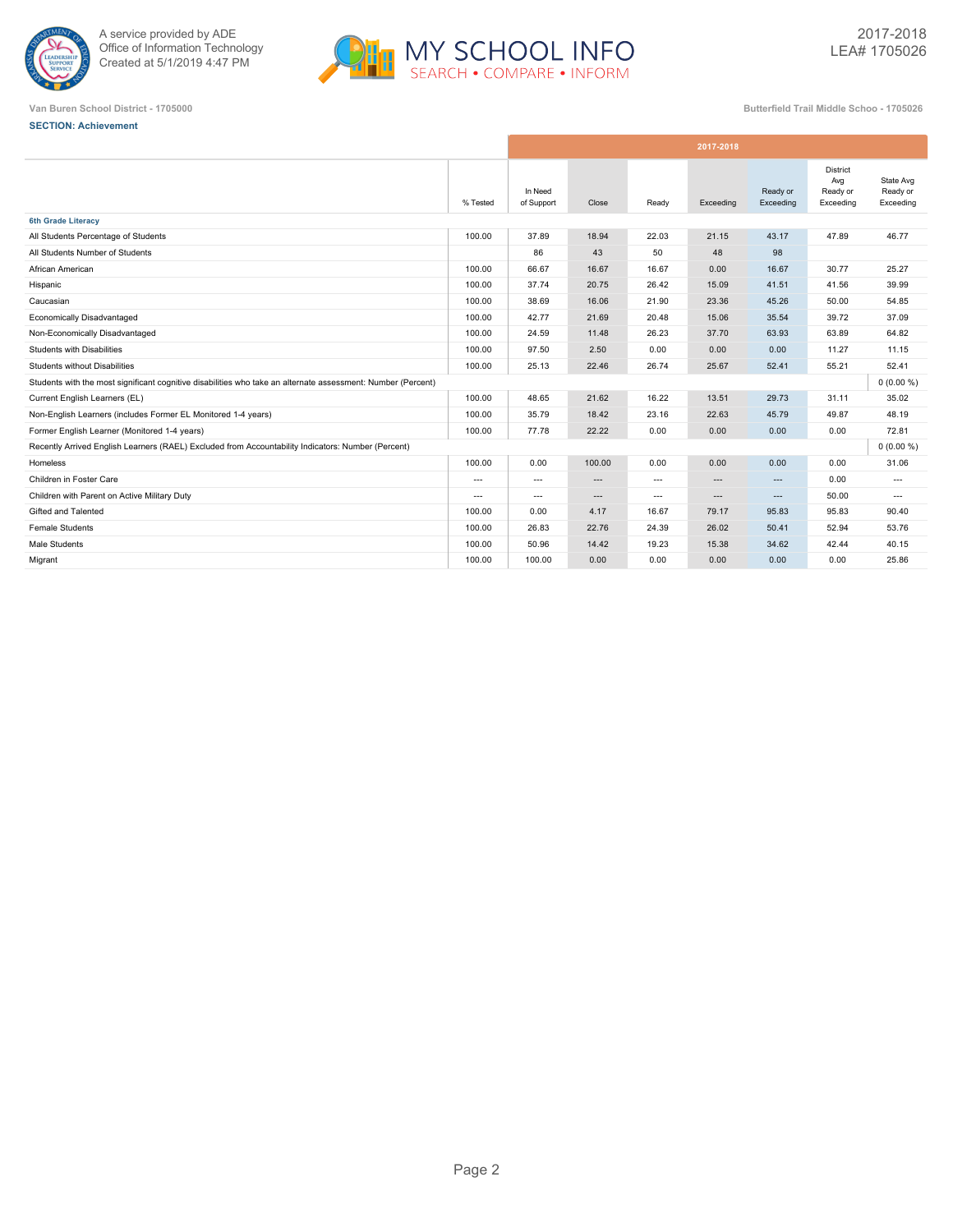



| Butterfield Trail Middle Schoo - 1705026<br>Van Buren School District - 1705000 |
|---------------------------------------------------------------------------------|
|---------------------------------------------------------------------------------|

|                                                                                                              |          | 2017-2018             |                   |       |           |                       |                                                 |                                    |
|--------------------------------------------------------------------------------------------------------------|----------|-----------------------|-------------------|-------|-----------|-----------------------|-------------------------------------------------|------------------------------------|
|                                                                                                              | % Tested | In Need<br>of Support | Close             | Ready | Exceeding | Ready or<br>Exceeding | <b>District</b><br>Avg<br>Ready or<br>Exceeding | State Avg<br>Ready or<br>Exceeding |
| <b>6th Grade Literacy</b>                                                                                    |          |                       |                   |       |           |                       |                                                 |                                    |
| All Students Percentage of Students                                                                          | 100.00   | 37.89                 | 18.94             | 22.03 | 21.15     | 43.17                 | 47.89                                           | 46.77                              |
| All Students Number of Students                                                                              |          | 86                    | 43                | 50    | 48        | 98                    |                                                 |                                    |
| African American                                                                                             | 100.00   | 66.67                 | 16.67             | 16.67 | 0.00      | 16.67                 | 30.77                                           | 25.27                              |
| Hispanic                                                                                                     | 100.00   | 37.74                 | 20.75             | 26.42 | 15.09     | 41.51                 | 41.56                                           | 39.99                              |
| Caucasian                                                                                                    | 100.00   | 38.69                 | 16.06             | 21.90 | 23.36     | 45.26                 | 50.00                                           | 54.85                              |
| Economically Disadvantaged                                                                                   | 100.00   | 42.77                 | 21.69             | 20.48 | 15.06     | 35.54                 | 39.72                                           | 37.09                              |
| Non-Economically Disadvantaged                                                                               | 100.00   | 24.59                 | 11.48             | 26.23 | 37.70     | 63.93                 | 63.89                                           | 64.82                              |
| <b>Students with Disabilities</b>                                                                            | 100.00   | 97.50                 | 2.50              | 0.00  | 0.00      | 0.00                  | 11.27                                           | 11.15                              |
| Students without Disabilities                                                                                | 100.00   | 25.13                 | 22.46             | 26.74 | 25.67     | 52.41                 | 55.21                                           | 52.41                              |
| Students with the most significant cognitive disabilities who take an alternate assessment: Number (Percent) |          |                       |                   |       |           |                       |                                                 | $0(0.00\%)$                        |
| Current English Learners (EL)                                                                                | 100.00   | 48.65                 | 21.62             | 16.22 | 13.51     | 29.73                 | 31.11                                           | 35.02                              |
| Non-English Learners (includes Former EL Monitored 1-4 years)                                                | 100.00   | 35.79                 | 18.42             | 23.16 | 22.63     | 45.79                 | 49.87                                           | 48.19                              |
| Former English Learner (Monitored 1-4 years)                                                                 | 100.00   | 77.78                 | 22.22             | 0.00  | 0.00      | 0.00                  | 0.00                                            | 72.81                              |
| Recently Arrived English Learners (RAEL) Excluded from Accountability Indicators: Number (Percent)           |          |                       |                   |       |           |                       |                                                 | $0(0.00\%)$                        |
| Homeless                                                                                                     | 100.00   | 0.00                  | 100.00            | 0.00  | 0.00      | 0.00                  | 0.00                                            | 31.06                              |
| Children in Foster Care                                                                                      | ---      | $---$                 | $\qquad \qquad -$ | $---$ | $\cdots$  | $\cdots$              | 0.00                                            | $---$                              |
| Children with Parent on Active Military Duty                                                                 | ---      | $---$                 | $\qquad \qquad -$ | $---$ | $\cdots$  | $\cdots$              | 50.00                                           | $\overline{\phantom{a}}$           |
| Gifted and Talented                                                                                          | 100.00   | 0.00                  | 4.17              | 16.67 | 79.17     | 95.83                 | 95.83                                           | 90.40                              |
| <b>Female Students</b>                                                                                       | 100.00   | 26.83                 | 22.76             | 24.39 | 26.02     | 50.41                 | 52.94                                           | 53.76                              |
| Male Students                                                                                                | 100.00   | 50.96                 | 14.42             | 19.23 | 15.38     | 34.62                 | 42.44                                           | 40.15                              |
| Migrant                                                                                                      | 100.00   | 100.00                | 0.00              | 0.00  | 0.00      | 0.00                  | 0.00                                            | 25.86                              |
|                                                                                                              |          |                       |                   |       |           |                       |                                                 |                                    |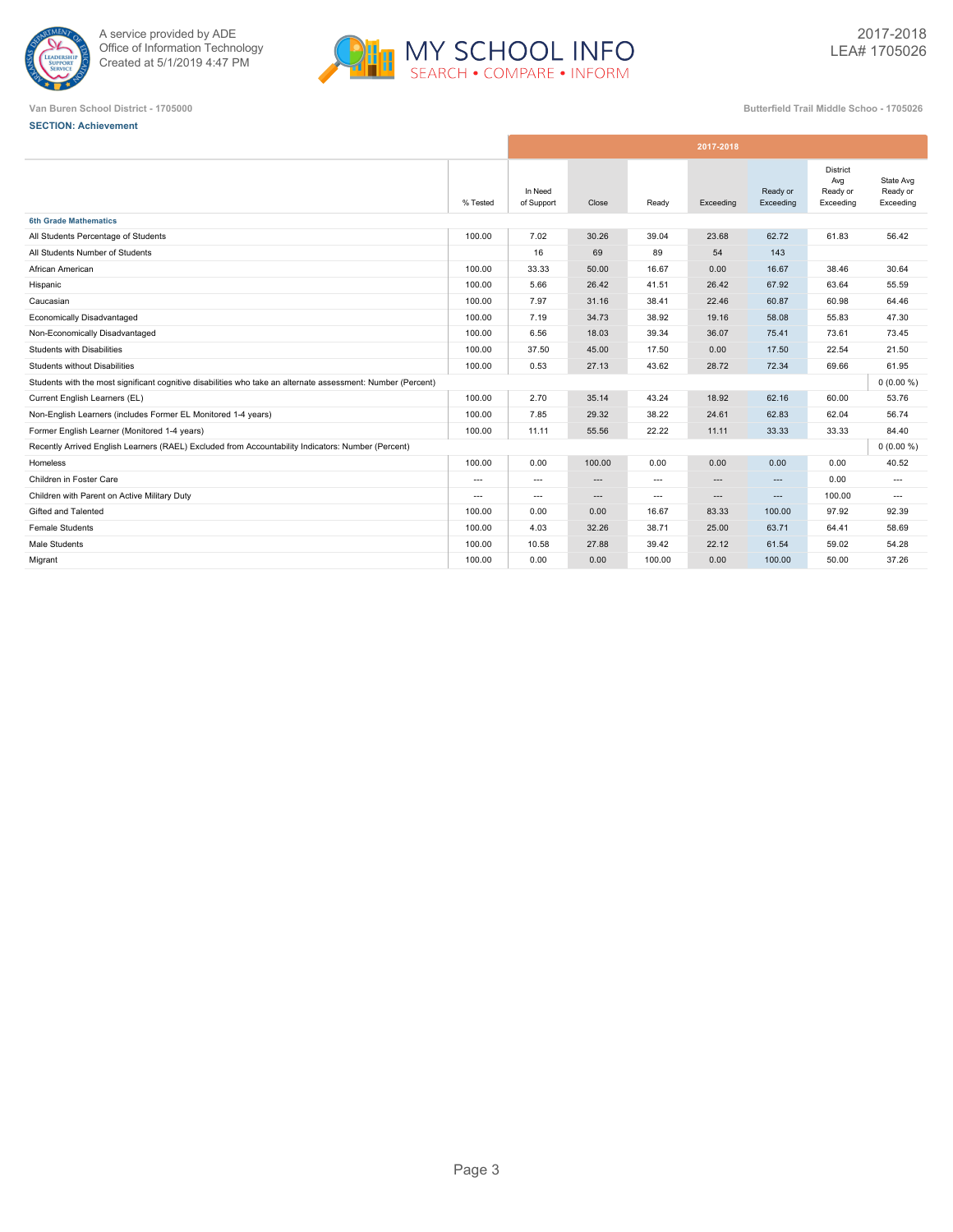



| Van Buren School District - 1705000 | Butterfield Trail Middle Schoo - 1705026 |
|-------------------------------------|------------------------------------------|
|                                     |                                          |

|                                                                                                              |          | 2017-2018             |                   |        |           |                       |                                                 |                                    |
|--------------------------------------------------------------------------------------------------------------|----------|-----------------------|-------------------|--------|-----------|-----------------------|-------------------------------------------------|------------------------------------|
|                                                                                                              | % Tested | In Need<br>of Support | Close             | Ready  | Exceeding | Ready or<br>Exceeding | <b>District</b><br>Avg<br>Ready or<br>Exceeding | State Avg<br>Ready or<br>Exceeding |
| <b>6th Grade Mathematics</b>                                                                                 |          |                       |                   |        |           |                       |                                                 |                                    |
| All Students Percentage of Students                                                                          | 100.00   | 7.02                  | 30.26             | 39.04  | 23.68     | 62.72                 | 61.83                                           | 56.42                              |
| All Students Number of Students                                                                              |          | 16                    | 69                | 89     | 54        | 143                   |                                                 |                                    |
| African American                                                                                             | 100.00   | 33.33                 | 50.00             | 16.67  | 0.00      | 16.67                 | 38.46                                           | 30.64                              |
| Hispanic                                                                                                     | 100.00   | 5.66                  | 26.42             | 41.51  | 26.42     | 67.92                 | 63.64                                           | 55.59                              |
| Caucasian                                                                                                    | 100.00   | 7.97                  | 31.16             | 38.41  | 22.46     | 60.87                 | 60.98                                           | 64.46                              |
| Economically Disadvantaged                                                                                   | 100.00   | 7.19                  | 34.73             | 38.92  | 19.16     | 58.08                 | 55.83                                           | 47.30                              |
| Non-Economically Disadvantaged                                                                               | 100.00   | 6.56                  | 18.03             | 39.34  | 36.07     | 75.41                 | 73.61                                           | 73.45                              |
| <b>Students with Disabilities</b>                                                                            | 100.00   | 37.50                 | 45.00             | 17.50  | 0.00      | 17.50                 | 22.54                                           | 21.50                              |
| Students without Disabilities                                                                                | 100.00   | 0.53                  | 27.13             | 43.62  | 28.72     | 72.34                 | 69.66                                           | 61.95                              |
| Students with the most significant cognitive disabilities who take an alternate assessment: Number (Percent) |          |                       |                   |        |           |                       |                                                 | $0(0.00\%)$                        |
| Current English Learners (EL)                                                                                | 100.00   | 2.70                  | 35.14             | 43.24  | 18.92     | 62.16                 | 60.00                                           | 53.76                              |
| Non-English Learners (includes Former EL Monitored 1-4 years)                                                | 100.00   | 7.85                  | 29.32             | 38.22  | 24.61     | 62.83                 | 62.04                                           | 56.74                              |
| Former English Learner (Monitored 1-4 years)                                                                 | 100.00   | 11.11                 | 55.56             | 22.22  | 11.11     | 33.33                 | 33.33                                           | 84.40                              |
| Recently Arrived English Learners (RAEL) Excluded from Accountability Indicators: Number (Percent)           |          |                       |                   |        |           |                       |                                                 | $0(0.00\%)$                        |
| Homeless                                                                                                     | 100.00   | 0.00                  | 100.00            | 0.00   | 0.00      | 0.00                  | 0.00                                            | 40.52                              |
| Children in Foster Care                                                                                      | ---      | $---$                 | $\qquad \qquad -$ | $---$  | $---$     | $---$                 | 0.00                                            | $---$                              |
| Children with Parent on Active Military Duty                                                                 | $---$    | $---$                 | $\qquad \qquad -$ | $---$  | $\cdots$  | $\cdots$              | 100.00                                          | $\cdots$                           |
| Gifted and Talented                                                                                          | 100.00   | 0.00                  | 0.00              | 16.67  | 83.33     | 100.00                | 97.92                                           | 92.39                              |
| <b>Female Students</b>                                                                                       | 100.00   | 4.03                  | 32.26             | 38.71  | 25.00     | 63.71                 | 64.41                                           | 58.69                              |
| <b>Male Students</b>                                                                                         | 100.00   | 10.58                 | 27.88             | 39.42  | 22.12     | 61.54                 | 59.02                                           | 54.28                              |
| Migrant                                                                                                      | 100.00   | 0.00                  | 0.00              | 100.00 | 0.00      | 100.00                | 50.00                                           | 37.26                              |
|                                                                                                              |          |                       |                   |        |           |                       |                                                 |                                    |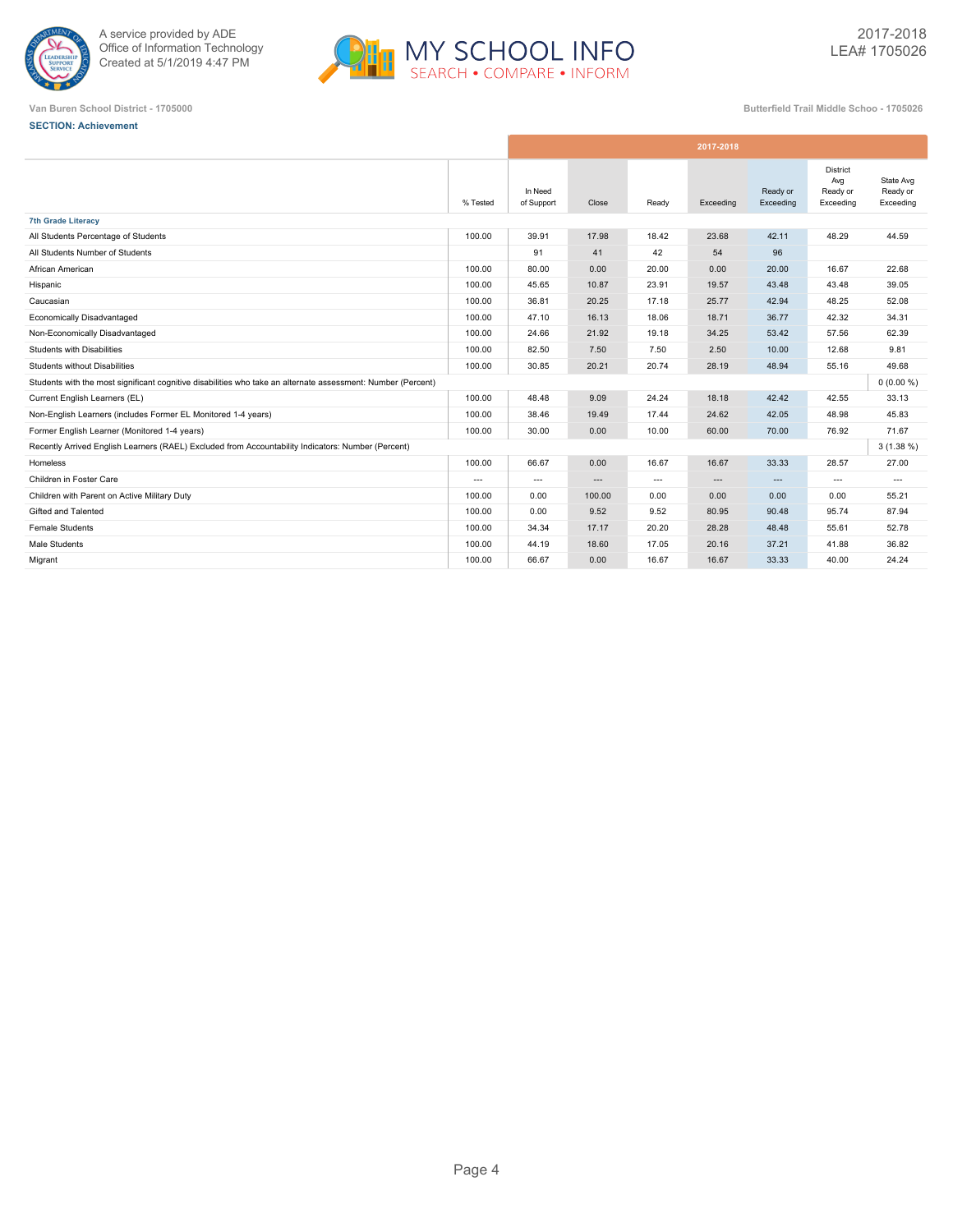



| Butterfield Trail Middle Schoo - 1705026<br>Van Buren School District - 1705000 |
|---------------------------------------------------------------------------------|
|---------------------------------------------------------------------------------|

|                                                                                                              |                |                       |          |       | 2017-2018 |                        |                                                 |                                    |
|--------------------------------------------------------------------------------------------------------------|----------------|-----------------------|----------|-------|-----------|------------------------|-------------------------------------------------|------------------------------------|
|                                                                                                              | % Tested       | In Need<br>of Support | Close    | Ready | Exceeding | Ready or<br>Exceeding  | <b>District</b><br>Avg<br>Ready or<br>Exceeding | State Avg<br>Ready or<br>Exceeding |
| <b>7th Grade Literacy</b>                                                                                    |                |                       |          |       |           |                        |                                                 |                                    |
| All Students Percentage of Students                                                                          | 100.00         | 39.91                 | 17.98    | 18.42 | 23.68     | 42.11                  | 48.29                                           | 44.59                              |
| All Students Number of Students                                                                              |                | 91                    | 41       | 42    | 54        | 96                     |                                                 |                                    |
| African American                                                                                             | 100.00         | 80.00                 | 0.00     | 20.00 | 0.00      | 20.00                  | 16.67                                           | 22.68                              |
| Hispanic                                                                                                     | 100.00         | 45.65                 | 10.87    | 23.91 | 19.57     | 43.48                  | 43.48                                           | 39.05                              |
| Caucasian                                                                                                    | 100.00         | 36.81                 | 20.25    | 17.18 | 25.77     | 42.94                  | 48.25                                           | 52.08                              |
| Economically Disadvantaged                                                                                   | 100.00         | 47.10                 | 16.13    | 18.06 | 18.71     | 36.77                  | 42.32                                           | 34.31                              |
| Non-Economically Disadvantaged                                                                               | 100.00         | 24.66                 | 21.92    | 19.18 | 34.25     | 53.42                  | 57.56                                           | 62.39                              |
| <b>Students with Disabilities</b>                                                                            | 100.00         | 82.50                 | 7.50     | 7.50  | 2.50      | 10.00                  | 12.68                                           | 9.81                               |
| <b>Students without Disabilities</b>                                                                         | 100.00         | 30.85                 | 20.21    | 20.74 | 28.19     | 48.94                  | 55.16                                           | 49.68                              |
| Students with the most significant cognitive disabilities who take an alternate assessment: Number (Percent) |                |                       |          |       |           |                        |                                                 | $0(0.00\%)$                        |
| Current English Learners (EL)                                                                                | 100.00         | 48.48                 | 9.09     | 24.24 | 18.18     | 42.42                  | 42.55                                           | 33.13                              |
| Non-English Learners (includes Former EL Monitored 1-4 years)                                                | 100.00         | 38.46                 | 19.49    | 17.44 | 24.62     | 42.05                  | 48.98                                           | 45.83                              |
| Former English Learner (Monitored 1-4 years)                                                                 | 100.00         | 30.00                 | 0.00     | 10.00 | 60.00     | 70.00                  | 76.92                                           | 71.67                              |
| Recently Arrived English Learners (RAEL) Excluded from Accountability Indicators: Number (Percent)           |                |                       |          |       |           |                        |                                                 | $3(1.38\%)$                        |
| Homeless                                                                                                     | 100.00         | 66.67                 | 0.00     | 16.67 | 16.67     | 33.33                  | 28.57                                           | 27.00                              |
| Children in Foster Care                                                                                      | $\overline{a}$ | ---                   | $\cdots$ | $---$ | $\cdots$  | $\qquad \qquad \cdots$ | $\overline{a}$                                  | $\overline{\phantom{a}}$           |
| Children with Parent on Active Military Duty                                                                 | 100.00         | 0.00                  | 100.00   | 0.00  | 0.00      | 0.00                   | 0.00                                            | 55.21                              |
| Gifted and Talented                                                                                          | 100.00         | 0.00                  | 9.52     | 9.52  | 80.95     | 90.48                  | 95.74                                           | 87.94                              |
| <b>Female Students</b>                                                                                       | 100.00         | 34.34                 | 17.17    | 20.20 | 28.28     | 48.48                  | 55.61                                           | 52.78                              |
| Male Students                                                                                                | 100.00         | 44.19                 | 18.60    | 17.05 | 20.16     | 37.21                  | 41.88                                           | 36.82                              |
| Migrant                                                                                                      | 100.00         | 66.67                 | 0.00     | 16.67 | 16.67     | 33.33                  | 40.00                                           | 24.24                              |
|                                                                                                              |                |                       |          |       |           |                        |                                                 |                                    |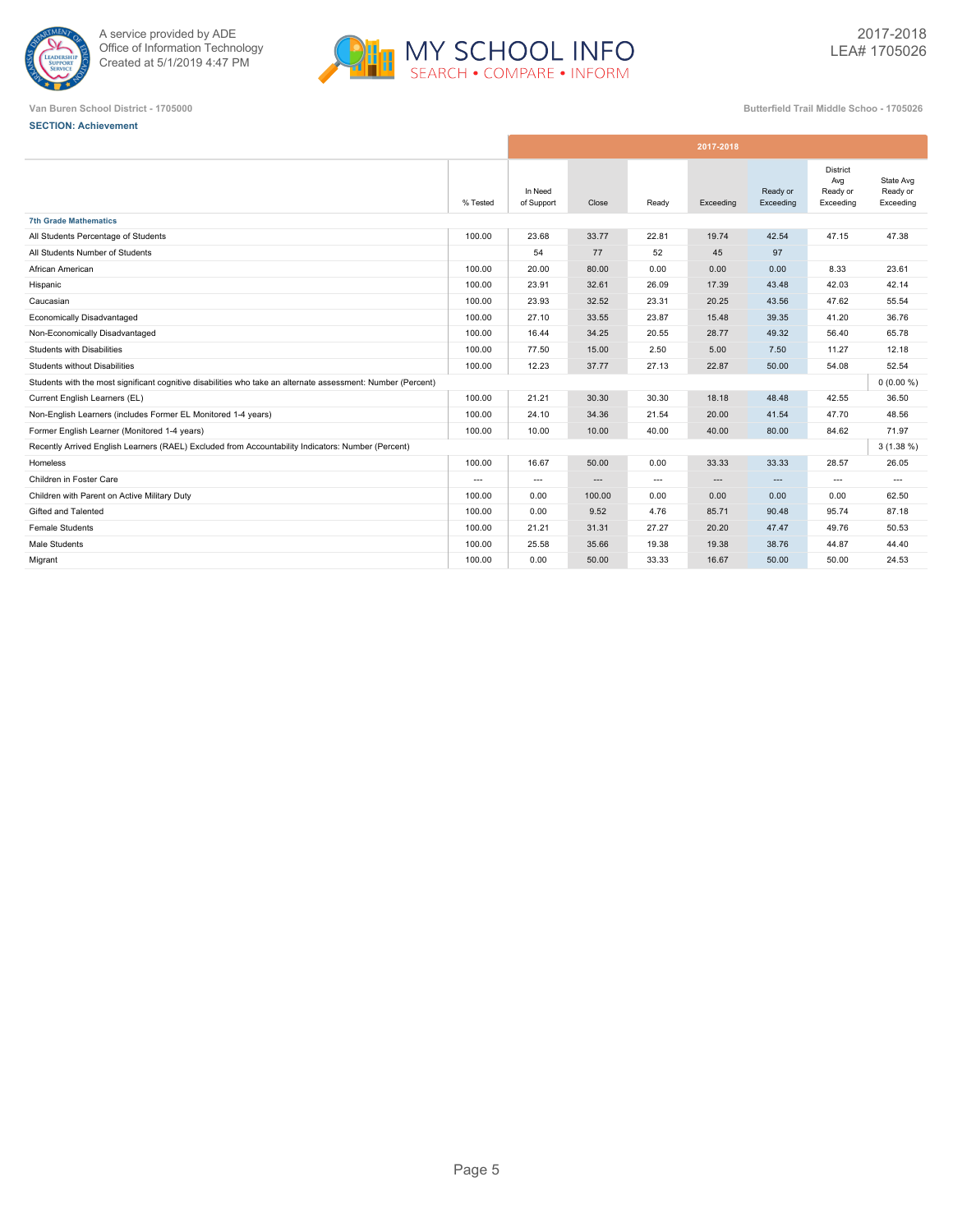



|                                                                                                              |                          |                          |                          |                          | 2017-2018 |                       |                                                 |                                    |
|--------------------------------------------------------------------------------------------------------------|--------------------------|--------------------------|--------------------------|--------------------------|-----------|-----------------------|-------------------------------------------------|------------------------------------|
|                                                                                                              | % Tested                 | In Need<br>of Support    | Close                    | Ready                    | Exceeding | Ready or<br>Exceeding | <b>District</b><br>Avg<br>Ready or<br>Exceeding | State Avg<br>Ready or<br>Exceeding |
| <b>7th Grade Mathematics</b>                                                                                 |                          |                          |                          |                          |           |                       |                                                 |                                    |
| All Students Percentage of Students                                                                          | 100.00                   | 23.68                    | 33.77                    | 22.81                    | 19.74     | 42.54                 | 47.15                                           | 47.38                              |
| All Students Number of Students                                                                              |                          | 54                       | 77                       | 52                       | 45        | 97                    |                                                 |                                    |
| African American                                                                                             | 100.00                   | 20.00                    | 80.00                    | 0.00                     | 0.00      | 0.00                  | 8.33                                            | 23.61                              |
| Hispanic                                                                                                     | 100.00                   | 23.91                    | 32.61                    | 26.09                    | 17.39     | 43.48                 | 42.03                                           | 42.14                              |
| Caucasian                                                                                                    | 100.00                   | 23.93                    | 32.52                    | 23.31                    | 20.25     | 43.56                 | 47.62                                           | 55.54                              |
| Economically Disadvantaged                                                                                   | 100.00                   | 27.10                    | 33.55                    | 23.87                    | 15.48     | 39.35                 | 41.20                                           | 36.76                              |
| Non-Economically Disadvantaged                                                                               | 100.00                   | 16.44                    | 34.25                    | 20.55                    | 28.77     | 49.32                 | 56.40                                           | 65.78                              |
| <b>Students with Disabilities</b>                                                                            | 100.00                   | 77.50                    | 15.00                    | 2.50                     | 5.00      | 7.50                  | 11.27                                           | 12.18                              |
| <b>Students without Disabilities</b>                                                                         | 100.00                   | 12.23                    | 37.77                    | 27.13                    | 22.87     | 50.00                 | 54.08                                           | 52.54                              |
| Students with the most significant cognitive disabilities who take an alternate assessment: Number (Percent) |                          |                          |                          |                          |           |                       |                                                 | $0(0.00\%)$                        |
| Current English Learners (EL)                                                                                | 100.00                   | 21.21                    | 30.30                    | 30.30                    | 18.18     | 48.48                 | 42.55                                           | 36.50                              |
| Non-English Learners (includes Former EL Monitored 1-4 years)                                                | 100.00                   | 24.10                    | 34.36                    | 21.54                    | 20.00     | 41.54                 | 47.70                                           | 48.56                              |
| Former English Learner (Monitored 1-4 years)                                                                 | 100.00                   | 10.00                    | 10.00                    | 40.00                    | 40.00     | 80.00                 | 84.62                                           | 71.97                              |
| Recently Arrived English Learners (RAEL) Excluded from Accountability Indicators: Number (Percent)           |                          |                          |                          |                          |           |                       |                                                 | $3(1.38\%)$                        |
| Homeless                                                                                                     | 100.00                   | 16.67                    | 50.00                    | 0.00                     | 33.33     | 33.33                 | 28.57                                           | 26.05                              |
| Children in Foster Care                                                                                      | $\overline{\phantom{a}}$ | $\hspace{0.05cm} \ldots$ | $\overline{\phantom{a}}$ | $\hspace{0.05cm} \ldots$ | $\cdots$  | $\cdots$              | $\overline{a}$                                  | $---$                              |
| Children with Parent on Active Military Duty                                                                 | 100.00                   | 0.00                     | 100.00                   | 0.00                     | 0.00      | 0.00                  | 0.00                                            | 62.50                              |
| Gifted and Talented                                                                                          | 100.00                   | 0.00                     | 9.52                     | 4.76                     | 85.71     | 90.48                 | 95.74                                           | 87.18                              |
| <b>Female Students</b>                                                                                       | 100.00                   | 21.21                    | 31.31                    | 27.27                    | 20.20     | 47.47                 | 49.76                                           | 50.53                              |
| Male Students                                                                                                | 100.00                   | 25.58                    | 35.66                    | 19.38                    | 19.38     | 38.76                 | 44.87                                           | 44.40                              |
| Migrant                                                                                                      | 100.00                   | 0.00                     | 50.00                    | 33.33                    | 16.67     | 50.00                 | 50.00                                           | 24.53                              |
|                                                                                                              |                          |                          |                          |                          |           |                       |                                                 |                                    |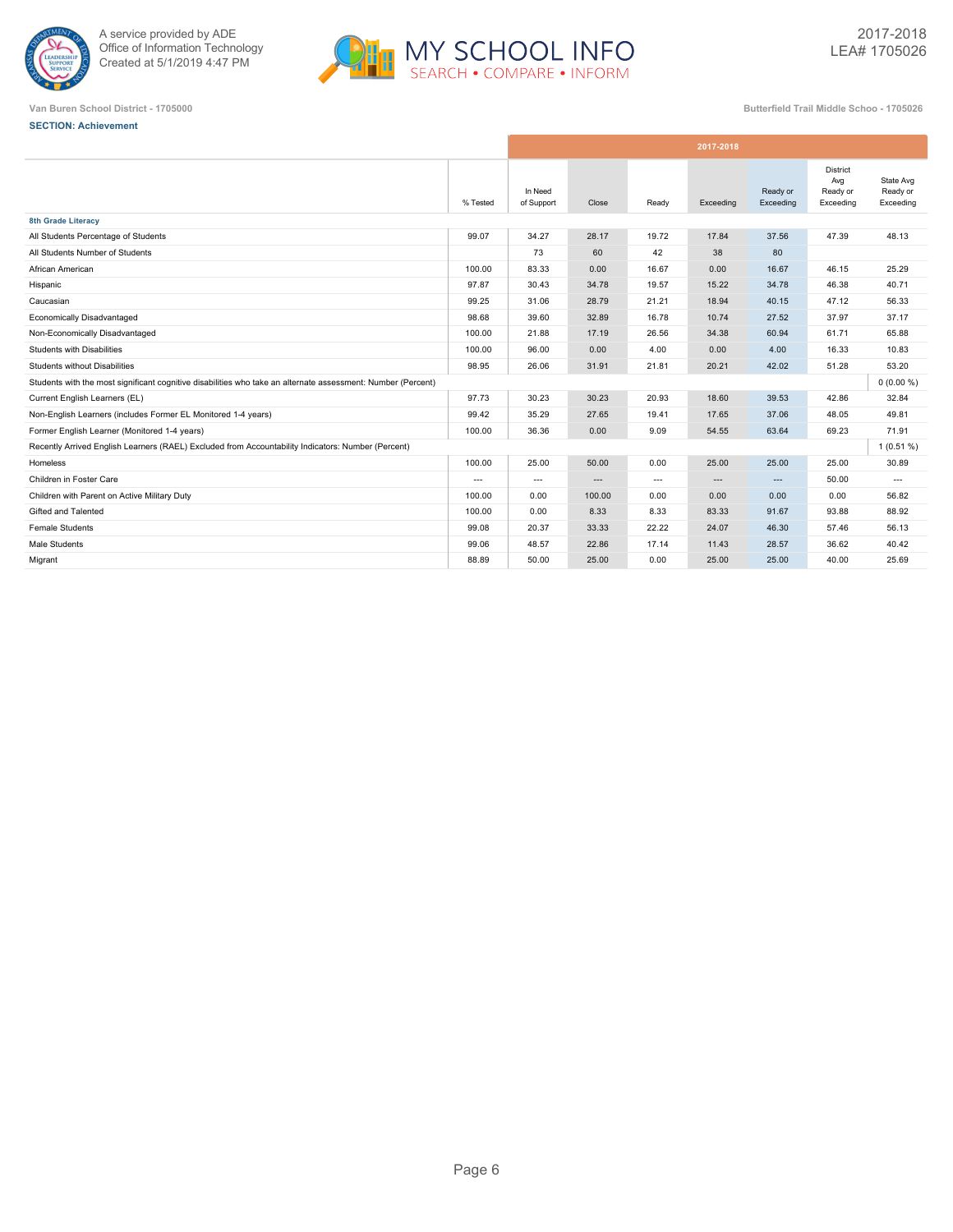



|                                                                                                              |          |                       |          |       | 2017-2018 |                       |                                          |                                    |
|--------------------------------------------------------------------------------------------------------------|----------|-----------------------|----------|-------|-----------|-----------------------|------------------------------------------|------------------------------------|
|                                                                                                              | % Tested | In Need<br>of Support | Close    | Ready | Exceeding | Ready or<br>Exceeding | District<br>Avg<br>Ready or<br>Exceeding | State Avg<br>Ready or<br>Exceeding |
| <b>8th Grade Literacy</b>                                                                                    |          |                       |          |       |           |                       |                                          |                                    |
| All Students Percentage of Students                                                                          | 99.07    | 34.27                 | 28.17    | 19.72 | 17.84     | 37.56                 | 47.39                                    | 48.13                              |
| All Students Number of Students                                                                              |          | 73                    | 60       | 42    | 38        | 80                    |                                          |                                    |
| African American                                                                                             | 100.00   | 83.33                 | 0.00     | 16.67 | 0.00      | 16.67                 | 46.15                                    | 25.29                              |
| Hispanic                                                                                                     | 97.87    | 30.43                 | 34.78    | 19.57 | 15.22     | 34.78                 | 46.38                                    | 40.71                              |
| Caucasian                                                                                                    | 99.25    | 31.06                 | 28.79    | 21.21 | 18.94     | 40.15                 | 47.12                                    | 56.33                              |
| Economically Disadvantaged                                                                                   | 98.68    | 39.60                 | 32.89    | 16.78 | 10.74     | 27.52                 | 37.97                                    | 37.17                              |
| Non-Economically Disadvantaged                                                                               | 100.00   | 21.88                 | 17.19    | 26.56 | 34.38     | 60.94                 | 61.71                                    | 65.88                              |
| <b>Students with Disabilities</b>                                                                            | 100.00   | 96.00                 | 0.00     | 4.00  | 0.00      | 4.00                  | 16.33                                    | 10.83                              |
| <b>Students without Disabilities</b>                                                                         | 98.95    | 26.06                 | 31.91    | 21.81 | 20.21     | 42.02                 | 51.28                                    | 53.20                              |
| Students with the most significant cognitive disabilities who take an alternate assessment: Number (Percent) |          |                       |          |       |           |                       |                                          | $0(0.00\%)$                        |
| Current English Learners (EL)                                                                                | 97.73    | 30.23                 | 30.23    | 20.93 | 18.60     | 39.53                 | 42.86                                    | 32.84                              |
| Non-English Learners (includes Former EL Monitored 1-4 years)                                                | 99.42    | 35.29                 | 27.65    | 19.41 | 17.65     | 37.06                 | 48.05                                    | 49.81                              |
| Former English Learner (Monitored 1-4 years)                                                                 | 100.00   | 36.36                 | 0.00     | 9.09  | 54.55     | 63.64                 | 69.23                                    | 71.91                              |
| Recently Arrived English Learners (RAEL) Excluded from Accountability Indicators: Number (Percent)           |          |                       |          |       |           |                       |                                          | $1(0.51\%)$                        |
| Homeless                                                                                                     | 100.00   | 25.00                 | 50.00    | 0.00  | 25.00     | 25.00                 | 25.00                                    | 30.89                              |
| Children in Foster Care                                                                                      | ---      | $---$                 | $\cdots$ | ---   | ---       | $\cdots$              | 50.00                                    | ---                                |
| Children with Parent on Active Military Duty                                                                 | 100.00   | 0.00                  | 100.00   | 0.00  | 0.00      | 0.00                  | 0.00                                     | 56.82                              |
| Gifted and Talented                                                                                          | 100.00   | 0.00                  | 8.33     | 8.33  | 83.33     | 91.67                 | 93.88                                    | 88.92                              |
| Female Students                                                                                              | 99.08    | 20.37                 | 33.33    | 22.22 | 24.07     | 46.30                 | 57.46                                    | 56.13                              |
| <b>Male Students</b>                                                                                         | 99.06    | 48.57                 | 22.86    | 17.14 | 11.43     | 28.57                 | 36.62                                    | 40.42                              |
| Migrant                                                                                                      | 88.89    | 50.00                 | 25.00    | 0.00  | 25.00     | 25.00                 | 40.00                                    | 25.69                              |
|                                                                                                              |          |                       |          |       |           |                       |                                          |                                    |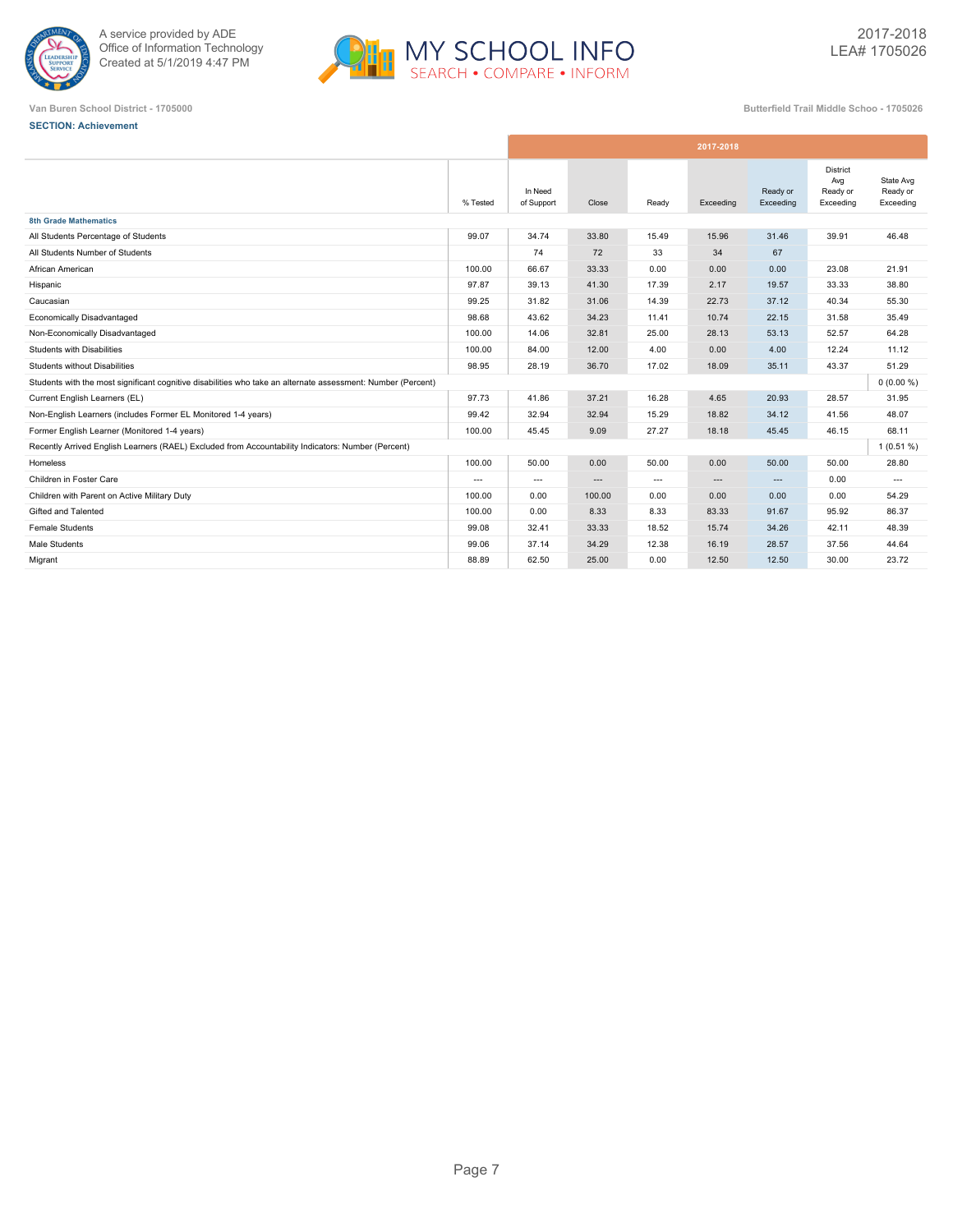



|                                                                                                              |                |                       |                   |       | 2017-2018 |                       |                                          |                                    |
|--------------------------------------------------------------------------------------------------------------|----------------|-----------------------|-------------------|-------|-----------|-----------------------|------------------------------------------|------------------------------------|
|                                                                                                              | % Tested       | In Need<br>of Support | Close             | Ready | Exceeding | Ready or<br>Exceeding | District<br>Avg<br>Ready or<br>Exceeding | State Avg<br>Ready or<br>Exceeding |
| <b>8th Grade Mathematics</b>                                                                                 |                |                       |                   |       |           |                       |                                          |                                    |
| All Students Percentage of Students                                                                          | 99.07          | 34.74                 | 33.80             | 15.49 | 15.96     | 31.46                 | 39.91                                    | 46.48                              |
| All Students Number of Students                                                                              |                | 74                    | 72                | 33    | 34        | 67                    |                                          |                                    |
| African American                                                                                             | 100.00         | 66.67                 | 33.33             | 0.00  | 0.00      | 0.00                  | 23.08                                    | 21.91                              |
| Hispanic                                                                                                     | 97.87          | 39.13                 | 41.30             | 17.39 | 2.17      | 19.57                 | 33.33                                    | 38.80                              |
| Caucasian                                                                                                    | 99.25          | 31.82                 | 31.06             | 14.39 | 22.73     | 37.12                 | 40.34                                    | 55.30                              |
| Economically Disadvantaged                                                                                   | 98.68          | 43.62                 | 34.23             | 11.41 | 10.74     | 22.15                 | 31.58                                    | 35.49                              |
| Non-Economically Disadvantaged                                                                               | 100.00         | 14.06                 | 32.81             | 25.00 | 28.13     | 53.13                 | 52.57                                    | 64.28                              |
| <b>Students with Disabilities</b>                                                                            | 100.00         | 84.00                 | 12.00             | 4.00  | 0.00      | 4.00                  | 12.24                                    | 11.12                              |
| <b>Students without Disabilities</b>                                                                         | 98.95          | 28.19                 | 36.70             | 17.02 | 18.09     | 35.11                 | 43.37                                    | 51.29                              |
| Students with the most significant cognitive disabilities who take an alternate assessment: Number (Percent) |                |                       |                   |       |           |                       |                                          | $0(0.00\%)$                        |
| Current English Learners (EL)                                                                                | 97.73          | 41.86                 | 37.21             | 16.28 | 4.65      | 20.93                 | 28.57                                    | 31.95                              |
| Non-English Learners (includes Former EL Monitored 1-4 years)                                                | 99.42          | 32.94                 | 32.94             | 15.29 | 18.82     | 34.12                 | 41.56                                    | 48.07                              |
| Former English Learner (Monitored 1-4 years)                                                                 | 100.00         | 45.45                 | 9.09              | 27.27 | 18.18     | 45.45                 | 46.15                                    | 68.11                              |
| Recently Arrived English Learners (RAEL) Excluded from Accountability Indicators: Number (Percent)           |                |                       |                   |       |           |                       |                                          | $1(0.51\%)$                        |
| <b>Homeless</b>                                                                                              | 100.00         | 50.00                 | 0.00              | 50.00 | 0.00      | 50.00                 | 50.00                                    | 28.80                              |
| Children in Foster Care                                                                                      | $\overline{a}$ | $\cdots$              | $\qquad \qquad -$ | $---$ | $---$     | ---                   | 0.00                                     | $---$                              |
| Children with Parent on Active Military Duty                                                                 | 100.00         | 0.00                  | 100.00            | 0.00  | 0.00      | 0.00                  | 0.00                                     | 54.29                              |
| Gifted and Talented                                                                                          | 100.00         | 0.00                  | 8.33              | 8.33  | 83.33     | 91.67                 | 95.92                                    | 86.37                              |
| <b>Female Students</b>                                                                                       | 99.08          | 32.41                 | 33.33             | 18.52 | 15.74     | 34.26                 | 42.11                                    | 48.39                              |
| Male Students                                                                                                | 99.06          | 37.14                 | 34.29             | 12.38 | 16.19     | 28.57                 | 37.56                                    | 44.64                              |
| Migrant                                                                                                      | 88.89          | 62.50                 | 25.00             | 0.00  | 12.50     | 12.50                 | 30.00                                    | 23.72                              |
|                                                                                                              |                |                       |                   |       |           |                       |                                          |                                    |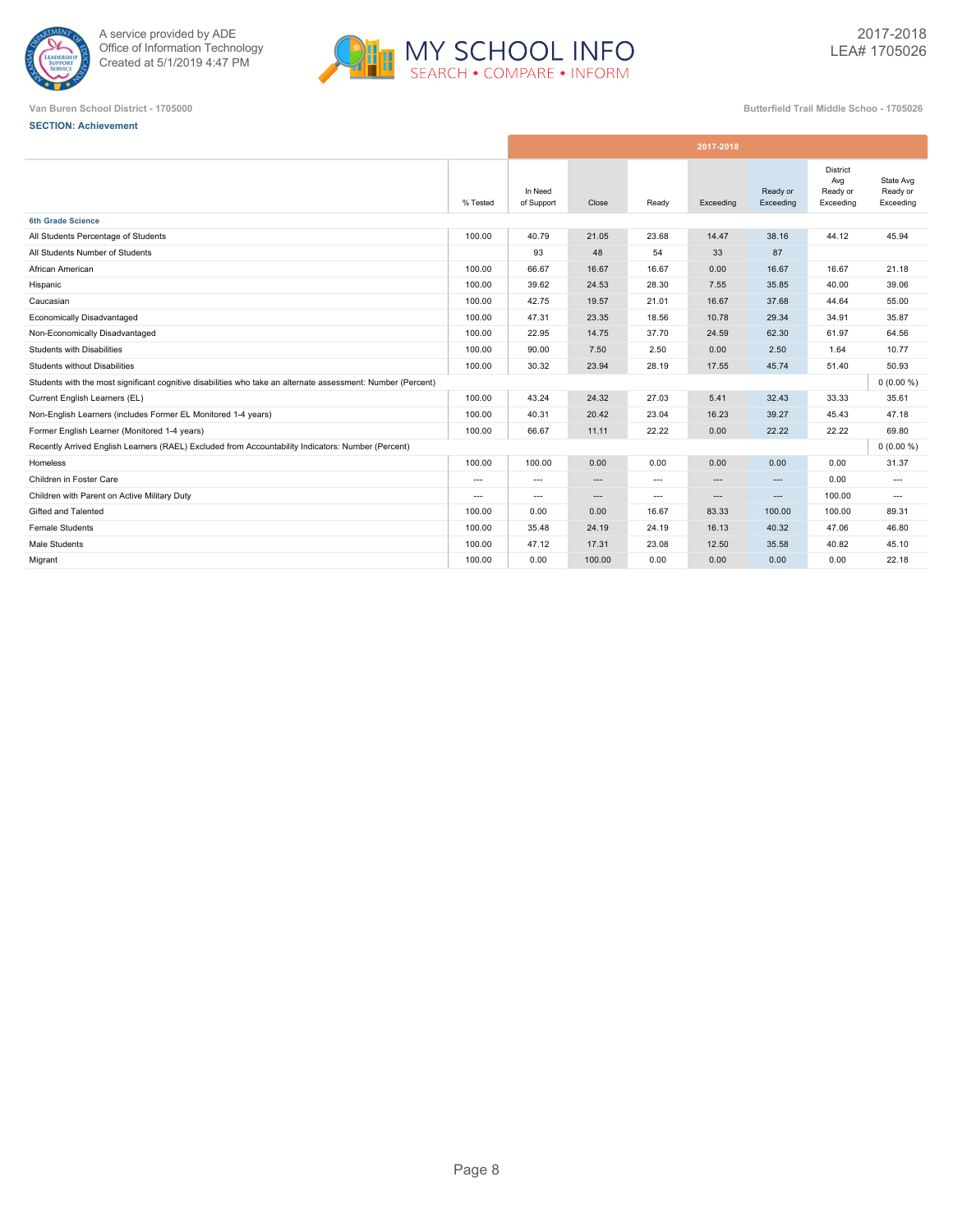



| Rutterfield Trail Middle Schoo - 1705 |  |  |
|---------------------------------------|--|--|

|                                                                                                              |          | 2017-2018             |          |       |           |                       |                                          |                                    |
|--------------------------------------------------------------------------------------------------------------|----------|-----------------------|----------|-------|-----------|-----------------------|------------------------------------------|------------------------------------|
|                                                                                                              | % Tested | In Need<br>of Support | Close    | Ready | Exceeding | Ready or<br>Exceeding | District<br>Avg<br>Ready or<br>Exceeding | State Avg<br>Ready or<br>Exceeding |
| <b>6th Grade Science</b>                                                                                     |          |                       |          |       |           |                       |                                          |                                    |
| All Students Percentage of Students                                                                          | 100.00   | 40.79                 | 21.05    | 23.68 | 14.47     | 38.16                 | 44.12                                    | 45.94                              |
| All Students Number of Students                                                                              |          | 93                    | 48       | 54    | 33        | 87                    |                                          |                                    |
| African American                                                                                             | 100.00   | 66.67                 | 16.67    | 16.67 | 0.00      | 16.67                 | 16.67                                    | 21.18                              |
| Hispanic                                                                                                     | 100.00   | 39.62                 | 24.53    | 28.30 | 7.55      | 35.85                 | 40.00                                    | 39.06                              |
| Caucasian                                                                                                    | 100.00   | 42.75                 | 19.57    | 21.01 | 16.67     | 37.68                 | 44.64                                    | 55.00                              |
| Economically Disadvantaged                                                                                   | 100.00   | 47.31                 | 23.35    | 18.56 | 10.78     | 29.34                 | 34.91                                    | 35.87                              |
| Non-Economically Disadvantaged                                                                               | 100.00   | 22.95                 | 14.75    | 37.70 | 24.59     | 62.30                 | 61.97                                    | 64.56                              |
| Students with Disabilities                                                                                   | 100.00   | 90.00                 | 7.50     | 2.50  | 0.00      | 2.50                  | 1.64                                     | 10.77                              |
| <b>Students without Disabilities</b>                                                                         | 100.00   | 30.32                 | 23.94    | 28.19 | 17.55     | 45.74                 | 51.40                                    | 50.93                              |
| Students with the most significant cognitive disabilities who take an alternate assessment: Number (Percent) |          |                       |          |       |           |                       |                                          | $0(0.00\%)$                        |
| Current English Learners (EL)                                                                                | 100.00   | 43.24                 | 24.32    | 27.03 | 5.41      | 32.43                 | 33.33                                    | 35.61                              |
| Non-English Learners (includes Former EL Monitored 1-4 years)                                                | 100.00   | 40.31                 | 20.42    | 23.04 | 16.23     | 39.27                 | 45.43                                    | 47.18                              |
| Former English Learner (Monitored 1-4 years)                                                                 | 100.00   | 66.67                 | 11.11    | 22.22 | 0.00      | 22.22                 | 22.22                                    | 69.80                              |
| Recently Arrived English Learners (RAEL) Excluded from Accountability Indicators: Number (Percent)           |          |                       |          |       |           |                       |                                          | $0(0.00\%)$                        |
| Homeless                                                                                                     | 100.00   | 100.00                | 0.00     | 0.00  | 0.00      | 0.00                  | 0.00                                     | 31.37                              |
| Children in Foster Care                                                                                      | $---$    | $---$                 | $\cdots$ | ---   | $---$     | $\cdots$              | 0.00                                     | $---$                              |
| Children with Parent on Active Military Duty                                                                 | $---$    | $---$                 | $\cdots$ | ---   | ---       | $\cdots$              | 100.00                                   | $---$                              |
| Gifted and Talented                                                                                          | 100.00   | 0.00                  | 0.00     | 16.67 | 83.33     | 100.00                | 100.00                                   | 89.31                              |
| Female Students                                                                                              | 100.00   | 35.48                 | 24.19    | 24.19 | 16.13     | 40.32                 | 47.06                                    | 46.80                              |
| Male Students                                                                                                | 100.00   | 47.12                 | 17.31    | 23.08 | 12.50     | 35.58                 | 40.82                                    | 45.10                              |
| Migrant                                                                                                      | 100.00   | 0.00                  | 100.00   | 0.00  | 0.00      | 0.00                  | 0.00                                     | 22.18                              |
|                                                                                                              |          |                       |          |       |           |                       |                                          |                                    |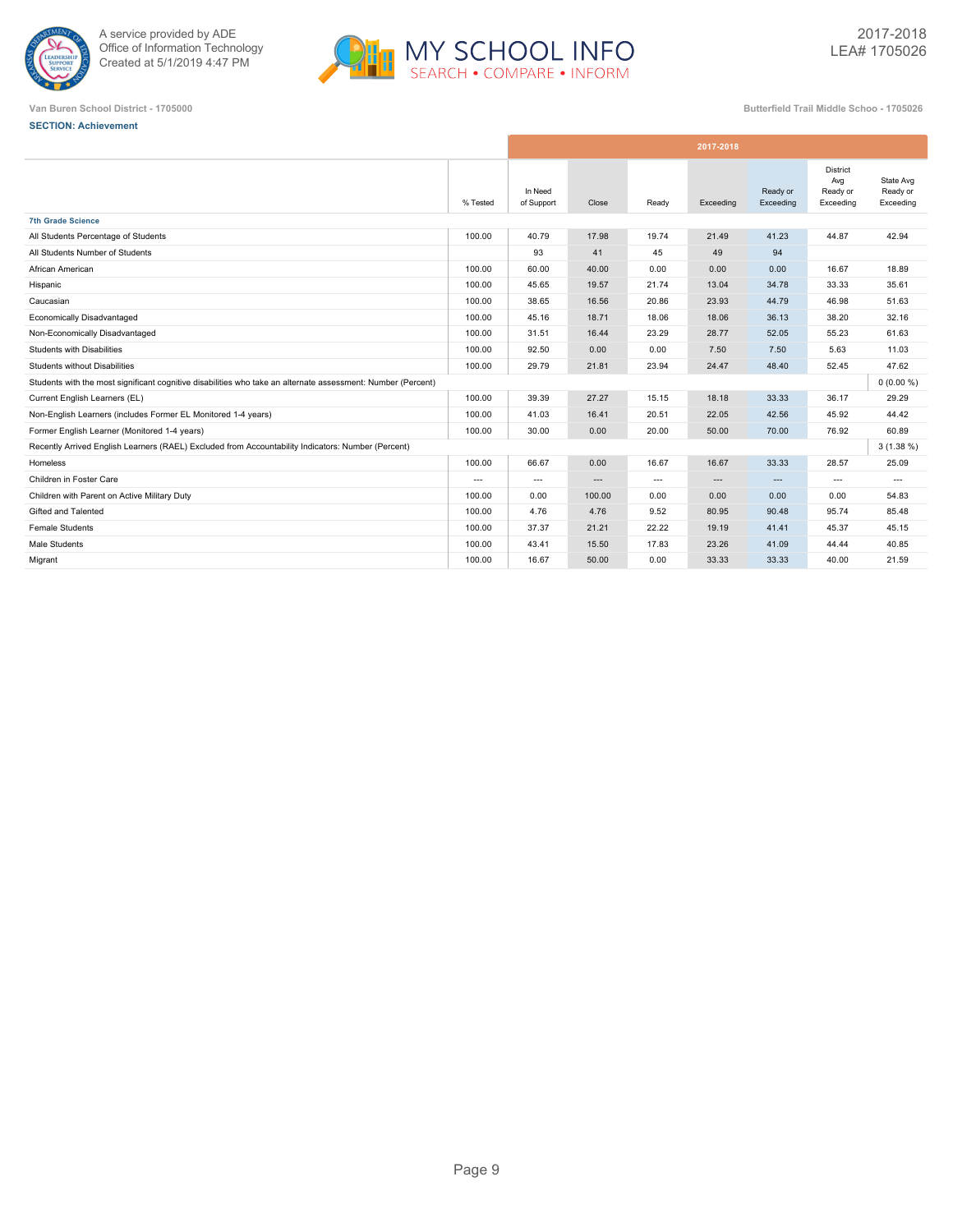



## **SECTION: Achievement**

| <b>SECTION: Achievement</b>                                                                                  |          |                       |          |                        |                          |                       |                                          |                                    |  |
|--------------------------------------------------------------------------------------------------------------|----------|-----------------------|----------|------------------------|--------------------------|-----------------------|------------------------------------------|------------------------------------|--|
|                                                                                                              |          |                       |          |                        | 2017-2018                |                       |                                          |                                    |  |
|                                                                                                              | % Tested | In Need<br>of Support | Close    | Ready                  | Exceeding                | Ready or<br>Exceeding | District<br>Avg<br>Ready or<br>Exceeding | State Avg<br>Ready or<br>Exceeding |  |
| <b>7th Grade Science</b>                                                                                     |          |                       |          |                        |                          |                       |                                          |                                    |  |
| All Students Percentage of Students                                                                          | 100.00   | 40.79                 | 17.98    | 19.74                  | 21.49                    | 41.23                 | 44.87                                    | 42.94                              |  |
| All Students Number of Students                                                                              |          | 93                    | 41       | 45                     | 49                       | 94                    |                                          |                                    |  |
| African American                                                                                             | 100.00   | 60.00                 | 40.00    | 0.00                   | 0.00                     | 0.00                  | 16.67                                    | 18.89                              |  |
| Hispanic                                                                                                     | 100.00   | 45.65                 | 19.57    | 21.74                  | 13.04                    | 34.78                 | 33.33                                    | 35.61                              |  |
| Caucasian                                                                                                    | 100.00   | 38.65                 | 16.56    | 20.86                  | 23.93                    | 44.79                 | 46.98                                    | 51.63                              |  |
| Economically Disadvantaged                                                                                   | 100.00   | 45.16                 | 18.71    | 18.06                  | 18.06                    | 36.13                 | 38.20                                    | 32.16                              |  |
| Non-Economically Disadvantaged                                                                               | 100.00   | 31.51                 | 16.44    | 23.29                  | 28.77                    | 52.05                 | 55.23                                    | 61.63                              |  |
| Students with Disabilities                                                                                   | 100.00   | 92.50                 | 0.00     | 0.00                   | 7.50                     | 7.50                  | 5.63                                     | 11.03                              |  |
| <b>Students without Disabilities</b>                                                                         | 100.00   | 29.79                 | 21.81    | 23.94                  | 24.47                    | 48.40                 | 52.45                                    | 47.62                              |  |
| Students with the most significant cognitive disabilities who take an alternate assessment: Number (Percent) |          |                       |          |                        |                          |                       |                                          | $0(0.00\%)$                        |  |
| Current English Learners (EL)                                                                                | 100.00   | 39.39                 | 27.27    | 15.15                  | 18.18                    | 33.33                 | 36.17                                    | 29.29                              |  |
| Non-English Learners (includes Former EL Monitored 1-4 years)                                                | 100.00   | 41.03                 | 16.41    | 20.51                  | 22.05                    | 42.56                 | 45.92                                    | 44.42                              |  |
| Former English Learner (Monitored 1-4 years)                                                                 | 100.00   | 30.00                 | 0.00     | 20.00                  | 50.00                    | 70.00                 | 76.92                                    | 60.89                              |  |
| Recently Arrived English Learners (RAEL) Excluded from Accountability Indicators: Number (Percent)           |          |                       |          |                        |                          |                       |                                          | $3(1.38\%)$                        |  |
| Homeless                                                                                                     | 100.00   | 66.67                 | 0.00     | 16.67                  | 16.67                    | 33.33                 | 28.57                                    | 25.09                              |  |
| Children in Foster Care                                                                                      | ---      | ---                   | $\cdots$ | $\qquad \qquad \cdots$ | $\hspace{0.05cm} \ldots$ | $\cdots$              | $\hspace{0.05cm} \ldots$                 | $\cdots$                           |  |
| Children with Parent on Active Military Duty                                                                 | 100.00   | 0.00                  | 100.00   | 0.00                   | 0.00                     | 0.00                  | 0.00                                     | 54.83                              |  |
| Gifted and Talented                                                                                          | 100.00   | 4.76                  | 4.76     | 9.52                   | 80.95                    | 90.48                 | 95.74                                    | 85.48                              |  |
| <b>Female Students</b>                                                                                       | 100.00   | 37.37                 | 21.21    | 22.22                  | 19.19                    | 41.41                 | 45.37                                    | 45.15                              |  |
| Male Students                                                                                                | 100.00   | 43.41                 | 15.50    | 17.83                  | 23.26                    | 41.09                 | 44.44                                    | 40.85                              |  |

Migrant 100.00 | 16.67 50.00 | 16.67 50.00 0.00 | 33.33 33.33 40.00 21.59 كان بالمستحدثة المستحدثة المستحدثة المستحدثة المستحدثة المستحدثة المستحدثة المستحدثة المستحدثة المستحدثة المستحدثة المستحدثة المستحدثة المستحدثة ال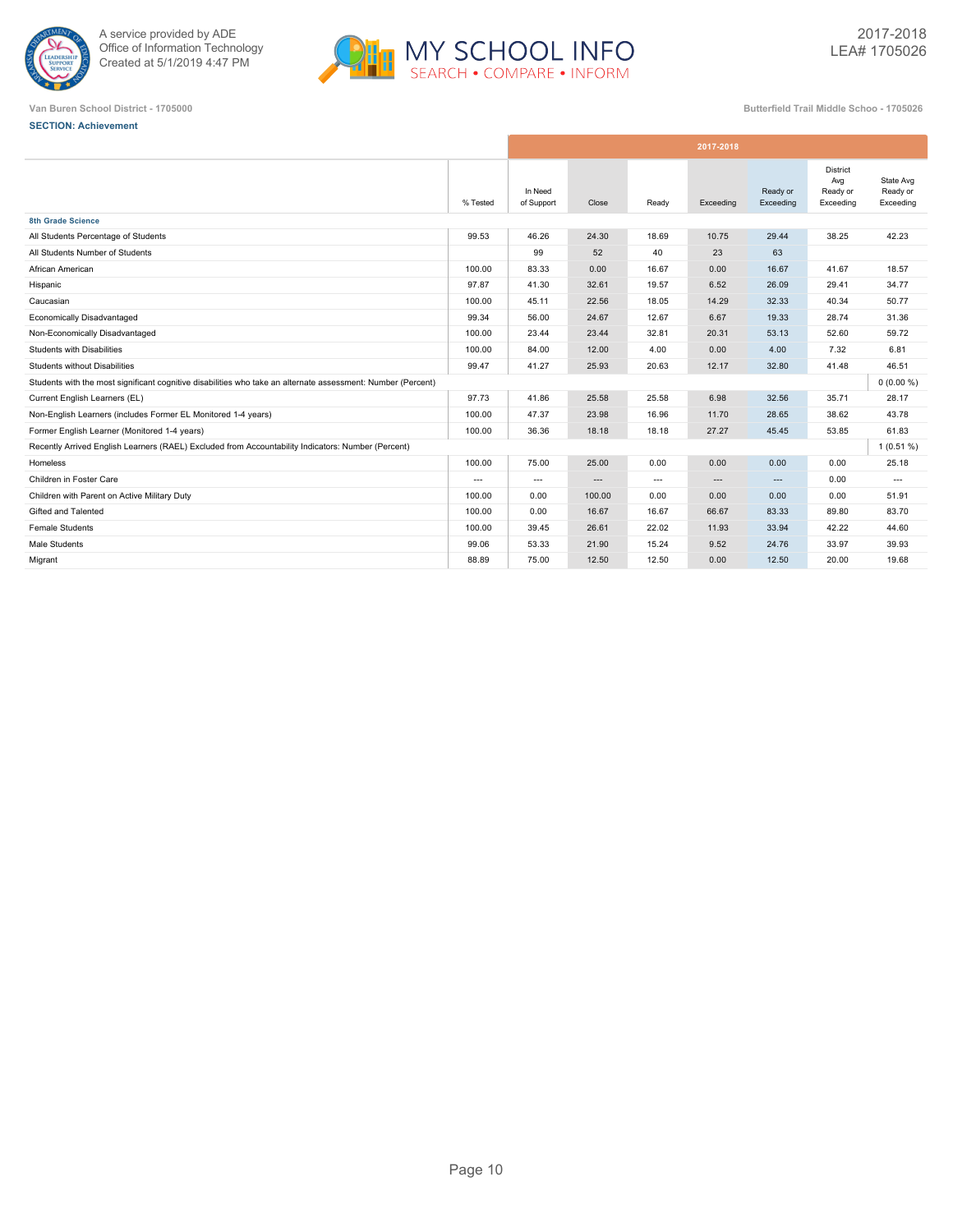



|                                                                                                              |          | 2017-2018                |          |       |           |                       |                                                 |                                    |  |  |
|--------------------------------------------------------------------------------------------------------------|----------|--------------------------|----------|-------|-----------|-----------------------|-------------------------------------------------|------------------------------------|--|--|
|                                                                                                              | % Tested | In Need<br>of Support    | Close    | Ready | Exceeding | Ready or<br>Exceeding | <b>District</b><br>Avg<br>Ready or<br>Exceeding | State Avg<br>Ready or<br>Exceeding |  |  |
| <b>8th Grade Science</b>                                                                                     |          |                          |          |       |           |                       |                                                 |                                    |  |  |
| All Students Percentage of Students                                                                          | 99.53    | 46.26                    | 24.30    | 18.69 | 10.75     | 29.44                 | 38.25                                           | 42.23                              |  |  |
| All Students Number of Students                                                                              |          | 99                       | 52       | 40    | 23        | 63                    |                                                 |                                    |  |  |
| African American                                                                                             | 100.00   | 83.33                    | 0.00     | 16.67 | 0.00      | 16.67                 | 41.67                                           | 18.57                              |  |  |
| Hispanic                                                                                                     | 97.87    | 41.30                    | 32.61    | 19.57 | 6.52      | 26.09                 | 29.41                                           | 34.77                              |  |  |
| Caucasian                                                                                                    | 100.00   | 45.11                    | 22.56    | 18.05 | 14.29     | 32.33                 | 40.34                                           | 50.77                              |  |  |
| Economically Disadvantaged                                                                                   | 99.34    | 56.00                    | 24.67    | 12.67 | 6.67      | 19.33                 | 28.74                                           | 31.36                              |  |  |
| Non-Economically Disadvantaged                                                                               | 100.00   | 23.44                    | 23.44    | 32.81 | 20.31     | 53.13                 | 52.60                                           | 59.72                              |  |  |
| <b>Students with Disabilities</b>                                                                            | 100.00   | 84.00                    | 12.00    | 4.00  | 0.00      | 4.00                  | 7.32                                            | 6.81                               |  |  |
| <b>Students without Disabilities</b>                                                                         | 99.47    | 41.27                    | 25.93    | 20.63 | 12.17     | 32.80                 | 41.48                                           | 46.51                              |  |  |
| Students with the most significant cognitive disabilities who take an alternate assessment: Number (Percent) |          |                          |          |       |           |                       |                                                 | $0(0.00\%)$                        |  |  |
| Current English Learners (EL)                                                                                | 97.73    | 41.86                    | 25.58    | 25.58 | 6.98      | 32.56                 | 35.71                                           | 28.17                              |  |  |
| Non-English Learners (includes Former EL Monitored 1-4 years)                                                | 100.00   | 47.37                    | 23.98    | 16.96 | 11.70     | 28.65                 | 38.62                                           | 43.78                              |  |  |
| Former English Learner (Monitored 1-4 years)                                                                 | 100.00   | 36.36                    | 18.18    | 18.18 | 27.27     | 45.45                 | 53.85                                           | 61.83                              |  |  |
| Recently Arrived English Learners (RAEL) Excluded from Accountability Indicators: Number (Percent)           |          |                          |          |       |           |                       |                                                 | $1(0.51\%)$                        |  |  |
| Homeless                                                                                                     | 100.00   | 75.00                    | 25.00    | 0.00  | 0.00      | 0.00                  | 0.00                                            | 25.18                              |  |  |
| Children in Foster Care                                                                                      | $---$    | $\hspace{0.05cm} \ldots$ | $\cdots$ | $---$ | $\cdots$  | $\cdots$              | 0.00                                            | $---$                              |  |  |
| Children with Parent on Active Military Duty                                                                 | 100.00   | 0.00                     | 100.00   | 0.00  | 0.00      | 0.00                  | 0.00                                            | 51.91                              |  |  |
| Gifted and Talented                                                                                          | 100.00   | 0.00                     | 16.67    | 16.67 | 66.67     | 83.33                 | 89.80                                           | 83.70                              |  |  |
| Female Students                                                                                              | 100.00   | 39.45                    | 26.61    | 22.02 | 11.93     | 33.94                 | 42.22                                           | 44.60                              |  |  |
| Male Students                                                                                                | 99.06    | 53.33                    | 21.90    | 15.24 | 9.52      | 24.76                 | 33.97                                           | 39.93                              |  |  |
| Migrant                                                                                                      | 88.89    | 75.00                    | 12.50    | 12.50 | 0.00      | 12.50                 | 20.00                                           | 19.68                              |  |  |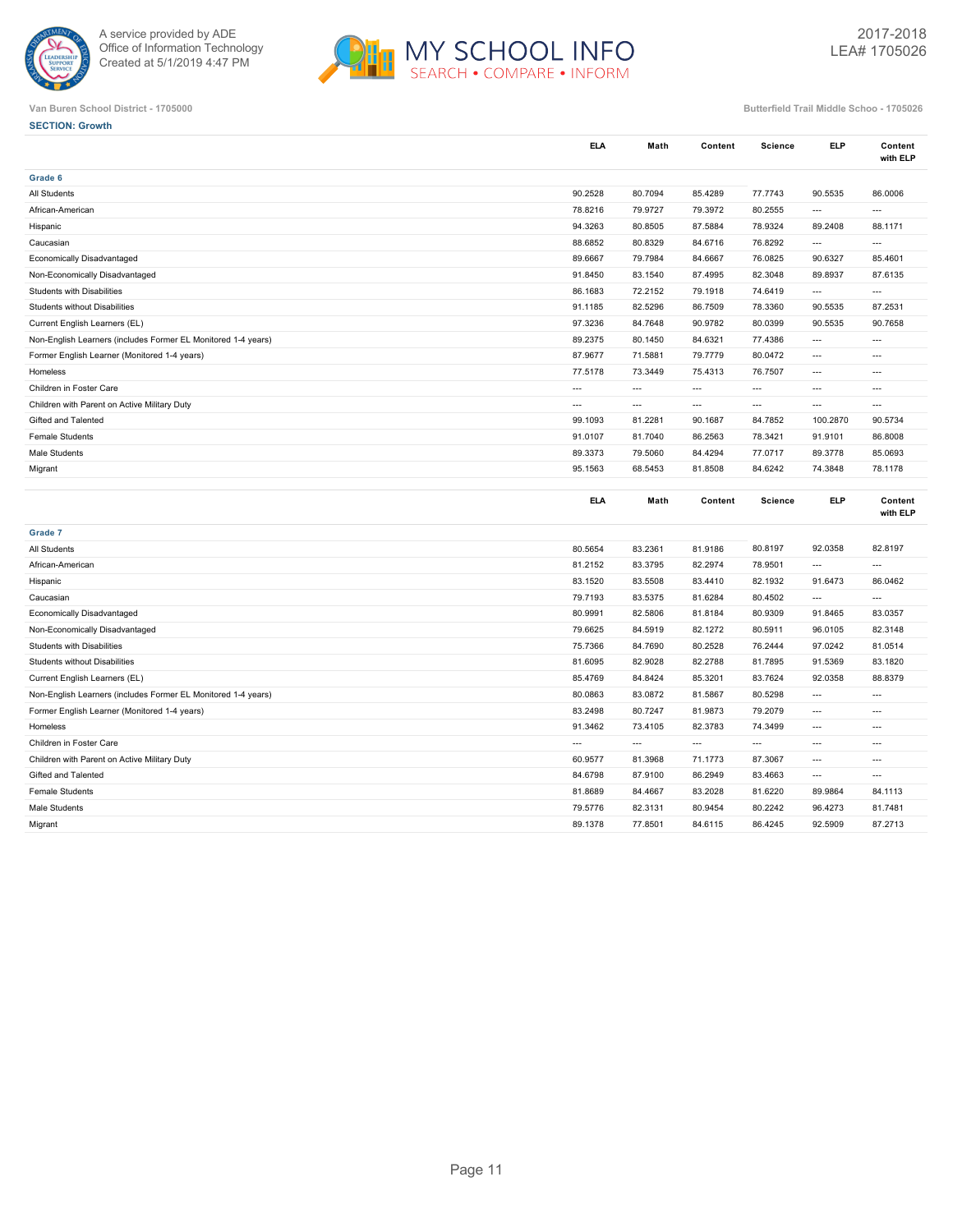

**SECTION: Growth**



|                                                               | <b>ELA</b>               | Math           | Content        | <b>Science</b> | <b>ELP</b>               | Content<br>with ELP      |
|---------------------------------------------------------------|--------------------------|----------------|----------------|----------------|--------------------------|--------------------------|
| Grade 6                                                       |                          |                |                |                |                          |                          |
| All Students                                                  | 90.2528                  | 80.7094        | 85.4289        | 77.7743        | 90.5535                  | 86.0006                  |
| African-American                                              | 78.8216                  | 79.9727        | 79.3972        | 80.2555        | $\overline{\phantom{a}}$ | ---                      |
| Hispanic                                                      | 94.3263                  | 80.8505        | 87.5884        | 78.9324        | 89.2408                  | 88.1171                  |
| Caucasian                                                     | 88.6852                  | 80.8329        | 84.6716        | 76.8292        | $\overline{\phantom{a}}$ | $\overline{a}$           |
| Economically Disadvantaged                                    | 89.6667                  | 79.7984        | 84.6667        | 76.0825        | 90.6327                  | 85.4601                  |
| Non-Economically Disadvantaged                                | 91.8450                  | 83.1540        | 87.4995        | 82.3048        | 89.8937                  | 87.6135                  |
| Students with Disabilities                                    | 86.1683                  | 72.2152        | 79.1918        | 74.6419        | ---                      | $\overline{a}$           |
| Students without Disabilities                                 | 91.1185                  | 82.5296        | 86.7509        | 78.3360        | 90.5535                  | 87.2531                  |
| Current English Learners (EL)                                 | 97.3236                  | 84.7648        | 90.9782        | 80.0399        | 90.5535                  | 90.7658                  |
| Non-English Learners (includes Former EL Monitored 1-4 years) | 89.2375                  | 80.1450        | 84.6321        | 77.4386        | $\overline{\phantom{a}}$ | $\overline{a}$           |
| Former English Learner (Monitored 1-4 years)                  | 87.9677                  | 71.5881        | 79.7779        | 80.0472        | $---$                    | $---$                    |
| Homeless                                                      | 77.5178                  | 73.3449        | 75.4313        | 76.7507        | $\overline{\phantom{a}}$ | $\overline{\phantom{a}}$ |
| Children in Foster Care                                       | $\overline{a}$           | $\overline{a}$ | $\overline{a}$ | $\overline{a}$ | $\overline{a}$           | ---                      |
| Children with Parent on Active Military Duty                  | $\overline{\phantom{a}}$ | ---            | ---            | ---            | ---                      | ---                      |
| Gifted and Talented                                           | 99.1093                  | 81.2281        | 90.1687        | 84.7852        | 100.2870                 | 90.5734                  |
| <b>Female Students</b>                                        | 91.0107                  | 81.7040        | 86.2563        | 78.3421        | 91.9101                  | 86.8008                  |
| Male Students                                                 | 89.3373                  | 79.5060        | 84.4294        | 77.0717        | 89.3778                  | 85.0693                  |
| Migrant                                                       | 95.1563                  | 68.5453        | 81.8508        | 84.6242        | 74.3848                  | 78.1178                  |
|                                                               |                          |                |                |                |                          |                          |
|                                                               | <b>ELA</b>               | Math           | Content        | <b>Science</b> | <b>ELP</b>               | Content<br>with ELP      |
| Grade 7                                                       |                          |                |                |                |                          |                          |
| All Students                                                  | 80.5654                  | 83.2361        | 81.9186        | 80.8197        | 92.0358                  | 82.8197                  |
| African-American                                              | 81.2152                  | 83.3795        | 82.2974        | 78.9501        | $\overline{\phantom{a}}$ | ---                      |
| Hispanic                                                      | 83.1520                  | 83.5508        | 83.4410        | 82.1932        | 91.6473                  | 86.0462                  |
| Caucasian                                                     | 79.7193                  | 83.5375        | 81.6284        | 80.4502        | $\overline{a}$           | $\overline{a}$           |
| Economically Disadvantaged                                    | 80.9991                  | 82.5806        | 81.8184        | 80.9309        | 91.8465                  | 83.0357                  |
| Non-Economically Disadvantaged                                | 79.6625                  | 84.5919        | 82.1272        | 80.5911        | 96.0105                  | 82.3148                  |
| Students with Disabilities                                    | 75.7366                  | 84.7690        | 80.2528        | 76.2444        | 97.0242                  | 81.0514                  |
| <b>Students without Disabilities</b>                          | 81.6095                  | 82.9028        | 82.2788        | 81.7895        | 91.5369                  | 83.1820                  |
| Current English Learners (EL)                                 | 85.4769                  | 84.8424        | 85.3201        | 83.7624        | 92.0358                  | 88.8379                  |
| Non-English Learners (includes Former EL Monitored 1-4 years) | 80.0863                  | 83.0872        | 81.5867        | 80.5298        | $\overline{\phantom{a}}$ | $\overline{\phantom{a}}$ |
| Former English Learner (Monitored 1-4 years)                  | 83.2498                  | 80.7247        | 81.9873        | 79.2079        | $\overline{\phantom{a}}$ | ---                      |
| Homeless                                                      | 91.3462                  | 73.4105        | 82.3783        | 74.3499        | $\overline{\phantom{a}}$ | $\overline{a}$           |
| Children in Foster Care                                       | $\overline{\phantom{a}}$ | ---            | ---            | ---            | ---                      | ---                      |
| Children with Parent on Active Military Duty                  | 60.9577                  | 81.3968        | 71.1773        | 87.3067        | $\overline{\phantom{a}}$ | $\overline{a}$           |
| Gifted and Talented                                           | 84.6798                  | 87.9100        | 86.2949        | 83.4663        | $\overline{a}$           | ---                      |
| <b>Female Students</b>                                        | 81.8689                  | 84.4667        | 83.2028        | 81.6220        | 89.9864                  | 84.1113                  |
| Male Students                                                 | 79.5776                  | 82.3131        | 80.9454        | 80.2242        | 96.4273                  | 81.7481                  |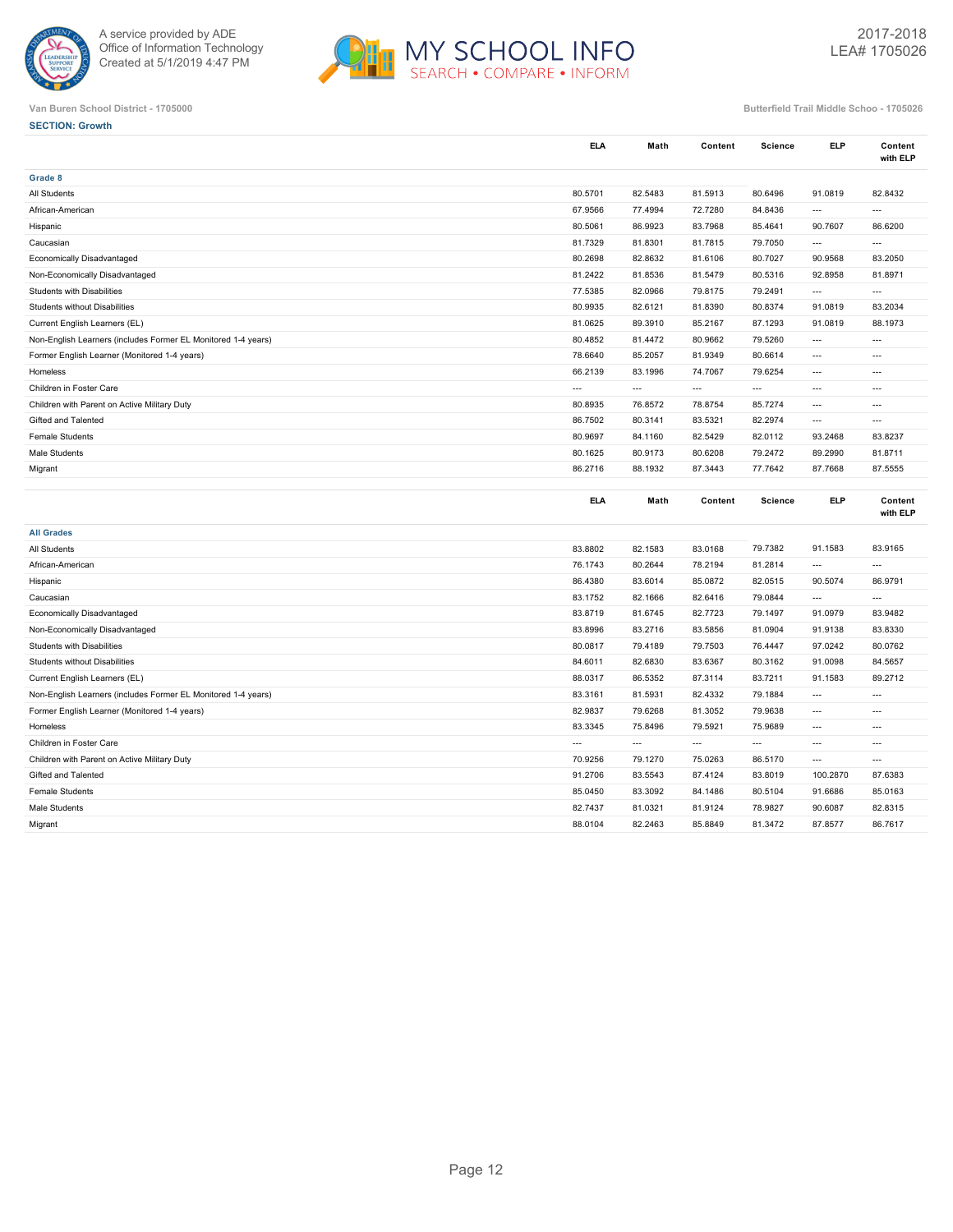

**SECTION: Growth**



|                                                               | <b>ELA</b>               | Math                     | Content                  | <b>Science</b>           | <b>ELP</b>               | Content<br>with ELP      |
|---------------------------------------------------------------|--------------------------|--------------------------|--------------------------|--------------------------|--------------------------|--------------------------|
| Grade 8                                                       |                          |                          |                          |                          |                          |                          |
| All Students                                                  | 80.5701                  | 82.5483                  | 81.5913                  | 80.6496                  | 91.0819                  | 82.8432                  |
| African-American                                              | 67.9566                  | 77.4994                  | 72.7280                  | 84.8436                  | $\overline{\phantom{a}}$ | $\overline{\phantom{a}}$ |
| Hispanic                                                      | 80.5061                  | 86.9923                  | 83.7968                  | 85.4641                  | 90.7607                  | 86.6200                  |
| Caucasian                                                     | 81.7329                  | 81.8301                  | 81.7815                  | 79.7050                  | $\overline{\phantom{a}}$ | $\overline{\phantom{a}}$ |
| Economically Disadvantaged                                    | 80.2698                  | 82.8632                  | 81.6106                  | 80.7027                  | 90.9568                  | 83.2050                  |
| Non-Economically Disadvantaged                                | 81.2422                  | 81.8536                  | 81.5479                  | 80.5316                  | 92.8958                  | 81.8971                  |
| <b>Students with Disabilities</b>                             | 77.5385                  | 82.0966                  | 79.8175                  | 79.2491                  | $\overline{\phantom{a}}$ | $\cdots$                 |
| Students without Disabilities                                 | 80.9935                  | 82.6121                  | 81.8390                  | 80.8374                  | 91.0819                  | 83.2034                  |
| Current English Learners (EL)                                 | 81.0625                  | 89.3910                  | 85.2167                  | 87.1293                  | 91.0819                  | 88.1973                  |
| Non-English Learners (includes Former EL Monitored 1-4 years) | 80.4852                  | 81.4472                  | 80.9662                  | 79.5260                  | $\overline{a}$           | $\overline{a}$           |
| Former English Learner (Monitored 1-4 years)                  | 78.6640                  | 85.2057                  | 81.9349                  | 80.6614                  | $\overline{\phantom{a}}$ | $\overline{\phantom{a}}$ |
| Homeless                                                      | 66.2139                  | 83.1996                  | 74.7067                  | 79.6254                  | $\overline{a}$           | $---$                    |
| Children in Foster Care                                       | $\overline{\phantom{a}}$ | $\overline{\phantom{a}}$ | $\overline{a}$           | $\overline{a}$           | $\overline{a}$           | $---$                    |
| Children with Parent on Active Military Duty                  | 80.8935                  | 76.8572                  | 78.8754                  | 85.7274                  | $\overline{\phantom{a}}$ | $\overline{\phantom{a}}$ |
| Gifted and Talented                                           | 86.7502                  | 80.3141                  | 83.5321                  | 82.2974                  | $\overline{a}$           | $\overline{a}$           |
| <b>Female Students</b>                                        | 80.9697                  | 84.1160                  | 82.5429                  | 82.0112                  | 93.2468                  | 83.8237                  |
| Male Students                                                 | 80.1625                  | 80.9173                  | 80.6208                  | 79.2472                  | 89.2990                  | 81.8711                  |
| Migrant                                                       | 86.2716                  | 88.1932                  | 87.3443                  | 77.7642                  | 87.7668                  | 87.5555                  |
|                                                               |                          |                          |                          |                          |                          |                          |
|                                                               |                          |                          |                          |                          |                          |                          |
|                                                               | <b>ELA</b>               | Math                     | Content                  | <b>Science</b>           | <b>ELP</b>               | Content<br>with ELP      |
| <b>All Grades</b>                                             |                          |                          |                          |                          |                          |                          |
| All Students                                                  | 83.8802                  | 82.1583                  | 83.0168                  | 79.7382                  | 91.1583                  | 83.9165                  |
| African-American                                              | 76.1743                  | 80.2644                  | 78.2194                  | 81.2814                  | $\overline{a}$           | $\overline{a}$           |
| Hispanic                                                      | 86.4380                  | 83.6014                  | 85.0872                  | 82.0515                  | 90.5074                  | 86.9791                  |
| Caucasian                                                     | 83.1752                  | 82.1666                  | 82.6416                  | 79.0844                  | $\overline{\phantom{a}}$ | $\overline{a}$           |
| Economically Disadvantaged                                    | 83.8719                  | 81.6745                  | 82.7723                  | 79.1497                  | 91.0979                  | 83.9482                  |
| Non-Economically Disadvantaged                                | 83.8996                  | 83.2716                  | 83.5856                  | 81.0904                  | 91.9138                  | 83.8330                  |
| Students with Disabilities                                    | 80.0817                  | 79.4189                  | 79.7503                  | 76.4447                  | 97.0242                  | 80.0762                  |
| Students without Disabilities                                 | 84.6011                  | 82.6830                  | 83.6367                  | 80.3162                  | 91.0098                  | 84.5657                  |
| Current English Learners (EL)                                 | 88.0317                  | 86.5352                  | 87.3114                  | 83.7211                  | 91.1583                  | 89.2712                  |
| Non-English Learners (includes Former EL Monitored 1-4 years) | 83.3161                  | 81.5931                  | 82.4332                  | 79.1884                  | $\overline{\phantom{a}}$ | $\overline{\phantom{a}}$ |
| Former English Learner (Monitored 1-4 years)                  | 82.9837                  | 79.6268                  | 81.3052                  | 79.9638                  | $\overline{\phantom{a}}$ | $\overline{\phantom{a}}$ |
| Homeless                                                      | 83.3345                  | 75.8496                  | 79.5921                  | 75.9689                  | $\overline{\phantom{a}}$ | $\overline{\phantom{a}}$ |
| Children in Foster Care                                       | $\overline{\phantom{a}}$ | $\overline{\phantom{a}}$ | $\overline{\phantom{a}}$ | $\overline{\phantom{a}}$ | $\overline{\phantom{a}}$ | $\overline{\phantom{a}}$ |
| Children with Parent on Active Military Duty                  | 70.9256                  | 79.1270                  | 75.0263                  | 86.5170                  | $\overline{\phantom{a}}$ | ---                      |
| Gifted and Talented                                           | 91.2706                  | 83.5543                  | 87.4124                  | 83.8019                  | 100.2870                 | 87.6383                  |
| <b>Female Students</b>                                        | 85.0450                  | 83.3092                  | 84.1486                  | 80.5104                  | 91.6686                  | 85.0163                  |
| Male Students                                                 | 82.7437                  | 81.0321                  | 81.9124                  | 78.9827                  | 90.6087                  | 82.8315                  |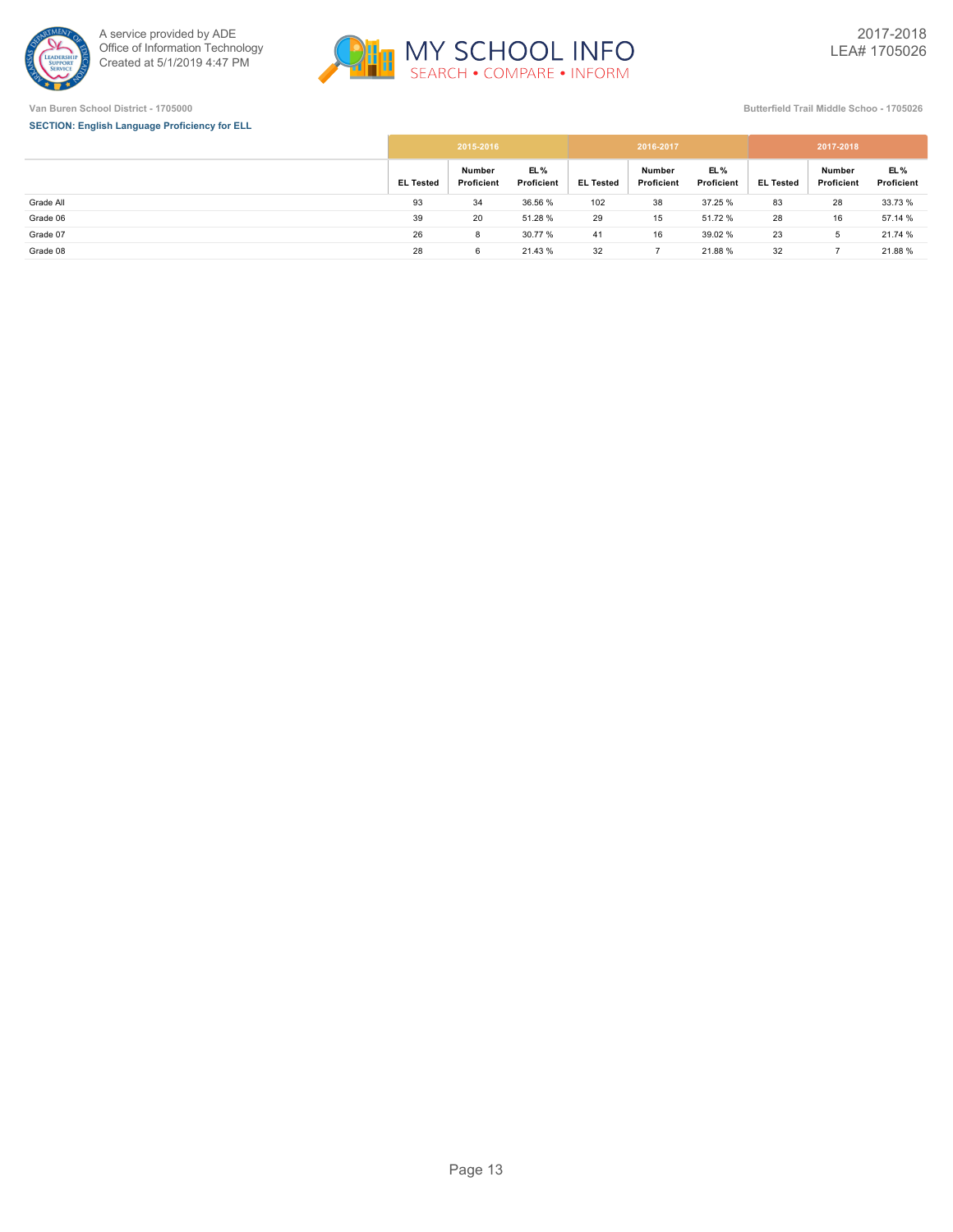



## **SECTION: English Language Proficiency for ELL**

|           | 2015-2016        |                             |                   |                  | 2016-2017            |                   | 2017-2018        |                      |                    |  |
|-----------|------------------|-----------------------------|-------------------|------------------|----------------------|-------------------|------------------|----------------------|--------------------|--|
|           | <b>EL Tested</b> | <b>Number</b><br>Proficient | EL%<br>Proficient | <b>EL Tested</b> | Number<br>Proficient | EL%<br>Proficient | <b>EL Tested</b> | Number<br>Proficient | EL %<br>Proficient |  |
| Grade All | 93               | 34                          | 36.56 %           | 102              | 38                   | 37.25 %           | 83               | 28                   | 33.73 %            |  |
| Grade 06  | 39               | 20                          | 51.28 %           | 29               | 15                   | 51.72 %           | 28               | 16                   | 57.14 %            |  |
| Grade 07  | 26               | 8                           | 30.77 %           | 41               | 16                   | 39.02 %           | 23               | 5                    | 21.74 %            |  |
| Grade 08  | 28               | 6                           | 21.43 %           | 32               |                      | 21.88 %           | 32               |                      | 21.88%             |  |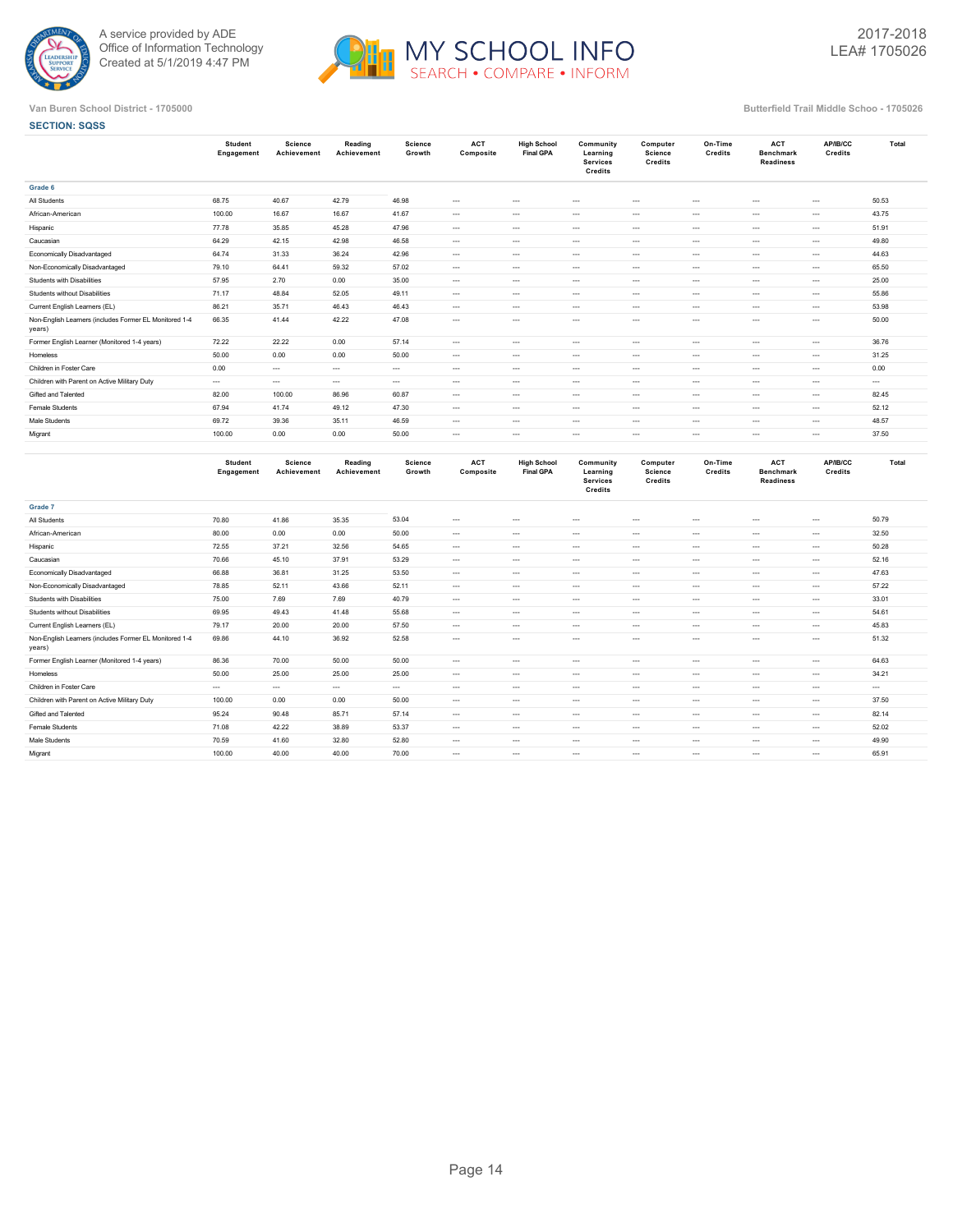

**SECTION: SQSS**



|                                                                  | <b>Student</b><br>Engagement | Science<br>Achievement | Reading<br>Achievement | Science<br>Growth | <b>ACT</b><br>Composite | <b>High School</b><br><b>Final GPA</b> | Community<br>Learning<br><b>Services</b><br>Credits | Computer<br>Science<br>Credits | On-Time<br>Credits | <b>ACT</b><br><b>Benchmark</b><br><b>Readiness</b> | AP/IB/CC<br>Credits | Total    |
|------------------------------------------------------------------|------------------------------|------------------------|------------------------|-------------------|-------------------------|----------------------------------------|-----------------------------------------------------|--------------------------------|--------------------|----------------------------------------------------|---------------------|----------|
| Grade 6                                                          |                              |                        |                        |                   |                         |                                        |                                                     |                                |                    |                                                    |                     |          |
| All Students                                                     | 68.75                        | 40.67                  | 42.79                  | 46.98             |                         | ---                                    | $\cdots$                                            | $\cdots$                       |                    |                                                    | $\cdots$            | 50.53    |
| African-American                                                 | 100.00                       | 16.67                  | 16.67                  | 41.67             |                         |                                        | $---$                                               | $---$                          |                    |                                                    |                     | 43.75    |
| Hispanic                                                         | 77.78                        | 35.85                  | 45.28                  | 47.96             |                         | ---                                    | $---$                                               | $---$                          |                    |                                                    |                     | 51.91    |
| Caucasian                                                        | 64.29                        | 42.15                  | 42.98                  | 46.58             |                         | $---$                                  | $\cdots$                                            | $\cdots$                       | $\cdots$           | $---$                                              | ---                 | 49.80    |
| Economically Disadvantaged                                       | 64.74                        | 31.33                  | 36.24                  | 42.96             | $\cdots$                | $---$                                  | $---$                                               | $\cdots$                       |                    | $- - -$                                            |                     | 44.63    |
| Non-Economically Disadvantaged                                   | 79.10                        | 64.41                  | 59.32                  | 57.02             |                         | $---$                                  | $\cdots$                                            | $\cdots$                       | $\cdots$           | $---$                                              |                     | 65.50    |
| Students with Disabilities                                       | 57.95                        | 2.70                   | 0.00                   | 35.00             | $---$                   |                                        | $---$                                               | $---$                          |                    |                                                    |                     | 25.00    |
| Students without Disabilities                                    | 71.17                        | 48.84                  | 52.05                  | 49.11             | $---$                   |                                        | $---$                                               | $---$                          |                    |                                                    | $---$               | 55.86    |
| Current English Learners (EL)                                    | 86.21                        | 35.71                  | 46.43                  | 46.43             |                         | $---$                                  | $\cdots$                                            | $\cdots$                       | $\cdots$           | $---$                                              | ---                 | 53.98    |
| Non-English Learners (includes Former EL Monitored 1-4<br>years) | 66.35                        | 41.44                  | 42.22                  | 47.08             |                         | $---$                                  | $\cdots$                                            | $\cdots$                       | $\cdots$           | $---$                                              | $---$               | 50.00    |
| Former English Learner (Monitored 1-4 years)                     | 72.22                        | 22.22                  | 0.00                   | 57.14             |                         |                                        | $---$                                               | $---$                          |                    |                                                    |                     | 36.76    |
| Homeless                                                         | 50.00                        | 0.00                   | 0.00                   | 50.00             | $---$                   |                                        | $---$                                               | $\cdots$                       |                    | $---$                                              | $---$               | 31.25    |
| Children in Foster Care                                          | 0.00                         | $\cdots$               | $\cdots$               | $---$             |                         |                                        | $---$                                               | $\cdots$                       |                    |                                                    |                     | 0.00     |
| Children with Parent on Active Military Duty                     | $- - -$                      | $\cdots$               | $\cdots$               | $\cdots$          | $\cdots$                | $---$                                  | $---$                                               | $\cdots$                       |                    | $\cdots$                                           | $---$               | $\cdots$ |
| Gifted and Talented                                              | 82.00                        | 100.00                 | 86.96                  | 60.87             |                         |                                        | $---$                                               | $---$                          |                    |                                                    |                     | 82.45    |
| <b>Female Students</b>                                           | 67.94                        | 41.74                  | 49.12                  | 47.30             |                         |                                        | $\cdots$                                            | $\cdots$                       |                    |                                                    |                     | 52.12    |
| Male Students                                                    | 69.72                        | 39.36                  | 35.11                  | 46.59             | $\cdots$                | $---$                                  | $---$                                               | $\cdots$                       |                    | $\cdots$                                           | $---$               | 48.57    |
| Migrant                                                          | 100.00                       | 0.00                   | 0.00                   | 50.00             |                         |                                        | $---$                                               | $---$                          |                    |                                                    |                     | 37.50    |
|                                                                  |                              |                        |                        |                   |                         |                                        |                                                     |                                |                    |                                                    |                     |          |

|                                                                  | Student<br>Engagement | Science<br>Achievement | Reading<br>Achievement | Science<br>Growth | <b>ACT</b><br>Composite | <b>High School</b><br><b>Final GPA</b> | Community<br>Learning<br><b>Services</b><br>Credits | Computer<br><b>Science</b><br>Credits | On-Time<br>Credits | <b>ACT</b><br><b>Benchmark</b><br><b>Readiness</b> | AP/IB/CC<br>Credits | Total |
|------------------------------------------------------------------|-----------------------|------------------------|------------------------|-------------------|-------------------------|----------------------------------------|-----------------------------------------------------|---------------------------------------|--------------------|----------------------------------------------------|---------------------|-------|
| Grade 7                                                          |                       |                        |                        |                   |                         |                                        |                                                     |                                       |                    |                                                    |                     |       |
| All Students                                                     | 70.80                 | 41.86                  | 35.35                  | 53.04             | $\cdots$                | $---$                                  | $---$                                               | $\cdots$                              | $\cdots$           | $\cdots$                                           | $\cdots$            | 50.79 |
| African-American                                                 | 80.00                 | 0.00                   | 0.00                   | 50.00             | $-1$                    | $---$                                  | $---$                                               | $\cdots$                              | $\sim$             | $\cdots$                                           | $\cdots$            | 32.50 |
| Hispanic                                                         | 72.55                 | 37.21                  | 32.56                  | 54.65             | $\cdots$                | $- - -$                                | $\cdots$                                            | $\cdots$                              | $\cdots$           | $\cdots$                                           | $\cdots$            | 50.28 |
| Caucasian                                                        | 70.66                 | 45.10                  | 37.91                  | 53.29             | $-1$                    | $---$                                  | $---$                                               | $\cdots$                              | $\sim$             | $\cdots$                                           | $\cdots$            | 52.16 |
| Economically Disadvantaged                                       | 66.88                 | 36.81                  | 31.25                  | 53.50             | $-1$                    | $- - -$                                | $---$                                               | $\cdots$                              | $\sim$             | $\cdots$                                           | $\cdots$            | 47.63 |
| Non-Economically Disadvantaged                                   | 78.85                 | 52.11                  | 43.66                  | 52.11             | $-1$                    | $---$                                  | $---$                                               | $\cdots$                              | $\sim$             | $\cdots$                                           | $\cdots$            | 57.22 |
| Students with Disabilities                                       | 75.00                 | 7.69                   | 7.69                   | 40.79             | $-1$                    | $---$                                  | $---$                                               | $\cdots$                              | $\sim$             | $\cdots$                                           | $\cdots$            | 33.01 |
| Students without Disabilities                                    | 69.95                 | 49.43                  | 41.48                  | 55.68             | $-1$                    | $---$                                  | $\cdots$                                            | $\cdots$                              | $\sim$             | $\cdots$                                           | $\cdots$            | 54.61 |
| Current English Learners (EL)                                    | 79.17                 | 20.00                  | 20.00                  | 57.50             | $-1$                    | $---$                                  | $---$                                               | $\cdots$                              | $\cdots$           | $\cdots$                                           | $\cdots$            | 45.83 |
| Non-English Learners (includes Former EL Monitored 1-4<br>years) | 69.86                 | 44.10                  | 36.92                  | 52.58             | $\cdots$                | $\cdots$                               | $---$                                               | $\cdots$                              | $\cdots$           | $\cdots$                                           | $\cdots$            | 51.32 |
| Former English Learner (Monitored 1-4 years)                     | 86.36                 | 70.00                  | 50.00                  | 50.00             | $-1$                    | $---$                                  | $---$                                               | $\cdots$                              | $\cdots$           | $\cdots$                                           | $\cdots$            | 64.63 |
| Homeless                                                         | 50.00                 | 25.00                  | 25.00                  | 25.00             | $\sim$                  | $\cdots$                               | $\cdots$                                            | $\cdots$                              | $\cdots$           | $\cdots$                                           | $\cdots$            | 34.21 |
| Children in Foster Care                                          | $\cdots$              | $\cdots$               | $- - -$                | $\cdots$          | $\cdots$                | $---$                                  | $---$                                               | $\cdots$                              | $\cdots$           | $\cdots$                                           | $\cdots$            | $---$ |
| Children with Parent on Active Military Duty                     | 100.00                | 0.00                   | 0.00                   | 50.00             | $-1$                    | $---$                                  | $---$                                               | $\cdots$                              | $\cdots$           | $\cdots$                                           | $\cdots$            | 37.50 |
| Gifted and Talented                                              | 95.24                 | 90.48                  | 85.71                  | 57.14             | $-1$                    | $---$                                  | $---$                                               | $\cdots$                              | $\cdots$           | $\cdots$                                           | $\cdots$            | 82.14 |
| Female Students                                                  | 71.08                 | 42.22                  | 38.89                  | 53.37             | $-1$                    | $---$                                  | $---$                                               | $\cdots$                              | $\cdots$           | $\cdots$                                           | $\cdots$            | 52.02 |
| Male Students                                                    | 70.59                 | 41.60                  | 32.80                  | 52.80             | $\cdots$                | $- - -$                                | $\cdots$                                            | $\cdots$                              | $\cdots$           | $\cdots$                                           | $---$               | 49.90 |
| Migrant                                                          | 100.00                | 40.00                  | 40.00                  | 70.00             | $-1$                    | $---$                                  | $---$                                               | $\cdots$                              | $\cdots$           | $\cdots$                                           | $\cdots$            | 65.91 |
|                                                                  |                       |                        |                        |                   |                         |                                        |                                                     |                                       |                    |                                                    |                     |       |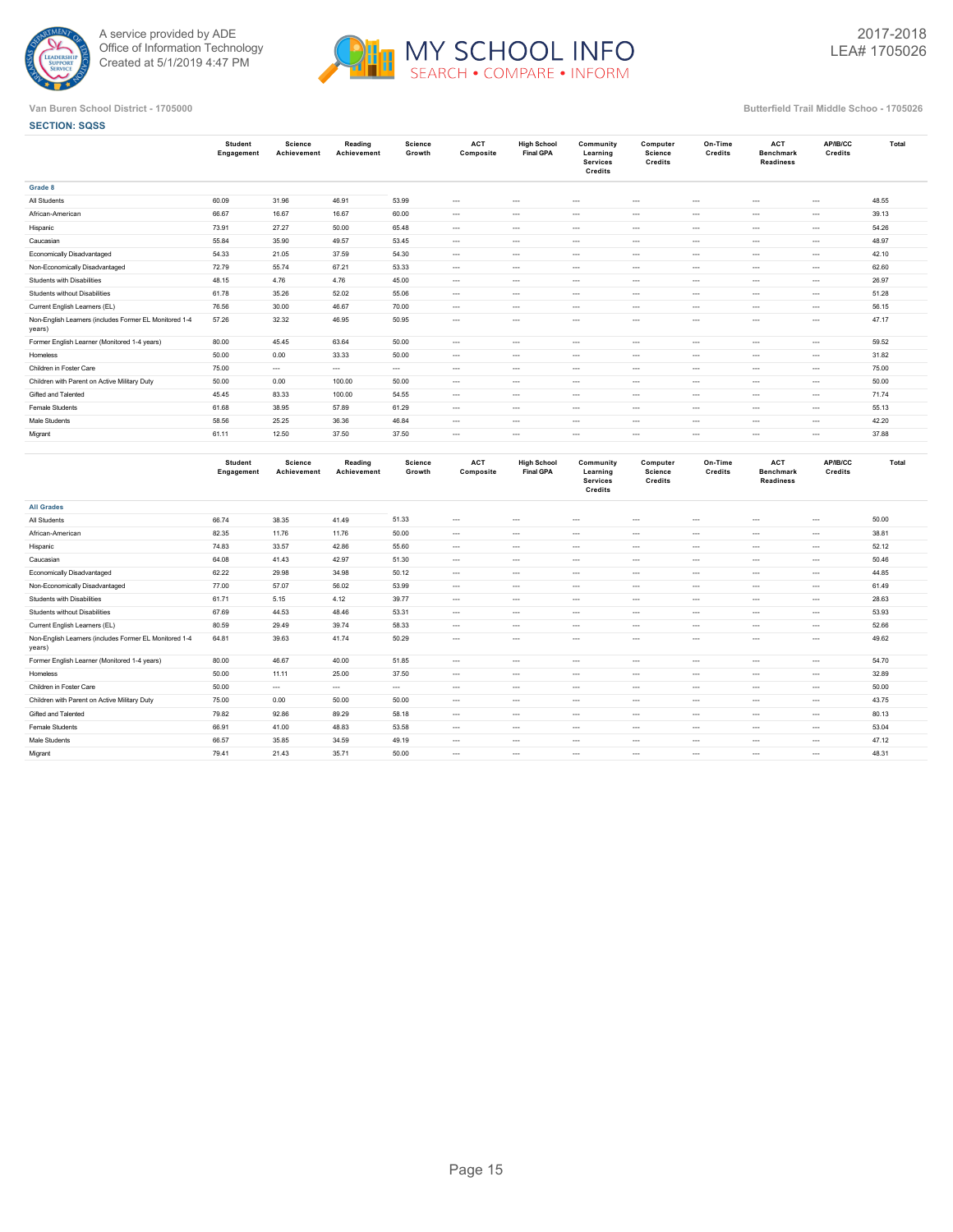

**SECTION: SQSS**



|                                                                  | <b>Student</b><br>Engagement | <b>Science</b><br>Achievement | Reading<br>Achievement | Science<br>Growth | <b>ACT</b><br>Composite | <b>High School</b><br><b>Final GPA</b> | Community<br>Learning<br><b>Services</b><br>Credits | Computer<br>Science<br>Credits | On-Time<br>Credits | <b>ACT</b><br><b>Benchmark</b><br><b>Readiness</b> | AP/IB/CC<br>Credits | Total |
|------------------------------------------------------------------|------------------------------|-------------------------------|------------------------|-------------------|-------------------------|----------------------------------------|-----------------------------------------------------|--------------------------------|--------------------|----------------------------------------------------|---------------------|-------|
| Grade 8                                                          |                              |                               |                        |                   |                         |                                        |                                                     |                                |                    |                                                    |                     |       |
| All Students                                                     | 60.09                        | 31.96                         | 46.91                  | 53.99             | $\cdots$                | $\cdots$                               | $\cdots$                                            | $\cdots$                       | $\sim$             | $\cdots$                                           | $\cdots$            | 48.55 |
| African-American                                                 | 66.67                        | 16.67                         | 16.67                  | 60.00             | $\cdots$                | $\cdots$                               | $\cdots$                                            | $\cdots$                       | $\cdots$           | $\cdots$                                           | $\cdots$            | 39.13 |
| Hispanic                                                         | 73.91                        | 27.27                         | 50.00                  | 65.48             | $\cdots$                | $\cdots$                               | $\cdots$                                            | $\cdots$                       | $\cdots$           | $\sim$                                             | $\cdots$            | 54.26 |
| Caucasian                                                        | 55.84                        | 35.90                         | 49.57                  | 53.45             | $\cdots$                | $\cdots$                               | $\cdots$                                            | $\cdots$                       | $\cdots$           | $\cdots$                                           | $\cdots$            | 48.97 |
| Economically Disadvantaged                                       | 54.33                        | 21.05                         | 37.59                  | 54.30             | $\cdots$                | $\cdots$                               | $\cdots$                                            | $\cdots$                       | $\sim$             | $\sim$                                             | $\cdots$            | 42.10 |
| Non-Economically Disadvantaged                                   | 72.79                        | 55.74                         | 67.21                  | 53.33             | $\cdots$                | $\cdots$                               | $\cdots$                                            | $\cdots$                       | $\cdots$           | $\sim$                                             | $\cdots$            | 62.60 |
| Students with Disabilities                                       | 48.15                        | 4.76                          | 4.76                   | 45.00             | $\cdots$                | $\cdots$                               | $\cdots$                                            | $\cdots$                       | $\cdots$           | $\cdots$                                           | $\cdots$            | 26.97 |
| Students without Disabilities                                    | 61.78                        | 35.26                         | 52.02                  | 55.06             | $\cdots$                | $\cdots$                               | $\cdots$                                            | $\sim$ $ -$                    | $\sim$             | $\cdots$                                           | $\cdots$            | 51.28 |
| Current English Learners (EL)                                    | 76.56                        | 30.00                         | 46.67                  | 70.00             | $\cdots$                | $\cdots$                               | $\cdots$                                            | $\cdots$                       | $\sim$             | $\cdots$                                           | $\cdots$            | 56.15 |
| Non-English Learners (includes Former EL Monitored 1-4<br>years) | 57.26                        | 32.32                         | 46.95                  | 50.95             | $\cdots$                | $\cdots$                               | $\cdots$                                            | $\cdots$                       | $\cdots$           | $\sim$                                             | $\cdots$            | 47.17 |
| Former English Learner (Monitored 1-4 years)                     | 80.00                        | 45.45                         | 63.64                  | 50.00             | $\cdots$                | $---$                                  | $---$                                               | $\cdots$                       | $\sim$             | $\sim$                                             | $\cdots$            | 59.52 |
| Homeless                                                         | 50.00                        | 0.00                          | 33.33                  | 50.00             | $\cdots$                | $---$                                  | $---$                                               | $\cdots$                       | $\sim$             | $\sim$                                             | $---$               | 31.82 |
| Children in Foster Care                                          | 75.00                        | $\cdots$                      | $\cdots$               | $\cdots$          | $\cdots$                | $\cdots$                               | $\cdots$                                            | $\cdots$                       | $\sim$             | $\sim$                                             | $\cdots$            | 75.00 |
| Children with Parent on Active Military Duty                     | 50.00                        | 0.00                          | 100.00                 | 50.00             | $\cdots$                | $\cdots$                               | $\cdots$                                            | $\cdots$                       | $\cdots$           | $\cdots$                                           | $\cdots$            | 50.00 |
| Gifted and Talented                                              | 45.45                        | 83.33                         | 100.00                 | 54.55             | $\cdots$                | $\cdots$                               | $\cdots$                                            | $\cdots$                       | $\sim$             | $\cdots$                                           | $\cdots$            | 71.74 |
| Female Students                                                  | 61.68                        | 38.95                         | 57.89                  | 61.29             | $\cdots$                | $\cdots$                               | $\cdots$                                            | $\cdots$                       | $\sim$             | $\cdots$                                           | $\cdots$            | 55.13 |
| Male Students                                                    | 58.56                        | 25.25                         | 36.36                  | 46.84             | $\cdots$                | $---$                                  | $\cdots$                                            | $\cdots$                       | $\sim$             | $\sim$                                             | $\cdots$            | 42.20 |
| Migrant                                                          | 61.11                        | 12.50                         | 37.50                  | 37.50             | $\cdots$                | $\cdots$                               | $\cdots$                                            | $\cdots$                       | $\sim$             | $\cdots$                                           | $\cdots$            | 37.88 |
|                                                                  |                              |                               |                        |                   |                         |                                        |                                                     |                                |                    |                                                    |                     |       |

|                                                                  | <b>Student</b><br>Engagement | Science<br>Achievement | Reading<br>Achievement | Science<br>Growth | <b>ACT</b><br>Composite | <b>High School</b><br><b>Final GPA</b> | Community<br>Learning<br><b>Services</b><br>Credits | Computer<br>Science<br>Credits | On-Time<br>Credits | <b>ACT</b><br><b>Benchmark</b><br><b>Readiness</b> | AP/IB/CC<br>Credits | Total |
|------------------------------------------------------------------|------------------------------|------------------------|------------------------|-------------------|-------------------------|----------------------------------------|-----------------------------------------------------|--------------------------------|--------------------|----------------------------------------------------|---------------------|-------|
| <b>All Grades</b>                                                |                              |                        |                        |                   |                         |                                        |                                                     |                                |                    |                                                    |                     |       |
| All Students                                                     | 66.74                        | 38.35                  | 41.49                  | 51.33             | $\sim$                  | $---$                                  | $---$                                               | $\cdots$                       | $\sim$             | $\cdots$                                           | $\cdots$            | 50.00 |
| African-American                                                 | 82.35                        | 11.76                  | 11.76                  | 50.00             | $\cdots$                | $\cdots$                               | $---$                                               | $\cdots$                       | $\cdots$           | $-1$                                               | $\cdots$            | 38.81 |
| Hispanic                                                         | 74.83                        | 33.57                  | 42.86                  | 55.60             | $\cdots$                | $---$                                  | $---$                                               | $\cdots$                       | $\cdots$           | $\cdots$                                           | $\cdots$            | 52.12 |
| Caucasian                                                        | 64.08                        | 41.43                  | 42.97                  | 51.30             | $\cdots$                | $\cdots$                               | $\cdots$                                            | $\cdots$                       | $\cdots$           | $\sim$                                             | $\cdots$            | 50.46 |
| <b>Economically Disadvantaged</b>                                | 62.22                        | 29.98                  | 34.98                  | 50.12             | $\cdots$                | $---$                                  | $---$                                               | $\cdots$                       | $\sim$             | $\cdots$                                           | $\cdots$            | 44.85 |
| Non-Economically Disadvantaged                                   | 77.00                        | 57.07                  | 56.02                  | 53.99             | $\cdots$                | $\cdots$                               | $---$                                               | $\cdots$                       | $\sim$             | $\cdots$                                           | $\cdots$            | 61.49 |
| Students with Disabilities                                       | 61.71                        | 5.15                   | 4.12                   | 39.77             | $\cdots$                | $\cdots$                               | $---$                                               | $\cdots$                       | $\sim$             | $\cdots$                                           | $\cdots$            | 28.63 |
| Students without Disabilities                                    | 67.69                        | 44.53                  | 48.46                  | 53.31             | $\cdots$                | $\cdots$                               | $---$                                               | $\cdots$                       | $\cdots$           | $\cdots$                                           | $\cdots$            | 53.93 |
| Current English Learners (EL)                                    | 80.59                        | 29.49                  | 39.74                  | 58.33             | $\cdots$                | $\cdots$                               | $---$                                               | $\cdots$                       | $\cdots$           | $-1$                                               | $\cdots$            | 52.66 |
| Non-English Learners (includes Former EL Monitored 1-4<br>years) | 64.81                        | 39.63                  | 41.74                  | 50.29             | $\cdots$                | $---$                                  | $---$                                               | $\cdots$                       | $\sim$             | $\cdots$                                           | $\cdots$            | 49.62 |
| Former English Learner (Monitored 1-4 years)                     | 80.00                        | 46.67                  | 40.00                  | 51.85             | $\cdots$                | $---$                                  | $---$                                               | $\cdots$                       | $\cdots$           | $\cdots$                                           | $\cdots$            | 54.70 |
| Homeless                                                         | 50.00                        | 11.11                  | 25.00                  | 37.50             | $\cdots$                | $\cdots$                               | $\cdots$                                            | $\cdots$                       | $\cdots$           | $\cdots$                                           | $\cdots$            | 32.89 |
| Children in Foster Care                                          | 50.00                        | $- - -$                | $\cdots$               | $- - -$           | $\cdots$                | $\cdots$                               | $---$                                               | $\cdots$                       | $\sim$             | $\sim$                                             | $\cdots$            | 50.00 |
| Children with Parent on Active Military Duty                     | 75.00                        | 0.00                   | 50.00                  | 50.00             | $\cdots$                | $---$                                  | $---$                                               | $\cdots$                       | $\sim$             | $\cdots$                                           | $\cdots$            | 43.75 |
| Gifted and Talented                                              | 79.82                        | 92.86                  | 89.29                  | 58.18             | $\cdots$                | $\cdots$                               | $---$                                               | $\cdots$                       | $\sim$             | $-1$                                               | $\cdots$            | 80.13 |
| Female Students                                                  | 66.91                        | 41.00                  | 48.83                  | 53.58             | $\cdots$                | $---$                                  | $---$                                               | $\cdots$                       | $\sim$             | $\sim$ $\sim$                                      | $\cdots$            | 53.04 |
| Male Students                                                    | 66.57                        | 35.85                  | 34.59                  | 49.19             | $\cdots$                | $\cdots$                               | $\cdots$                                            | $\cdots$                       | $\cdots$           | $\sim$                                             | $\cdots$            | 47.12 |
| Migrant                                                          | 79.41                        | 21.43                  | 35.71                  | 50.00             | $\cdots$                | $\cdots$                               | $\cdots$                                            | $\cdots$                       | $\sim$             | $\cdots$                                           | $\cdots$            | 48.31 |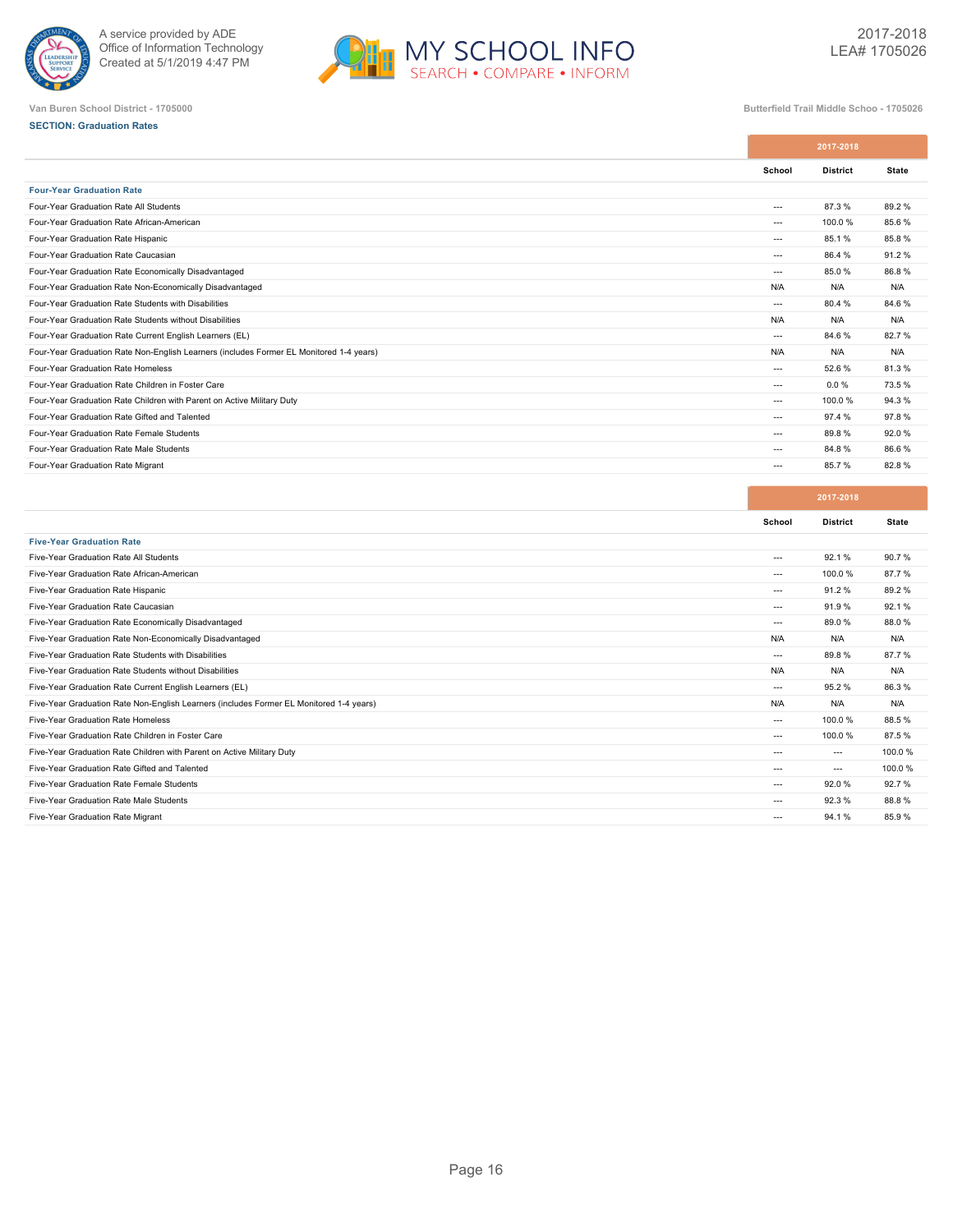



## **SECTION: Graduation Rates**

|                                                                                         | School                   | <b>District</b> | <b>State</b> |
|-----------------------------------------------------------------------------------------|--------------------------|-----------------|--------------|
| <b>Four-Year Graduation Rate</b>                                                        |                          |                 |              |
| Four-Year Graduation Rate All Students                                                  | $---$                    | 87.3%           | 89.2%        |
| Four-Year Graduation Rate African-American                                              | $---$                    | 100.0%          | 85.6%        |
| Four-Year Graduation Rate Hispanic                                                      | $---$                    | 85.1%           | 85.8%        |
| Four-Year Graduation Rate Caucasian                                                     | $---$                    | 86.4 %          | 91.2%        |
| Four-Year Graduation Rate Economically Disadvantaged                                    | $---$                    | 85.0%           | 86.8%        |
| Four-Year Graduation Rate Non-Economically Disadvantaged                                | N/A                      | N/A             | N/A          |
| Four-Year Graduation Rate Students with Disabilities                                    | $\hspace{0.05cm} \ldots$ | 80.4 %          | 84.6%        |
| Four-Year Graduation Rate Students without Disabilities                                 | <b>N/A</b>               | N/A             | N/A          |
| Four-Year Graduation Rate Current English Learners (EL)                                 | $---$                    | 84.6%           | 82.7%        |
| Four-Year Graduation Rate Non-English Learners (includes Former EL Monitored 1-4 years) | N/A                      | N/A             | N/A          |
| Four-Year Graduation Rate Homeless                                                      | $---$                    | 52.6%           | 81.3%        |
| Four-Year Graduation Rate Children in Foster Care                                       | $---$                    | 0.0%            | 73.5 %       |
| Four-Year Graduation Rate Children with Parent on Active Military Duty                  | $---$                    | 100.0%          | 94.3%        |
| Four-Year Graduation Rate Gifted and Talented                                           | $---$                    | 97.4 %          | 97.8%        |
| Four-Year Graduation Rate Female Students                                               | $\hspace{0.05cm} \ldots$ | 89.8%           | 92.0%        |
| Four-Year Graduation Rate Male Students                                                 | $---$                    | 84.8%           | 86.6%        |
| Four-Year Graduation Rate Migrant                                                       | $---$                    | 85.7 %          | 82.8%        |
|                                                                                         |                          |                 |              |

|                                                                                         | School                   | <b>District</b> | <b>State</b> |
|-----------------------------------------------------------------------------------------|--------------------------|-----------------|--------------|
| <b>Five-Year Graduation Rate</b>                                                        |                          |                 |              |
| Five-Year Graduation Rate All Students                                                  | $\cdots$                 | 92.1%           | 90.7%        |
| Five-Year Graduation Rate African-American                                              | $\cdots$                 | 100.0%          | 87.7%        |
| Five-Year Graduation Rate Hispanic                                                      | $---$                    | 91.2%           | 89.2%        |
| Five-Year Graduation Rate Caucasian                                                     | $---$                    | 91.9%           | 92.1%        |
| Five-Year Graduation Rate Economically Disadvantaged                                    | $\hspace{0.05cm} \ldots$ | 89.0%           | 88.0%        |
| Five-Year Graduation Rate Non-Economically Disadvantaged                                | N/A                      | <b>N/A</b>      | N/A          |
| Five-Year Graduation Rate Students with Disabilities                                    | $---$                    | 89.8%           | 87.7%        |
| Five-Year Graduation Rate Students without Disabilities                                 | N/A                      | N/A             | N/A          |
| Five-Year Graduation Rate Current English Learners (EL)                                 | $\cdots$                 | 95.2%           | 86.3%        |
| Five-Year Graduation Rate Non-English Learners (includes Former EL Monitored 1-4 years) | N/A                      | N/A             | N/A          |
| Five-Year Graduation Rate Homeless                                                      | $---$                    | 100.0%          | 88.5%        |
| Five-Year Graduation Rate Children in Foster Care                                       | $\cdots$                 | 100.0%          | 87.5 %       |
| Five-Year Graduation Rate Children with Parent on Active Military Duty                  | $---$                    | $\cdots$        | 100.0%       |
| Five-Year Graduation Rate Gifted and Talented                                           | $---$                    | $\cdots$        | 100.0%       |
| Five-Year Graduation Rate Female Students                                               | $---$                    | 92.0%           | 92.7%        |
| Five-Year Graduation Rate Male Students                                                 | $\cdots$                 | 92.3%           | 88.8%        |
| Five-Year Graduation Rate Migrant                                                       | $---$                    | 94.1%           | 85.9%        |
|                                                                                         |                          |                 |              |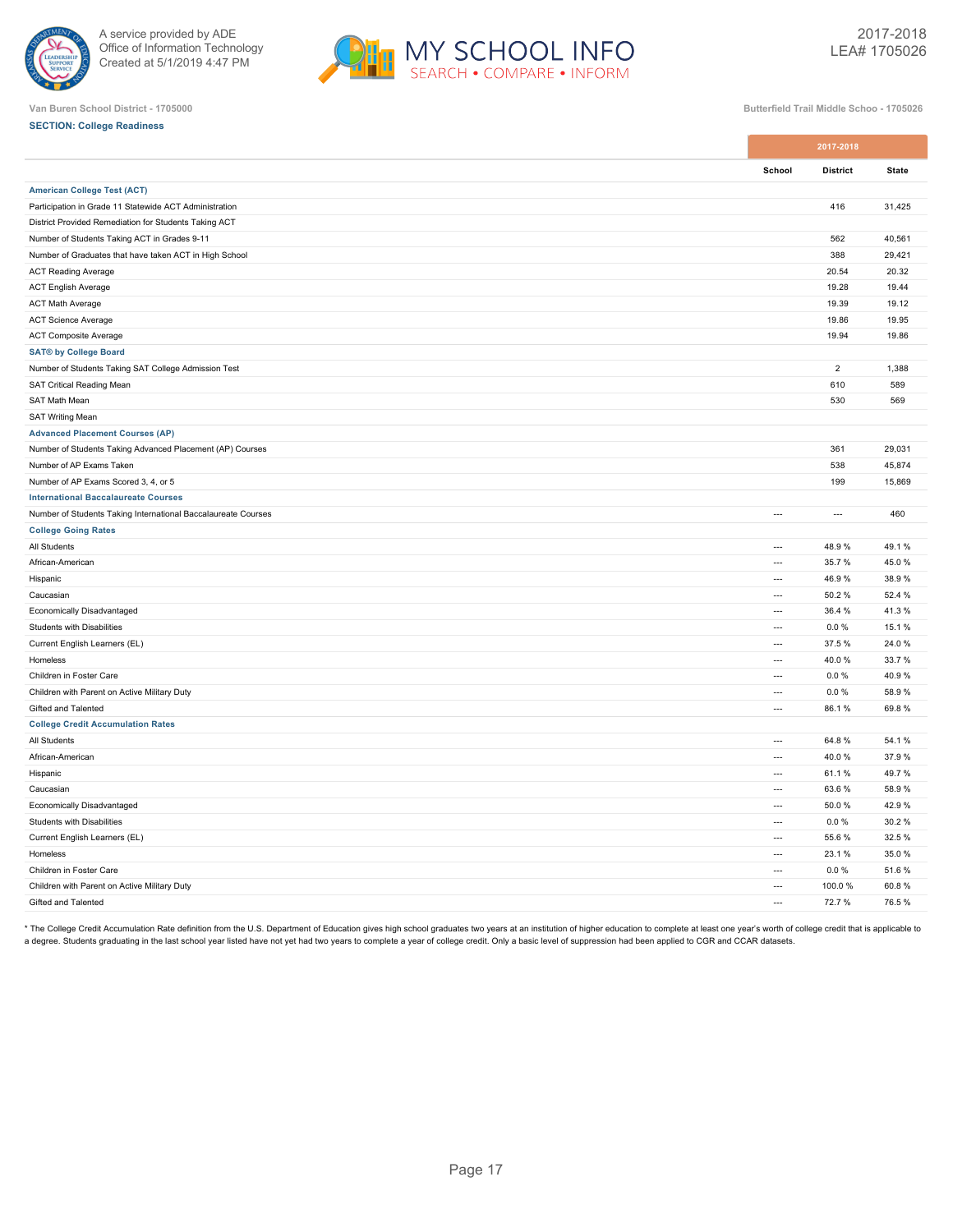



### **SECTION: College Readiness**

|                                                               |                          | 2017-2018                |              |
|---------------------------------------------------------------|--------------------------|--------------------------|--------------|
|                                                               | School                   | <b>District</b>          | <b>State</b> |
| <b>American College Test (ACT)</b>                            |                          |                          |              |
| Participation in Grade 11 Statewide ACT Administration        |                          | 416                      | 31,425       |
| District Provided Remediation for Students Taking ACT         |                          |                          |              |
| Number of Students Taking ACT in Grades 9-11                  |                          | 562                      | 40,561       |
| Number of Graduates that have taken ACT in High School        |                          | 388                      | 29,421       |
| <b>ACT Reading Average</b>                                    |                          | 20.54                    | 20.32        |
| <b>ACT English Average</b>                                    |                          | 19.28                    | 19.44        |
| <b>ACT Math Average</b>                                       |                          | 19.39                    | 19.12        |
| <b>ACT Science Average</b>                                    |                          | 19.86                    | 19.95        |
| <b>ACT Composite Average</b>                                  |                          | 19.94                    | 19.86        |
| <b>SAT® by College Board</b>                                  |                          |                          |              |
| Number of Students Taking SAT College Admission Test          |                          | $\overline{2}$           | 1,388        |
| SAT Critical Reading Mean                                     |                          | 610                      | 589          |
| SAT Math Mean                                                 |                          | 530                      | 569          |
| <b>SAT Writing Mean</b>                                       |                          |                          |              |
| <b>Advanced Placement Courses (AP)</b>                        |                          |                          |              |
| Number of Students Taking Advanced Placement (AP) Courses     |                          | 361                      | 29,031       |
| Number of AP Exams Taken                                      |                          | 538                      | 45,874       |
| Number of AP Exams Scored 3, 4, or 5                          |                          | 199                      | 15,869       |
| <b>International Baccalaureate Courses</b>                    |                          |                          |              |
| Number of Students Taking International Baccalaureate Courses | $\overline{a}$           | $\overline{\phantom{a}}$ | 460          |
| <b>College Going Rates</b>                                    |                          |                          |              |
| All Students                                                  | $\overline{a}$           | 48.9%                    | 49.1%        |
| African-American                                              | $\overline{\phantom{a}}$ | 35.7%                    | 45.0%        |
| Hispanic                                                      | $---$                    | 46.9%                    | 38.9%        |
| Caucasian                                                     | $\overline{\phantom{a}}$ | 50.2%                    | 52.4 %       |
| Economically Disadvantaged                                    | $\hspace{0.05cm} \cdots$ | 36.4%                    | 41.3%        |
| Students with Disabilities                                    | $\overline{a}$           | $0.0 \%$                 | 15.1%        |
| Current English Learners (EL)                                 | $---$                    | 37.5%                    | 24.0%        |
| Homeless                                                      | $\overline{a}$           | 40.0%                    | 33.7%        |
| Children in Foster Care                                       | $\overline{\phantom{a}}$ | 0.0%                     | 40.9%        |
| Children with Parent on Active Military Duty                  | $\overline{\phantom{a}}$ | $0.0 \%$                 | 58.9%        |
| Gifted and Talented                                           | $---$                    | 86.1%                    | 69.8%        |
| <b>College Credit Accumulation Rates</b>                      |                          |                          |              |
| All Students                                                  | $\overline{\phantom{a}}$ | 64.8%                    | 54.1%        |
| African-American                                              | $\overline{\phantom{a}}$ | 40.0%                    | 37.9%        |
| Hispanic                                                      | $\overline{\phantom{a}}$ | 61.1%                    | 49.7%        |
| Caucasian                                                     | $---$                    | 63.6%                    | 58.9%        |
| Economically Disadvantaged                                    | $\overline{a}$           | 50.0%                    | 42.9%        |
| Students with Disabilities                                    | $\overline{a}$           | 0.0 %                    | 30.2%        |
| Current English Learners (EL)                                 | $\overline{a}$           | 55.6%                    | 32.5%        |
| Homeless                                                      | $\overline{\phantom{a}}$ | 23.1%                    | 35.0%        |
| Children in Foster Care                                       | $\overline{\phantom{a}}$ | 0.0 %                    | 51.6%        |
| Children with Parent on Active Military Duty                  | $\overline{a}$           | 100.0%                   | 60.8%        |
| Gifted and Talented                                           | $\overline{a}$           | 72.7%                    | 76.5%        |

\* The College Credit Accumulation Rate definition from the U.S. Department of Education gives high school graduates two years at an institution of higher education to complete at least one year's worth of college credit th a degree. Students graduating in the last school year listed have not yet had two years to complete a year of college credit. Only a basic level of suppression had been applied to CGR and CCAR datasets.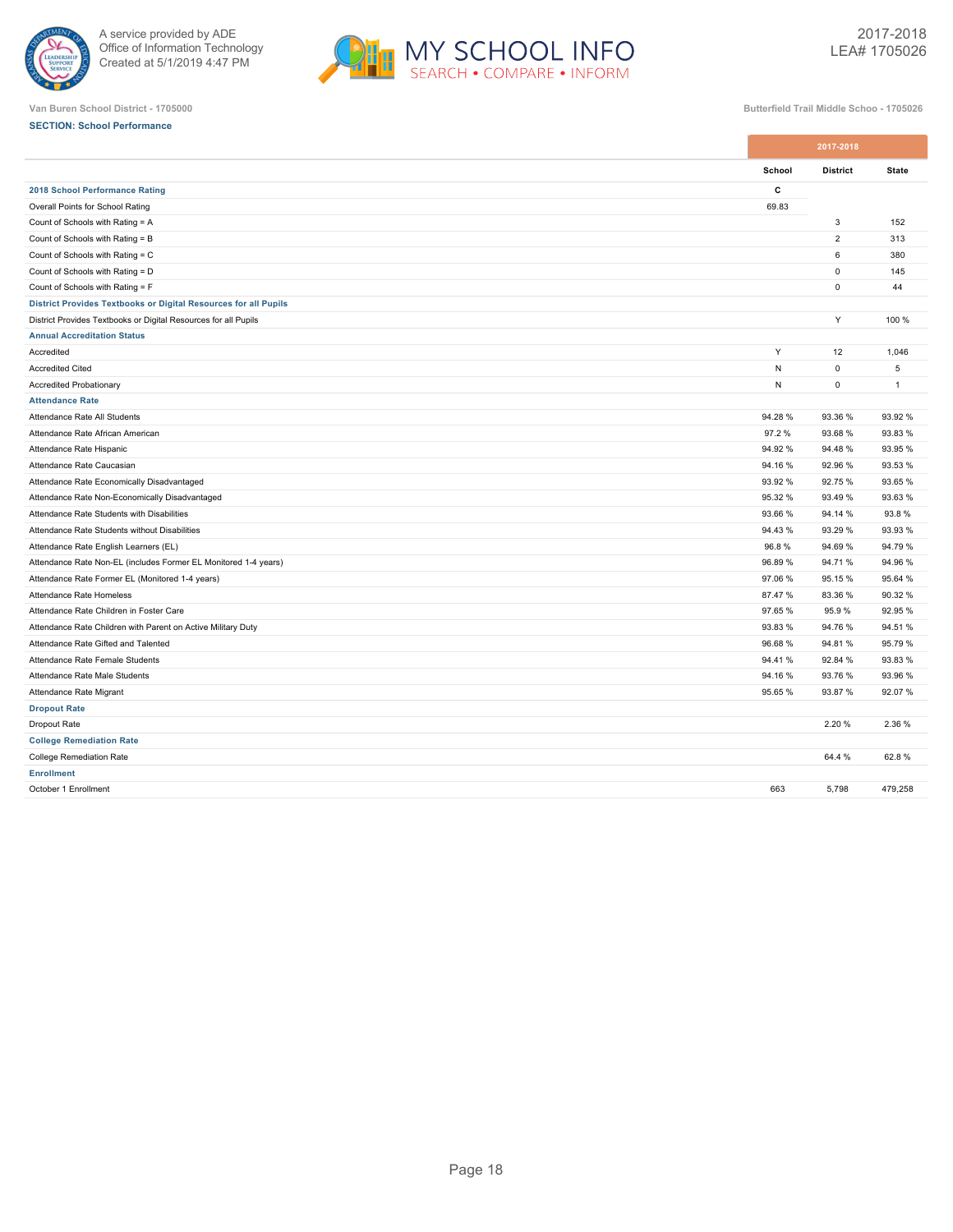



**SECTION: School Performance**

|                                                                 |           | 2017-2018       |              |
|-----------------------------------------------------------------|-----------|-----------------|--------------|
|                                                                 | School    | <b>District</b> | <b>State</b> |
| 2018 School Performance Rating                                  | c         |                 |              |
| Overall Points for School Rating                                | 69.83     |                 |              |
| Count of Schools with Rating = A                                |           | 3               | 152          |
| Count of Schools with Rating = B                                |           | $\overline{2}$  | 313          |
| Count of Schools with Rating = C                                |           | 6               | 380          |
| Count of Schools with Rating = D                                |           | $\mathbf 0$     | 145          |
| Count of Schools with Rating = F                                |           | 0               | 44           |
| District Provides Textbooks or Digital Resources for all Pupils |           |                 |              |
| District Provides Textbooks or Digital Resources for all Pupils |           | Υ               | 100 %        |
| <b>Annual Accreditation Status</b>                              |           |                 |              |
| Accredited                                                      | Y         | 12              | 1,046        |
| <b>Accredited Cited</b>                                         | N         | 0               | 5            |
| <b>Accredited Probationary</b>                                  | ${\sf N}$ | 0               | $\mathbf{1}$ |
| <b>Attendance Rate</b>                                          |           |                 |              |
| Attendance Rate All Students                                    | 94.28%    | 93.36 %         | 93.92 %      |
| Attendance Rate African American                                | 97.2%     | 93.68%          | 93.83 %      |
| Attendance Rate Hispanic                                        | 94.92%    | 94.48%          | 93.95 %      |
| Attendance Rate Caucasian                                       | 94.16%    | 92.96 %         | 93.53 %      |
| Attendance Rate Economically Disadvantaged                      | 93.92 %   | 92.75 %         | 93.65 %      |
| Attendance Rate Non-Economically Disadvantaged                  | 95.32%    | 93.49 %         | 93.63%       |
| Attendance Rate Students with Disabilities                      | 93.66%    | 94.14 %         | 93.8%        |
| Attendance Rate Students without Disabilities                   | 94.43%    | 93.29 %         | 93.93 %      |
| Attendance Rate English Learners (EL)                           | 96.8%     | 94.69%          | 94.79%       |
| Attendance Rate Non-EL (includes Former EL Monitored 1-4 years) | 96.89%    | 94.71%          | 94.96 %      |
| Attendance Rate Former EL (Monitored 1-4 years)                 | 97.06%    | 95.15%          | 95.64 %      |
| Attendance Rate Homeless                                        | 87.47%    | 83.36 %         | 90.32 %      |
| Attendance Rate Children in Foster Care                         | 97.65%    | 95.9%           | 92.95 %      |
| Attendance Rate Children with Parent on Active Military Duty    | 93.83%    | 94.76 %         | 94.51 %      |
| Attendance Rate Gifted and Talented                             | 96.68%    | 94.81%          | 95.79 %      |
| Attendance Rate Female Students                                 | 94.41%    | 92.84 %         | 93.83 %      |
| Attendance Rate Male Students                                   | 94.16%    | 93.76%          | 93.96 %      |
| Attendance Rate Migrant                                         | 95.65%    | 93.87 %         | 92.07%       |
| <b>Dropout Rate</b>                                             |           |                 |              |
| Dropout Rate                                                    |           | 2.20%           | 2.36 %       |
| <b>College Remediation Rate</b>                                 |           |                 |              |
| College Remediation Rate                                        |           | 64.4%           | 62.8%        |
| <b>Enrollment</b>                                               |           |                 |              |
| October 1 Enrollment                                            | 663       | 5,798           | 479,258      |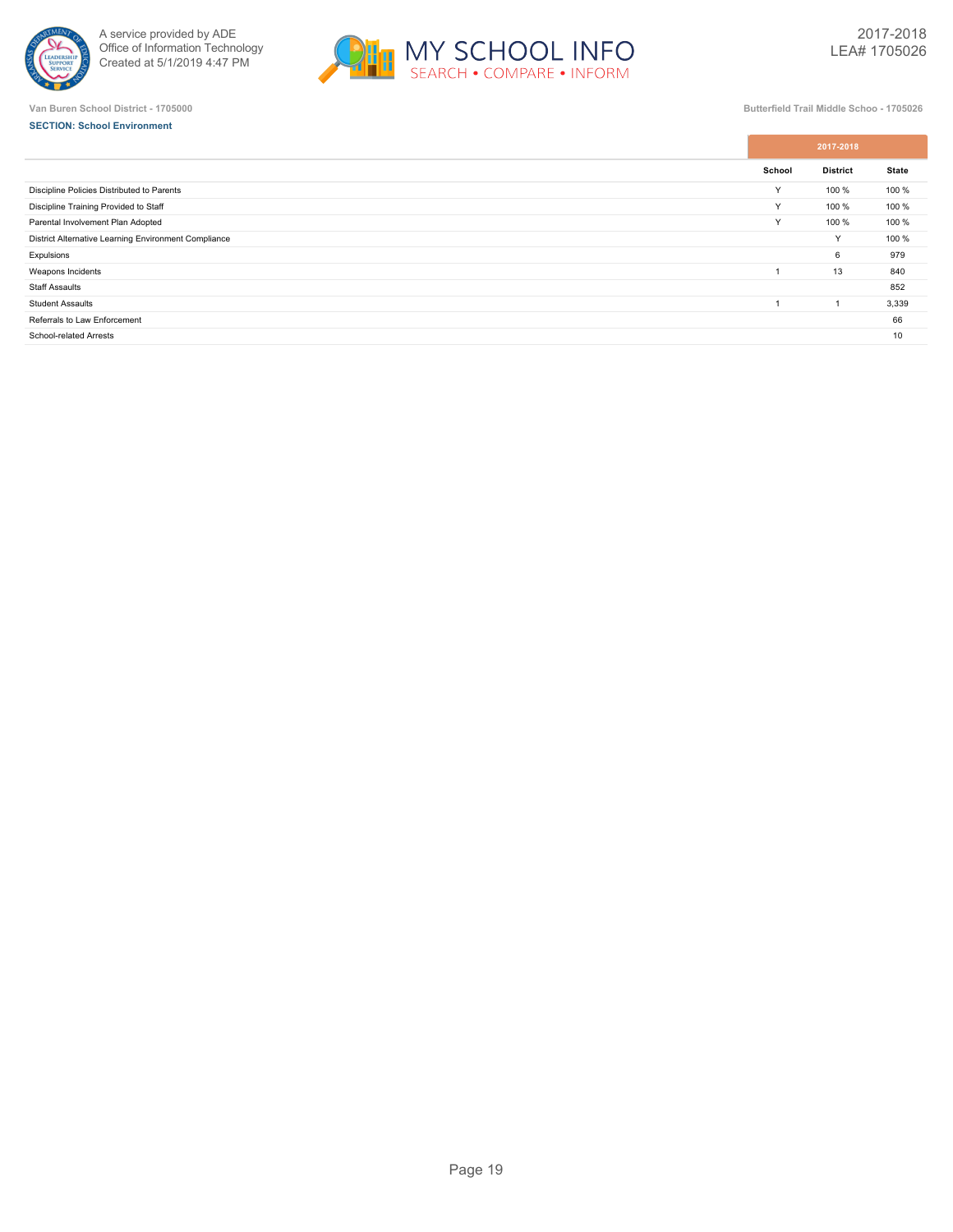



| <b>SECTION: School Environment</b>                   |        |                 |       |
|------------------------------------------------------|--------|-----------------|-------|
|                                                      |        | 2017-2018       |       |
|                                                      | School | <b>District</b> | State |
| Discipline Policies Distributed to Parents           | Y      | 100 %           | 100 % |
| Discipline Training Provided to Staff                | Y      | 100 %           | 100 % |
| Parental Involvement Plan Adopted                    | Y      | 100 %           | 100 % |
| District Alternative Learning Environment Compliance |        | Y               | 100 % |
| Expulsions                                           |        | 6               | 979   |
| Weapons Incidents                                    |        | 13              | 840   |
| <b>Staff Assaults</b>                                |        |                 | 852   |
| <b>Student Assaults</b>                              |        |                 | 3,339 |
| Referrals to Law Enforcement                         |        |                 | 66    |
| School-related Arrests                               |        |                 | 10    |
|                                                      |        |                 |       |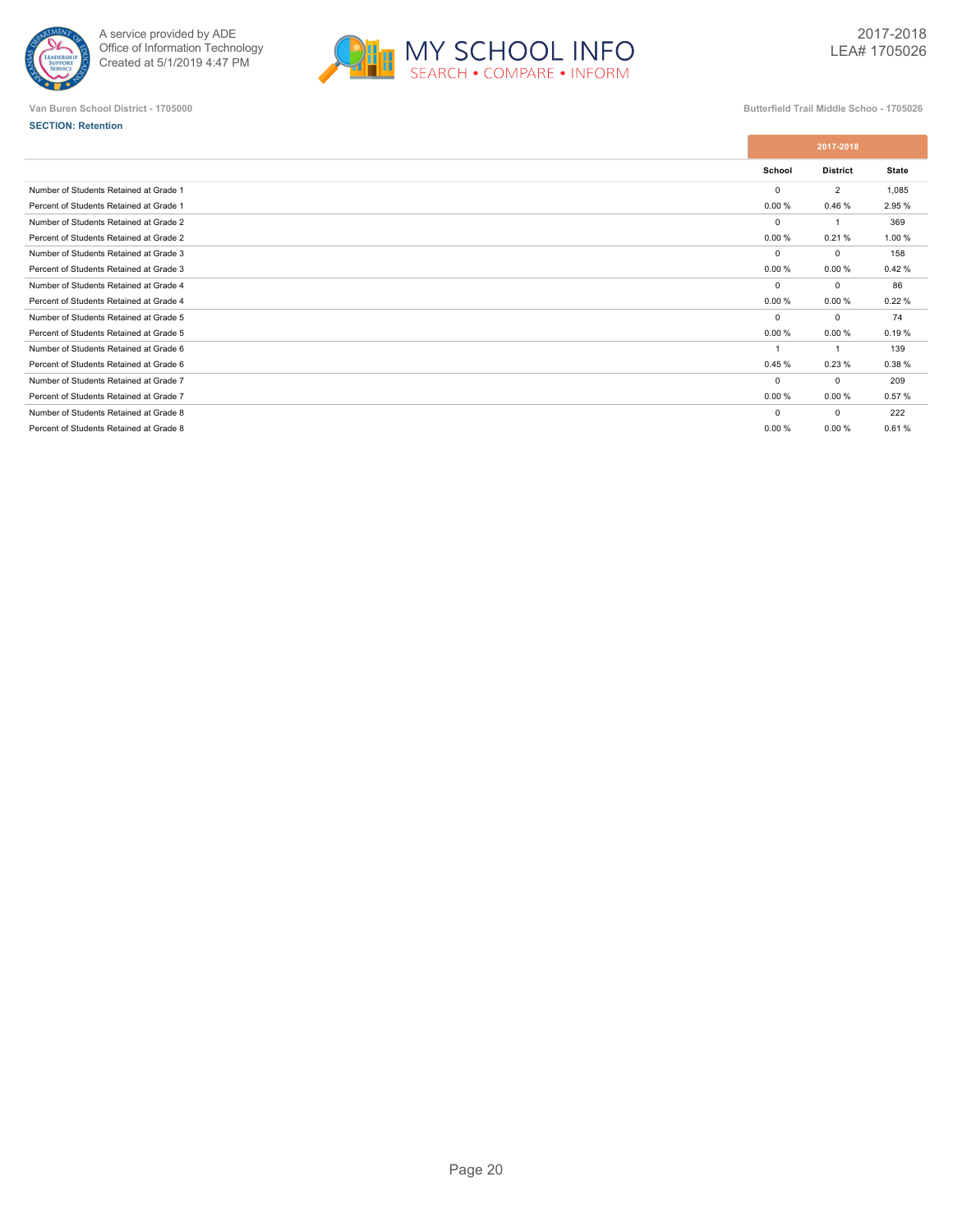

**SECTION: Retention**



**Van Buren School District - 1705000 Butterfield Trail Middle Schoo - 1705026**

## **School District State** Number of Students Retained at Grade 1 and 2 2 1,085 Percent of Students Retained at Grade 1 0.00 % 0.46 % 2.95 % 0.46 % 0.00 % 0.46 % 2.95 % 0.46 % 0.00 % 0.46 % 2.95 % 0.46 % 2.95 % 0.46 % 0.00 % 0.46 % 0.46 % 0.2.95 % 0.46 % 0.2.95 % 0.46 % 0.46 % 0.46 % 0.46 % 0.46 % 0.4 Number of Students Retained at Grade 2 0 1 369 Percent of Students Retained at Grade 2 0.00 % 0.21 % 1.00 % 0.21 % 1.00 % 0.21 % 1.00 % 0.21 % 1.00 % 0.21 % 1.00 % 0.21 % 1.00 % 0.21 % 1.00 % 0.21 % 1.00 % 0.21 % 1.00 % 0.21 % 1.00 % 0.21 % 1.00 % 0.21 % 0.00 % 0.21 % Number of Students Retained at Grade 3 0 0 158 Percent of Students Retained at Grade 3 0.00 % 0.42 % 0.00 % 0.42 % 0.00 % 0.42 % 0.00 % 0.42 % 0.00 % 0.42 % 0.00 % 0.42 % 0.42 % 0.42 % 0.42 % 0.42 % 0.42 % 0.42 % 0.42 % 0.42 % 0.42 % 0.42 % 0.42 % 0.42 % 0.42 % 0.42 % Number of Students Retained at Grade 4 0 0 0 86 Percent of Students Retained at Grade 4 0.00 % 0.00 % 0.00 % 0.22 % Number of Students Retained at Grade 5 0 0 74 Percent of Students Retained at Grade 5 0.00 % 0.19 % 0.00 % 0.00 % 0.19 % 0.00 % 0.19 % Number of Students Retained at Grade 6 1 1 139 Percent of Students Retained at Grade 6 0.38 % 0.38 % 0.38 % 0.38 % 0.38 % 0.38 % 0.38 % 0.38 % 0.38 % 0.38 % 0.38 % 0.38 % 0.38 % 0.38 % 0.38 % 0.38 % 0.38 % 0.38 % 0.38 % 0.38 % 0.38 % 0.38 % 0.38 % 0.38 % 0.38 % 0.38 % Number of Students Retained at Grade 7 0 0 209 Percent of Students Retained at Grade 7 0.00 % 0.00 % 0.00 % 0.00 % 0.00 % 0.00 % 0.00 % 0.00 % 0.00 % 0.00 % 0.00 % 0.57 % 0.00 % 0.00 % 0.57 % 0.00 % 0.57 % 0.00 % 0.00 % 0.57 % 0.00 % 0.57 % 0.00 % 0.00 % 0.57 % 0.00 % Number of Students Retained at Grade 8 0 0 222 Percent of Students Retained at Grade 8 0.00 % 0.00 % 0.00 % 0.00 % 0.00 % 0.00 % 0.00 % 0.00 % 0.00 % 0.00 % 0.00 % 0.61 %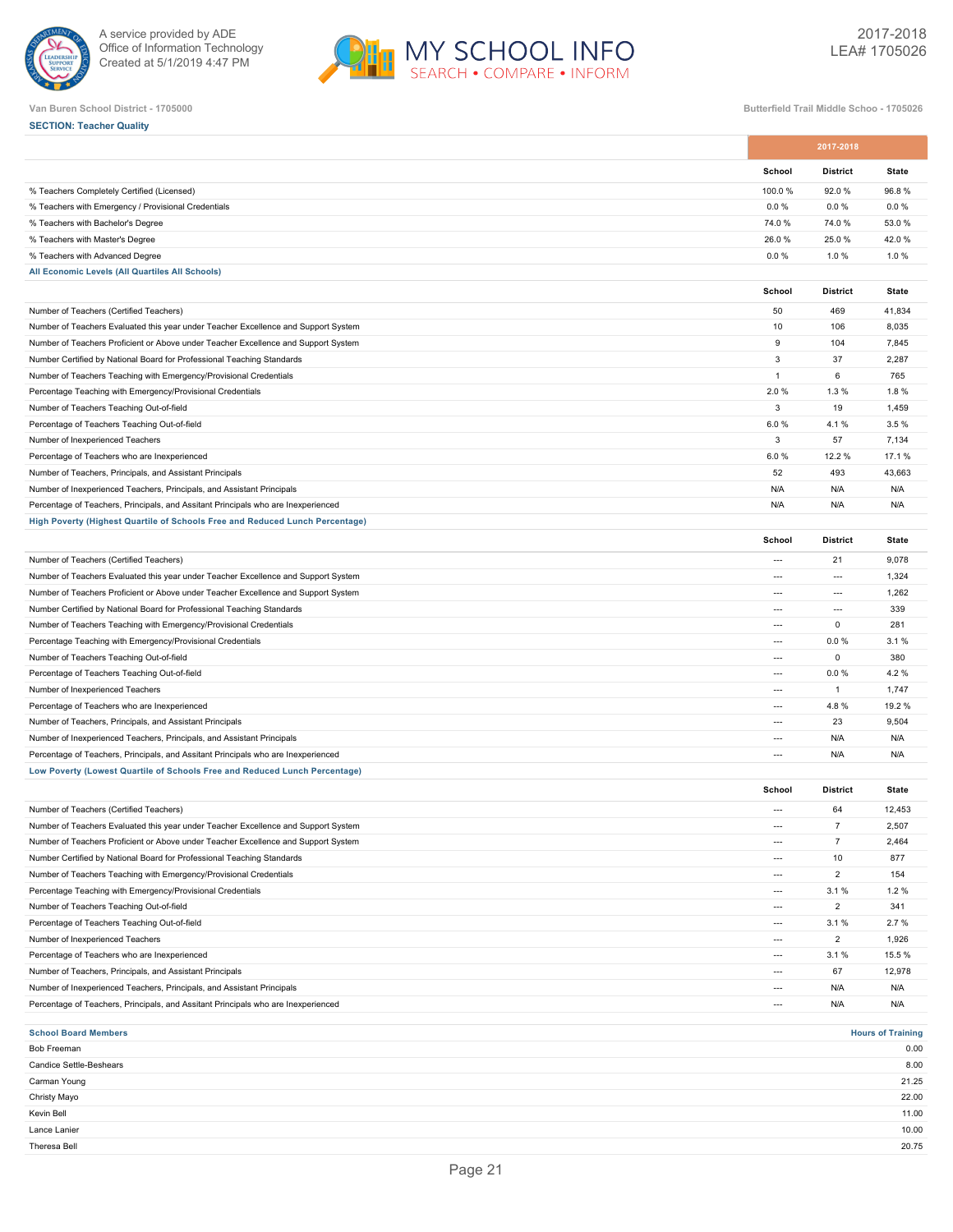



| <b>SECTION: Teacher Quality</b>                                                    |                          |                          |                          |
|------------------------------------------------------------------------------------|--------------------------|--------------------------|--------------------------|
|                                                                                    |                          | 2017-2018                |                          |
|                                                                                    | School                   | <b>District</b>          | <b>State</b>             |
| % Teachers Completely Certified (Licensed)                                         | 100.0%                   | 92.0%                    | 96.8%                    |
| % Teachers with Emergency / Provisional Credentials                                | $0.0 \%$                 | 0.0%                     | 0.0%                     |
| % Teachers with Bachelor's Degree                                                  | 74.0%                    | 74.0%                    | 53.0 %                   |
| % Teachers with Master's Degree                                                    | 26.0%                    | 25.0%                    | 42.0%                    |
| % Teachers with Advanced Degree                                                    | 0.0%                     | 1.0%                     | 1.0%                     |
| All Economic Levels (All Quartiles All Schools)                                    |                          |                          |                          |
|                                                                                    | School                   | <b>District</b>          | <b>State</b>             |
| Number of Teachers (Certified Teachers)                                            | 50                       | 469                      | 41,834                   |
| Number of Teachers Evaluated this year under Teacher Excellence and Support System | 10                       | 106                      | 8,035                    |
| Number of Teachers Proficient or Above under Teacher Excellence and Support System | 9                        | 104                      | 7,845                    |
| Number Certified by National Board for Professional Teaching Standards             | 3                        | 37                       | 2,287                    |
| Number of Teachers Teaching with Emergency/Provisional Credentials                 | $\mathbf{1}$             | 6                        | 765                      |
| Percentage Teaching with Emergency/Provisional Credentials                         | 2.0%                     | 1.3%                     | 1.8%                     |
| Number of Teachers Teaching Out-of-field                                           | 3                        | 19                       | 1,459                    |
| Percentage of Teachers Teaching Out-of-field                                       | 6.0%                     | 4.1%                     | 3.5%                     |
| Number of Inexperienced Teachers                                                   | 3                        | 57                       | 7,134                    |
| Percentage of Teachers who are Inexperienced                                       | 6.0%                     | 12.2%                    | 17.1 %                   |
| Number of Teachers, Principals, and Assistant Principals                           | 52                       | 493                      | 43,663                   |
| Number of Inexperienced Teachers, Principals, and Assistant Principals             | N/A                      | N/A                      | N/A                      |
| Percentage of Teachers, Principals, and Assitant Principals who are Inexperienced  | N/A                      | N/A                      | N/A                      |
| High Poverty (Highest Quartile of Schools Free and Reduced Lunch Percentage)       |                          |                          |                          |
|                                                                                    | School                   | <b>District</b>          | <b>State</b>             |
| Number of Teachers (Certified Teachers)                                            | $\overline{\phantom{a}}$ | 21                       | 9,078                    |
| Number of Teachers Evaluated this year under Teacher Excellence and Support System | $\hspace{0.05cm} \ldots$ | $\hspace{0.05cm} \ldots$ | 1,324                    |
| Number of Teachers Proficient or Above under Teacher Excellence and Support System | $\overline{\phantom{a}}$ | $\overline{\phantom{a}}$ | 1,262                    |
| Number Certified by National Board for Professional Teaching Standards             | $\hspace{0.05cm} \ldots$ | $\overline{\phantom{a}}$ | 339                      |
| Number of Teachers Teaching with Emergency/Provisional Credentials                 | ---                      | 0                        | 281                      |
| Percentage Teaching with Emergency/Provisional Credentials                         | $\hspace{0.05cm} \ldots$ | 0.0%                     | 3.1%                     |
| Number of Teachers Teaching Out-of-field                                           | $---$                    | 0                        | 380                      |
| Percentage of Teachers Teaching Out-of-field                                       | $\hspace{0.05cm} \ldots$ | 0.0%                     | 4.2%                     |
| Number of Inexperienced Teachers                                                   | $---$                    | $\mathbf{1}$             | 1,747                    |
| Percentage of Teachers who are Inexperienced                                       | $\hspace{0.05cm} \ldots$ | 4.8%                     | 19.2 %                   |
| Number of Teachers, Principals, and Assistant Principals                           | $\sim$ $\sim$            | 23                       | 9,504                    |
| Number of Inexperienced Teachers, Principals, and Assistant Principals             | $\hspace{0.05cm} \ldots$ | N/A                      | N/A                      |
| Percentage of Teachers, Principals, and Assitant Principals who are Inexperienced  | $\hspace{0.05cm} \ldots$ | N/A                      | N/A                      |
| Low Poverty (Lowest Quartile of Schools Free and Reduced Lunch Percentage)         |                          |                          |                          |
|                                                                                    | School                   | <b>District</b>          | <b>State</b>             |
| Number of Teachers (Certified Teachers)                                            | ---                      | 64                       | 12,453                   |
| Number of Teachers Evaluated this year under Teacher Excellence and Support System | ---                      | $\overline{7}$           | 2,507                    |
| Number of Teachers Proficient or Above under Teacher Excellence and Support System | $\hspace{0.05cm} \ldots$ | $\overline{7}$           | 2,464                    |
| Number Certified by National Board for Professional Teaching Standards             | $\overline{a}$           | 10                       | 877                      |
| Number of Teachers Teaching with Emergency/Provisional Credentials                 | $\hspace{0.05cm} \ldots$ | $\overline{2}$           | 154                      |
| Percentage Teaching with Emergency/Provisional Credentials                         | $---$                    | 3.1%                     | 1.2%                     |
| Number of Teachers Teaching Out-of-field                                           | $\hspace{0.05cm} \ldots$ | $\overline{2}$           | 341                      |
| Percentage of Teachers Teaching Out-of-field                                       | $---$                    | 3.1%                     | 2.7%                     |
| Number of Inexperienced Teachers                                                   | $\hspace{0.05cm} \ldots$ | $\overline{2}$           | 1,926                    |
| Percentage of Teachers who are Inexperienced                                       | $\cdots$                 | 3.1%                     | 15.5 %                   |
| Number of Teachers, Principals, and Assistant Principals                           | $\sim$ $\sim$            | 67                       | 12,978                   |
| Number of Inexperienced Teachers, Principals, and Assistant Principals             | $\hspace{0.05cm} \ldots$ | N/A                      | N/A                      |
| Percentage of Teachers, Principals, and Assitant Principals who are Inexperienced  | $\overline{\phantom{a}}$ | N/A                      | N/A                      |
| <b>School Board Members</b>                                                        |                          |                          | <b>Hours of Training</b> |
| <b>Bob Freeman</b>                                                                 |                          |                          | 0.00                     |

| Bob Freeman             | 0.00  |
|-------------------------|-------|
| Candice Settle-Beshears | 8.00  |
| Carman Young            | 21.25 |
| Christy Mayo            | 22.00 |
| Kevin Bell              | 11.00 |
| Lance Lanier            | 10.00 |
| Theresa Bell            | 20.75 |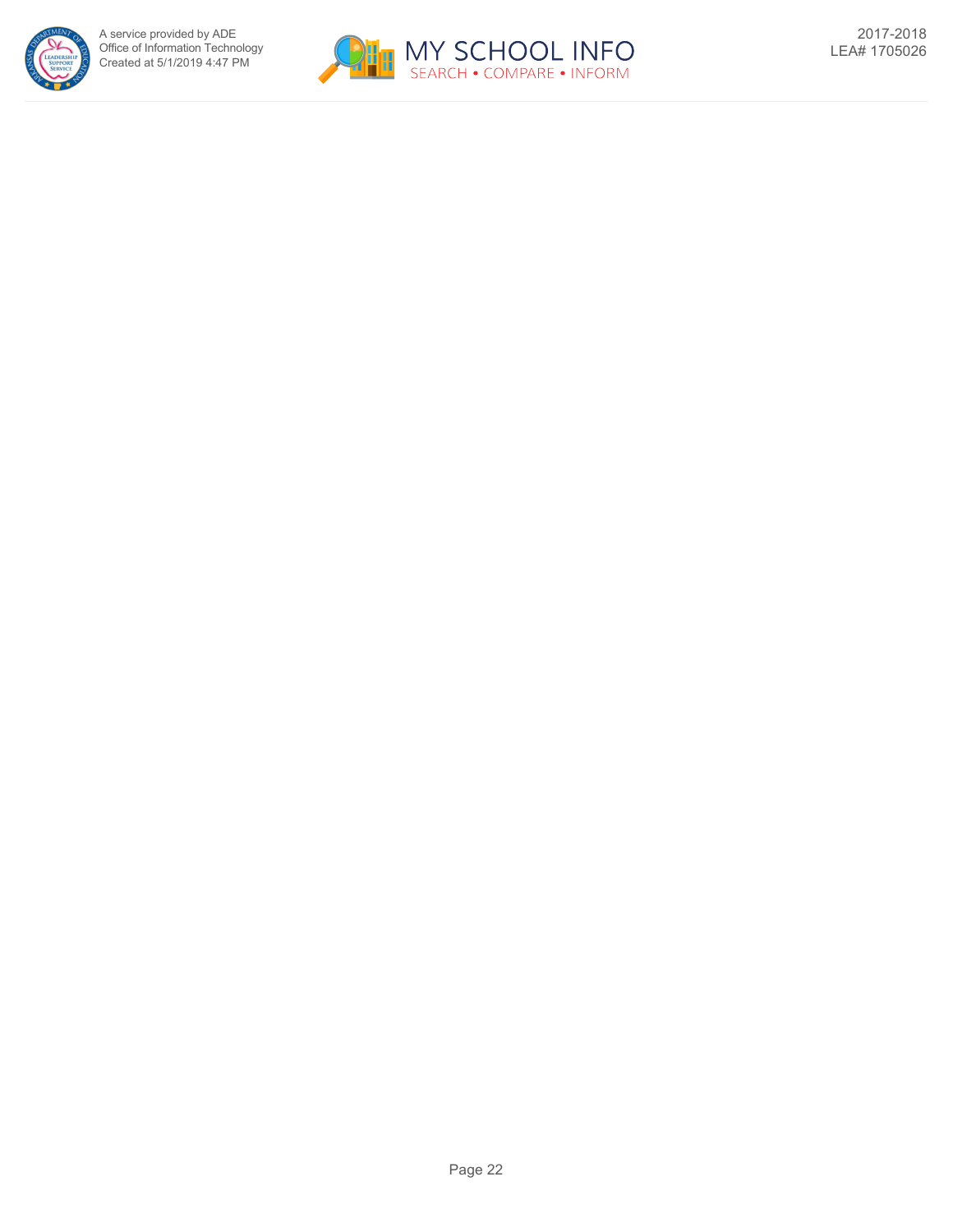

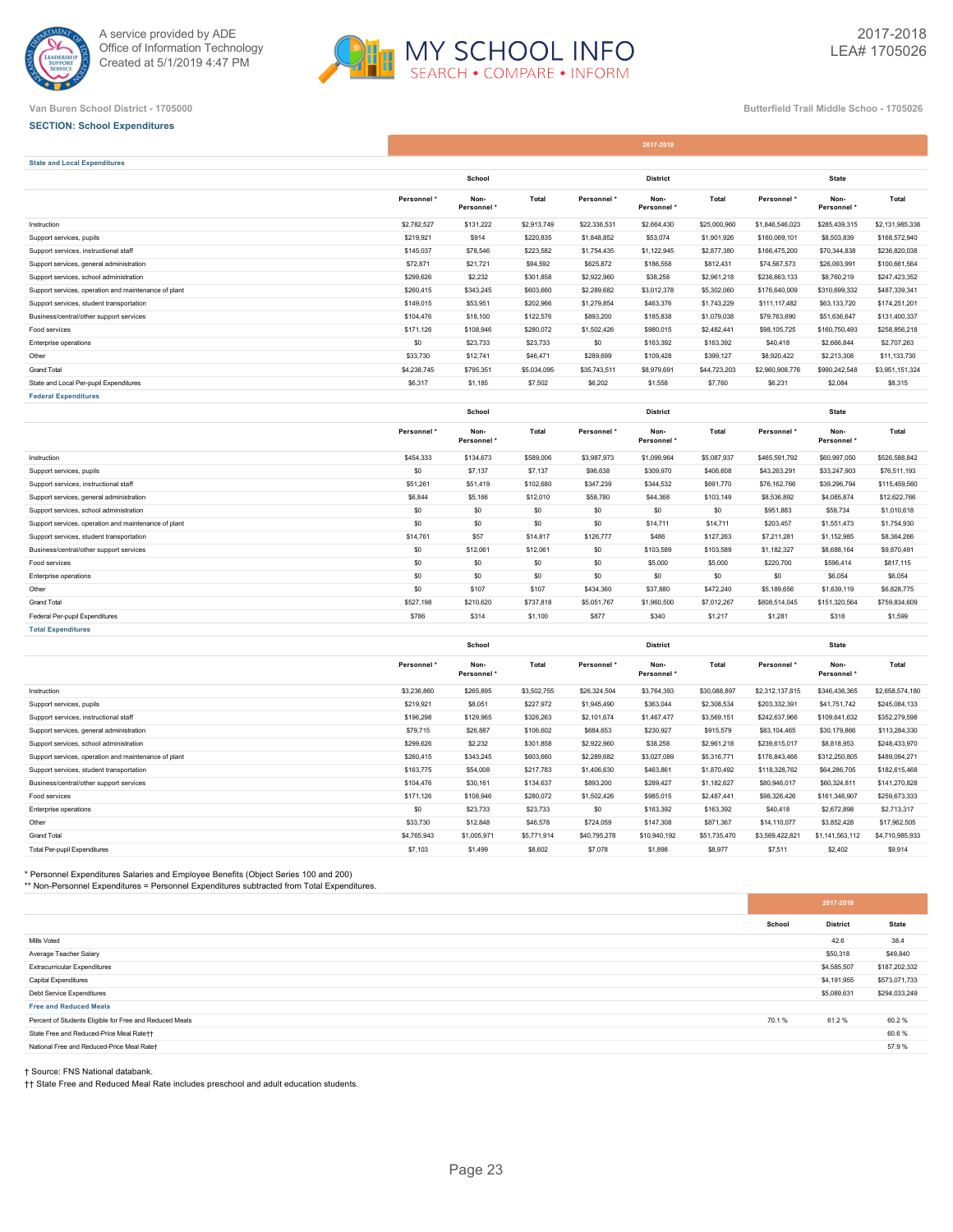



## **SECTION: School Expenditures**

|                                                      |                        |                                |             |                        | 2017-2018           |              |                 |                                |                 |
|------------------------------------------------------|------------------------|--------------------------------|-------------|------------------------|---------------------|--------------|-----------------|--------------------------------|-----------------|
| <b>State and Local Expenditures</b>                  |                        |                                |             |                        |                     |              |                 |                                |                 |
|                                                      |                        | School                         |             |                        | <b>District</b>     |              |                 | <b>State</b>                   |                 |
|                                                      | Personnel <sup>®</sup> | Non-<br>Personnel*             | Total       | Personnel *            | Non-<br>Personnel * | Total        | Personnel *     | Non-<br>Personnel*             | Total           |
| Instruction                                          | \$2,782,527            | \$131,222                      | \$2,913,749 | \$22,336,531           | \$2,664,430         | \$25,000,960 | \$1,846,546,023 | \$285,439,315                  | \$2,131,985,338 |
| Support services, pupils                             | \$219,921              | \$914                          | \$220,835   | \$1,848,852            | \$53,074            | \$1,901,926  | \$160,069,101   | \$8,503,839                    | \$168,572,940   |
| Support services, instructional staff                | \$145,037              | \$78,546                       | \$223,582   | \$1,754,435            | \$1,122,945         | \$2,877,380  | \$166,475,200   | \$70,344,838                   | \$236,820,038   |
| Support services, general administration             | \$72,871               | \$21,721                       | \$94,592    | \$625,872              | \$186,558           | \$812,431    | \$74,567,573    | \$26,093,991                   | \$100,661,564   |
| Support services, school administration              | \$299,626              | \$2,232                        | \$301,858   | \$2,922,960            | \$38,258            | \$2,961,218  | \$238,663,133   | \$8,760,219                    | \$247,423,352   |
| Support services, operation and maintenance of plant | \$260,415              | \$343,245                      | \$603,660   | \$2,289,682            | \$3,012,378         | \$5,302,060  | \$176,640,009   | \$310,699,332                  | \$487,339,341   |
| Support services, student transportation             | \$149,015              | \$53,951                       | \$202,966   | \$1,279,854            | \$463,376           | \$1,743,229  | \$111,117,482   | \$63,133,720                   | \$174,251,201   |
| Business/central/other support services              | \$104,476              | \$18,100                       | \$122,576   | \$893,200              | \$185,838           | \$1,079,038  | \$79,763,690    | \$51,636,647                   | \$131,400,337   |
| Food services                                        | \$171,126              | \$108,946                      | \$280,072   | \$1,502,426            | \$980,015           | \$2,482,441  | \$98,105,725    | \$160,750,493                  | \$258,856,218   |
| Enterprise operations                                | \$0                    | \$23,733                       | \$23,733    | \$0                    | \$163,392           | \$163,392    | \$40,418        | \$2,666,844                    | \$2,707,263     |
| Other                                                | \$33,730               | \$12,741                       | \$46,471    | \$289,699              | \$109,428           | \$399,127    | \$8,920,422     | \$2,213,308                    | \$11,133,730    |
| <b>Grand Total</b>                                   | \$4,238,745            | \$795,351                      | \$5,034,095 | \$35,743,511           | \$8,979,691         | \$44,723,203 | \$2,960,908,776 | \$990,242,548                  | \$3,951,151,324 |
| State and Local Per-pupil Expenditures               | \$6,317                | \$1,185                        | \$7,502     | \$6,202                | \$1,558             | \$7,760      | \$6,231         | \$2,084                        | \$8,315         |
| <b>Federal Expenditures</b>                          |                        |                                |             |                        |                     |              |                 |                                |                 |
|                                                      |                        | School                         |             |                        | <b>District</b>     |              |                 | <b>State</b>                   |                 |
|                                                      |                        |                                |             |                        |                     |              |                 |                                |                 |
|                                                      | Personnel*             | Non-<br>Personnel <sup>'</sup> | Total       | Personnel*             | Non-<br>Personnel * | Total        | Personnel *     | Non-<br>Personnel *            | Total           |
| Instruction                                          | \$454,333              | \$134,673                      | \$589,006   | \$3,987,973            | \$1,099,964         | \$5,087,937  | \$465,591,792   | \$60,997,050                   | \$526,588,842   |
| Support services, pupils                             | \$0                    | \$7,137                        | \$7,137     | \$96,638               | \$309,970           | \$406,608    | \$43,263,291    | \$33,247,903                   | \$76,511,193    |
| Support services, instructional staff                | \$51,261               | \$51,419                       | \$102,680   | \$347,239              | \$344,532           | \$691,770    | \$76,162,766    | \$39,296,794                   | \$115,459,560   |
| Support services, general administration             | \$6,844                | \$5,166                        | \$12,010    | \$58,780               | \$44,368            | \$103,149    | \$8,536,892     | \$4,085,874                    | \$12,622,766    |
| Support services, school administration              | \$0                    | \$0                            | \$0         | \$0                    | \$0                 | \$0          | \$951,883       | \$58,734                       | \$1,010,618     |
| Support services, operation and maintenance of plant | \$0                    | \$0                            | \$0         | \$0                    | \$14,711            | \$14,711     | \$203,457       | \$1,551,473                    | \$1,754,930     |
| Support services, student transportation             | \$14,761               | \$57                           | \$14,817    | \$126,777              | \$486               | \$127,263    | \$7,211,281     | \$1,152,985                    | \$8,364,266     |
| Business/central/other support services              | \$0                    | \$12,061                       | \$12,061    | \$0                    | \$103,589           | \$103,589    | \$1,182,327     | \$8,688,164                    | \$9,870,491     |
| Food services                                        | \$0                    | \$0                            | \$0         | \$0                    | \$5,000             | \$5,000      | \$220,700       | \$596,414                      | \$817,115       |
| Enterprise operations                                | \$0                    | \$0                            | \$0         | \$0                    | \$0                 | \$0          | \$0             | \$6,054                        | \$6,054         |
| Other                                                | \$0                    | \$107                          | \$107       | \$434,360              | \$37,880            | \$472,240    | \$5,189,656     | \$1,639,119                    | \$6,828,775     |
| <b>Grand Total</b>                                   | \$527,198              | \$210,620                      | \$737,818   | \$5,051,767            | \$1,960,500         | \$7,012,267  | \$608,514,045   | \$151,320,564                  | \$759,834,609   |
| Federal Per-pupil Expenditures                       | \$786                  | \$314                          | \$1,100     | <b>\$877</b>           | \$340               | \$1,217      | \$1,281         | \$318                          | \$1,599         |
| <b>Total Expenditures</b>                            |                        |                                |             |                        |                     |              |                 |                                |                 |
|                                                      |                        | School                         |             |                        | <b>District</b>     |              |                 | <b>State</b>                   |                 |
|                                                      | Personnel <sup>®</sup> | Non-<br>Personnel <sup>'</sup> | Total       | Personnel <sup>*</sup> | Non-<br>Personnel   | Total        | Personnel *     | Non-<br>Personnel <sup>*</sup> | Total           |
| Instruction                                          | \$3,236,860            | \$265,895                      | \$3,502,755 | \$26,324,504           | \$3,764,393         | \$30,088,897 | \$2,312,137,815 | \$346,436,365                  | \$2,658,574,180 |

| Support services, instructional staff                | \$196,298   | \$129,965   | \$326,263   | \$2,101.674  | \$1,467,477  | \$3,569.151  | \$242,637,966   | \$109.641.632   | \$352,279,598   |
|------------------------------------------------------|-------------|-------------|-------------|--------------|--------------|--------------|-----------------|-----------------|-----------------|
| Support services, general administration             | \$79,715    | \$26,887    | \$106,602   | \$684,653    | \$230.927    | \$915,579    | \$83,104,465    | \$30,179,866    | \$113,284,330   |
| Support services, school administration              | \$299,626   | \$2,232     | \$301,858   | \$2,922,960  | \$38,258     | \$2,961,218  | \$239,615,017   | \$8,818,953     | \$248,433,970   |
| Support services, operation and maintenance of plant | \$260,415   | \$343,245   | \$603,660   | \$2,289,682  | \$3,027,089  | \$5,316,771  | \$176,843,466   | \$312,250,805   | \$489.094.271   |
| Support services, student transportation             | \$163,775   | \$54,008    | \$217,783   | \$1,406,630  | \$463,861    | \$1,870,492  | \$118,328,762   | \$64,286,705    | \$182,615,468   |
| Business/central/other support services              | \$104,476   | \$30,161    | \$134,637   | \$893,200    | \$289,427    | \$1,182,627  | \$80,946,017    | \$60,324,811    | \$141,270,828   |
| Food services                                        | \$171.126   | \$108,946   | \$280,072   | \$1,502,426  | \$985,015    | \$2,487,441  | \$98,326,426    | \$161,346,907   | \$259,673,333   |
| Enterprise operations                                | \$0         | \$23,733    | \$23,733    | \$0          | \$163,392    | \$163,392    | \$40,418        | \$2,672,898     | \$2,713,317     |
| Other                                                | \$33,730    | \$12,848    | \$46,578    | \$724.059    | \$147,308    | \$871,367    | \$14,110,077    | \$3,852,428     | \$17,962,505    |
| <b>Grand Total</b>                                   | \$4,765,943 | \$1,005,971 | \$5,771,914 | \$40,795,278 | \$10,940.192 | \$51,735,470 | \$3,569,422.821 | \$1.141.563.112 | \$4,710,985,933 |
| <b>Total Per-pupil Expenditures</b>                  | \$7,103     | \$1,499     | \$8,602     | \$7,078      | \$1,898      | \$8,977      | \$7.511         | \$2,402         | \$9,914         |

\* Personnel Expenditures Salaries and Employee Benefits (Object Series 100 and 200)

\*\* Non-Personnel Expenditures = Personnel Expenditures subtracted from Total Expenditures.

|                                                         |        | 2017-2018       |               |
|---------------------------------------------------------|--------|-----------------|---------------|
|                                                         | School | <b>District</b> | State         |
| Mills Voted                                             |        | 42.6            | 38.4          |
| Average Teacher Salary                                  |        | \$50,318        | \$49,840      |
| <b>Extracurricular Expenditures</b>                     |        | \$4,585,507     | \$187,202,332 |
| Capital Expenditures                                    |        | \$4,191,955     | \$573,071,733 |
| Debt Service Expenditures                               |        | \$5,089,631     | \$294,033,249 |
| <b>Free and Reduced Meals</b>                           |        |                 |               |
| Percent of Students Eligible for Free and Reduced Meals | 70.1%  | 61.2%           | 60.2%         |
| State Free and Reduced-Price Meal Rate++                |        |                 | 60.6%         |
| National Free and Reduced-Price Meal Rate+              |        |                 | 57.9%         |
|                                                         |        |                 |               |

† Source: FNS National databank.

†† State Free and Reduced Meal Rate includes preschool and adult education students.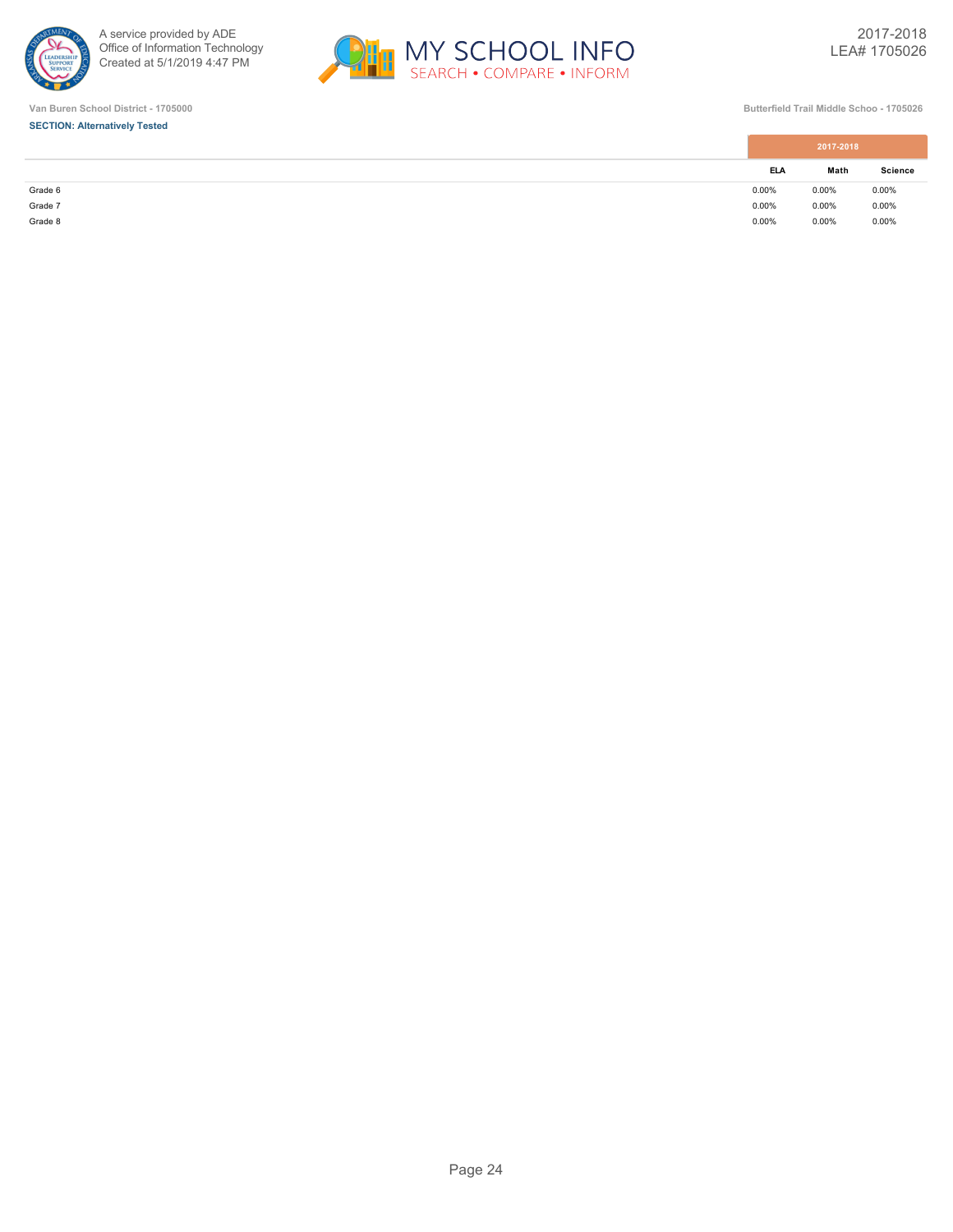





|         |            | 2017-2018 |                |
|---------|------------|-----------|----------------|
|         | <b>ELA</b> | Math      | <b>Science</b> |
| Grade 6 | 0.00%      | 0.00%     | $0.00\%$       |
| Grade 7 | 0.00%      | 0.00%     | $0.00\%$       |
| Grade 8 | 0.00%      | 0.00%     | $0.00\%$       |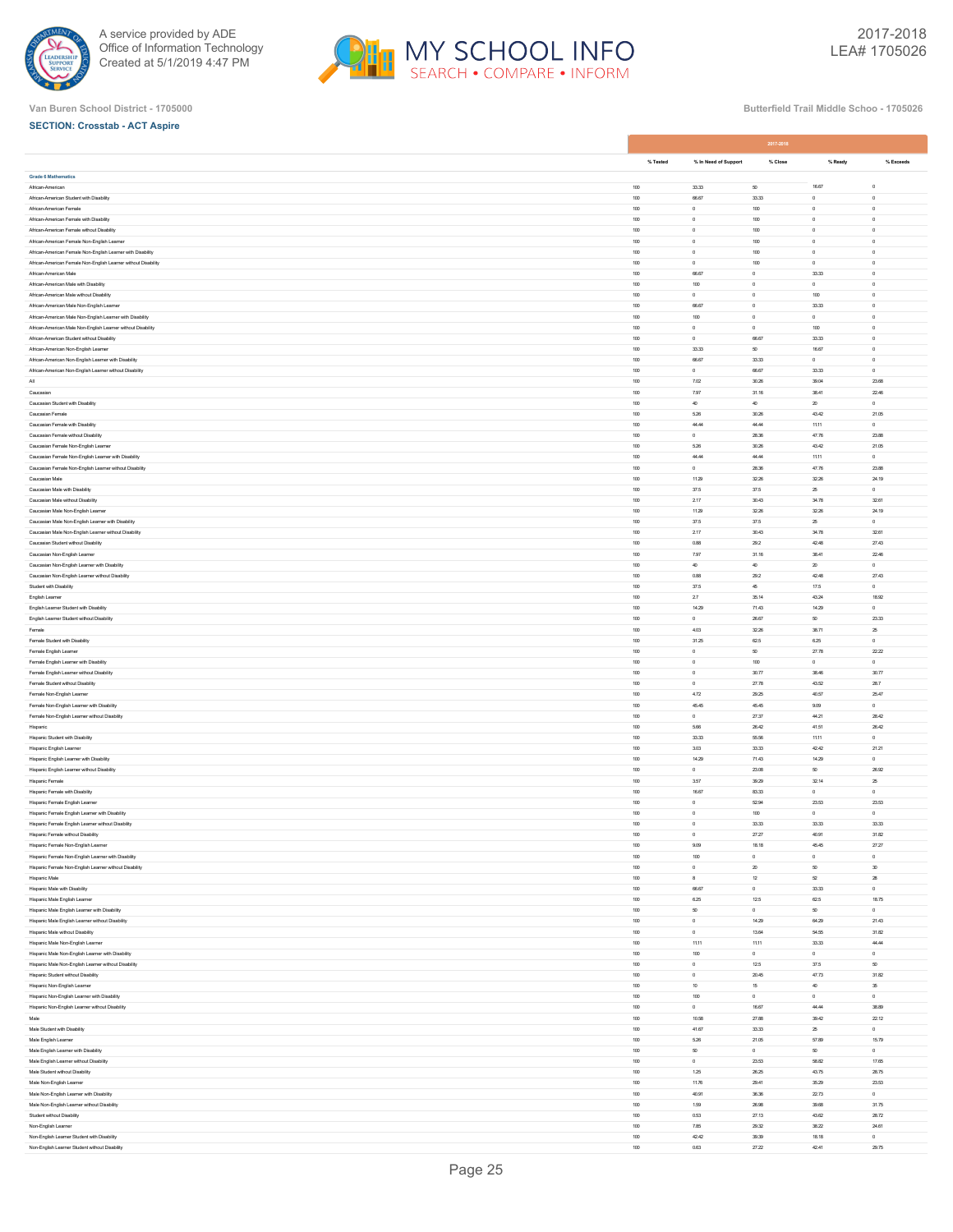



|                                                                                                   |                |                      | 2017-2018           |                      |                            |
|---------------------------------------------------------------------------------------------------|----------------|----------------------|---------------------|----------------------|----------------------------|
|                                                                                                   | % Tested       | % In Need of Support | % Close             | % Ready              | % Exceeds                  |
|                                                                                                   |                |                      |                     |                      |                            |
| <b>Grade 6 Mathematics</b><br>African-American                                                    | 100            | 33.33                | $_{50}$             | 16.67                | $\,$ 0                     |
| African-American Student with Disability                                                          | $100\,$        | 66.67                | 33.33               | $\,$ 0 $\,$          | $\,$ 0 $\,$                |
| African-American Female                                                                           | 100            | $\circ$              | 100                 | $^{\circ}$           | $^{\circ}$                 |
| African-American Female with Disability                                                           | 100            | $\circ$              | 100                 | $\circ$              | $\circ$                    |
| African-American Female without Disability                                                        | 100            | $\circ$              | 100                 | $\,$ 0 $\,$          | $\,$ 0 $\,$                |
| African-American Female Non-English Learner                                                       | 100            | $\circ$              | 100                 | $^{\circ}$           | $\mathbf{0}$               |
| African-American Female Non-English Learner with Disability                                       | $100\,$        | $\circ$              | $100\,$             | $\,$ 0 $\,$          | $\,$ 0 $\,$                |
| African-American Female Non-English Learner without Disability                                    | 100            | $\,$ 0 $\,$          | 100                 | $\mathbb O$          | $\,$ 0 $\,$                |
| African-American Male                                                                             | 100            | 66.67                | $\,$ 0 $\,$         | 33.33                | $\,$ 0 $\,$                |
| African-American Male with Disability                                                             | 100            | 100                  | $\,$ 0              | $\,0\,$              | $\,$ 0 $\,$                |
| African-American Male without Disability                                                          | 100            | $\circ$              | $\circ$             | 100                  | $\circ$                    |
| African-American Male Non-English Learner                                                         | 100            | 66.67                | $\,$ 0 $\,$         | 33.33                | $\,$ 0 $\,$                |
| African-American Male Non-English Learner with Disability                                         | 100            | 100                  | $\circ$             | $\mathbb O$          | $\mathbb O$                |
| African-American Male Non-English Learner without Disability                                      | 100            | $\circ$              | $\circ$             | 100                  | $\mathbb O$                |
| African-American Student without Disability                                                       | $100\,$        | $\,$ 0 $\,$          | 66.67               | 33.33                | $\,$ 0 $\,$                |
| African-American Non-English Learner<br>African-American Non-English Learner with Disability      | 100<br>100     | 33.33<br>66.67       | $_{50}$<br>33.33    | 16.67                | $\,$ 0 $\,$<br>$\mathbb O$ |
| African-American Non-English Learner without Disability                                           | $100\,$        | $\,$ 0 $\,$          | 66.67               | $\circ$<br>33.33     | $\,$ 0 $\,$                |
| All                                                                                               | 100            | 7.02                 | 30.26               | 39.04                | 23.68                      |
| Caucasian                                                                                         | 100            | 7.97                 | 31.16               | 38.41                | 22.46                      |
| Caucasian Student with Disability                                                                 | 100            | 40                   | $40\,$              | $\rm{20}$            | $\mathbb O$                |
| Caucasian Female                                                                                  | 100            | 5.26                 | 30.26               | 43.42                | 21.05                      |
| Caucasian Female with Disability                                                                  | 100            | 44.44                | 44.44               | 11.11                | $\,$ 0                     |
| Caucasian Female without Disability                                                               | 100            | $\,$ 0 $\,$          | 28.36               | 47.76                | 23.88                      |
| Caucasian Female Non-English Learner                                                              | 100            | 5.26                 | 30.26               | 43.42                | 21.05                      |
| Caucasian Female Non-English Learner with Disability                                              | $100\,$        | 44.44                | 44.44               | 11.11                | $\circ$                    |
| Caucasian Female Non-English Learner without Disability                                           | 100            | $\circ$              | 28.36               | 47.76                | 23.88                      |
| Caucasian Male                                                                                    | 100            | 11.29                | 32.26               | 32.26                | 24.19                      |
| Caucasian Male with Disability                                                                    | 100            | 37.5                 | 37.5                | $\rm 25$             | $\mathbb O$                |
| Caucasian Male without Disability                                                                 | 100            | 2.17                 | 30.43               | 34.78                | 32.61                      |
| Caucasian Male Non-English Learner                                                                | $100\,$        | 11.29                | 32.26               | 32.26                | 24.19                      |
| Caucasian Male Non-English Learner with Disability                                                | 100            | 37.5                 | 37.5                | $\rm 25$             | $^{\circ}$                 |
| Caucasian Male Non-English Learner without Disability                                             | 100            | 2.17                 | 30.43               | 34.78                | 32.61                      |
| Caucasian Student without Disability                                                              | $100\,$<br>100 | 0.88<br>7.97         | 29.2<br>31.16       | 42.48<br>38.41       | 27.43<br>22.46             |
| Caucasian Non-English Learner<br>Caucasian Non-English Learner with Disability                    | 100            | $40\,$               | $40\,$              | 20                   | $\mathbb O$                |
| Caucasian Non-English Learner without Disability                                                  | 100            | 0.88                 | 29.2                | 42.48                | 27.43                      |
| Student with Disability                                                                           | 100            | 37.5                 | 45                  | 17.5                 | $^{\circ}$                 |
| English Learner                                                                                   | $100\,$        | $2.7\,$              | 35.14               | 43.24                | 18.92                      |
| English Learner Student with Disability                                                           | 100            | 14.29                | 71.43               | 14.29                | $\mathbb O$                |
| English Learner Student without Disability                                                        | 100            | $\,$ 0 $\,$          | 26.67               | $_{50}$              | 23.33                      |
| Female                                                                                            | $100\,$        | $4.03\,$             | 32.26               | 38.71                | $\rm 25$                   |
| Female Student with Disability                                                                    | 100            | 31.25                | 62.5                | 6.25                 | $^{\circ}$                 |
| Female English Learner                                                                            | 100            | $\,$ 0 $\,$          | $_{50}$             | 27.78                | 22.22                      |
| Female English Learner with Disability                                                            | 100            | $^{\circ}$           | 100                 | $^{\circ}$           | $^{\circ}$                 |
| Female English Learner without Disability                                                         | 100            | $\circ$              | 30.77               | 38.46                | 30.77                      |
| Female Student without Disability                                                                 | $100\,$        | $\,$ 0 $\,$          | 27.78               | 43.52                | $28.7\,$                   |
| Female Non-English Learner                                                                        | 100            | 4.72                 | 29.25               | 40.57                | 25.47                      |
|                                                                                                   |                |                      |                     |                      |                            |
| Female Non-English Learner with Disability                                                        | 100            | 45.45                | 45.45               | 9.09                 | $\mathbb O$                |
| Female Non-English Learner without Disability                                                     | $100\,$        | $\,$ 0 $\,$          | 27.37               | 44.21                | 28.42                      |
| Hispanic                                                                                          | 100            | 5.66                 | 26.42               | 41.51                | 26.42                      |
| Hispanic Student with Disability                                                                  | 100            | 33.33                | 55.56               | 11.11                | $\mathbb O$                |
| Hispanic English Learner                                                                          | 100            | 3.03                 | 33.33<br>71.43      | 42.42                | 21.21<br>$^{\circ}$        |
| Hispanic English Learner with Disability                                                          | 100            | 14.29<br>$\,$ 0      |                     | 14.29                |                            |
| Hispanic English Learner without Disability<br>Hispanic Female                                    | $100\,$<br>100 | 3.57                 | 23.08<br>39.29      | $_{\rm 50}$<br>32.14 | 26.92<br>$\rm 25$          |
| Hispanic Female with Disability                                                                   | 100            | 16.67                | 83.33               | $\,$ 0 $\,$          | $\,$ 0 $\,$                |
| Hispanic Female English Learner                                                                   | 100            | $\,$ 0               | 52.94               | 23.53                | 23.53                      |
| Hispanic Female English Learner with Disability                                                   | 100            | $\circ$              | 100                 | $\circ$              | $\circ$                    |
| Hispanic Female English Learner without Disability                                                | 100            | $\,$ 0 $\,$          | 33.33               | 33.33                | 33.33                      |
| Hispanic Female without Disability                                                                | 100            | $\Omega$             | 27.27               | 40.91                | 31.82                      |
| Hispanic Female Non-English Learner                                                               | 100            | 9.09                 | 18.18               | 45.45                | 27.27                      |
| Hispanic Female Non-English Learner with Disability                                               | 100            | 100                  | $\,$ 0 $\,$         | $\,$ 0 $\,$          | $\,$ 0 $\,$                |
| Hispanic Female Non-English Learner without Disability                                            | 100            | $\,0\,$              | $20\,$              | $_{50}$              | $30\,$                     |
| Hispanic Male                                                                                     | 100            | $\boldsymbol{8}$     | 12                  | $\mathbb{S}2$        | $\rm 28$                   |
| Hispanic Male with Disability<br>Hispanic Male English Learner                                    | $100\,$<br>100 | 66.67                | $\,$ 0 $\,$<br>12.5 | 33.33<br>62.5        | $\,$ 0 $\,$<br>18.75       |
|                                                                                                   | 100            | 625<br>$_{50}$       | $\circ$             | $_{50}$              | $\mathbb O$                |
| Hispanic Male English Learner with Disability<br>Hispanic Male English Learner without Disability | 100            | $\circ$              | 14.29               | 64.29                | 21.43                      |
| Hispanic Male without Disability                                                                  | 100            | $\circ$              | 13.64               | 54.55                | 31.82                      |
| Hispanic Male Non-English Learner                                                                 | $100\,$        | 11.11                | 11.11               | 33.33                | 44.44                      |
| Hispanic Male Non-English Learner with Disability                                                 | 100            | 100                  | $\,$ 0 $\,$         | $\mathbb O$          | $\mathbb O$                |
| Hispanic Male Non-English Learner without Disability                                              | 100            | $\,$ 0 $\,$          | 12.5                | 37.5                 | $_{50}$                    |
| Hispanic Student without Disability                                                               | 100            | $\,$ 0               | 20.45               | 47.73                | 31.82                      |
| Hispanic Non-English Learner                                                                      | 100            | 10                   | 15                  | 40                   | 35                         |
| Hispanic Non-English Learner with Disability                                                      | 100            | 100                  | $\,$ 0 $\,$         | $\mathbb O$          | $\mathbb O$                |
| Hispanic Non-English Learner without Disability                                                   | 100            | $\,0\,$              | 16.67               | 44.44                | 38.89                      |
| Male                                                                                              | 100            | 10.58                | 27.88               | 39.42                | 22.12                      |
| Male Student with Disability                                                                      | $100\,$        | 41.67                | 33.33               | $\rm{25}$            | $\mathbb O$                |
| Male English Learner                                                                              | 100            | 5.26                 | 21.05               | 57.89                | 15.79                      |
| Male English Learner with Disability                                                              | 100            | $_{50}$              | $\circ$             | $_{50}$              | $\mathbb O$                |
| Male English Learner without Disability                                                           | 100<br>100     | $\,$ 0 $\,$<br>1.25  | 23.53<br>26.25      | 58.82<br>43.75       | 17.65<br>28.75             |
| Male Student without Disability<br>Male Non-English Learner                                       | 100            | 11.76                | 29.41               | 35.29                | 23.53                      |
| Male Non-English Learner with Disability                                                          | 100            | 40.91                | 36.36               | 22.73                | $\mathbb O$                |
| Male Non-English Learner without Disability                                                       | 100            | 1.59                 | 26.98               | 39.68                | 31.75                      |
| Student without Disability                                                                        | $100\,$        | 0.53                 | 27.13               | 43.62                | 28.72                      |
| Non-English Learner                                                                               | 100            | 7.85                 | 29.32               | 38.22                | 24.61                      |
| Non-English Learner Student with Disability<br>Non-English Learner Student without Disability     | 100<br>$100\,$ | 42.42<br>0.63        | 39.39<br>$27.22\,$  | 18.18<br>42.41       | $\,$ 0 $\,$<br>29.75       |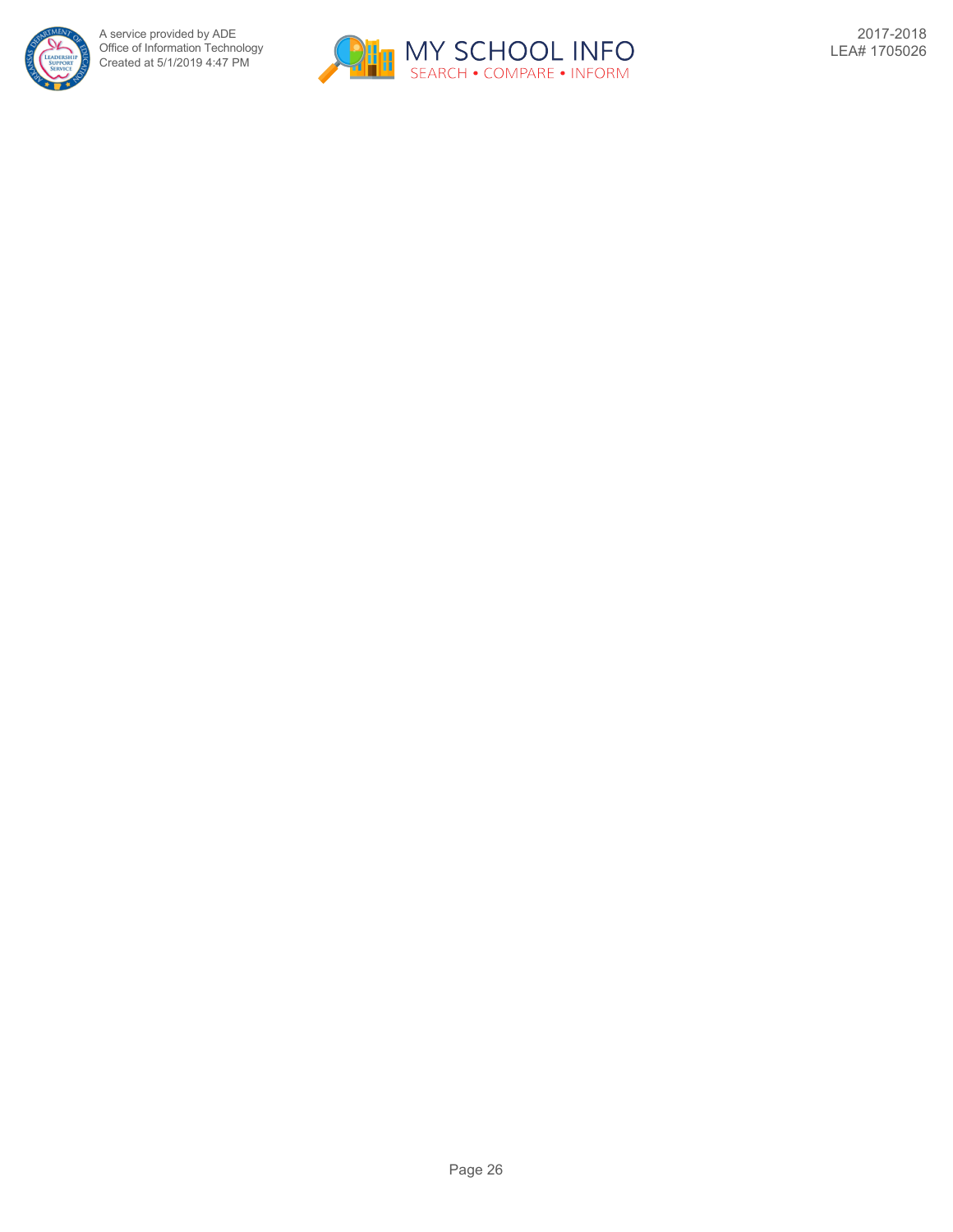

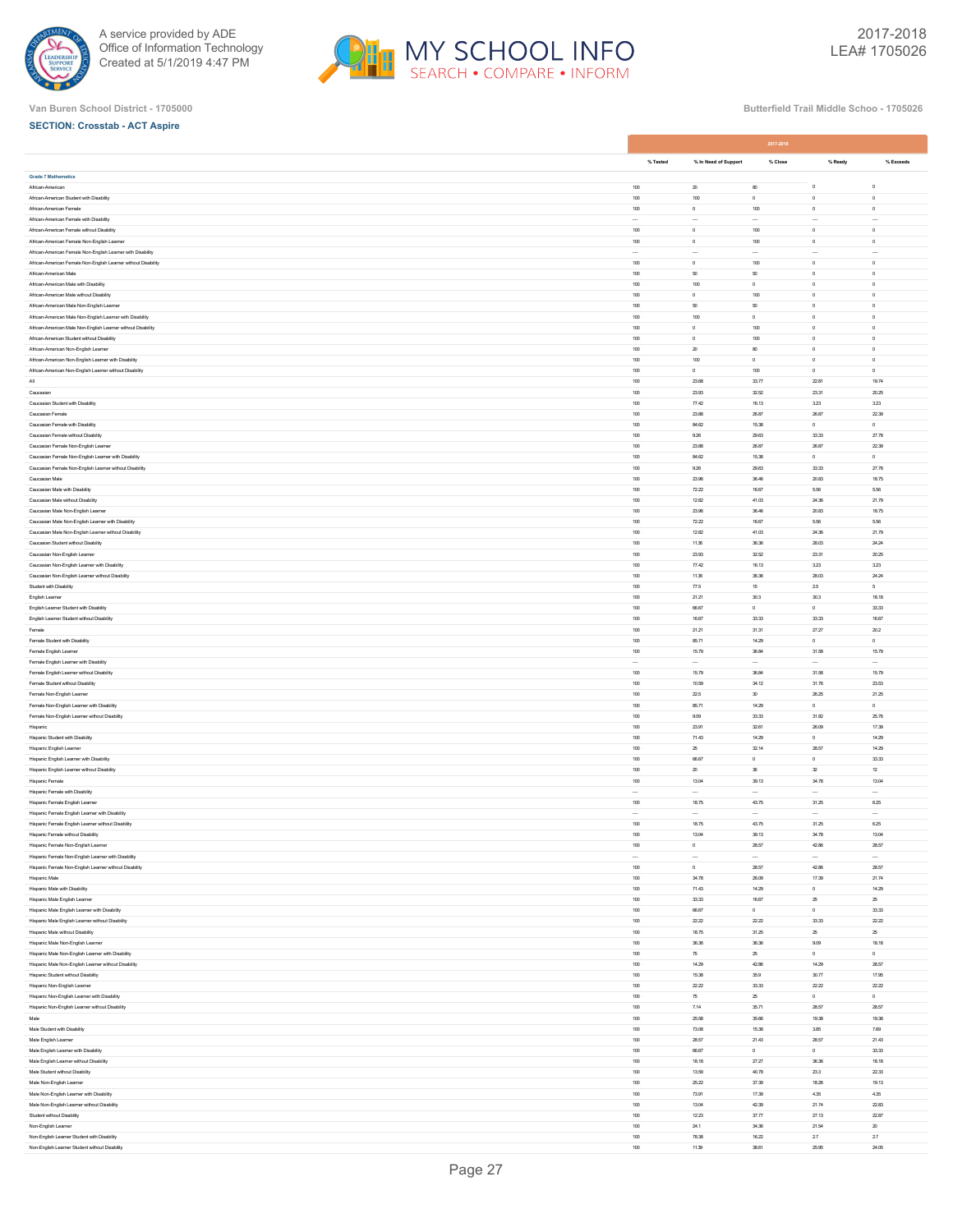



|                                                                                                           |                 |                      | 2017-2018            |                                    |                      |
|-----------------------------------------------------------------------------------------------------------|-----------------|----------------------|----------------------|------------------------------------|----------------------|
|                                                                                                           | % Tested        | % In Need of Support | % Close              | % Ready                            | % Exceeds            |
|                                                                                                           |                 |                      |                      |                                    |                      |
| <b>Grade 7 Mathematics</b><br>African-American                                                            | 100             | $20\,$               | $80\,$               | $\mathbb O$                        | $\,$ 0 $\,$          |
| African-American Student with Disability                                                                  | $100\,$         | 100                  | $\,$ 0 $\,$          | $\,$ 0 $\,$                        | $\,$ 0 $\,$          |
| African-American Female                                                                                   | 100             | $\circ$              | 100                  | $^{\circ}$                         | $^{\circ}$           |
| African-American Female with Disability                                                                   | $\cdots$        | $\cdots$             | $\cdots$             | $\cdots$                           | $\cdots$             |
| African-American Female without Disability                                                                | 100             | $\,$ 0 $\,$          | 100                  | $\,$ 0 $\,$                        | $\,$ 0 $\,$          |
| African-American Female Non-English Learner                                                               | 100             | $\circ$              | 100                  | $^{\circ}$                         | $^{\circ}$           |
| African-American Female Non-English Learner with Disability                                               |                 | $\sim$               |                      | $\ddotsc$                          | $\cdots$             |
| African-American Female Non-English Learner without Disability                                            | 100             | $\,$ 0 $\,$          | 100                  | $\,$ 0 $\,$                        | $\mathbb O$          |
| African-American Male                                                                                     | 100             | $_{50}$              | $_{50}$              | $\,$ 0 $\,$                        | $\,$ 0 $\,$          |
| African-American Male with Disability                                                                     | 100             | $100\,$              | $\,$ 0               | $\,0\,$                            | $\,$ 0 $\,$          |
| African-American Male without Disability                                                                  | 100             | $\circ$              | 100                  | $\circ$                            | $\circ$              |
| African-American Male Non-English Learner                                                                 | 100             | $_{50}$              | $_{50}$              | $\,$ 0 $\,$                        | $\,$ 0 $\,$          |
| African-American Male Non-English Learner with Disability                                                 | 100             | 100                  | $\,$ 0               | $\mathbb O$                        | $\mathbb O$          |
| African-American Male Non-English Learner without Disability                                              | 100             | $\circ$              | 100                  | $\mathbb O$                        | $\mathbb O$          |
| African-American Student without Disability                                                               | $100\,$         | $\,$ 0 $\,$          | $100\,$              | $\mathbb O$                        | $\mathbb O$          |
| African-American Non-English Learner                                                                      | 100             | $\rm{20}$            | 80                   | $\,$ 0 $\,$                        | $\,$ 0 $\,$          |
| African-American Non-English Learner with Disability                                                      | 100             | 100                  | $\circ$              | $\mathbb O$                        | $\mathbb O$          |
| African-American Non-English Learner without Disability<br>All                                            | $100\,$<br>100  | $\,$ 0 $\,$<br>23.68 | 100<br>33.77         | $\mathbb O$<br>22.81               | $\mathbb O$<br>19.74 |
| Caucasian                                                                                                 | 100             | 23.93                | 32.52                | 23.31                              | 20.25                |
| Caucasian Student with Disability                                                                         | 100             | 77.42                | 16.13                | 3.23                               | 3.23                 |
| Caucasian Female                                                                                          | 100             | 23.88                | 26.87                | 26.87                              | 22.39                |
| Caucasian Female with Disability                                                                          | 100             | 84.62                | 15.38                | $\,$ 0 $\,$                        | $\,$ 0               |
| Caucasian Female without Disability                                                                       | 100             | 9.26                 | 29.63                | 33.33                              | 27.78                |
| Caucasian Female Non-English Learner                                                                      | 100             | 23.88                | 26.87                | 26.87                              | 22.39                |
| Caucasian Female Non-English Learner with Disability                                                      | $100\,$         | 84.62                | 15.38                | $\mathbb O$                        | $\circ$              |
| Caucasian Female Non-English Learner without Disability                                                   | 100             | 9.26                 | 29.63                | 33.33                              | 27.78                |
| Caucasian Male                                                                                            | 100             | 23.96                | 36.46                | 20.83                              | 18.75                |
| Caucasian Male with Disability                                                                            | 100             | 72.22                | 16.67                | 5.56                               | 5.56                 |
| Caucasian Male without Disability                                                                         | 100             | 12.82                | 41.03                | 24.36                              | 21.79                |
| Caucasian Male Non-English Learner                                                                        | $100\,$         | 23.96                | 36.46                | 20.83                              | 18.75                |
| Caucasian Male Non-English Learner with Disability                                                        | 100             | 72.22                | 16.67                | 5.56                               | 5.56                 |
| Caucasian Male Non-English Learner without Disability                                                     | 100             | 12.82                | 41.03                | 24.36                              | 21.79                |
| Caucasian Student without Disability                                                                      | $100\,$         | 11.36                | 36.36                | 28.03                              | 24.24                |
| Caucasian Non-English Learner                                                                             | 100             | 23.93                | 32.52                | 23.31                              | 20.25                |
| Caucasian Non-English Learner with Disability                                                             | 100             | 77.42                | 16.13                | 3.23                               | 3.23                 |
| Caucasian Non-English Learner without Disability                                                          | 100             | 11.36                | 36.36                | 28.03                              | 24.24                |
| Student with Disability                                                                                   | 100             | 77.5                 | 15                   | 2.5                                | $\overline{5}$       |
| English Learner                                                                                           | $100\,$         | 21.21<br>66.67       | 30.3                 | $30.3\,$                           | 18.18                |
| English Learner Student with Disability<br>English Learner Student without Disability                     | 100<br>100      | 16.67                | $\,$ 0 $\,$<br>33.33 | $\mathbb O$<br>33.33               | 33.33<br>16.67       |
| Female                                                                                                    | $100\,$         | 21.21                | 31.31                | 27.27                              | $20\,2$              |
| Female Student with Disability                                                                            | 100             | 85.71                | 14.29                | $\circ$                            | $^{\circ}$           |
| Female English Learner                                                                                    | 100             | 15.79                | 36.84                | 31.58                              | 15.79                |
| Female English Learner with Disability                                                                    | ä,              |                      |                      |                                    |                      |
| Female English Learner without Disability                                                                 | 100             | 15.79                | 36.84                | 31.58                              | 15.79                |
| Female Student without Disability                                                                         | $100\,$         | 10.59                | 34.12                | 31.76                              | 23.53                |
| Female Non-English Learner                                                                                | 100             | 22.5                 | $30\,$               | 26.25                              | 21.25                |
| Female Non-English Learner with Disability                                                                | 100             | 85.71                | 14.29                | $\circ$                            | $\mathbb O$          |
| Female Non-English Learner without Disability                                                             | $100\,$         | $9.09$               | 33.33                | 31.82                              | 25.76                |
| Hispanic                                                                                                  | 100             | 23.91                | 32.61                | 26.09                              | 17.39                |
| Hispanic Student with Disability                                                                          | 100             | 71.43                | 14.29                | $\circ$                            | 14.29                |
| Hispanic English Learner                                                                                  | 100             | $\mathbf{25}$        | 32.14                | 28.57                              | 14.29                |
| Hispanic English Learner with Disability                                                                  | 100             | 66.67                | $\circ$              | $\circ$                            | 33.33                |
| Hispanic English Learner without Disability                                                               | $100\,$         | $\rm{20}$            | $_{36}$              | $\mathbf{\underline{\mathcal{Q}}}$ | $\mathbf{12}$        |
| Hispanic Female<br>Hispanic Female with Disability                                                        | 100<br>$\cdots$ | 13.04<br>$\sim$      | 39.13<br>$\sim$      | 34.78<br>$\ddotsc$                 | 13.04<br>$\cdots$    |
| Hispanic Female English Learner                                                                           | $100\,$         | 18.75                | 43.75                | 31.25                              | $_{\rm 6.25}$        |
| Hispanic Female English Learner with Disability                                                           | $\cdots$        | $\sim$               | $\ddotsc$            | $\cdots$                           | $\cdots$             |
| Hispanic Female English Learner without Disability                                                        | 100             | 18.75                | 43.75                | 31.25                              | 6.25                 |
| Hispanic Female without Disability                                                                        | 100             | 13.04                | 39.13                | 34.78                              | 13.04                |
| Hispanic Female Non-English Learner                                                                       | 100             | $\circ$              | 28.57                | 42.86                              | 28.57                |
| Hispanic Female Non-English Learner with Disability                                                       | $\ddotsc$       | $\sim$               | $\sim$               |                                    |                      |
| Hispanic Female Non-English Learner without Disability                                                    | 100             | $\circ$              | 28.57                | 42.86                              | 28.57                |
| Hispanic Male                                                                                             | 100             | 34.78                | 26.09                | 17.39                              | 21.74                |
| Hispanic Male with Disability                                                                             | $100\,$         | 71.43                | 14.29                | $\mathbb O$                        | 14.29                |
| Hispanic Male English Learner                                                                             | 100             | 33.33                | 16.67                | $\rm 25$                           | 25                   |
| Hispanic Male English Learner with Disability                                                             | 100             | 66.67                | $\circ$              | $\,$ 0 $\,$                        | 33.33                |
| Hispanic Male English Learner without Disability                                                          | 100             | 22.22                | 22.22                | 33.33                              | 22.22                |
| Hispanic Male without Disability                                                                          | 100             | 18.75                | 31.25                | 25                                 | $\rm 25$             |
| Hispanic Male Non-English Learner                                                                         | $100\,$<br>100  | 36.36<br>75          | 36.36<br>$\rm{2S}$   | 9.09<br>$\mathbb O$                | 18.18<br>$\mathbb O$ |
| Hispanic Male Non-English Learner with Disability<br>Hispanic Male Non-English Learner without Disability | 100             | 14.29                | 42.86                | 14.29                              | 28.57                |
| Hispanic Student without Disability                                                                       | $100\,$         | 15.38                | 35.9                 | 30.77                              | 17.95                |
| Hispanic Non-English Learner                                                                              | 100             | 22.22                | 33.33                | 22.22                              | 22.22                |
| Hispanic Non-English Learner with Disability                                                              | 100             | 75                   | $\rm{2S}$            | $\mathbb O$                        | $\,$ 0 $\,$          |
| Hispanic Non-English Learner without Disability                                                           | 100             | 7.14                 | 35.71                | 28.57                              | 28.57                |
| Male                                                                                                      | 100             | 25.58                | 35.66                | 19.38                              | 19.38                |
| Male Student with Disability                                                                              | $100\,$         | 73.08                | 15.38                | 3.85                               | 7.69                 |
| Male English Learner                                                                                      | 100             | 28.57                | 21.43                | 28.57                              | 21.43                |
| Male English Learner with Disability                                                                      | 100             | 66.67                | $\circ$              | $\mathbb O$                        | 33.33                |
| Male English Learner without Disability                                                                   | $100\,$         | 18.18                | 27.27                | 36.36                              | 18.18                |
| Male Student without Disability                                                                           | 100             | 13.59                | 40.78                | 23.3                               | 22.33                |
| Male Non-English Learner                                                                                  | 100             | 25.22                | 37.39                | 18.26                              | 19.13                |
| Male Non-English Learner with Disability                                                                  | 100             | 73.91                | 17.39                | 4.35                               | 4.35                 |
| Male Non-English Learner without Disability                                                               | 100             | 13.04                | 42.39                | 21.74                              | 22.83                |
| Student without Disability                                                                                | $100\,$         | 12.23                | 37.77                | 27.13                              | 22.87                |
| Non-English Learner<br>Non-English Learner Student with Disability                                        | 100<br>100      | 24.1<br>78.38        | 34.36<br>16.22       | 21.54<br>$2.7\,$                   | $\rm{20}$<br>$2.7\,$ |
| Non-English Learner Student without Disability                                                            | $100\,$         | 11.39                | 38.61                | 25.95                              | 24.05                |
|                                                                                                           |                 |                      |                      |                                    |                      |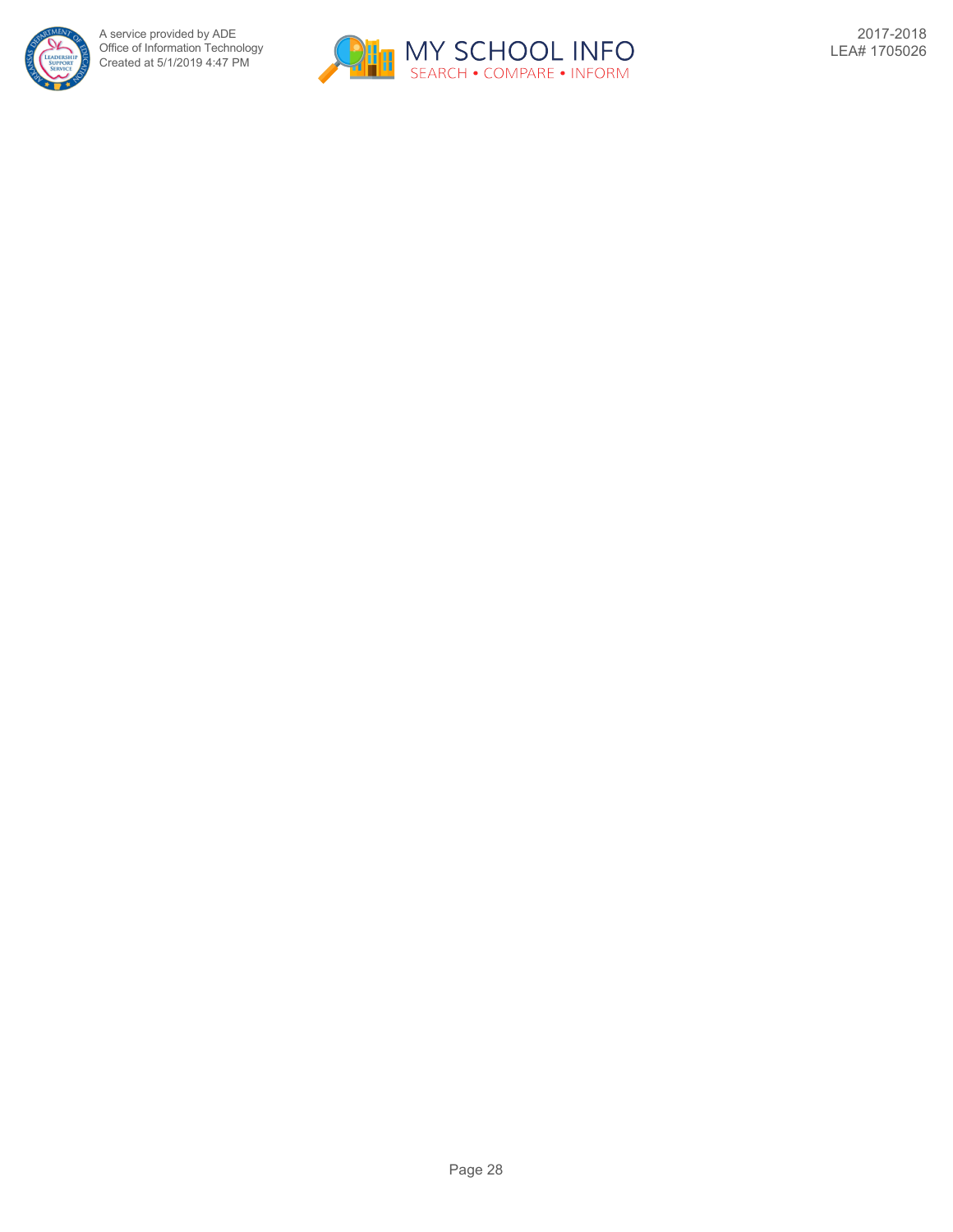

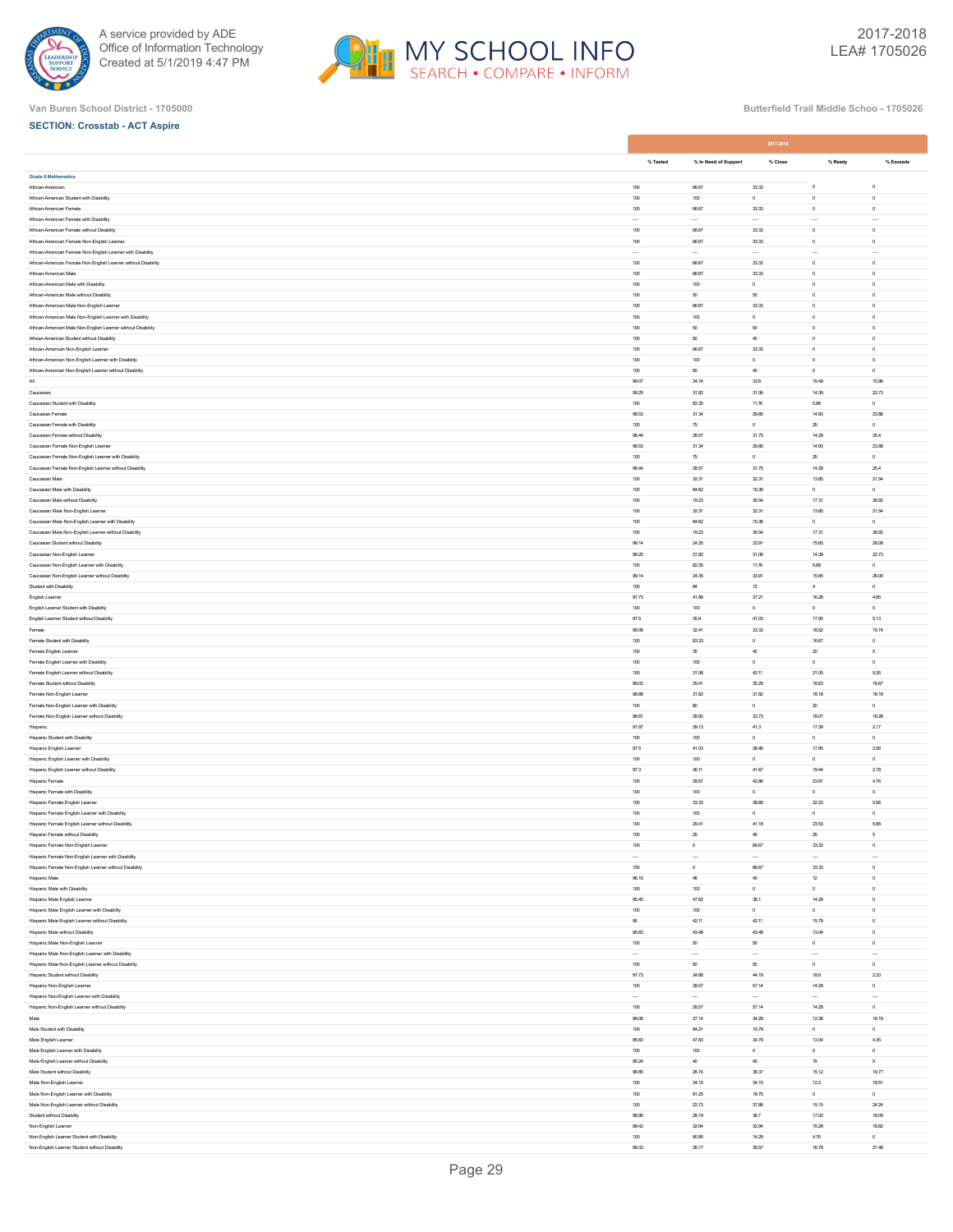



|                                                                                                                               |                  |                      | 2017-2018            |                                 |                        |
|-------------------------------------------------------------------------------------------------------------------------------|------------------|----------------------|----------------------|---------------------------------|------------------------|
|                                                                                                                               | % Tested         | % In Need of Support | % Close              | % Ready                         | % Exceeds              |
| <b>Grade 8 Mathematics</b>                                                                                                    |                  |                      |                      |                                 |                        |
| African-American                                                                                                              | 100              | 66.67                | 33.33                | $\,0\,$                         | $\,$ 0 $\,$            |
| African-American Student with Disability                                                                                      | 100              | 100                  | $\,$ 0               | $\,0\,$                         | $\,$ 0 $\,$            |
| African-American Female                                                                                                       | 100              | 66.67                | 33.33                | $\,$ 0 $\,$                     | $\,$ 0 $\,$            |
| African-American Female with Disability                                                                                       |                  |                      | $\sim$               | $\ddot{\phantom{0}}$            | $\ddot{\phantom{0}}$   |
| African-American Female without Disability                                                                                    | 100              | 66.67                | 33.33                | $\circ$                         | $\circ$                |
| African-American Female Non-English Learner                                                                                   | 100<br>          | 66.67                | 33.33                | $\circ$<br>$\ddot{\phantom{a}}$ | $\circ$<br>$\sim$      |
| African-American Female Non-English Learner with Disability<br>African-American Female Non-English Learner without Disability | 100              | 66.67                | 33.33                | $\circ$                         | $\circ$                |
| African-American Male                                                                                                         | 100              | 66.67                | 33.33                | $\,$ 0 $\,$                     | $\,$ 0 $\,$            |
| African-American Male with Disability                                                                                         | 100              | 100                  | $\,$ 0 $\,$          | $\circ$                         | $\circ$                |
| African-American Male without Disability                                                                                      | 100              | 60                   | 60                   | $\,$ 0                          | $\circ$                |
| African-American Male Non-English Learner                                                                                     | 100              | 66.67                | 33.33                | $\,$ 0                          | $\,$ 0                 |
| African-American Male Non-English Learner with Disability                                                                     | 100              | 100                  | $\circ$              | $^{\circ}$                      | $\circ$                |
| African-American Male Non-English Learner without Disability                                                                  | 100              | $_{50}$              | 60                   | $\,$ 0                          | $\circ$                |
| African-American Student without Disability<br>African-American Non-English Learner                                           | 100<br>100       | 60<br>66.67          | 40<br>33.33          | $\,0\,$<br>$\circ$              | $\,$ 0 $\,$<br>$\circ$ |
| African-American Non-English Learner with Disability                                                                          | 100              | 100                  | $\,$ 0               | $\,$ 0 $\,$                     | $\,$ 0                 |
| African-American Non-English Learner without Disability                                                                       | 100              | 60                   | 40                   | $\,0\,$                         | $\,$ 0 $\,$            |
| $\mathsf{All}$                                                                                                                | 99.07            | 34.74                | 33.8                 | 15.49                           | 15.96                  |
| Caucasian                                                                                                                     | 99.25            | 31.82                | 31.06                | 14.39                           | 22.73                  |
| Caucasian Student with Disability                                                                                             | 100              | 82.35                | 11.76                | 5.88                            | $\circ$                |
| Caucasian Female                                                                                                              | 98.53            | 31.34                | 29.85                | 14.93                           | 23.88                  |
| Caucasian Female with Disability                                                                                              | 100              | 75                   | $\circ$              | 25                              | $\circ$                |
| Caucasian Female without Disability<br>Caucasian Female Non-English Learner                                                   | 98.44<br>98.53   | 28.57<br>31.34       | 31.75<br>29.85       | 14.29<br>14.93                  | 25.4<br>23.88          |
| Caucasian Female Non-English Learner with Disability                                                                          | 100              | 75                   | $\,0\,$              | $2\!$                           | $\,$ 0                 |
| Caucasian Female Non-English Learner without Disability                                                                       | 98.44            | 28.57                | 31.75                | 14.29                           | 25.4                   |
| Caucasian Male                                                                                                                | 100              | 32.31                | 32.31                | 13.85                           | 21.54                  |
| Caucasian Male with Disability                                                                                                | 100              | 84.62                | 15.38                | $\circ$                         | $\circ$                |
| Caucasian Male without Disability                                                                                             | 100              | 19.23                | 36.54                | 17.31                           | 26.92                  |
| Caucasian Male Non-English Learner                                                                                            | 100              | 32.31                | 32.31                | 13.85                           | 21.54                  |
| Caucasian Male Non-English Learner with Disability                                                                            | 100              | 84.62                | 15.38                | $\circ$                         | $\circ$                |
| Caucasian Male Non-English Learner without Disability                                                                         | 100              | 19.23                | 36.54                | 17.31                           | 26.92                  |
| Caucasian Student without Disability<br>Caucasian Non-English Learner                                                         | 99.14<br>99.25   | 24.35<br>31.82       | 33.91<br>31.06       | 15.65<br>14.39                  | 26.09<br>22.73         |
| Caucasian Non-English Learner with Disability                                                                                 | 100              | 82.35                | 11.76                | 5.88                            | $\,$ 0 $\,$            |
| Caucasian Non-English Learner without Disability                                                                              | 99.14            | 24.35                | 33.91                | 15.65                           | 26.09                  |
| Student with Disability                                                                                                       | 100              | 84                   | 12                   | $\,$ 4 $\,$                     | $\,$ 0 $\,$            |
| English Learner                                                                                                               | 97.73            | 41.86                | 37.21                | 16.28                           | 4.65                   |
| English Learner Student with Disability                                                                                       | 100              | 100                  | $\circ$              | $\circ$                         | $\circ$                |
| English Learner Student without Disability                                                                                    | $97.5\,$         | 35.9                 | 41.03                | 17.95                           | 5.13                   |
| Female                                                                                                                        | 99.08            | 32.41                | 33.33                | 18.52                           | 15.74                  |
| Female Student with Disability                                                                                                | 100              | 83.33                | $\,$ 0 $\,$          | 16.67                           | $\circ$                |
| Female English Learner                                                                                                        | 100<br>100       | $\mathbf{35}$<br>100 | $40\,$<br>$\circ$    | $\rm 20$<br>$\circ$             | $\,$ 5 $\,$<br>$\circ$ |
| Female English Learner with Disability<br>Female English Learner without Disability                                           | 100              | 31.58                | 42.11                | 21.05                           | 5.26                   |
| Female Student without Disability                                                                                             | 99.03            | 29.41                | 35.29                | 18.63                           | 16.67                  |
| Female Non-English Learner                                                                                                    | 98.88            | 31.82                | 31.82                | 18.18                           | 18.18                  |
| Female Non-English Learner with Disability                                                                                    | 100              | $_{\rm 80}$          | $\,$ 0               | $\rm 20$                        | $\,0\,$                |
| Female Non-English Learner without Disability                                                                                 | 98.81            | 28.92                | 33.73                | 18.07                           | 19.28                  |
| Hispanic                                                                                                                      | 97.87            | 39.13                | 41.3                 | 17.39                           | 2.17                   |
| Hispanic Student with Disability                                                                                              | 100              | 100                  | $\,$ 0 $\,$          | $\circ$                         | $\,$ 0                 |
| Hispanic English Learner                                                                                                      | 97.5             | 41.03                | 38.46                | 17.95                           | 2.56                   |
| Hispanic English Learner with Disability<br>Hispanic English Learner without Disability                                       | 100              | 100                  | $\,$ 0 $\,$          | $\,$ 0 $\,$                     | $\,$ 0 $\,$            |
| Hispanic Female                                                                                                               | 97.3<br>100      | 36.11<br>28.57       | 41.67<br>42.86       | 19.44<br>23.81                  | 2.78<br>4.76           |
| Hispanic Female with Disability                                                                                               | 100              | 100                  | $\,$ 0 $\,$          | $\,$ 0 $\,$                     | $\,$ 0 $\,$            |
| Hispanic Female English Learner                                                                                               | 100              | 33.33                | 38.89                | 22.22                           | 5.56                   |
| Hispanic Female English Learner with Disability                                                                               | 100              | 100                  | $\circ$              | $\,$ 0                          | $\circ$                |
| Hispanic Female English Learner without Disability                                                                            | 100              | 29.41                | 41.18                | 23.53                           | 5.88                   |
| Hispanic Female without Disability                                                                                            | 100              | 25                   | 45                   | 25                              | 5                      |
| Hispanic Female Non-English Learner                                                                                           | 100              | $\circ$              | 66.67                | 33.33                           | $\circ$                |
| Hispanic Female Non-English Learner with Disability                                                                           | $\ddotsc$<br>100 | $\sim$<br>$\circ$    | $\sim$<br>66.67      | $\ddotsc$<br>33.33              | $\sim$<br>$\circ$      |
| Hispanic Female Non-English Learner without Disability<br>Hispanic Male                                                       | 96.15            | $48\,$               | $40\,$               | $12\,$                          | $\,$ 0                 |
| Hispanic Male with Disability                                                                                                 | 100              | 100                  | $\,$ 0               | $\,0\,$                         | $\,$ 0 $\,$            |
| Hispanic Male English Learner                                                                                                 | 95.45            | 47.62                | 38.1                 | 14.29                           | $\,$ 0 $\,$            |
| Hispanic Male English Learner with Disability                                                                                 | 100              | 100                  | $\,$ 0               | $\circ$                         | $\,0\,$                |
| Hispanic Male English Learner without Disability                                                                              | 95               | 42.11                | 42.11                | 15.79                           | $^{\circ}$             |
| Hispanic Male without Disability                                                                                              | 95.83            | 43.48                | 43.48                | 13.04                           | $\,$ 0 $\,$            |
| Hispanic Male Non-English Learner                                                                                             | 100              | 60                   | 50                   | $\circ$                         | $\circ$                |
| Hispanic Male Non-English Learner with Disability                                                                             | $\cdots$         | $\sim$               | $\cdots$             | $\cdots$                        | $\cdots$               |
| Hispanic Male Non-English Learner without Disability<br>Hispanic Student without Disability                                   | 100<br>97.73     | $_{\rm 50}$<br>34.88 | $_{\rm 50}$<br>44.19 | $\,$ 0 $\,$<br>18.6             | $\,$ 0 $\,$<br>2.33    |
| Hispanic Non-English Learner                                                                                                  | 100              | 28.57                | 57.14                | 14.29                           | $\circ$                |
| Hispanic Non-English Learner with Disability                                                                                  |                  |                      | $\ddot{\phantom{0}}$ | $\ddotsc$                       | $\ddotsc$              |
| Hispanic Non-English Learner without Disability                                                                               | 100              | 28.57                | 57.14                | 14.29                           | $\circ$                |
| Male                                                                                                                          | 99.06            | 37.14                | 34.29                | 12.38                           | 16.19                  |
| Male Student with Disability                                                                                                  | 100              | 84.21                | 15.79                | $\,0\,$                         | $\,$ 0 $\,$            |
| Male English Learner                                                                                                          | 95.83            | 47.83                | 34.78                | 13.04                           | 4.35                   |
| Male English Learner with Disability                                                                                          |                  |                      | $\,$ 0               | $\,$ 0                          | $\,0\,$<br>$\sqrt{5}$  |
| Male English Learner without Disability                                                                                       | 100              | 100                  |                      |                                 |                        |
|                                                                                                                               | 95.24            | 40                   | 40                   | 15                              |                        |
| Male Student without Disability                                                                                               | 98.85            | 26.74                | 38.37                | 15.12                           | 19.77                  |
| Male Non-English Learner                                                                                                      | 100<br>100       | 34.15<br>81.25       | 34.15<br>18.75       | $12.2\,$<br>$\circ$             | 19.51<br>$\circ$       |
| Male Non-English Learner with Disability<br>Male Non-English Learner without Disability                                       | 100              | 22.73                | 37.88                | 15.15                           | 24.24                  |
| Student without Disability                                                                                                    | 98.95            | 28.19                | 36.7                 | 17.02                           | 18.09                  |
| Non-English Learner                                                                                                           | 99.42            | 32.94                | 32.94                | 15.29                           | 18.82                  |
| Non-English Learner Student with Disability<br>Non-English Learner Student without Disability                                 | 100<br>99.33     | 80.95<br>26.17       | 14.29<br>35.57       | $4.76\,$<br>16.78               | $\,$ 0 $\,$<br>21.48   |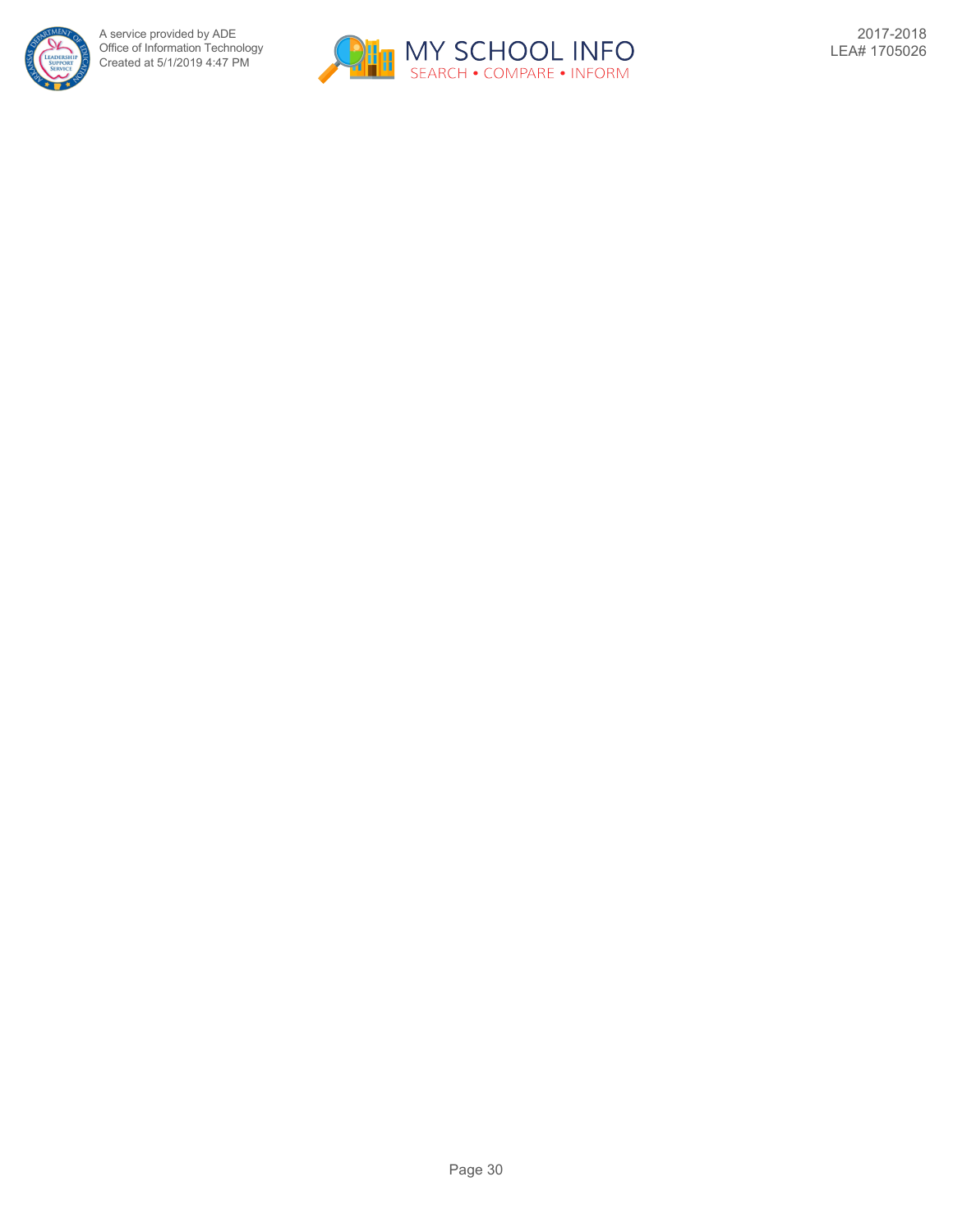

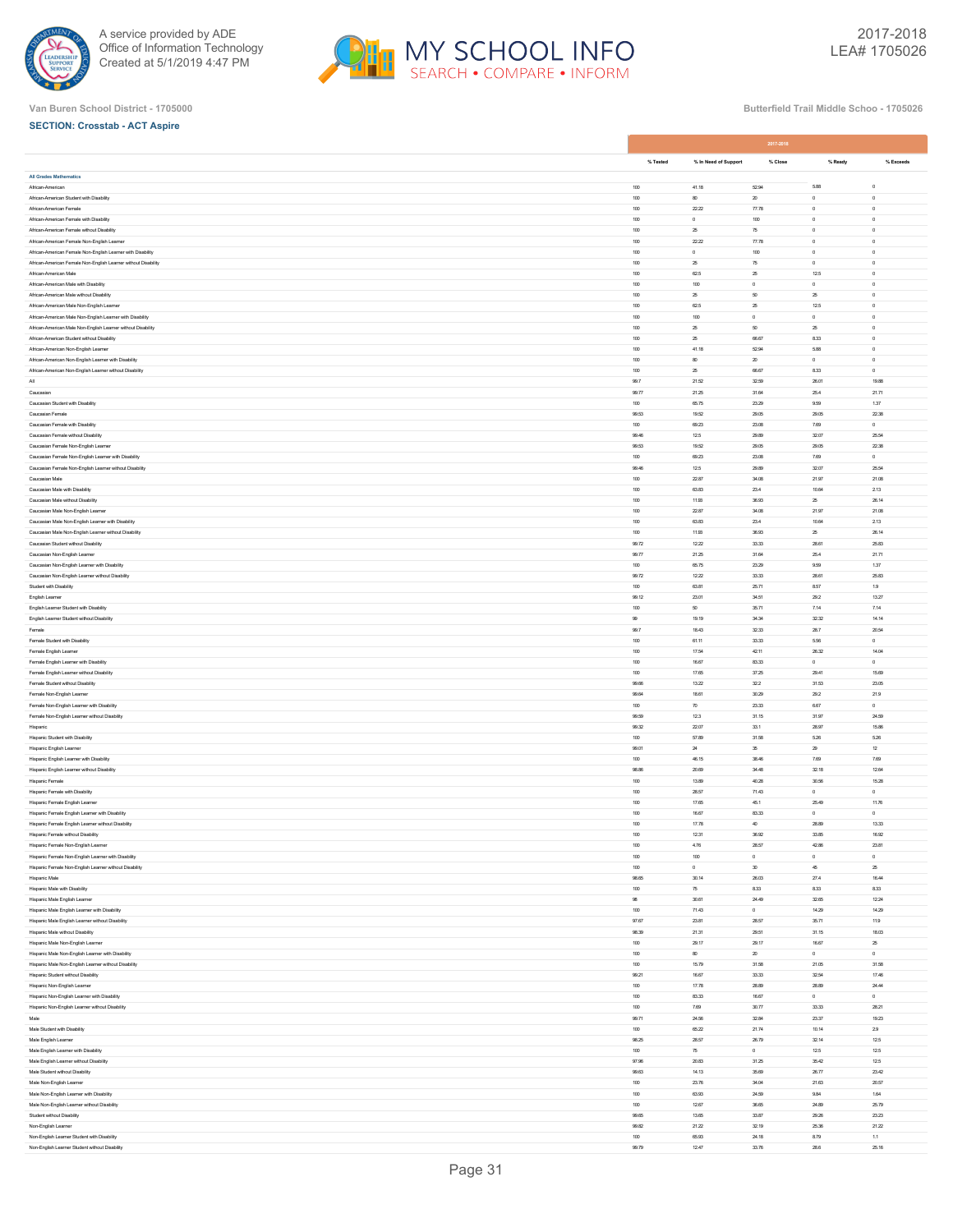



|                                                                                                        |              |                      | 2017-2018               |                  |                    |
|--------------------------------------------------------------------------------------------------------|--------------|----------------------|-------------------------|------------------|--------------------|
|                                                                                                        | $%$ Tested   | % In Need of Support | % Close                 | % Ready          | % Exceeds          |
| <b>All Grades Mathematics</b>                                                                          |              |                      |                         |                  |                    |
| African-American                                                                                       | 100          | 41.18                | 52.94                   | 5.88             | $\,$ 0 $\,$        |
| African-American Student with Disability                                                               | 100          | 80                   | $20\,$                  | $\circ$          | $\circ$            |
| African-American Female                                                                                | 100          | 22.22                | 77.78                   | $\,0\,$          | $\,0\,$            |
| African-American Female with Disability                                                                | 100          | $\overline{0}$       | 100                     | $\circ$          | $\circ$            |
| African-American Female without Disability                                                             | $100\,$      | $\rm{25}$            | $7\!$                   | $\circ$          | $\circ$            |
| African-American Female Non-English Learner                                                            | 100          | 22.22                | 77.78                   | $\circ$          | $\circ$            |
| African-American Female Non-English Learner with Disability                                            | 100          | $\,$ 0 $\,$          | 100                     | $\,$ 0 $\,$      | $\,$ 0 $\,$        |
| African-American Female Non-English Learner without Disability                                         | $100\,$      | $\rm{25}$            | $75\,$                  | $\,$ 0 $\,$      | $\,$ 0 $\,$        |
| African-American Male                                                                                  | 100          | 625                  | $\rm{2S}$               | 12.5             | $\circ$            |
| African-American Male with Disability                                                                  | 100          | 100                  | $\,$ 0                  | $\,$ 0 $\,$      | $\,$ 0 $\,$        |
| African-American Male without Disability                                                               | 100<br>100   | $\rm{25}$<br>625     | $_{50}$<br>25           | $\rm 25$<br>12.5 | $\circ$<br>$\circ$ |
| African-American Male Non-English Learner<br>African-American Male Non-English Learner with Disability | $100\,$      | 100                  | $\,$ 0 $\,$             | $\,$ 0 $\,$      | $\,$ 0 $\,$        |
| African-American Male Non-English Learner without Disability                                           | 100          | $_{\rm 25}$          | 60                      | $\mathbf{25}$    | $\circ$            |
| African-American Student without Disability                                                            | 100          | $\mathbf{z}$         | 66.67                   | 8.33             | $\,$ 0 $\,$        |
| African-American Non-English Learner                                                                   | 100          | 41.18                | 52.94                   | 5.88             | $\,$ 0             |
| African-American Non-English Learner with Disability                                                   | 100          | 80                   | 20                      | $\circ$          | $\circ$            |
| African-American Non-English Learner without Disability                                                | 100          | 25                   | 66.67                   | 8.33             | $\circ$            |
| All                                                                                                    | 99.7         | 21.52                | 32.59                   | 26.01            | 19.88              |
| Caucasian                                                                                              | 99.77        | 21.25                | 31.64                   | 25.4             | 21.71              |
| Caucasian Student with Disability                                                                      | $100\,$      | 65.75                | 23.29                   | $9.59\,$         | $1.37\,$           |
| Caucasian Female                                                                                       | 99.53        | 19.52                | 29.05                   | 29.05            | 22.38              |
| Caucasian Female with Disability                                                                       | 100          | 69.23                | 23.08                   | 7.69             | $\,$ 0 $\,$        |
| Caucasian Female without Disability                                                                    | 99.46        | 12.5                 | 29.89                   | 32.07            | 25.54              |
| Caucasian Female Non-English Learner                                                                   | 99.53        | 19.52                | 29.05                   | 29.05            | 22.38              |
| Caucasian Female Non-English Learner with Disability                                                   | 100          | 69.23                | 23.08                   | 7.69             | $\,$ 0 $\,$        |
| Caucasian Female Non-English Learner without Disability<br>Caucasian Male                              | 99.46<br>100 | 12.5<br>22.87        | 29.89<br>34.08          | 32.07<br>21.97   | 25.54<br>21.08     |
| Caucasian Male with Disability                                                                         | $100\,$      | 63.83                | 23.4                    | 10.64            | 2.13               |
| Caucasian Male without Disability                                                                      | 100          | 11.93                | 36.93                   | 25               | 26.14              |
| Caucasian Male Non-English Learner                                                                     | 100          | 22.87                | 34.08                   | 21.97            | 21.08              |
| Caucasian Male Non-English Learner with Disability                                                     | $100\,$      | 63.83                | 23.4                    | 10.64            | 2.13               |
| Caucasian Male Non-English Learner without Disability                                                  | 100          | 11.93                | 36.93                   | 25               | 26.14              |
| Caucasian Student without Disability                                                                   | 99.72        | 12.22                | 33.33                   | 28.61            | 25.83              |
| Caucasian Non-English Learner                                                                          | 99.77        | 21.25                | 31.64                   | 25.4             | 21.71              |
| Caucasian Non-English Learner with Disability                                                          | 100          | 65.75                | 23.29                   | 9.59             | 1.37               |
| Caucasian Non-English Learner without Disability                                                       | 99.72        | 12.22                | 33.33                   | 28.61            | 25.83              |
| Student with Disability                                                                                | 100          | 63.81                | 25.71                   | 8.57             | 1.9                |
| English Learner                                                                                        | 99.12        | 23.01                | 34.51                   | 29.2             | 13.27              |
| English Learner Student with Disability                                                                | $100\,$      | $_{50}$              | 35.71                   | 7.14             | 7.14               |
| English Learner Student without Disability<br>Female                                                   | 99<br>99.7   | 19.19<br>18.43       | 34.34<br>32.33          | 32.32<br>28.7    | 14.14<br>20.54     |
| Female Student with Disability                                                                         | 100          | 61.11                | 33.33                   | 5.56             | $\circ$            |
| Female English Learner                                                                                 | 100          | 17.54                | 42.11                   | 26.32            | 14.04              |
| Female English Learner with Disability                                                                 | $100\,$      | 16.67                | 83.33                   | $\,$ 0 $\,$      | $\,$ 0 $\,$        |
| Female English Learner without Disability                                                              | 100          | 17.65                | 37.25                   | 29.41            | 15.69              |
| Female Student without Disability                                                                      | 99.66        | 13.22                | 322                     | 31.53            | 23.05              |
| Female Non-English Learner                                                                             | 99.64        | 18.61                | 30.29                   | $29.2\,$         | 21.9               |
| Female Non-English Learner with Disability                                                             | 100          | 70                   | 23.33                   | 6.67             | $\circ$            |
| Female Non-English Learner without Disability                                                          | 99.59        | 12.3                 | 31.15                   | 31.97            | 24.59              |
| Hispanic                                                                                               | 99.32        | 22.07                | 33.1                    | 28.97            | 15.86              |
| Hispanic Student with Disability                                                                       | 100          | 57.89                | 31.58                   | 5.26             | 5.26               |
| Hispanic English Learner                                                                               | 99.01        | $24\,$               | $3\!$                   | $29\,$           | $12\,$             |
| Hispanic English Learner with Disability                                                               | 100<br>98.86 | 46.15<br>20.69       | 38.46<br>34.48          | 7.69<br>32.18    | 7.69<br>12.64      |
| Hispanic English Learner without Disability<br>Hispanic Female                                         | $100\,$      | 13.89                | 40.28                   | 30.56            | 15.28              |
| Hispanic Female with Disability                                                                        | 100          | 28.57                | 71.43                   | $\circ$          | $\circ$            |
| Hispanic Female English Learner                                                                        | 100          | 17.65                | 45.1                    | 25.49            | 11.76              |
| Hispanic Female English Learner with Disability                                                        | 100          | 16.67                | 83.33                   | $\Omega$         | $\Omega$           |
| Hispanic Female English Learner without Disability                                                     | 100          | 17.78                | 40                      | 28.89            | 13.33              |
| Hispanic Female without Disability                                                                     | 100          | 12.31                | 36.92                   | 33.85            | 16.92              |
| Hispanic Female Non-English Learn                                                                      | 100          | 4.76                 | 28.57                   | 42.86            | 23.81              |
| Hispanic Female Non-English Learner with Disability                                                    | 100          | 100                  | $\,$ 0                  | $\circ$          | $\circ$            |
| Hispanic Female Non-English Learner without Disability                                                 | $100\,$      | $\,$ 0 $\,$          | $30\,$                  | $4\!$            | $\rm{25}$          |
| Hispanic Male                                                                                          | 98.65        | 30.14                | 26.03                   | 27.4             | 16.44              |
| Hispanic Male with Disability<br>Hispanic Male English Learner                                         | 100<br>98    | $75\,$<br>30.61      | 8.33<br>24.49           | 8.33<br>32.65    | 8.33<br>12.24      |
| Hispanic Male English Learner with Disability                                                          | 100          | 71.43                | $\overline{0}$          | 14.29            | 14.29              |
| Hispanic Male English Learner without Disability                                                       | 97.67        | 23.81                | 28.57                   | 35.71            | 11.9               |
| Hispanic Male without Disability                                                                       | 98.39        | 21.31                | 29.51                   | 31.15            | 18.03              |
| Hispanic Male Non-English Learner                                                                      | 100          | 29.17                | 29.17                   | 16.67            | $\mathbf{25}$      |
| Hispanic Male Non-English Learner with Disability                                                      | $100\,$      | $_{80}$              | $20\,$                  | $\circ$          | $\circ$            |
| Hispanic Male Non-English Learner without Disability                                                   | 100          | 15.79                | 31.58                   | 21.05            | 31.58              |
| Hispanic Student without Disability                                                                    | 99.21        | 16.67                | 33.33                   | 32.54            | 17.46              |
| Hispanic Non-English Learner                                                                           | 100          | 17.78                | 28.89                   | 28.89            | 24.44              |
| Hispanic Non-English Learner with Disability                                                           | 100          | 83.33                | 16.67                   | $\circ$          | $\circ$            |
| Hispanic Non-English Learner without Disability                                                        | $100\,$      | 7.69                 | 30.77                   | 33.33            | 28.21              |
| Male                                                                                                   | 99.71        | 24.56                | 32.84                   | 23.37            | 19.23              |
| Male Student with Disability                                                                           | 100          | 65.22                | 21.74                   | 10.14            | 2.9                |
| Male English Learner<br>Male English Learner with Disability                                           | 98.25<br>100 | 28.57<br>75          | 26.79<br>$\overline{0}$ | 32.14<br>12.5    | $12.5\,$<br>12.5   |
| Male English Learner without Disability                                                                | 97.96        | 20.83                | 31.25                   | 35.42            | 12.5               |
| Male Student without Disability                                                                        | 99.63        | 14.13                | 35.69                   | 26.77            | 23.42              |
| Male Non-English Learner                                                                               | 100          | 23.76                | 34.04                   | 21.63            | 20.57              |
| Male Non-English Learner with Disability                                                               | $100\,$      | 63.93                | 24.59                   | 9.84             | $1.64\,$           |
| Male Non-English Learner without Disability                                                            | 100          | 12.67                | 36.65                   | 24.89            | 25.79              |
| Student without Disability                                                                             | 99.65        | 13.65                | 33.87                   | 29.26            | 23.23              |
| Non-English Learner                                                                                    | 99.82        | 21.22                | 32.19                   | 25.36            | 21.22              |
| Non-English Learner Student with Disability                                                            | 100          | 65.93                | 24.18                   | 8.79             | 1.1                |
| Non-English Learner Student without Disability                                                         | 99.79        | 12.47                | 33.76                   | 28.6             | 25.16              |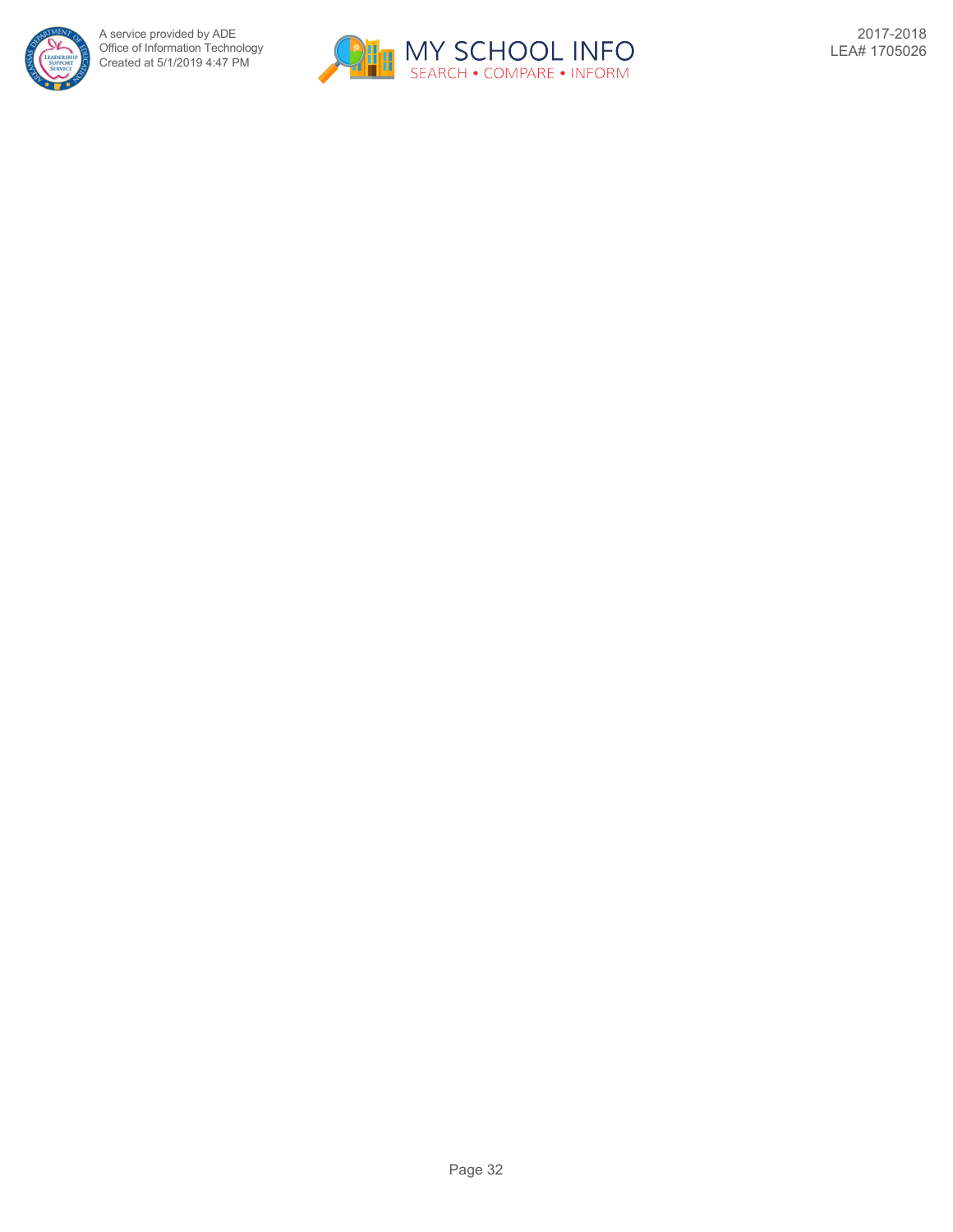

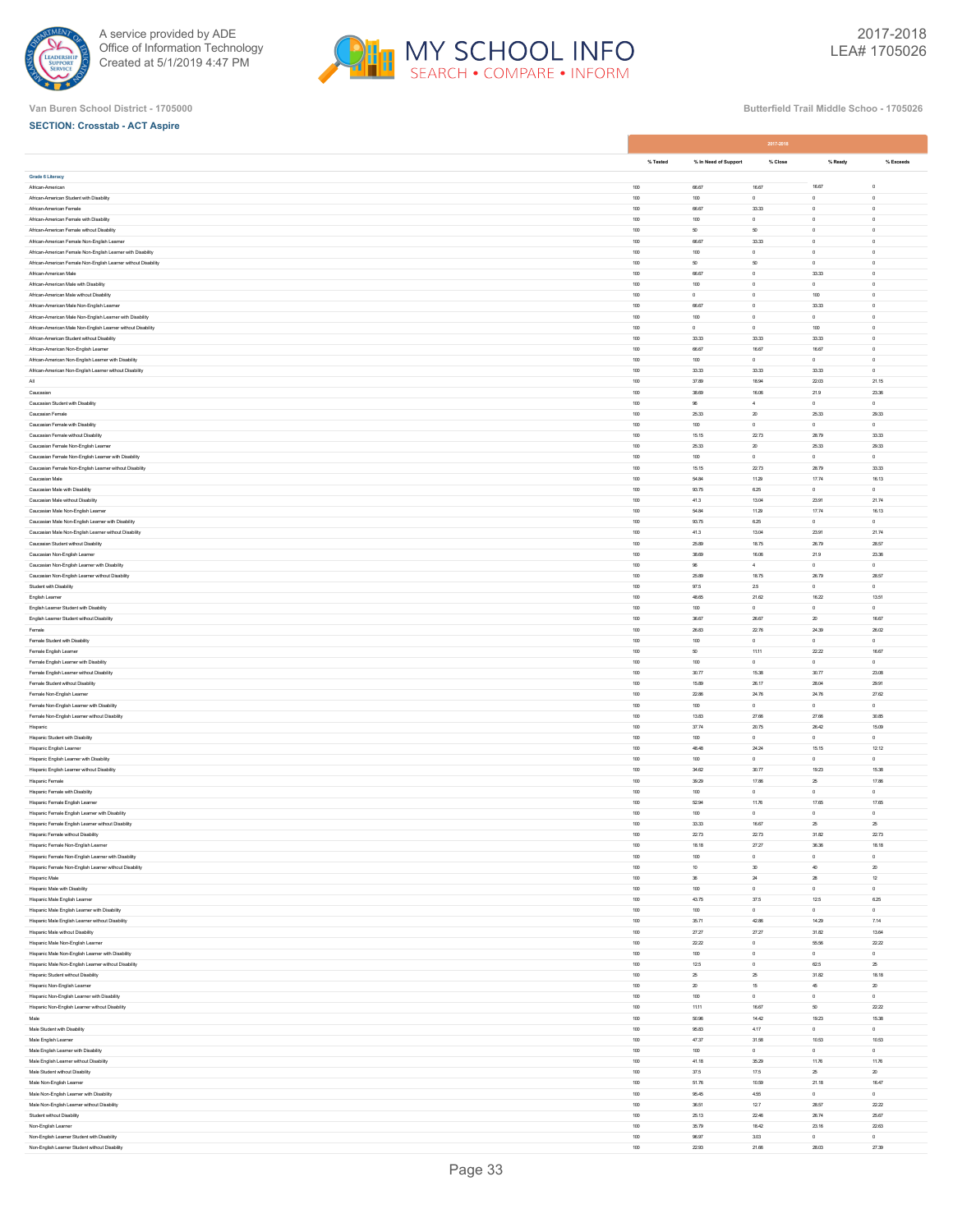



|                                                                                               |            |                      | 2017-2018        |                      |                      |
|-----------------------------------------------------------------------------------------------|------------|----------------------|------------------|----------------------|----------------------|
|                                                                                               | % Tested   | % In Need of Support | % Close          | % Ready              | % Exceeds            |
|                                                                                               |            |                      |                  |                      |                      |
| Grade 6 Literacy<br>African-American                                                          | 100        | 66.67                | 16.67            | 16.67                | $\,$ 0               |
| African-American Student with Disability                                                      | 100        | 100                  | $\,$ 0           | $\,$ 0 $\,$          | $\,$ 0 $\,$          |
| African-American Female                                                                       | 100        | 66.67                | 33.33            | $\circ$              | $\circ$              |
| African-American Female with Disability                                                       | 100        | 100                  | $\circ$          | $\circ$              | $\circ$              |
| African-American Female without Disability                                                    | 100        | 60                   | $_{50}$          | $\,0\,$              | $\,$ 0 $\,$          |
| African-American Female Non-English Learner                                                   | 100        | 66.67                | 33.33            | $\circ$              | $\circ$              |
| African-American Female Non-English Learner with Disability                                   | 100        | 100                  | $\,$ 0           | $\,$ 0               | $\,$ 0               |
| African-American Female Non-English Learner without Disability                                | 100        | $_{50}$              | $_{\rm 50}$      | $\,0\,$              | $\,$ 0 $\,$          |
| African-American Male                                                                         | 100        | 66.67                | $\,$ 0 $\,$      | 33.33                | $\,$ 0 $\,$          |
| African-American Male with Disability                                                         | 100        | 100                  | $\,$ 0           | $\circ$              | $\,0\,$              |
| African-American Male without Disability                                                      | 100        | $\circ$              | $\circ$          | 100                  | $\circ$              |
| African-American Male Non-English Learner                                                     | 100        | 66.67                | $\,$ 0 $\,$      | 33.33                | $\,$ 0 $\,$          |
| African-American Male Non-English Learner with Disability                                     | 100        | 100                  | $\,$ 0 $\,$      | $\,$ 0               | $\,0\,$              |
| African-American Male Non-English Learner without Disability                                  | 100        | $\circ$              | $\,$ 0 $\,$      | 100                  | $\circ$              |
| African-American Student without Disability                                                   | 100        | 33.33                | 33.33            | 33.33                | $\,$ 0 $\,$          |
| African-American Non-English Learner                                                          | 100        | 66.67                | 16.67            | 16.67                | $\circ$              |
| African-American Non-English Learner with Disability                                          | 100        | 100                  | $\circ$          | $\circ$              | $\circ$              |
| African-American Non-English Learner without Disability<br>All                                | 100        | 33.33                | 33.33<br>18.94   | 33.33<br>22.03       | $\,$ 0 $\,$          |
|                                                                                               | 100        | 37.89                |                  |                      | 21.15                |
| Caucasian<br>Caucasian Student with Disability                                                | 100<br>100 | 38.69<br>96          | 16.06<br>$\sim$  | 21.9<br>$\,0\,$      | 23.36<br>$\,$ 0 $\,$ |
| Caucasian Female                                                                              | 100        | 25.33                | $20\,$           | 25.33                | 29.33                |
| Caucasian Female with Disability                                                              | 100        | 100                  | $\,$ 0           | $\circ$              | $\,$ 0               |
| Caucasian Female without Disability                                                           | 100        | 15.15                | 22.73            | 28.79                | 33.33                |
| Caucasian Female Non-English Learner                                                          | 100        | 25.33                | $20\,$           | 25.33                | 29.33                |
| Caucasian Female Non-English Learner with Disability                                          | 100        | 100                  | $\,$ 0           | $\circ$              | $\circ$              |
| Caucasian Female Non-English Learner without Disability                                       | 100        | 15.15                | 22.73            | 28.79                | 33.33                |
| Caucasian Male                                                                                | 100        | 54.84                | 11.29            | 17.74                | 16.13                |
| Caucasian Male with Disability                                                                | 100        | 93.75                | 6.25             | $\circ$              | $\circ$              |
| Caucasian Male without Disability                                                             | 100        | 41.3                 | 13.04            | 23.91                | 21.74                |
| Caucasian Male Non-English Learner                                                            | 100        | 54.84                | 11.29            | 17.74                | 16.13                |
| Caucasian Male Non-English Learner with Disability                                            | 100        | 93.75                | 6.25             | $\circ$              | $\circ$              |
| Caucasian Male Non-English Learner without Disability                                         | 100        | 41.3                 | 13.04            | 23.91                | 21.74                |
| Caucasian Student without Disability                                                          | 100        | 25.89                | 18.75            | 26.79                | 28.57                |
| Caucasian Non-English Learner                                                                 | 100        | 38.69                | 16.06            | 21.9                 | 23.36                |
| Caucasian Non-English Learner with Disability                                                 | 100        | 96                   | $\sim$           | $\circ$              | $\circ$              |
| Caucasian Non-English Learner without Disability                                              | 100        | 25.89                | 18.75            | 26.79                | 28.57                |
| Student with Disability                                                                       | 100        | 97.5                 | 25               | $\circ$              | $\circ$              |
| English Learner                                                                               | 100        | 48.65                | 21.62            | 16.22                | 13.51                |
| English Learner Student with Disability                                                       | 100        | 100                  | $\,$ 0           | $\,0\,$              | $\,$ 0 $\,$          |
| English Learner Student without Disability                                                    | 100        | 36.67                | 26.67            | $\rm{20}$            | 16.67                |
| Female                                                                                        | 100<br>100 | 26.83<br>100         | 22.76<br>$\circ$ | 24.39<br>$^{\circ}$  | 26.02<br>$^{\circ}$  |
| Female Student with Disability<br>Female English Learner                                      | 100        | 60                   | 11.11            | 22.22                | 16.67                |
| Female English Learner with Disability                                                        | 100        | 100                  | $\,0\,$          | $\circ$              | $\circ$              |
| Female English Learner without Disability                                                     | 100        | 30.77                | 15.38            | 30.77                | 23.08                |
| Female Student without Disability                                                             | 100        | 15.89                | 26.17            | 28.04                | 29.91                |
| Female Non-English Learner                                                                    | 100        | 22.86                | 24.76            | 24.76                | 27.62                |
| Female Non-English Learner with Disability                                                    | 100        | 100                  | $\,$ 0 $\,$      | $\circ$              | $\circ$              |
| Female Non-English Learner without Disability                                                 | 100        | 13.83                | 27.66            | 27.66                | 30.85                |
| Hispanic                                                                                      | 100        | 37.74                | 20.75            | 26.42                | 15.09                |
| Hispanic Student with Disability                                                              | 100        | 100                  | $\circ$          | $\circ$              | $\circ$              |
| Hispanic English Learner                                                                      | 100        | 48.48                | 24.24            | 15.15                | 12.12                |
| Hispanic English Learner with Disability                                                      | 100        | 100                  | $\circ$          | $\circ$              | $\circ$              |
| Hispanic English Learner without Disability                                                   | 100        | 34.62                | 30.77            | 19.23                | 15.38                |
| Hispanic Female                                                                               | 100        | 39.29                | 17.86            | $2\!$                | 17.86                |
| Hispanic Female with Disability                                                               | 100        | 100                  | $\,$ 0 $\,$      | $\,$ 0 $\,$          | $\,$ 0 $\,$          |
| Hispanic Female English Learner                                                               | 100        | 52.94                | 11.76            | 17.65                | 17.65                |
| Hispanic Female English Learner with Disability                                               | 100        | 100                  | $\circ$          | $^{\circ}$           | $\circ$              |
| Hispanic Female English Learner without Disability                                            | 100<br>100 | 33.33<br>22.73       | 16.67<br>22.73   | 25<br>31.82          | $\rm{25}$<br>22.73   |
| Hispanic Female without Disability<br>Hispanic Female Non-English Learner                     | 100        | 18.18                | 27.27            | 36.36                | 18.18                |
| Hispanic Female Non-English Learner with Disability                                           | 100        | 100                  | $\,$ 0 $\,$      | $\,$ 0 $\,$          | $\,$ 0 $\,$          |
| Hispanic Female Non-English Learner without Disability                                        | 100        | 10 <sub>10</sub>     | 30               | 40                   | $20\,$               |
| Hispanic Male                                                                                 | 100        | 36                   | $24\,$           | 28                   | $12\,$               |
| Hispanic Male with Disability                                                                 | 100        | 100                  | $\,$ 0           | $\,$ 0 $\,$          | $\,$ 0 $\,$          |
| Hispanic Male English Learner                                                                 | 100        | 43.75                | 37.5             | 12.5                 | 6.25                 |
| Hispanic Male English Learner with Disability                                                 | 100        | 100                  | $\,$ 0 $\,$      | $\circ$              | $\circ$              |
| Hispanic Male English Learner without Disability                                              |            |                      | 42.86            | 14.29                | 7.14                 |
|                                                                                               | 100        | 35.71                |                  | 31.82                | 13.64                |
| Hispanic Male without Disability                                                              | 100        | 27.27                | 27.27            |                      | 22.22                |
| Hispanic Male Non-English Learner                                                             | 100        | $22\,22$             | $\,$ 0 $\,$      | 55.56                |                      |
| Hispanic Male Non-English Learner with Disability                                             | 100        | 100                  | $\,$ 0           | $\,0\,$              | $\,$ 0 $\,$          |
| Hispanic Male Non-English Learner without Disability                                          | 100        | 12.5                 | $\,$ 0 $\,$      | 62.5                 | $\rm{25}$            |
| Hispanic Student without Disability                                                           | 100        | $\rm{z}\rm{s}$       | $\rm{2S}$        | 31.82                | 18.18                |
| Hispanic Non-English Learner                                                                  | 100        | $20\,$               | 15               | 45                   | 20                   |
| Hispanic Non-English Learner with Disability                                                  | 100        | 100                  | $\,$ 0 $\,$      | $\,$ 0 $\,$          | $\,$ 0 $\,$          |
| Hispanic Non-English Learner without Disability                                               | 100        | 11.11                | 16.67            | 50                   | 22.22                |
| Male                                                                                          | 100        | 50.96                | 14.42            | 19.23                | 15.38                |
| Male Student with Disability                                                                  | 100        | 95.83                | $4.17\,$         | $\,$ 0 $\,$          | $\,$ 0 $\,$          |
| Male English Learner                                                                          | 100        | 47.37                | 31.58            | 10.53                | 10.53                |
| Male English Learner with Disability                                                          | 100        | 100                  | $\circ$          | $\circ$              | $\circ$              |
| Male English Learner without Disability<br>Male Student without Disability                    | 100<br>100 | 41.18<br>37.5        | 35.29<br>17.5    | 11.76<br>25          | 11.76<br>20          |
| Male Non-English Learner                                                                      | 100        | 51.76                | 10.59            | 21.18                | 16.47                |
| Male Non-English Learner with Disability                                                      | 100        | 95.45                | 4.55             | $\,0\,$              | $\,$ 0 $\,$          |
| Male Non-English Learner without Disability                                                   | 100        | 36.51                | 12.7             | 28.57                | 22.22                |
| Student without Disability                                                                    | 100        | 25.13                | 22.46            | 26.74                | 25.67                |
| Non-English Learner                                                                           | 100        | 35.79                | 18.42            | 23.16                | 22.63                |
| Non-English Learner Student with Disability<br>Non-English Learner Student without Disability | 100<br>100 | 96.97<br>22.93       | 3.03<br>21.66    | $\,$ 0 $\,$<br>28.03 | $\,$ 0 $\,$<br>27.39 |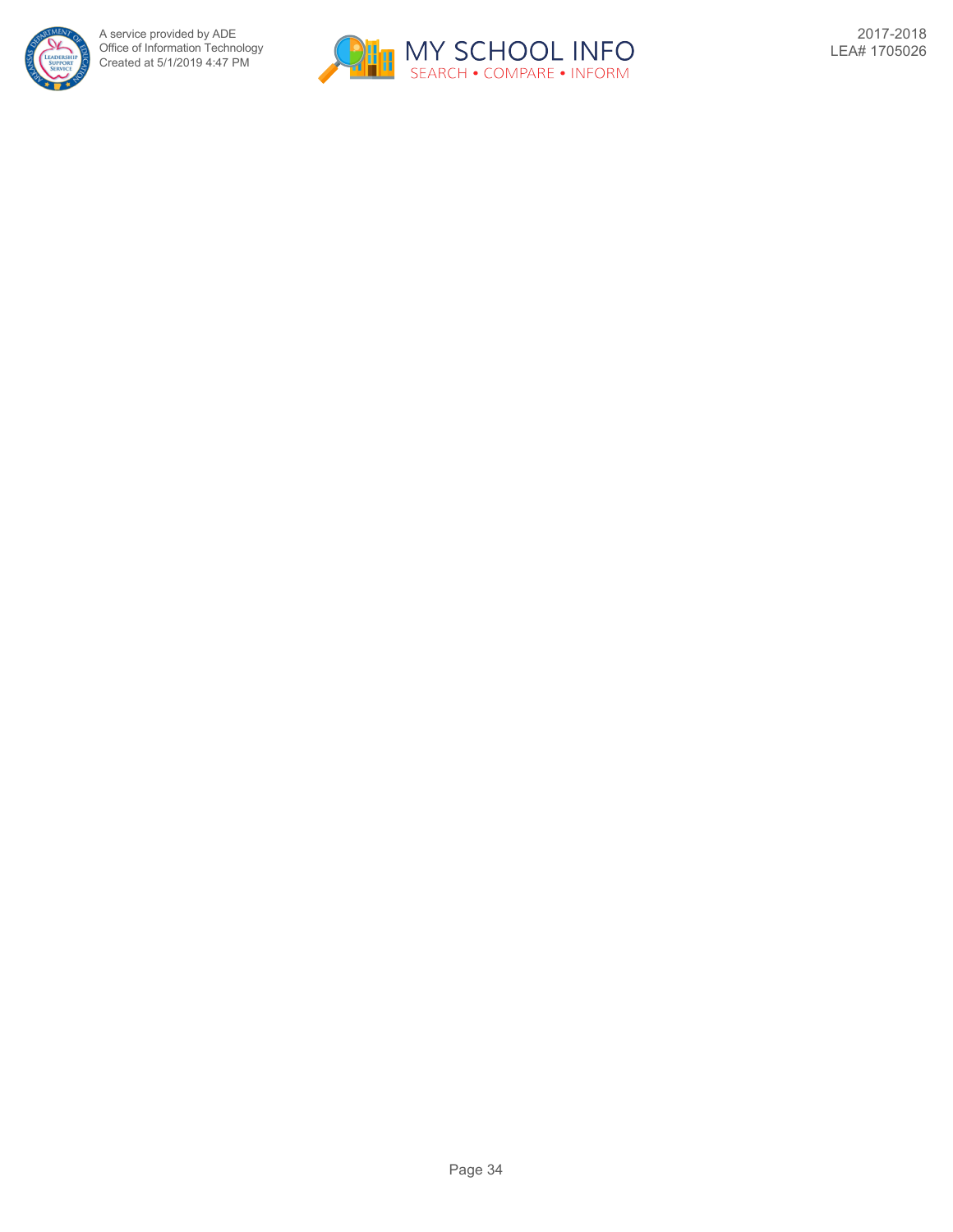

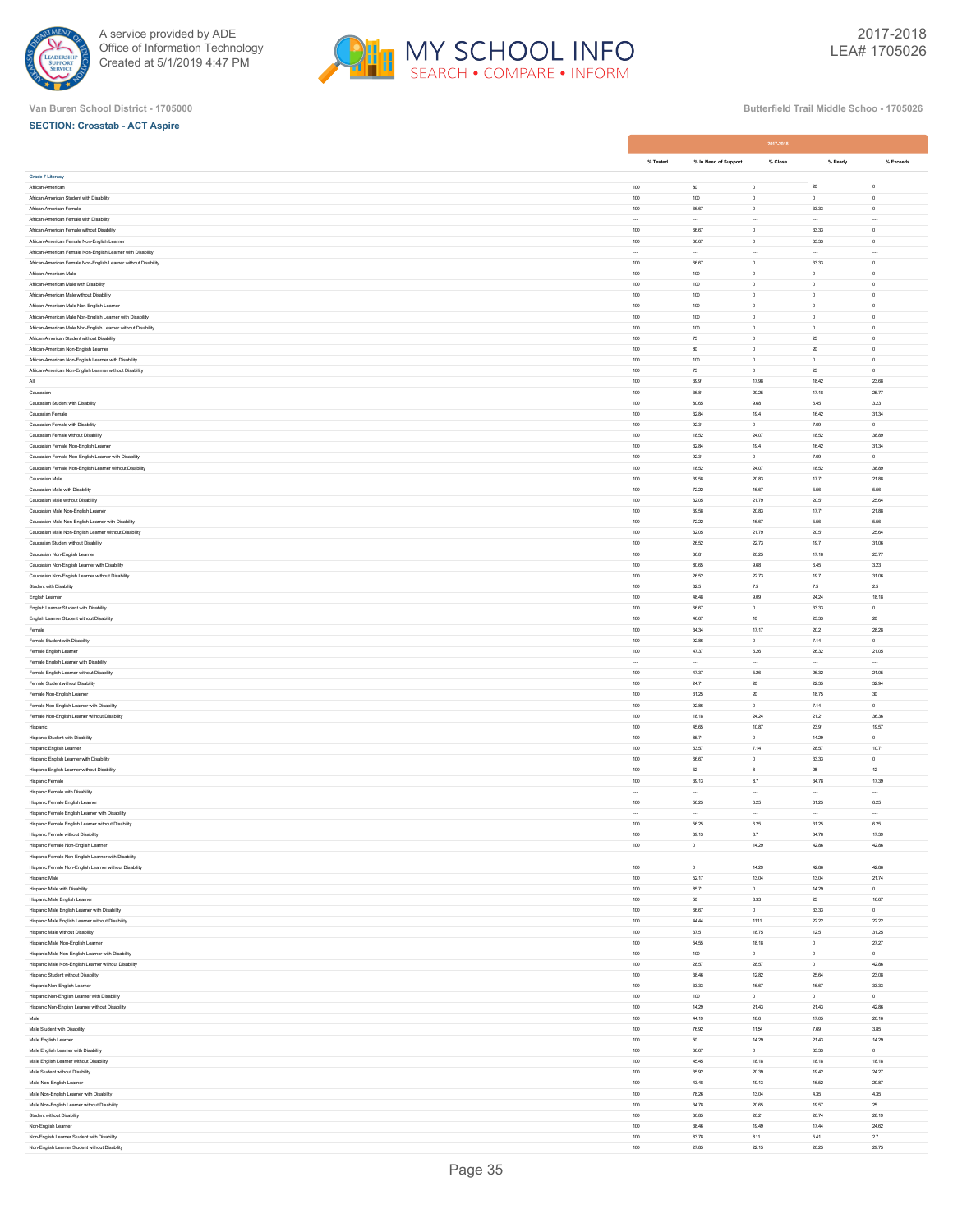



|                                                                                    |                 |                      | 2017-2018            |                      |                          |
|------------------------------------------------------------------------------------|-----------------|----------------------|----------------------|----------------------|--------------------------|
|                                                                                    | % Tested        | % In Need of Support | % Close              | % Ready              | % Exceeds                |
|                                                                                    |                 |                      |                      |                      |                          |
| Grade 7 Literacy<br>African-American                                               | 100             | 80                   | $\,$ 0 $\,$          | $\rm 20$             | $\,$ 0                   |
| African-American Student with Disability                                           | 100             | 100                  | $\,$ 0 $\,$          | $\,$ 0 $\,$          | $\,$ 0 $\,$              |
| African-American Female                                                            | 100             | 66.67                | $\circ$              | 33.33                | $\circ$                  |
| African-American Female with Disability                                            | $\cdots$        | $\cdots$             | $\cdots$             | $\cdots$             | $\cdots$                 |
| African-American Female without Disability                                         | 100             | 66.67                | $\,$ 0               | 33.33                | $\,$ 0 $\,$              |
| African-American Female Non-English Learner                                        | 100             | 66.67                | $\circ$              | 33.33                | $\circ$                  |
| African-American Female Non-English Learner with Disability                        |                 |                      | $\cdots$             |                      | $\cdots$                 |
| African-American Female Non-English Learner without Disability                     | 100             | 66.67                | $\,$ 0               | 33.33                | $\,$ 0 $\,$              |
| African-American Male                                                              | 100             | 100                  | $\,$ 0 $\,$          | $\,$ 0 $\,$          | $\,$ 0 $\,$              |
| African-American Male with Disability                                              | 100             | 100                  | $\,$ 0               | $\circ$              | $\,0\,$                  |
| African-American Male without Disability                                           | 100             | 100                  | $\circ$              | $^{\circ}$           | $\circ$                  |
| African-American Male Non-English Learner                                          | 100             | 100                  | $\,$ 0 $\,$          | $\circ$              | $\,$ 0 $\,$              |
| African-American Male Non-English Learner with Disability                          | 100             | 100                  | $\,$ 0 $\,$          | $\,$ 0               | $\,0\,$                  |
| African-American Male Non-English Learner without Disability                       | 100             | 100                  | $\,$ 0 $\,$          | $\circ$              | $\circ$                  |
| African-American Student without Disability                                        | 100             | $75\,$               | $\,$ 0               | 25                   | $\,$ 0 $\,$              |
| African-American Non-English Learner                                               | 100             | 80                   | $\,$ 0 $\,$          | $20\,$               | $\circ$                  |
| African-American Non-English Learner with Disability                               | 100             | 100                  | $\,$ 0 $\,$          | $\circ$              | $\circ$                  |
| African-American Non-English Learner without Disability<br>All                     | 100<br>100      | $75\,$<br>39.91      | $\,$ 0<br>17.98      | 25<br>18.42          | $\,$ 0 $\,$<br>23.68     |
| Caucasian                                                                          | 100             | 36.81                | 20.25                | 17.18                | 25.77                    |
| Caucasian Student with Disability                                                  | 100             | 80.65                | 9.68                 | 6.45                 | 3.23                     |
| Caucasian Female                                                                   | 100             | 32.84                | 19.4                 | 16.42                | 31.34                    |
| Caucasian Female with Disability                                                   | 100             | 92.31                | $\,$ 0 $\,$          | 7.69                 | $\,$ 0                   |
| Caucasian Female without Disability                                                | 100             | 18.52                | 24.07                | 18.52                | 38.89                    |
| Caucasian Female Non-English Learner                                               | 100             | 32.84                | 19.4                 | 16.42                | 31.34                    |
| Caucasian Female Non-English Learner with Disability                               | 100             | 92.31                | $\,$ 0               | 7.69                 | $\,0\,$                  |
| Caucasian Female Non-English Learner without Disability                            | 100             | 18.52                | 24.07                | 18.52                | 38.89                    |
| Caucasian Male                                                                     | 100             | 39.58                | 20.83                | 17.71                | 21.88                    |
| Caucasian Male with Disability                                                     | 100             | 72.22                | 16.67                | 5.56                 | 5.56                     |
| Caucasian Male without Disability                                                  | 100             | 32.05                | 21.79                | 20.51                | 25.64                    |
| Caucasian Male Non-English Learner                                                 | 100             | 39.58                | 20.83                | 17.71                | 21.88                    |
| Caucasian Male Non-English Learner with Disability                                 | 100             | 72.22                | 16.67                | 5.56                 | 5.56                     |
| Caucasian Male Non-English Learner without Disability                              | 100             | 32.05                | 21.79                | 20.51                | 25.64                    |
| Caucasian Student without Disability                                               | 100             | 26.52                | 22.73                | 19.7                 | 31.06                    |
| Caucasian Non-English Learner                                                      | 100             | 36.81                | 20.25                | 17.18                | 25.77                    |
| Caucasian Non-English Learner with Disability                                      | 100             | 80.65                | 9.68                 | 6.45                 | 3.23                     |
| Caucasian Non-English Learner without Disability                                   | 100             | 26.52                | 22.73                | 19.7                 | 31.06                    |
| Student with Disability                                                            | 100             | 82.5                 | $7.5\,$              | 7.5                  | $2.5\,$                  |
| English Learner                                                                    | 100             | 48.48                | 9.09                 | 24.24                | 18.18                    |
| English Learner Student with Disability                                            | 100<br>100      | 66.67<br>46.67       | $\,$ 0<br>$10$       | 33.33<br>23.33       | $\,$ 0 $\,$<br>$\rm{20}$ |
| English Learner Student without Disability                                         | 100             | 34.34                | 17.17                | $20.2\,$             | 28.28                    |
| Female<br>Female Student with Disability                                           | 100             | 92.86                | $\circ$              | 7.14                 | $^{\circ}$               |
| Female English Learner                                                             | 100             | 47.37                | 5.26                 | 26.32                | 21.05                    |
| Female English Learner with Disability                                             |                 |                      |                      |                      |                          |
| Female English Learner without Disability                                          | 100             | 47.37                | 5.26                 | 26.32                | 21.05                    |
| Female Student without Disability                                                  | 100             | 24.71                | $\rm{20}$            | 22.35                | 32.94                    |
| Female Non-English Learner                                                         | 100             | 31.25                | $20\,$               | 18.75                | $30\,$                   |
| Female Non-English Learner with Disability                                         | 100             | 92.86                | $\,$ 0 $\,$          | 7.14                 | $\circ$                  |
| Female Non-English Learner without Disability                                      | 100             | 18.18                | 24.24                | 21.21                | 36.36                    |
| Hispanic                                                                           | 100             | 45.65                | 10.87                | 23.91                | 19.57                    |
| Hispanic Student with Disability                                                   | 100             | 85.71                | $\circ$              | 14.29                | $\circ$                  |
| Hispanic English Learner                                                           | 100             | 53.57                | 7.14                 | 28.57                | 10.71                    |
| Hispanic English Learner with Disability                                           | 100             | 66.67                | $\circ$              | 33.33                | $\circ$                  |
| Hispanic English Learner without Disability                                        | 100             | $_{\rm S2}$          | $\boldsymbol{8}$     | $\rm 28$             | $^{\rm 12}$              |
| Hispanic Female                                                                    | 100             | 39.13                | 8.7                  | 34.78                | 17.39                    |
| Hispanic Female with Disability                                                    | $\cdots$        | $\sim$               | $\ddotsc$            | $\cdots$             |                          |
| Hispanic Female English Learner<br>Hispanic Female English Learner with Disability | 100<br>$\cdots$ | 56.25<br>$\cdots$    | $6.25\,$<br>$\cdots$ | 31.25<br>$\ddotsc$   | 6.25<br>$\cdots$         |
| Hispanic Female English Learner without Disability                                 | 100             | 56.25                | 6.25                 | 31.25                | 6.25                     |
| Hispanic Female without Disability                                                 | 100             | 39.13                | 87                   | 34.78                | 17.39                    |
| Hispanic Female Non-English Learner                                                | 100             | $\circ$              | 14.29                | 42.86                | 42.86                    |
| Hispanic Female Non-English Learner with Disability                                |                 | $\ddot{\phantom{0}}$ | $\ddot{\phantom{0}}$ | $\ddotsc$            | $\ddotsc$                |
| Hispanic Female Non-English Learner without Disability                             | 100             | $\circ$              | 14.29                | 42.86                | 42.86                    |
| Hispanic Male                                                                      | 100             | 62.17                | 13.04                | 13.04                | 21.74                    |
| Hispanic Male with Disability                                                      | 100             | 85.71                | $\,$ 0               | 14.29                | $\,$ 0 $\,$              |
| Hispanic Male English Learner                                                      | 100             | 60                   | 8.33                 | 25                   | 16.67                    |
| Hispanic Male English Learner with Disability                                      | 100             | 66.67                | $\,$ 0 $\,$          | 33.33                | $\circ$                  |
| Hispanic Male English Learner without Disability                                   | 100             | 44.44                | 11.11                | 22.22                | 22.22                    |
| Hispanic Male without Disability                                                   | 100             | 37.5                 | 18.75                | 12.5                 | 31.25                    |
| Hispanic Male Non-English Learner                                                  | 100             | 54.55                | 18.18                | $\,$ 0               | 27.27                    |
| Hispanic Male Non-English Learner with Disability                                  | 100             | 100                  | $\,$ 0               | $\,0\,$              | $\,$ 0 $\,$              |
| Hispanic Male Non-English Learner without Disability                               | 100             | 28.57                | 28.57                | $\,$ 0 $\,$          | 42.86                    |
| Hispanic Student without Disability                                                | 100             | 38.46                | 12.82                | 25.64                | 23.08                    |
| Hispanic Non-English Learner                                                       | 100             | 33.33                | 16.67                | 16.67                | 33.33                    |
| Hispanic Non-English Learner with Disability                                       | 100<br>100      | 100<br>14.29         | $\,$ 0 $\,$<br>21.43 | $\,$ 0 $\,$<br>21.43 | $\,$ 0 $\,$<br>42.86     |
| Hispanic Non-English Learner without Disability<br>Male                            | 100             | 44.19                | 18.6                 | 17.05                | 20.16                    |
| Male Student with Disability                                                       | 100             | 76.92                | 11.54                | 7.69                 | 3.85                     |
| Male English Learner                                                               | 100             | 60                   | 14.29                | 21.43                | 14.29                    |
| Male English Learner with Disability                                               | 100             | 66.67                | $\,$ 0 $\,$          | 33.33                | $\circ$                  |
| Male English Learner without Disability                                            | 100             | 45.45                | 18.18                | 18.18                | 18.18                    |
| Male Student without Disability                                                    | 100             | 35.92                | 20.39                | 19.42                | 24.27                    |
| Male Non-English Learner                                                           | 100             | 43.48                | 19.13                | 16.52                | 20.87                    |
| Male Non-English Learner with Disability                                           | 100             | 78.26                | 13.04                | 4.35                 | 4.35                     |
| Male Non-English Learner without Disability                                        | 100             | 34.78                | 20.65                | 19.57                | 25                       |
| Student without Disability                                                         | 100             | 30.85                | 20.21                | 20.74                | 28.19                    |
| Non-English Learner                                                                | 100             | 38.46                | 19.49                | 17.44                | 24.62                    |
| Non-English Learner Student with Disability                                        | 100             | 83.78                | 8.11                 | 5.41                 | $2.7\,$                  |
| Non-English Learner Student without Disability                                     | 100             | 27.85                | 22.15                | 20.25                | 29.75                    |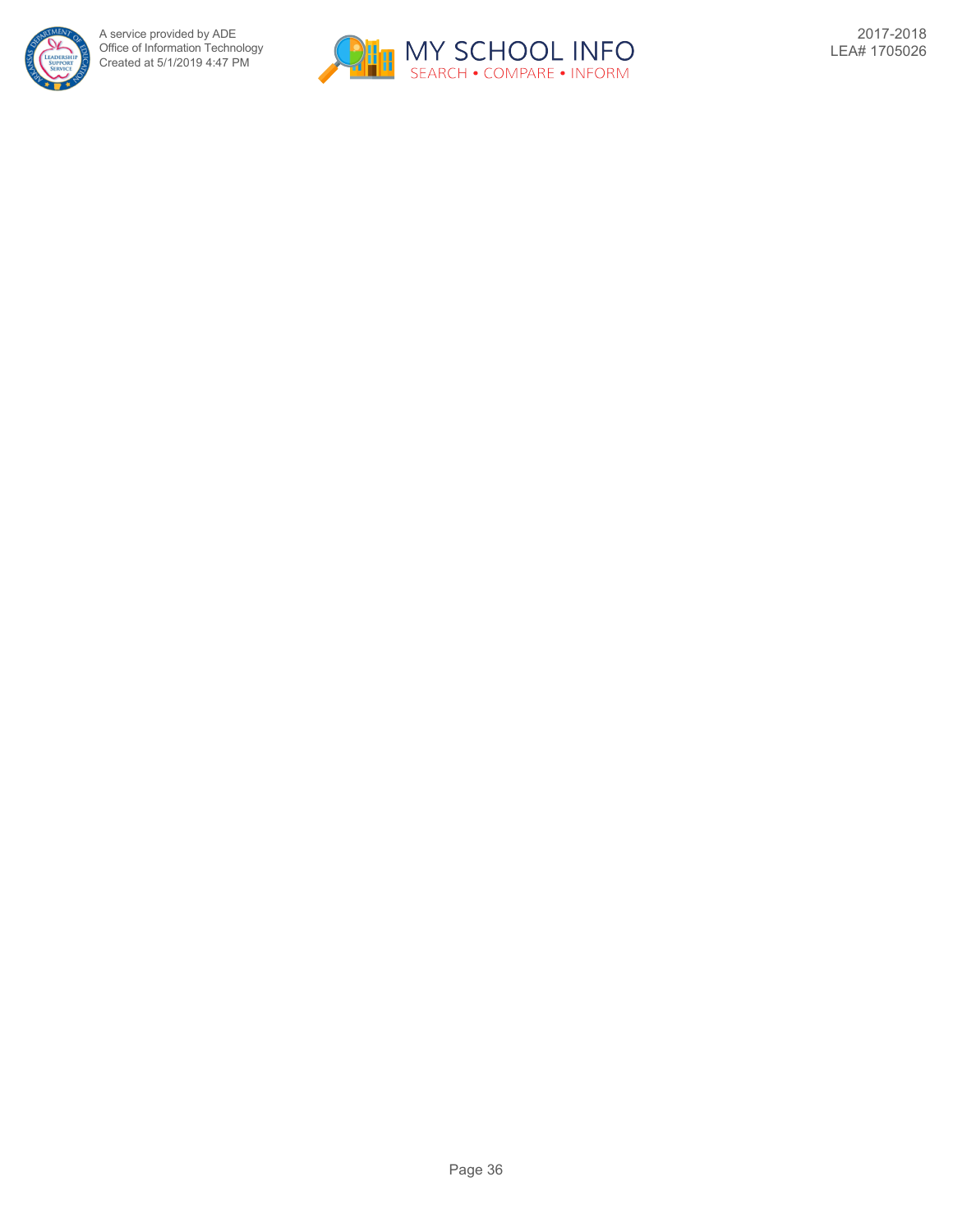

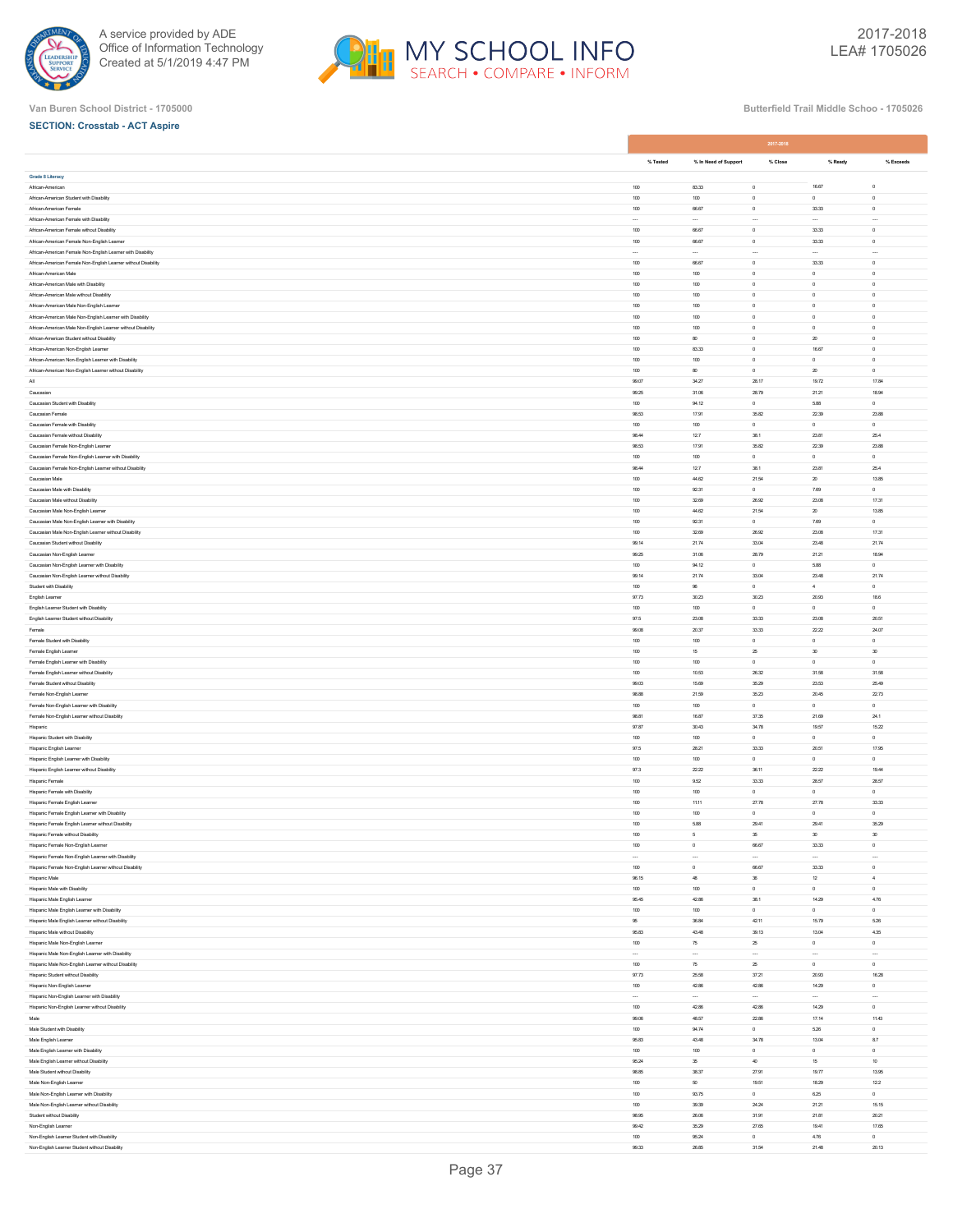



|                                                                                                   |                 |                      | 2017-2018           |                      |                          |
|---------------------------------------------------------------------------------------------------|-----------------|----------------------|---------------------|----------------------|--------------------------|
|                                                                                                   | $\%$ Tested     | % In Need of Support | % Close             | % Ready              | $%$ Exceeds              |
|                                                                                                   |                 |                      |                     |                      |                          |
| <b>Grade 8 Literacy</b>                                                                           |                 |                      |                     |                      |                          |
| African-American                                                                                  | 100             | 83.33                | $\circ$             | 16.67                | $\circ$                  |
| African-American Student with Disability                                                          | 100             | 100                  | $\,$ 0              | $\circ$              | $\circ$                  |
| African-American Female                                                                           | $100\,$         | 66.67                | $\,$ 0<br>$\ddotsc$ | 33.33<br>$\ddotsc$   | $\,$ 0 $\,$<br>$\ddotsc$ |
| African-American Female with Disability                                                           | $\sim$          | i.                   |                     |                      |                          |
| African-American Female without Disability                                                        | 100             | 66.67                | $\circ$             | 33.33                | $\circ$                  |
| African-American Female Non-English Learner                                                       | $100\,$         | 66.67                | $\,$ 0              | 33.33                | $\,$ 0 $\,$              |
| African-American Female Non-English Learner with Disability                                       | $\cdots$        | $\sim$               | $\ddotsc$           | $\ddot{\phantom{a}}$ | $\cdots$                 |
| African-American Female Non-English Learner without Disability                                    | 100             | 66.67                | $\,$ 0              | 33.33                | $\circ$                  |
| African-American Male                                                                             | 100             | 100                  | $\,$ 0              | $\,0\,$              | $\,0\,$                  |
| African-American Male with Disability                                                             | 100             | 100                  | $\circ$             | $\circ$              | $\circ$                  |
| African-American Male without Disability                                                          | $100\,$         | 100                  | $\,$ 0 $\,$         | $\circ$              | $\,$ 0                   |
| African-American Male Non-English Learner                                                         | 100             | 100                  | $\,$ 0              | $\,0\,$              | $\,0\,$                  |
| African-American Male Non-English Learner with Disability                                         | 100             | 100                  | $\,$ 0              | $\circ$              | $\,$ 0 $\,$              |
| African-American Male Non-English Learner without Disability                                      | $100\,$         | 100                  | $\,$ 0 $\,$         | $\circ$              | $\,$ 0                   |
| African-American Student without Disability                                                       | 100             | 80                   | $\,$ 0              | $20\,$               | $\circ$                  |
| African-American Non-English Learner                                                              | 100             | 83.33                | $\,$ 0              | 16.67                | $\,$ 0 $\,$              |
| African-American Non-English Learner with Disability                                              | 100             | 100                  | $\circ$             | $\circ$              | $\circ$                  |
| African-American Non-English Learner without Disability                                           | 100             | 80                   | $\circ$             | 20                   | $\circ$                  |
| $AII$                                                                                             | 99.07           | 34.27                | 28.17               | 19.72                | 17.84                    |
| Caucasian                                                                                         | 99.25           | 31.06                | 28.79               | 21.21                | 18.94                    |
| Caucasian Student with Disability                                                                 | 100             | 94.12                | $\,$ 0              | 5.88                 | $\circ$                  |
| Caucasian Female                                                                                  | 98.53           | 17.91                | 35.82               | 22.39                | 23.88                    |
| Caucasian Female with Disability                                                                  | 100             | 100                  | $\circ$             | $\circ$              | $\circ$                  |
| Caucasian Female without Disability                                                               | 98.44           | 12.7                 | 38.1                | 23.81                | 25.4                     |
| Caucasian Female Non-English Learner                                                              | 98.53           | 17.91                | 35.82               | 22.39                | 23.88                    |
| Caucasian Female Non-English Learner with Disability                                              | 100             | 100                  | $\circ$             | $\circ$              | $\circ$                  |
| Caucasian Female Non-English Learner without Disability                                           | 98.44           | 12.7                 | 38.1                | 23.81                | 25.4                     |
| Caucasian Male                                                                                    | 100             | 44.62                | 21.54               | 20                   | 13.85                    |
| Caucasian Male with Disability                                                                    | 100             | 92.31                | $\,$ 0 $\,$         | 7.69                 | $\,$ 0 $\,$              |
| Caucasian Male without Disability                                                                 | $100\,$         | 32.69                | 26.92               | 23.08                | 17.31                    |
| Caucasian Male Non-English Learner                                                                | 100             | 44.62                | 21.54               | 20                   | 13.85                    |
| Caucasian Male Non-English Learner with Disability                                                | 100             | 92.31                | $\,$ 0              | 7.69                 | $\,$ 0 $\,$              |
| Caucasian Male Non-English Learner without Disability                                             | 100             | 32.69                | 26.92               | 23.08                | 17.31                    |
|                                                                                                   | 99.14           | 21.74                | 33.04               | 23.48                | 21.74                    |
| Caucasian Student without Disability<br>Caucasian Non-English Learner                             | 99.25           | 31.06                | 28.79               | 21.21                | 18.94                    |
|                                                                                                   |                 |                      |                     |                      |                          |
| Caucasian Non-English Learner with Disability                                                     | 100             | 94.12                | $\circ$             | 5.88                 | $\circ$                  |
| Caucasian Non-English Learner without Disability                                                  | 99.14           | 21.74                | 33.04               | 23.48                | 21.74                    |
| Student with Disability                                                                           | $100\,$         | $96\,$               | $\,$ 0              | $\,$ 4 $\,$          | $\,$ 0 $\,$              |
| English Learner                                                                                   | 97.73           | 30.23                | 30.23               | 20.93                | 18.6                     |
| English Learner Student with Disability                                                           | 100             | 100                  | $\circ$             | $\circ$              | $\circ$                  |
| English Learner Student without Disability                                                        | 97.5            | 23.08                | 33.33               | 23.08                | 20.51                    |
| Female                                                                                            | 99.08           | 20.37                | 33.33               | 22.22                | 24.07                    |
| Female Student with Disability                                                                    | $100\,$         | 100                  | $\,$ 0              | $\circ$              | $\,$ 0                   |
|                                                                                                   |                 |                      |                     |                      |                          |
| Female English Learner                                                                            | 100             | 15 <sub>15</sub>     | $\rm{2S}$           | $30\,$               | $30\,$                   |
| Female English Learner with Disability                                                            | 100             | 100                  | $\,$ 0              | $\,$ 0 $\,$          | $\,$ 0 $\,$              |
| Female English Learner without Disability                                                         | $100\,$         | 10.53                | 26.32               | 31.58                | 31.58                    |
| Female Student without Disability                                                                 | 99.03           | 15.69                | 35.29               | 23.53                | 25.49                    |
| Female Non-English Learner                                                                        | 98.88           | 21.59                | 35.23               | 20.45                | 22.73                    |
| Female Non-English Learner with Disability                                                        | 100             | 100                  | $\circ$             | $\circ$              | $\circ$                  |
| Female Non-English Learner without Disability                                                     | 98.81           | 16.87                | 37.35               | 21.69                | 24.1                     |
| Hispanic                                                                                          | 97.87           | 30.43                | 34.78               | 19.57                | 15.22                    |
| Hispanic Student with Disability                                                                  | 100             | 100                  | $\circ$             | $\circ$              | $\circ$                  |
| Hispanic English Learner                                                                          | 97.5            | 28.21                | 33.33               | 20.51                | 17.95                    |
|                                                                                                   |                 |                      |                     |                      |                          |
| Hispanic English Learner with Disability<br>Hispanic English Learner without Disability           | $100\,$<br>97.3 | 100<br>22.22         | $\,$ 0<br>36.11     | $\,$ 0 $\,$<br>22.22 | $\,$ 0 $\,$<br>19.44     |
| Hispanic Female                                                                                   | 100             | 9.52                 | 33.33               | 28.57                | 28.57                    |
| Hispanic Female with Disability                                                                   | 100             | 100                  | $\,$ 0              | $\,0\,$              | $\circ$                  |
| Hispanic Female English Learner                                                                   | 100             | 11.11                | 27.78               | 27.78                | 33.33                    |
| Hispanic Female English Learner with Disability                                                   | $100\,$         | 100                  | $\,$ 0              | $\circ$              | $\circ$                  |
| Hispanic Female English Learner without Disability                                                | 100             | 5.88                 | 29.41               | 29.41                | 35.29                    |
| Hispanic Female without Disability                                                                | 100             | $\sqrt{5}$           | $36\,$              | $30\,$               | $30\,$                   |
| Hispanic Female Non-English Learner                                                               | $100\,$         | $\,$ 0               | 66.67               | 33.33                | $\,0\,$                  |
| Hispanic Female Non-English Learner with Disability                                               | $\cdots$        | $\cdots$             | $\cdots$            | $\cdots$             | $\cdots$                 |
|                                                                                                   | 100             | $\,$ 0 $\,$          | 66.67               | 33.33                | $\circ$                  |
| Hispanic Female Non-English Learner without Disability                                            |                 | 48                   | 36                  | $12$                 | $\sim$                   |
| Hispanic Male<br>Hispanic Male with Disability                                                    | 96.15<br>100    | 100                  | $\circ$             | $\circ$              | $\circ$                  |
|                                                                                                   |                 |                      |                     |                      |                          |
| Hispanic Male English Learner                                                                     | 95.45           | 42.86                | 38.1<br>$\circ$     | 14.29<br>$\circ$     | 4.76<br>$\circ$          |
| Hispanic Male English Learner with Disability<br>Hispanic Male English Learner without Disability | 100<br>95       | 100                  |                     |                      |                          |
|                                                                                                   |                 | 36.84                | 42.11               | 15.79                | 5.26                     |
| Hispanic Male without Disability                                                                  | 95.83           | 43.48<br>75          | 39.13               | 13.04<br>$\circ$     | 4.35<br>$\circ$          |
| Hispanic Male Non-English Learner                                                                 | 100             |                      | $\rm{2S}$           |                      |                          |
| Hispanic Male Non-English Learner with Disability                                                 |                 | $\cdots$             | $\cdots$            | $\cdots$             | $\cdots$                 |
| Hispanic Male Non-English Learner without Disability                                              | 100             | 75                   | $_{\rm 25}$         | $\,0\,$              | $\,0\,$                  |
| Hispanic Student without Disability                                                               | 97.73           | 25.58                | 37.21               | 20.93                | 16.28                    |
| Hispanic Non-English Learner                                                                      | $100\,$         | 42.86                | 42.86               | 14.29                | $\,0\,$                  |
| Hispanic Non-English Learner with Disability                                                      | $\cdots$        | $\sim$               | $\sim$              | $\ddotsc$            | $\sim$                   |
| Hispanic Non-English Learner without Disability                                                   | 100             | 42.86                | 42.86               | 14.29                | $\,$ 0 $\,$              |
| Male                                                                                              | 99.06           | 48.57                | 22.86               | 17.14                | 11.43                    |
| Male Student with Disability                                                                      | 100             | 94.74                | $\circ$             | 5.26                 | $\circ$                  |
| Male English Learner                                                                              | 95.83           | 43.48                | 34.78               | 13.04                | 8.7                      |
| Male English Learner with Disability                                                              | 100             | 100                  | $\,0\,$             | $\circ$              | $\,$ 0                   |
| Male English Learner without Disability                                                           | 95.24           | 35                   | 40                  | 15                   | 10 <sup>°</sup>          |
| Male Student without Disability                                                                   | 98.85           | 38.37                | 27.91               | 19.77                | 13.95                    |
| Male Non-English Learner                                                                          | 100             | 60                   | 19.51               | 18.29                | 12.2                     |
| Male Non-English Learner with Disability                                                          | 100             | 93.75                | $\,$ 0              | 6.25                 | $\,$ 0 $\,$              |
| Male Non-English Learner without Disability                                                       | $100\,$         | 39.39                | 24.24               | 21.21                | 15.15                    |
| Student without Disability                                                                        | 98.95           | 26.06                | 31.91               | 21.81                | 20.21                    |
| Non-English Learner                                                                               | 99.42           | 35.29                | 27.65               | 19.41                | 17.65                    |
| Non-English Learner Student with Disability<br>Non-English Learner Student without Disability     | 100<br>99.33    | 95.24<br>26.85       | $\circ$<br>31.54    | 4.76<br>21.48        | $\,0\,$<br>20.13         |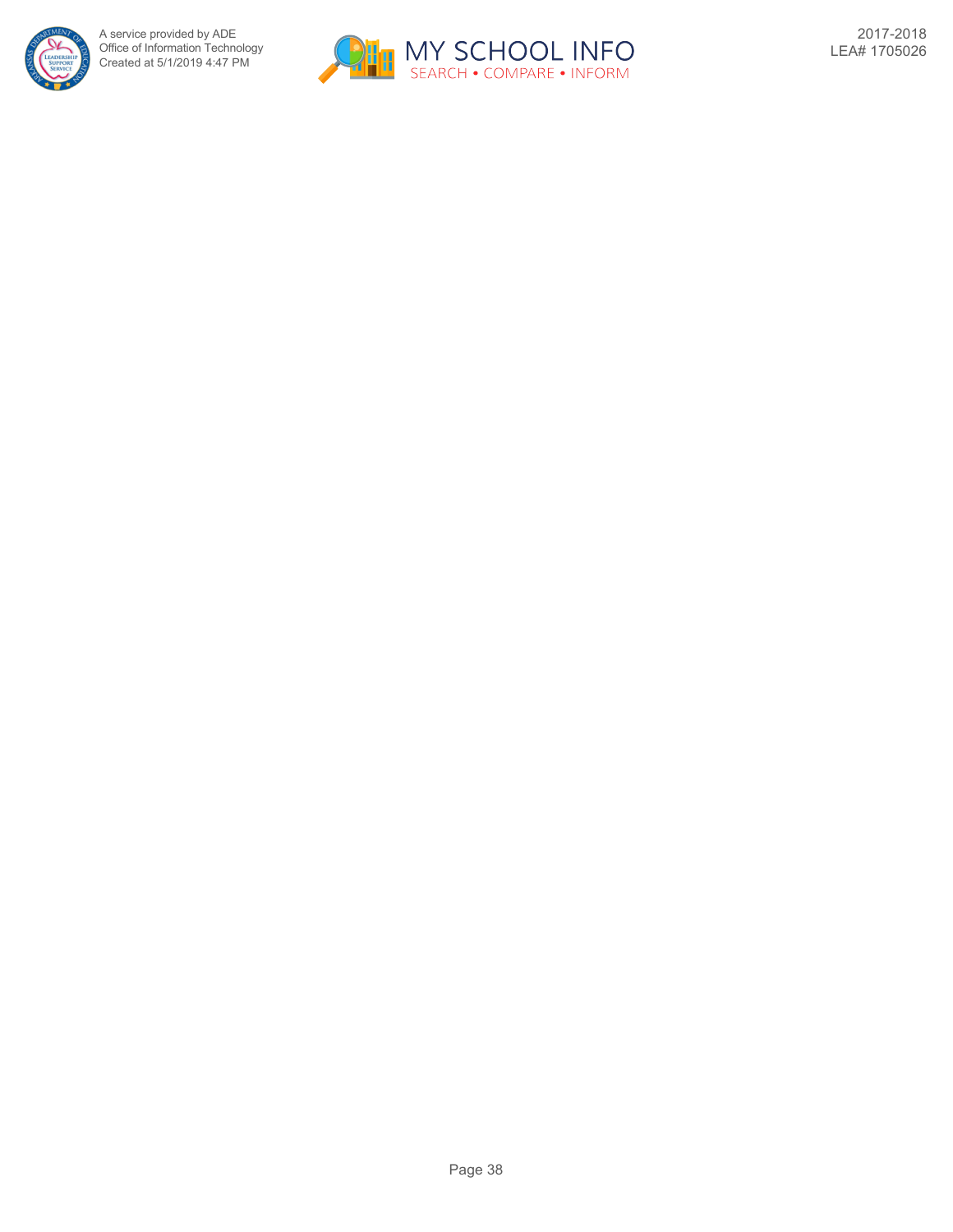

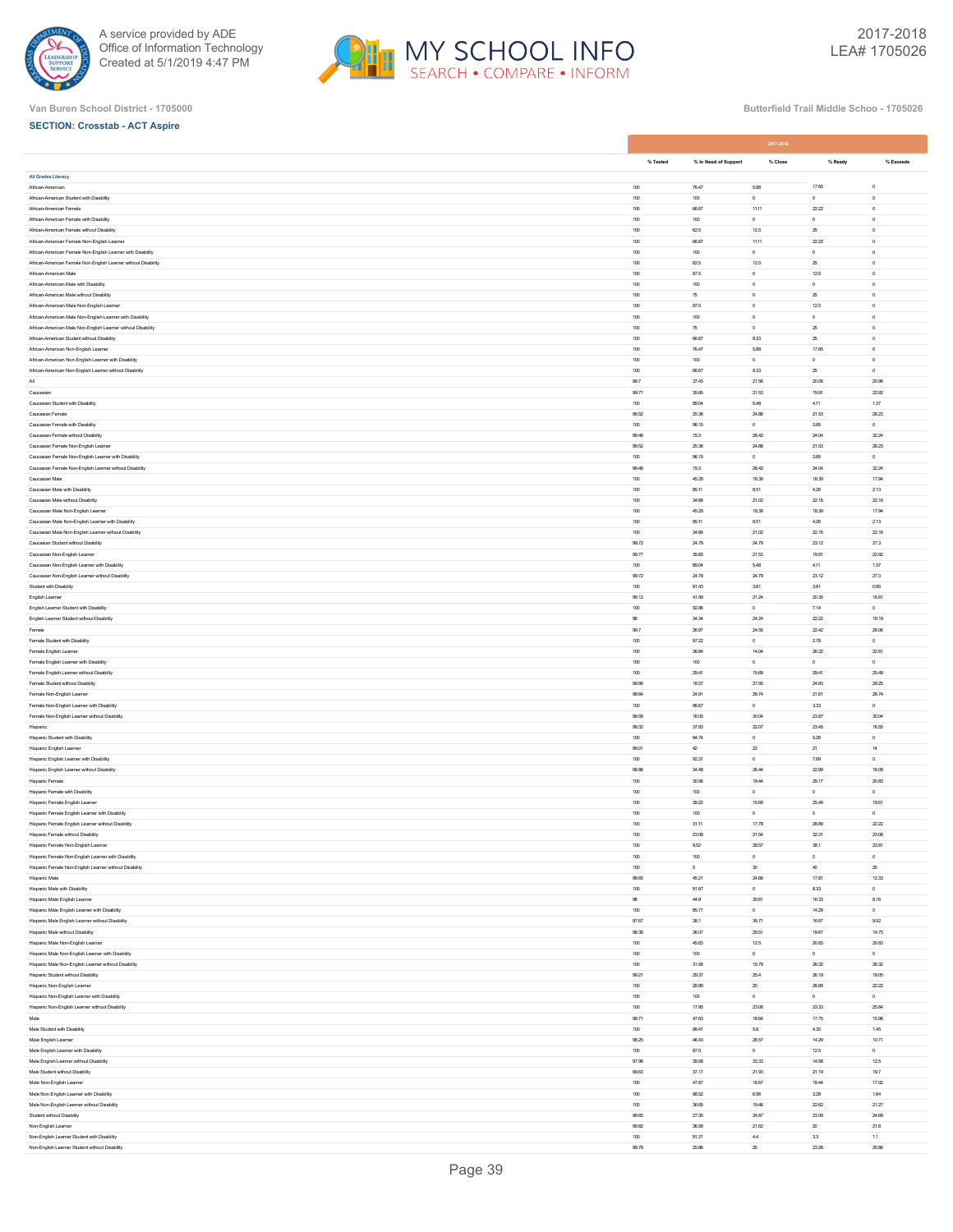



|                                                                                               |                  |                      | 2017-2018               |                  |                      |
|-----------------------------------------------------------------------------------------------|------------------|----------------------|-------------------------|------------------|----------------------|
|                                                                                               | $%$ Tested       | % In Need of Support | % Close                 | % Ready          | % Exceeds            |
| <b>All Grades Literacy</b>                                                                    |                  |                      |                         |                  |                      |
| African-American                                                                              | $100\,$          | 76.47                | 5.88                    | 17.65            | $\,$ 0 $\,$          |
| African-American Student with Disability                                                      | 100              | 100                  | $\,$ 0 $\,$             | $\circ$          | $\circ$              |
| African-American Female                                                                       | 100              | 66.67                | 11.11                   | 22.22            | $\,$ 0 $\,$          |
| African-American Female with Disability                                                       | $100\,$          | 100                  | $\,$ 0                  | $\circ$          | $\,0\,$              |
| African-American Female without Disability                                                    | 100              | 62.5                 | 12.5                    | 25               | $\circ$              |
| African-American Female Non-English Learner                                                   | 100              | 66.67                | 11.11                   | 22.22<br>$\circ$ | $\circ$              |
| African-American Female Non-English Learner with Disability                                   | 100<br>100       | 100<br>62.5          | $\,0\,$<br>125          | 25               | $\,$ 0<br>$\circ$    |
| African-American Female Non-English Learner without Disability<br>African-American Male       | 100              | 87.5                 | $\,$ 0 $\,$             | 12.5             | $\,$ 0 $\,$          |
| African-American Male with Disability                                                         | 100              | 100                  | $\,$ 0 $\,$             | $\circ$          | $\circ$              |
| African-American Male without Disability                                                      | 100              | 75                   | $\,$ 0 $\,$             | 25               | $\circ$              |
| African-American Male Non-English Learner                                                     | $100\,$          | $87.5\,$             | $\,$ 0 $\,$             | 12.5             | $\,$ 0               |
| African-American Male Non-English Learner with Disability                                     | 100              | 100                  | $\circ$                 | $\circ$          | $\circ$              |
| African-American Male Non-English Learner without Disability                                  | 100              | $75\,$               | $\,$ 0 $\,$             | 25               | $\,$ 0 $\,$          |
| African-American Student without Disability                                                   | 100              | 66.67                | 8.33                    | 25               | $\,$ 0 $\,$          |
| African-American Non-English Learner                                                          | 100              | 76.47                | 5.88                    | 17.65            | $\circ$              |
| African-American Non-English Learner with Disability                                          | $100\,$          | 100                  | $\,$ 0                  | $\circ$          | $\,0\,$              |
| African-American Non-English Learner without Disability<br>$\mathsf{All}$                     | 100<br>99.7      | 66.67<br>37.43       | 8.33<br>21.56           | 25<br>20.06      | $\,$ 0 $\,$<br>20.96 |
| Caucasian                                                                                     | 99.77            | 35.65                | 21.53                   | 19.91            | 22.92                |
| Caucasian Student with Disability                                                             | 100              | 89.04                | 5.48                    | 4.11             | 1.37                 |
| Caucasian Female                                                                              | 99.52            | 25.36                | 24.88                   | 21.53            | 28.23                |
| Caucasian Female with Disability                                                              | 100              | 96.15                | $\,$ 0 $\,$             | 3.85             | $\,$ 0               |
| Caucasian Female without Disability                                                           | 99.46            | 15.3                 | 28.42                   | 24.04            | 32.24                |
| Caucasian Female Non-English Learner                                                          | 99.52            | 25.36                | 24.88                   | 21.53            | 28.23                |
| Caucasian Female Non-English Learner with Disability                                          | 100              | 96.15                | $\circ$                 | 3.85             | $\circ$              |
| Caucasian Female Non-English Learner without Disability                                       | 99.46            | 15.3                 | 28.42                   | 24.04            | 32.24                |
| Caucasian Male                                                                                | $100\,$<br>100   | 45.29<br>85.11       | 18.39<br>8.51           | 18.39<br>4.26    | 17.94<br>2.13        |
| Caucasian Male with Disability<br>Caucasian Male without Disability                           | 100              | 34.66                | 21.02                   | 22.16            | 22.16                |
| Caucasian Male Non-English Learner                                                            | 100              | 45.29                | 18.39                   | 18.39            | 17.94                |
| Caucasian Male Non-English Learner with Disability                                            | 100              | 85.11                | 8.51                    | 4.26             | 2.13                 |
| Caucasian Male Non-English Learner without Disability                                         | $100\,$          | 34.66                | 21.02                   | 22.16            | 22.16                |
| Caucasian Student without Disability                                                          | 99.72            | 24.79                | 24.79                   | 23.12            | 27.3                 |
| Caucasian Non-English Learner                                                                 | 99.77            | 35.65                | 21.53                   | 19.91            | 22.92                |
| Caucasian Non-English Learner with Disability                                                 | $100\,$          | 89.04                | 5.48                    | 4.11             | 1.37                 |
| Caucasian Non-English Learner without Disability                                              | 99.72            | 24.79                | 24.79                   | 23.12            | 27.3                 |
| Student with Disability                                                                       | 100              | 91.43                | 3.81                    | 3.81             | 0.95                 |
| English Learner                                                                               | 99.12<br>100     | 41.59<br>92.86       | 21.24<br>$\,$ 0 $\,$    | 20.35<br>7.14    | 16.81<br>$\circ$     |
| English Learner Student with Disability<br>English Learner Student without Disability         | $99\,$           | 34.34                | 24.24                   | 22.22            | 19.19                |
| Female                                                                                        | 99.7             | 26.97                | 24.55                   | 22.42            | 26.06                |
| Female Student with Disability                                                                | 100              | 97.22                | $\,$ 0 $\,$             | 2.78             | $\circ$              |
| Female English Learner                                                                        | $100\,$          | 36.84                | 14.04                   | 26.32            | 22.81                |
| Female English Learner with Disability                                                        | 100              | 100                  | $\circ$                 | $\circ$          | $\circ$              |
| Female English Learner without Disability                                                     | 100              | 29.41                | 15.69                   | 29.41            | 25.49                |
| Female Student without Disability                                                             | 99.66            | 18.37                | 27.55                   | 24.83            | 29.25                |
| Female Non-English Learner                                                                    | 99.64            | 24.91                | 26.74                   | 21.61            | 26.74                |
| Female Non-English Learner with Disability                                                    | $100\,$          | 96.67                | $\,$ 0                  | $3.33\,$         | $\,0\,$              |
| Female Non-English Learner without Disability<br>Hispanic                                     | 99.59<br>99.32   | 16.05<br>37.93       | 30.04<br>22.07          | 23.87<br>23.45   | 30.04<br>16.55       |
| Hispanic Student with Disability                                                              | $100\,$          | 94.74                | $\,$ 0 $\,$             | $_{\rm 5.26}$    | $\circ$              |
| Hispanic English Learner                                                                      | 99.01            | 42                   | 23                      | $21\,$           | $^{\rm 14}$          |
| Hispanic English Learner with Disability                                                      | 100              | 92.31                | $\,$ 0 $\,$             | 7.69             | $\,$ 0 $\,$          |
| Hispanic English Learner without Disability                                                   | 98.86            | 34.48                | 26.44                   | 22.99            | 16.09                |
| Hispanic Female                                                                               | 100              | 30.56                | 19.44                   | 29.17            | 20.83                |
| Hispanic Female with Disability                                                               | $100\,$          | 100                  | $\,$ 0 $\,$             | $\,$ 0 $\,$      | $\,$ 0 $\,$          |
| Hispanic Female English Learner                                                               | 100              | 39.22                | 15.69                   | 25.49            | 19.61                |
| Hispanic Female English Learner with Disability                                               | 100              | 100                  | $\,$ 0 $\,$             | $\circ$          | $\circ$              |
| Hispanic Female English Learner without Disability<br>Hispanic Female without Disability      | $100\,$<br>100   | 31.11<br>23.08       | 17.78<br>21.54          | 28.89<br>32.31   | 22.22<br>23.08       |
| Hispanic Female Non-English Learner                                                           | 100              | 9.52                 | 28.57                   | 38.1             | 23.81                |
| Hispanic Female Non-English Learner with Disability                                           | 100              | 100                  | $\,$ 0 $\,$             | $\circ$          | $\circ$              |
| Hispanic Female Non-English Learner without Disability                                        | 100              | $\mathsf{s}$         | 30                      | 40               | $_{\rm 2S}$          |
| Hispanic Male                                                                                 | 98.65            | 45.21                | 24.66                   | 17.81            | 12.33                |
| Hispanic Male with Disability                                                                 | 100              | 91.67                | $\,$ 0                  | 8.33             | $\,$ 0 $\,$          |
| Hispanic Male English Learner                                                                 |                  | 44.9                 | 30.61                   | 16.33            | 8.16                 |
| Hispanic Male English Learner with Disability                                                 | 98               |                      | $\,0\,$                 | 14.29            | $\circ$              |
|                                                                                               | $100\,$          | 85.71                |                         | 16.67            | 9.52                 |
| Hispanic Male English Learner without Disability                                              | 97.67            | 38.1                 | 35.71                   |                  | 14.75                |
| Hispanic Male without Disability                                                              | 98.39            | 36.07                | 29.51                   | 19.67            |                      |
| Hispanic Male Non-English Learner                                                             | 100              | 45.83                | 12.5                    | 20.83            | 20.83                |
| Hispanic Male Non-English Learner with Disability                                             | 100              | 100                  | $\,$ 0 $\,$             | $\circ$          | $\circ$              |
| Hispanic Male Non-English Learner without Disability                                          | $100\,$<br>99.21 | 31.58<br>29.37       | 15.79<br>25.4           | 26.32<br>26.19   | 26.32<br>19.05       |
| Hispanic Student without Disability<br>Hispanic Non-English Learner                           | 100              | 28.89                | $20\,$                  | 28.89            | 22.22                |
| Hispanic Non-English Learner with Disability                                                  | $100\,$          | 100                  | $\,$ 0 $\,$             | $\,$ 0 $\,$      | $\,$ 0 $\,$          |
| Hispanic Non-English Learner without Disability                                               | 100              | 17.95                | 23.08                   | 33.33            | 25.64                |
| Male                                                                                          | 99.71            | 47.63                | 18.64                   | 17.75            | 15.98                |
| Male Student with Disability                                                                  | 100              | 88.41                | 5.8                     | 4.35             | 1,45                 |
| Male English Learner                                                                          | 98.25            | 46.43                | 28.57                   | 14.29            | 10.71                |
| Male English Learner with Disability                                                          | $100\,$          | $87.5\,$             | $\,$ 0                  | $12.5\,$         | $\circ$              |
| Male English Learner without Disability                                                       | 97.96            | 39.58                | 33.33                   | 14.58            | 12.5                 |
| Male Student without Disability                                                               | 99.63            | 37.17                | 21.93                   | 21.19            | 19.7                 |
| Male Non-English Learner<br>Male Non-English Learner with Disability                          | $100\,$<br>100   | 47.87<br>88.52       | 16.67<br>6.56           | 18.44<br>3.28    | 17.02<br>1.64        |
| Male Non-English Learner without Disability                                                   | 100              | 36.65                | 19.46                   | 22.62            | 21.27                |
| Student without Disability                                                                    | 99.65            | 27.35                | 24.87                   | 23.09            | 24.69                |
| Non-English Learner                                                                           | 99.82            | 36.58                | 21.62                   | 20               | 21.8                 |
| Non-English Learner Student with Disability<br>Non-English Learner Student without Disability | $100\,$<br>99.78 | 91.21<br>25.86       | $4.4\,$<br>$\mathbf{z}$ | $3.3\,$<br>23.28 | $1.1\,$<br>25.86     |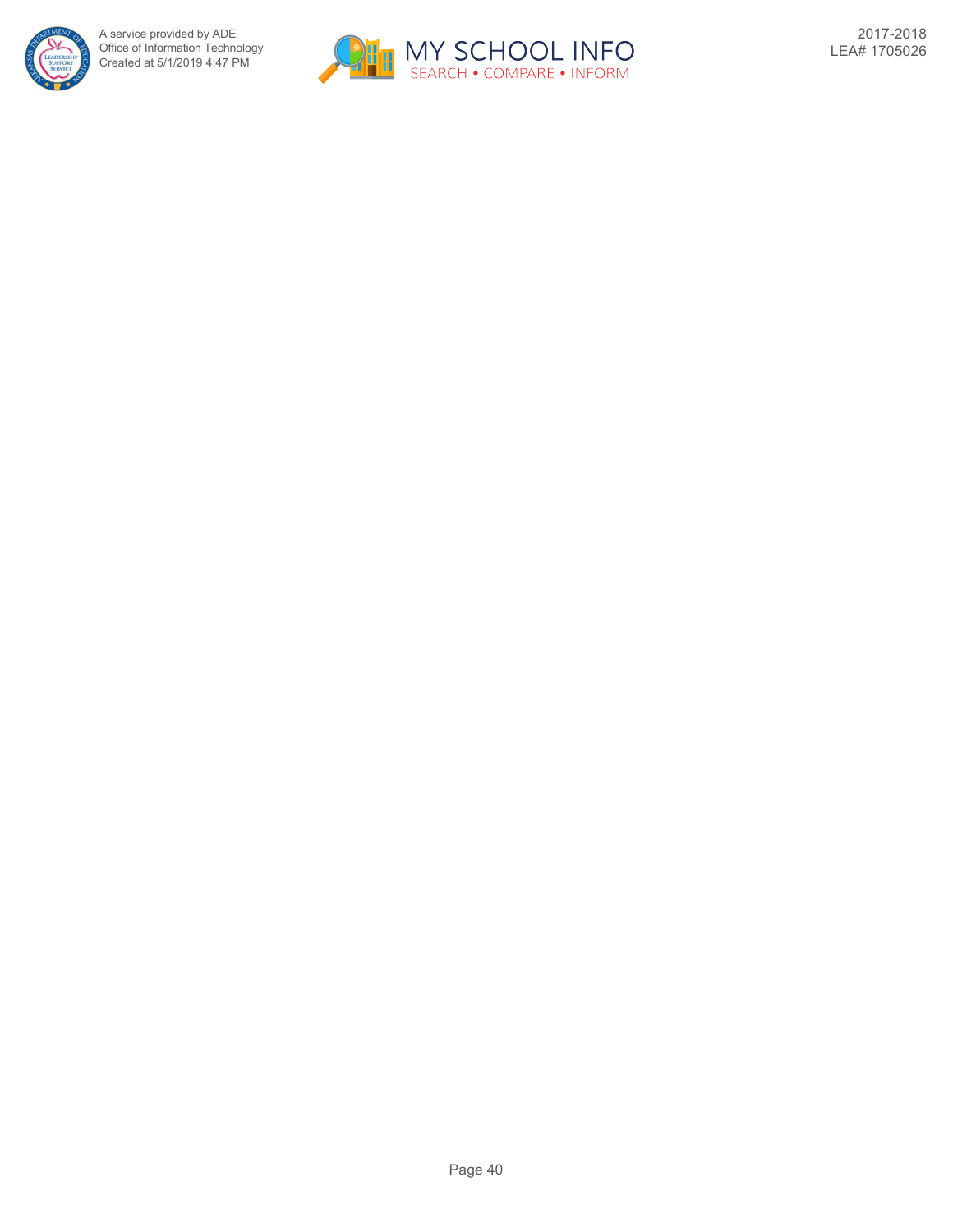

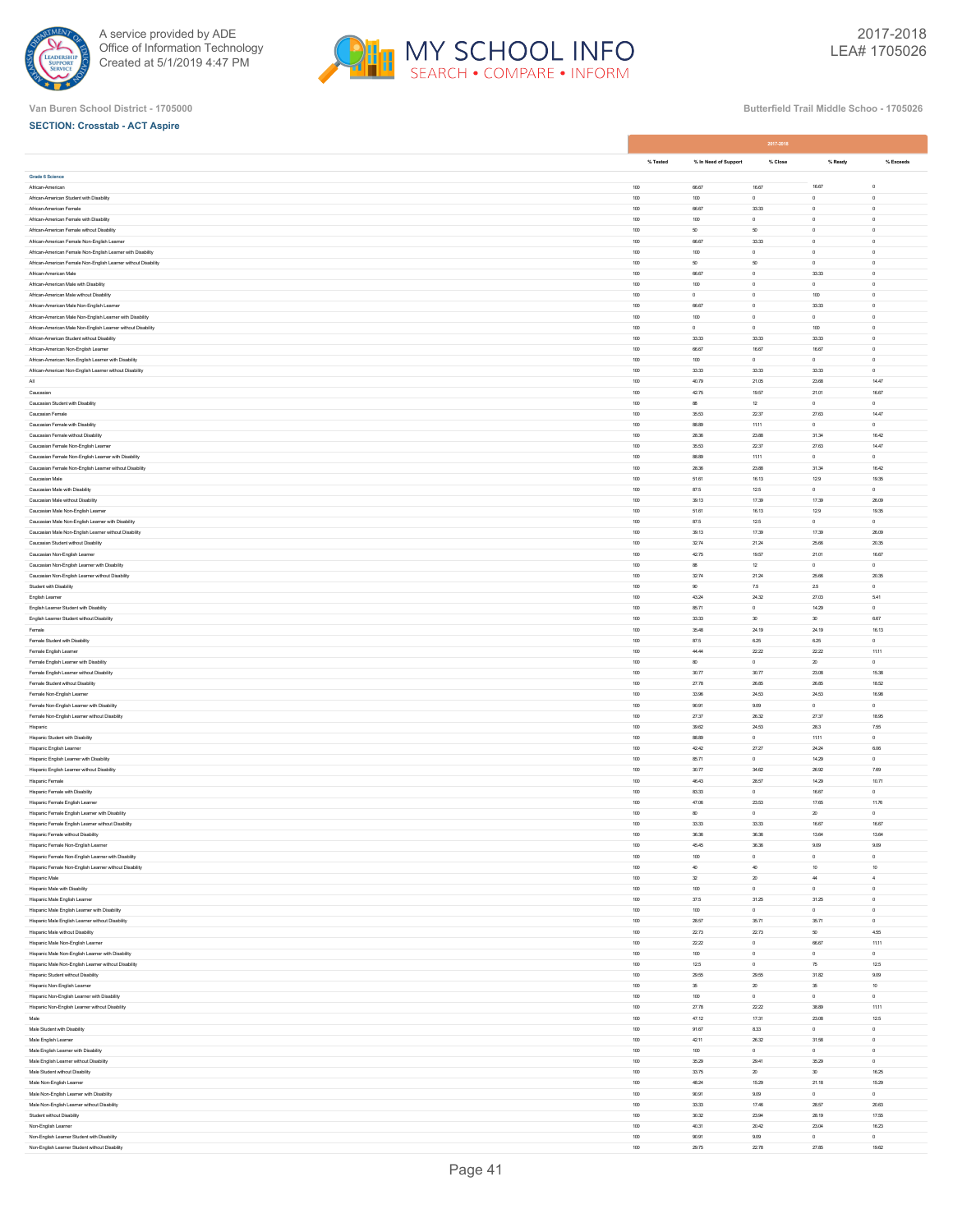



|                                                                                               |            |                      | 2017-2018            |                      |                      |
|-----------------------------------------------------------------------------------------------|------------|----------------------|----------------------|----------------------|----------------------|
|                                                                                               | % Tested   | % In Need of Support | % Close              | % Ready              | % Exceeds            |
|                                                                                               |            |                      |                      |                      |                      |
| Grade 6 Science<br>African-American                                                           | 100        | 66.67                | 16.67                | 16.67                | $\,$ 0               |
| African-American Student with Disability                                                      | 100        | 100                  | $\,$ 0               | $\,$ 0 $\,$          | $\,$ 0 $\,$          |
| African-American Female                                                                       | 100        | 66.67                | 33.33                | $\circ$              | $\circ$              |
| African-American Female with Disability                                                       | 100        | 100                  | $\circ$              | $\circ$              | $\circ$              |
| African-American Female without Disability                                                    | 100        | 60                   | $_{50}$              | $\,0\,$              | $\,$ 0 $\,$          |
| African-American Female Non-English Learner                                                   | 100        | 66.67                | 33.33                | $\circ$              | $\circ$              |
| African-American Female Non-English Learner with Disability                                   | 100        | 100                  | $\,$ 0               | $\,$ 0               | $\,$ 0               |
| African-American Female Non-English Learner without Disability                                | 100        | $_{50}$              | $_{\rm 50}$          | $\,0\,$              | $\,$ 0 $\,$          |
| African-American Male                                                                         | 100        | 66.67                | $\,$ 0 $\,$          | 33.33                | $\,$ 0 $\,$          |
| African-American Male with Disability                                                         | 100        | 100                  | $\,$ 0               | $\,$ 0               | $\,0\,$              |
| African-American Male without Disability                                                      | 100        | $\circ$              | $\circ$              | 100                  | $\circ$              |
| African-American Male Non-English Learner                                                     | 100        | 66.67                | $\,$ 0 $\,$          | 33.33                | $\,$ 0 $\,$          |
| African-American Male Non-English Learner with Disability                                     | 100        | 100                  | $\,$ 0 $\,$          | $\,$ 0               | $\,0\,$              |
| African-American Male Non-English Learner without Disability                                  | 100        | $\circ$              | $\,$ 0 $\,$          | 100                  | $\circ$              |
| African-American Student without Disability                                                   | 100        | 33.33                | 33.33                | 33.33                | $\,$ 0 $\,$          |
| African-American Non-English Learner                                                          | 100        | 66.67                | 16.67                | 16.67                | $\circ$              |
| African-American Non-English Learner with Disability                                          | 100        | 100                  | $\circ$              | $\circ$              | $\circ$              |
| African-American Non-English Learner without Disability                                       | 100        | 33.33                | 33.33                | 33.33                | $\,$ 0               |
| All                                                                                           | 100        | 40.79                | 21.05                | 23.68                | 14.47                |
| Caucasian                                                                                     | 100        | 42.75                | 19.57                | 21.01                | 16.67                |
| Caucasian Student with Disability                                                             | 100        | 88                   | 12                   | $\,0\,$              | $\,$ 0 $\,$          |
| Caucasian Female                                                                              | 100        | 35.53                | 22.37                | 27.63                | 14.47                |
| Caucasian Female with Disability                                                              | 100        | 88.89                | 11.11                | $\circ$              | $\,$ 0               |
| Caucasian Female without Disability                                                           | 100        | 28.36                | 23.88                | 31.34                | 16.42                |
| Caucasian Female Non-English Learner                                                          | 100        | 35.53                | 22.37                | 27.63                | 14.47                |
| Caucasian Female Non-English Learner with Disability                                          | 100        | 88.89                | 11,11<br>23.88       | $\circ$              | $\circ$<br>16.42     |
| Caucasian Female Non-English Learner without Disability<br>Caucasian Male                     | 100<br>100 | 28.36<br>51.61       | 16.13                | 31.34<br>12.9        | 19.35                |
| Caucasian Male with Disability                                                                | 100        | 87.5                 | 12.5                 | $\circ$              | $\circ$              |
| Caucasian Male without Disability                                                             | 100        | 39.13                | 17.39                | 17.39                | 26.09                |
| Caucasian Male Non-English Learner                                                            | 100        | 51.61                | 16.13                | 12.9                 | 19.35                |
| Caucasian Male Non-English Learner with Disability                                            | 100        | 87.5                 | 12.5                 | $\circ$              | $\circ$              |
| Caucasian Male Non-English Learner without Disability                                         | 100        | 39.13                | 17.39                | 17.39                | 26.09                |
| Caucasian Student without Disability                                                          | 100        | 32.74                | 21.24                | 25.66                | 20.35                |
| Caucasian Non-English Learner                                                                 | 100        | 42.75                | 19.57                | 21.01                | 16.67                |
| Caucasian Non-English Learner with Disability                                                 | 100        | 88                   | $12\,$               | $\circ$              | $\circ$              |
| Caucasian Non-English Learner without Disability                                              | 100        | 32.74                | 21.24                | 25.66                | 20.35                |
| Student with Disability                                                                       | 100        | 90                   | 7.5                  | 2.5                  | $\circ$              |
| English Learner                                                                               | 100        | 43.24                | 24.32                | 27.03                | 5.41                 |
| English Learner Student with Disability                                                       | 100        | 85.71                | $\,$ 0               | 14.29                | $\,$ 0 $\,$          |
| English Learner Student without Disability                                                    | 100        | 33.33                | 30                   | $30\,$               | 6.67                 |
| Female                                                                                        | 100        | 35.48                | 24.19                | 24.19                | 16.13                |
| Female Student with Disability                                                                | 100        | 87.5                 | 6.25                 | 6.25                 | $^{\circ}$           |
| Female English Learner                                                                        | 100        | 44.44                | 22.22                | 22.22                | 11.11                |
| Female English Learner with Disability                                                        | 100        | 80                   | $\circ$              | $20\,$               | $\circ$              |
| Female English Learner without Disability                                                     | 100        | 30.77                | 30.77                | 23.08                | 15.38                |
| Female Student without Disability                                                             | 100        | 27.78                | 26.85                | 26.85                | 18.52                |
| Female Non-English Learner                                                                    | 100        | 33.96                | 24.53                | 24.53                | 16.98                |
| Female Non-English Learner with Disability                                                    | 100        | 90.91                | 9.09                 | $\circ$              | $\circ$              |
| Female Non-English Learner without Disability                                                 | 100        | 27.37                | 26.32                | 27.37                | 18.95                |
| Hispanic                                                                                      | 100        | 39.62                | 24.53                | 28.3                 | 7.55                 |
| Hispanic Student with Disability                                                              | 100        | 88.89                | $\circ$              | 11.11                | $\circ$              |
| Hispanic English Learner                                                                      | 100        | 42.42                | 27.27                | 24.24                | 6.06                 |
| Hispanic English Learner with Disability                                                      | 100        | 85.71                | $\circ$              | 14.29                | $\circ$              |
| Hispanic English Learner without Disability                                                   | 100        | 30.77                | 34.62                | 26.92                | 7.69                 |
| Hispanic Female                                                                               | 100        | 46.43                | 28.57                | 14.29                | 10.71                |
| Hispanic Female with Disability                                                               | 100        | 83.33                | $\,$ 0 $\,$          | 16.67                | $\,$ 0 $\,$          |
| Hispanic Female English Learner                                                               | 100        | 47.06                | 23.53                | 17.65                | 11.76                |
| Hispanic Female English Learner with Disability                                               | 100        | 80                   | $\circ$              | 20                   | $\circ$              |
| Hispanic Female English Learner without Disability                                            | 100        | 33.33                | 33.33                | 16.67                | 16.67                |
| Hispanic Female without Disability                                                            | 100        | 36.36                | 36.36                | 13.64<br>9.09        | 13.64                |
| Hispanic Female Non-English Learner<br>Hispanic Female Non-English Learner with Disability    | 100<br>100 | 45.45<br>100         | 36.36<br>$\,$ 0 $\,$ | $\,$ 0 $\,$          | 9.09<br>$\,$ 0 $\,$  |
| Hispanic Female Non-English Learner without Disability                                        | 100        | 40                   | 40                   | 10                   | 10                   |
| Hispanic Male                                                                                 | 100        | $\infty$             | $20\,$               | $\overline{44}$      | $\sqrt{4}$           |
| Hispanic Male with Disability                                                                 | 100        | 100                  | $\,$ 0               | $\,$ 0 $\,$          | $\,$ 0 $\,$          |
| Hispanic Male English Learner                                                                 | 100        | 37.5                 | 31.25                | 31.25                | $\circ$              |
| Hispanic Male English Learner with Disability                                                 | 100        | 100                  | $\,$ 0 $\,$          | $\circ$              | $\circ$              |
| Hispanic Male English Learner without Disability                                              | 100        | 28.57                | 35.71                | 35.71                | $\circ$              |
| Hispanic Male without Disability                                                              | 100        | 22.73                | 22.73                | 50                   | 4.55                 |
| Hispanic Male Non-English Learner                                                             | 100        | $22\,22$             | $\,$ 0 $\,$          | 66.67                | 11.11                |
| Hispanic Male Non-English Learner with Disability                                             | 100        | 100                  | $\,$ 0               | $\,0\,$              | $\,$ 0 $\,$          |
| Hispanic Male Non-English Learner without Disability                                          | 100        | 12.5                 | $\,$ 0 $\,$          | $75\,$               | 12.5                 |
| Hispanic Student without Disability                                                           | 100        | 29.55                | 29.55                | 31.82                | 9.09                 |
| Hispanic Non-English Learner                                                                  | 100        | $35\,$               | 20                   | 35                   | 10 <sup>°</sup>      |
| Hispanic Non-English Learner with Disability                                                  | 100        | 100                  | $\,$ 0 $\,$          | $\,$ 0 $\,$          | $\,$ 0 $\,$          |
| Hispanic Non-English Learner without Disability                                               | 100        | 27.78                | 22.22                | 38.89                | 11.11                |
| Male                                                                                          | 100        | 47.12                | 17.31                | 23.08                | 12.5                 |
| Male Student with Disability                                                                  |            |                      | 8.33                 | $\,$ 0 $\,$          | $\,$ 0 $\,$          |
| Male English Learner                                                                          | 100        | 91.67                |                      |                      | $\circ$              |
|                                                                                               | 100        | 42.11                | 26.32                | 31.58                |                      |
| Male English Learner with Disability                                                          | 100        | 100                  | $\circ$              | $\circ$              | $\circ$              |
| Male English Learner without Disability                                                       | 100        | 35.29                | 29.41                | 35.29                | $\,$ 0 $\,$          |
| Male Student without Disability                                                               | 100        | 33.75                | 20                   | 30                   | 16.25                |
| Male Non-English Learner                                                                      | 100        | 48.24                | 15.29                | 21.18                | 15.29                |
| Male Non-English Learner with Disability                                                      | 100        | 90.91                | 9.09                 | $\,0\,$              | $\,$ 0 $\,$          |
| Male Non-English Learner without Disability                                                   | 100        | 33.33                | 17.46                | 28.57                | 20.63                |
| Student without Disability                                                                    | 100        | 30.32                | 23.94                | 28.19                | 17.55                |
| Non-English Learner                                                                           | 100        | 40.31                | 20.42                | 23.04                | 16.23                |
| Non-English Learner Student with Disability<br>Non-English Learner Student without Disability | 100<br>100 | 90.91<br>29.75       | 9.09<br>22.78        | $\,$ 0 $\,$<br>27.85 | $\,$ 0 $\,$<br>19.62 |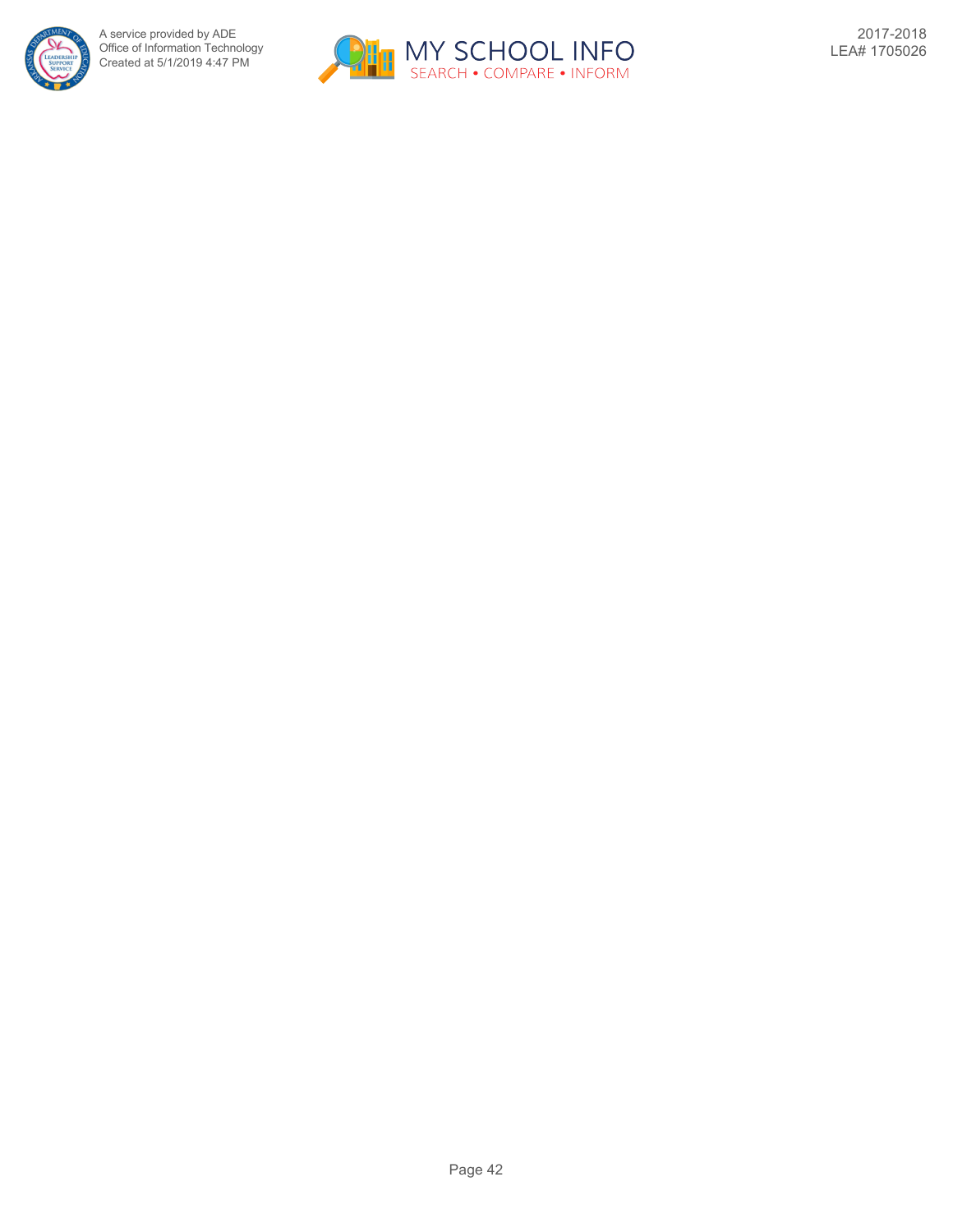

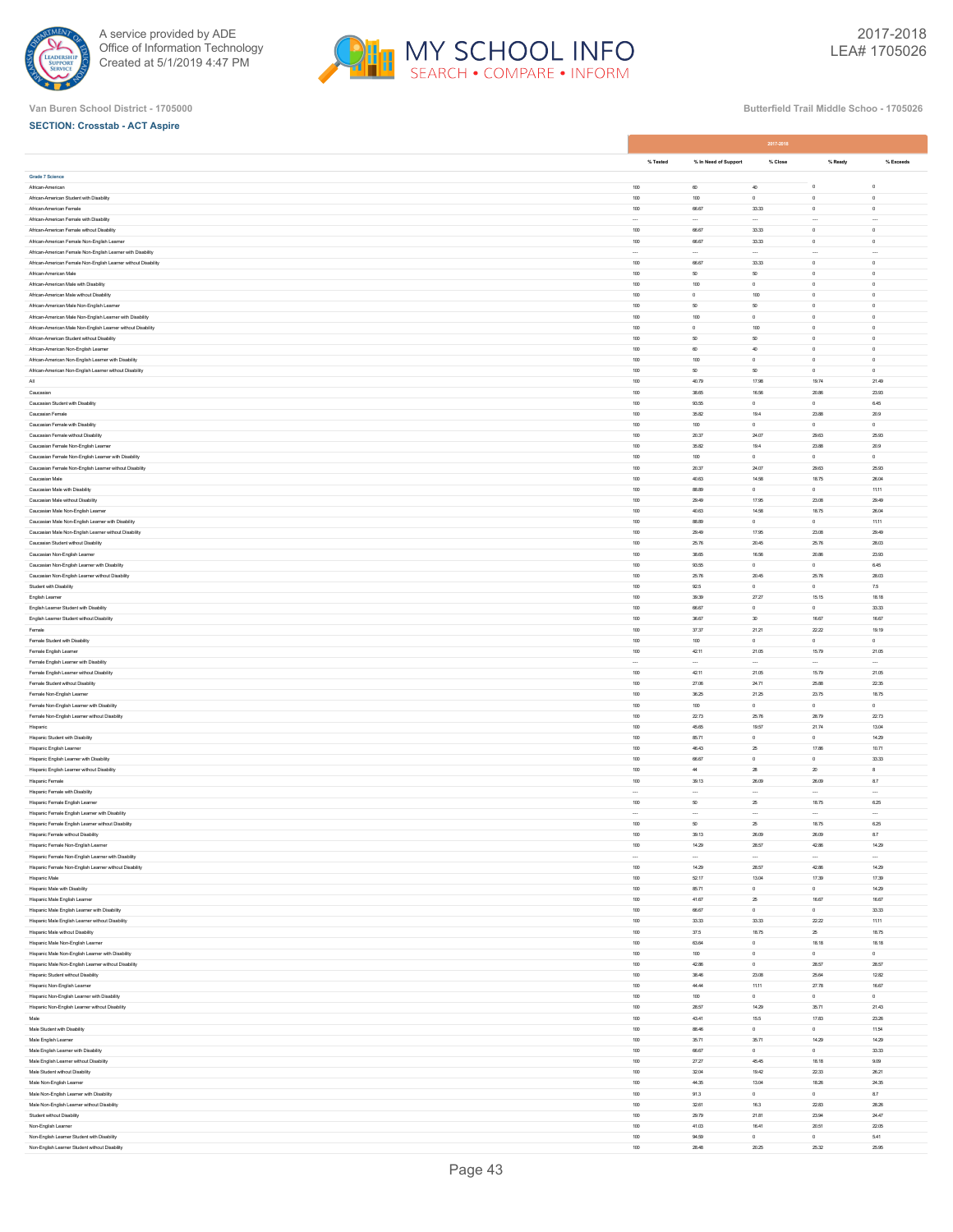



|                                                                                         |            |                      | 2017-2018            |                        |                            |
|-----------------------------------------------------------------------------------------|------------|----------------------|----------------------|------------------------|----------------------------|
|                                                                                         | % Tested   | % In Need of Support | % Close              | % Ready                | % Exceeds                  |
| Grade 7 Science                                                                         |            |                      |                      |                        |                            |
| African-American                                                                        | 100        | 60                   | 40                   | $\,$ 0                 | $\,$ 0                     |
| African-American Student with Disability                                                | 100        | 100                  | $\,$ 0               | $\,$ 0 $\,$            | $\,$ 0 $\,$                |
| African-American Female                                                                 | 100        | 66.67                | 33.33                | $\circ$                | $\circ$                    |
| African-American Female with Disability                                                 | $\cdots$   | $\cdots$             | $\cdots$             | $\cdots$               | $\cdots$                   |
| African-American Female without Disability                                              | 100        | 66.67                | 33.33                | $\,0\,$                | $\,$ 0 $\,$                |
| African-American Female Non-English Learner                                             | 100        | 66.67                | 33.33                | $\circ$                | $\circ$                    |
| African-American Female Non-English Learner with Disability                             |            | 66.67                | 33.33                | $\ddot{\phantom{0}}$   | $\cdots$                   |
| African-American Female Non-English Learner without Disability<br>African-American Male | 100<br>100 | 60                   | 60                   | $\,0\,$<br>$\,$ 0 $\,$ | $\,$ 0 $\,$<br>$\,$ 0 $\,$ |
| African-American Male with Disability                                                   | 100        | 100                  | $\,$ 0               | $\,0\,$                | $\,0\,$                    |
| African-American Male without Disability                                                | 100        | $\circ$              | 100                  | $^{\circ}$             | $\circ$                    |
| African-American Male Non-English Learner                                               | 100        | $_{50}$              | $_{50}$              | $\,$ 0                 | $\,$ 0 $\,$                |
| African-American Male Non-English Learner with Disability                               | 100        | 100                  | $\,0\,$              | $\,$ 0                 | $\,0\,$                    |
| African-American Male Non-English Learner without Disability                            | 100        | $\circ$              | 100                  | $\circ$                | $\circ$                    |
| African-American Student without Disability                                             | 100        | $_{50}$              | $_{50}$              | $\,$ 0 $\,$            | $\,$ 0 $\,$                |
| African-American Non-English Learner                                                    | 100        | 60                   | $40\,$               | $\circ$                | $\circ$                    |
| African-American Non-English Learner with Disability                                    | 100        | 100                  | $\,$ 0 $\,$          | $\circ$                | $\circ$                    |
| African-American Non-English Learner without Disability<br>All                          | 100<br>100 | $_{50}$<br>40.79     | $_{\rm 50}$<br>17.98 | $\,$ 0<br>19.74        | $\,$ 0 $\,$<br>21.49       |
| Caucasian                                                                               | 100        | 38.65                | 16.56                | 20.86                  | 23.93                      |
| Caucasian Student with Disability                                                       | 100        | 93.55                | $\,$ 0               | $\,0\,$                | 6.45                       |
| Caucasian Female                                                                        | 100        | 35.82                | 19.4                 | 23.88                  | 20.9                       |
| Caucasian Female with Disability                                                        | 100        | 100                  | $\,$ 0               | $\,$ 0                 | $\,$ 0                     |
| Caucasian Female without Disability                                                     | 100        | 20.37                | 24.07                | 29.63                  | 25.93                      |
| Caucasian Female Non-English Learner                                                    | 100        | 35.82                | 19.4                 | 23.88                  | 20.9                       |
| Caucasian Female Non-English Learner with Disability                                    | 100        | 100                  | $\,$ 0               | $\circ$                | $\circ$                    |
| Caucasian Female Non-English Learner without Disability                                 | 100        | 20.37                | 24.07                | 29.63                  | 25.93                      |
| Caucasian Male                                                                          | 100        | 40.63                | 14.58                | 18.75                  | 26.04                      |
| Caucasian Male with Disability                                                          | 100        | 88.89                | $\circ$              | $\circ$                | 11.11                      |
| Caucasian Male without Disability<br>Caucasian Male Non-English Learner                 | 100<br>100 | 29.49<br>40.63       | 17.95<br>14.58       | 23.08<br>18.75         | 29.49<br>26.04             |
| Caucasian Male Non-English Learner with Disability                                      | 100        | 88.89                | $\,0\,$              | $\circ$                | 11.11                      |
| Caucasian Male Non-English Learner without Disability                                   | 100        | 29.49                | 17.95                | 23.08                  | 29.49                      |
| Caucasian Student without Disability                                                    | 100        | 25.76                | 20.45                | 25.76                  | 28.03                      |
| Caucasian Non-English Learner                                                           | 100        | 38.65                | 16.56                | 20.86                  | 23.93                      |
| Caucasian Non-English Learner with Disability                                           | 100        | 93.55                | $\,$ 0 $\,$          | $\circ$                | 6.45                       |
| Caucasian Non-English Learner without Disability                                        | 100        | 25.76                | 20.45                | 25.76                  | 28.03                      |
| Student with Disability                                                                 | 100        | 92.5                 | $\circ$              | $\circ$                | 7.5                        |
| English Learner                                                                         | 100        | 39.39                | 27.27                | 15.15                  | 18.18                      |
| English Learner Student with Disability                                                 | 100        | 66.67                | $\,$ 0               | $\,0\,$                | 33.33                      |
| English Learner Student without Disability                                              | 100        | 36.67                | 30                   | 16.67                  | 16.67                      |
| Female                                                                                  | 100        | 37.37<br>100         | 21.21<br>$\circ$     | 22.22                  | 19.19                      |
| Female Student with Disability<br>Female English Learner                                | 100<br>100 | 42.11                | 21.05                | $^{\circ}$<br>15.79    | $^{\circ}$<br>21.05        |
| Female English Learner with Disability                                                  |            |                      |                      |                        |                            |
| Female English Learner without Disability                                               | 100        | 42.11                | 21.05                | 15.79                  | 21.05                      |
| Female Student without Disability                                                       | 100        | 27.06                | 24.71                | 25.88                  | 22.35                      |
| Female Non-English Learner                                                              | 100        | 36.25                | 21.25                | 23.75                  | 18.75                      |
| Female Non-English Learner with Disability                                              | 100        | 100                  | $\,$ 0 $\,$          | $\circ$                | $\circ$                    |
| Female Non-English Learner without Disability                                           | 100        | 22.73                | 25.76                | 28.79                  | 22.73                      |
| Hispanic                                                                                | 100        | 45.65                | 19.57                | 21.74                  | 13.04                      |
| Hispanic Student with Disability                                                        | 100        | 85.71                | $\circ$              | $\circ$                | 14.29                      |
| Hispanic English Learner                                                                | 100<br>100 | 46.43<br>66.67       | $\rm{2S}$<br>$\circ$ | 17.86<br>$\circ$       | 10.71<br>33.33             |
| Hispanic English Learner with Disability<br>Hispanic English Learner without Disability | 100        | $_{\rm 44}$          | 28                   | $\rm 20$               | 8                          |
| Hispanic Female                                                                         | 100        | 39.13                | 26.09                | 26.09                  | 8.7                        |
| Hispanic Female with Disability                                                         | $\cdots$   | $\sim$               | $\sim$               | $\sim$                 | $\cdots$                   |
| Hispanic Female English Learner                                                         | 100        | $_{\rm 50}$          | $\rm{2S}$            | 18.75                  | 6.25                       |
| Hispanic Female English Learner with Disability                                         | $\cdots$   | $\cdots$             | $\cdots$             | $\ddotsc$              | $\cdots$                   |
| Hispanic Female English Learner without Disability                                      | 100        | 60                   | $\rm{2S}$            | 18.75                  | 6.25                       |
| Hispanic Female without Disability                                                      | 100        | 39.13                | 26.09                | 26.09                  | 8.7                        |
| Hispanic Female Non-English Learner                                                     | 100        | 14.29                | 28.57                | 42.86                  | 14.29                      |
| Hispanic Female Non-English Learner with Disability                                     |            | $\ddot{\phantom{0}}$ | $\ddot{\phantom{0}}$ | $\ddotsc$              | ä,                         |
| Hispanic Female Non-English Learner without Disability<br>Hispanic Male                 | 100<br>100 | 14.29<br>62.17       | 28.57<br>13.04       | 42.86<br>17.39         | 14.29<br>17.39             |
| Hispanic Male with Disability                                                           | 100        | 85.71                | $\,$ 0               | $\,$ 0 $\,$            | 14.29                      |
| Hispanic Male English Learner                                                           | 100        | 41.67                | 25                   | 16.67                  | 16.67                      |
| Hispanic Male English Learner with Disability                                           | 100        | 66.67                | $\,$ 0 $\,$          | $\circ$                | 33.33                      |
| Hispanic Male English Learner without Disability                                        | 100        | 33.33                | 33.33                | 22.22                  | 11.11                      |
| Hispanic Male without Disability                                                        | 100        | 37.5                 | 18.75                | 25                     | 18.75                      |
| Hispanic Male Non-English Learner                                                       | 100        | 63.64                | $\,$ 0 $\,$          | 18.18                  | 18.18                      |
| Hispanic Male Non-English Learner with Disability                                       | 100        | 100                  | $\,$ 0               | $\,0\,$                | $\,$ 0 $\,$                |
| Hispanic Male Non-English Learner without Disability                                    | 100        | 42.86                | $\,$ 0 $\,$          | 28.57                  | 28.57                      |
| Hispanic Student without Disability                                                     | 100<br>100 | 38.46<br>44.44       | 23.08<br>11.11       | 25.64<br>27.78         | 12.82<br>16.67             |
| Hispanic Non-English Learner<br>Hispanic Non-English Learner with Disability            | 100        | 100                  | $\,$ 0 $\,$          | $\,$ 0 $\,$            | $\,$ 0 $\,$                |
| Hispanic Non-English Learner without Disability                                         | 100        | 28.57                | 14.29                | 35.71                  | 21.43                      |
| Male                                                                                    | 100        | 43.41                | 15.5                 | 17.83                  | 23.26                      |
| Male Student with Disability                                                            | 100        | 88.46                | $\,$ 0               | $\,$ 0 $\,$            | 11.54                      |
| Male English Learner                                                                    | 100        | 35.71                | 35.71                | 14.29                  | 14.29                      |
| Male English Learner with Disability                                                    | 100        | 66.67                | $\circ$              | $\circ$                | 33.33                      |
| Male English Learner without Disability                                                 | 100        | 27.27                | 45.45                | 18.18                  | 9.09                       |
| Male Student without Disability                                                         | 100        | 32.04                | 19.42                | 22.33                  | 26.21                      |
| Male Non-English Learner                                                                | 100        | 44.35                | 13.04                | 18.26                  | 24.35                      |
| Male Non-English Learner with Disability                                                | 100        | 91.3                 | $\,$ 0               | $\,0\,$                | 8.7                        |
| Male Non-English Learner without Disability<br>Student without Disability               | 100<br>100 | 32.61<br>29.79       | 16.3<br>21.81        | 22.83<br>23.94         | 28.26<br>24.47             |
| Non-English Learner                                                                     | 100        | 41.03                | 16.41                | 20.51                  | 22.05                      |
| Non-English Learner Student with Disability                                             | 100        | 94.59                | $\,$ 0 $\,$          | $\,$ 0 $\,$            | 5.41                       |
| Non-English Learner Student without Disability                                          | 100        | 28.48                | 20.25                | 25.32                  | 25.95                      |
|                                                                                         |            |                      |                      |                        |                            |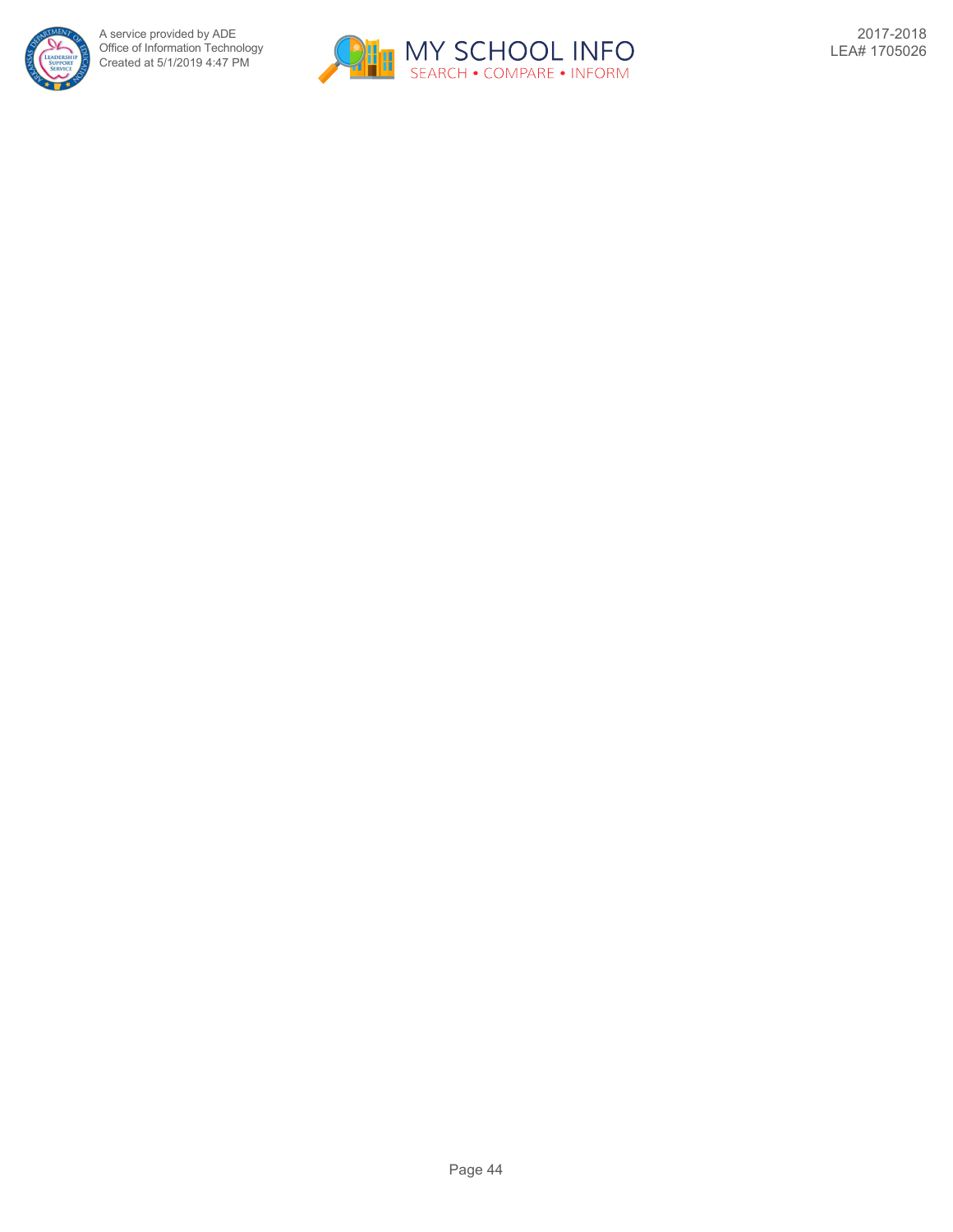

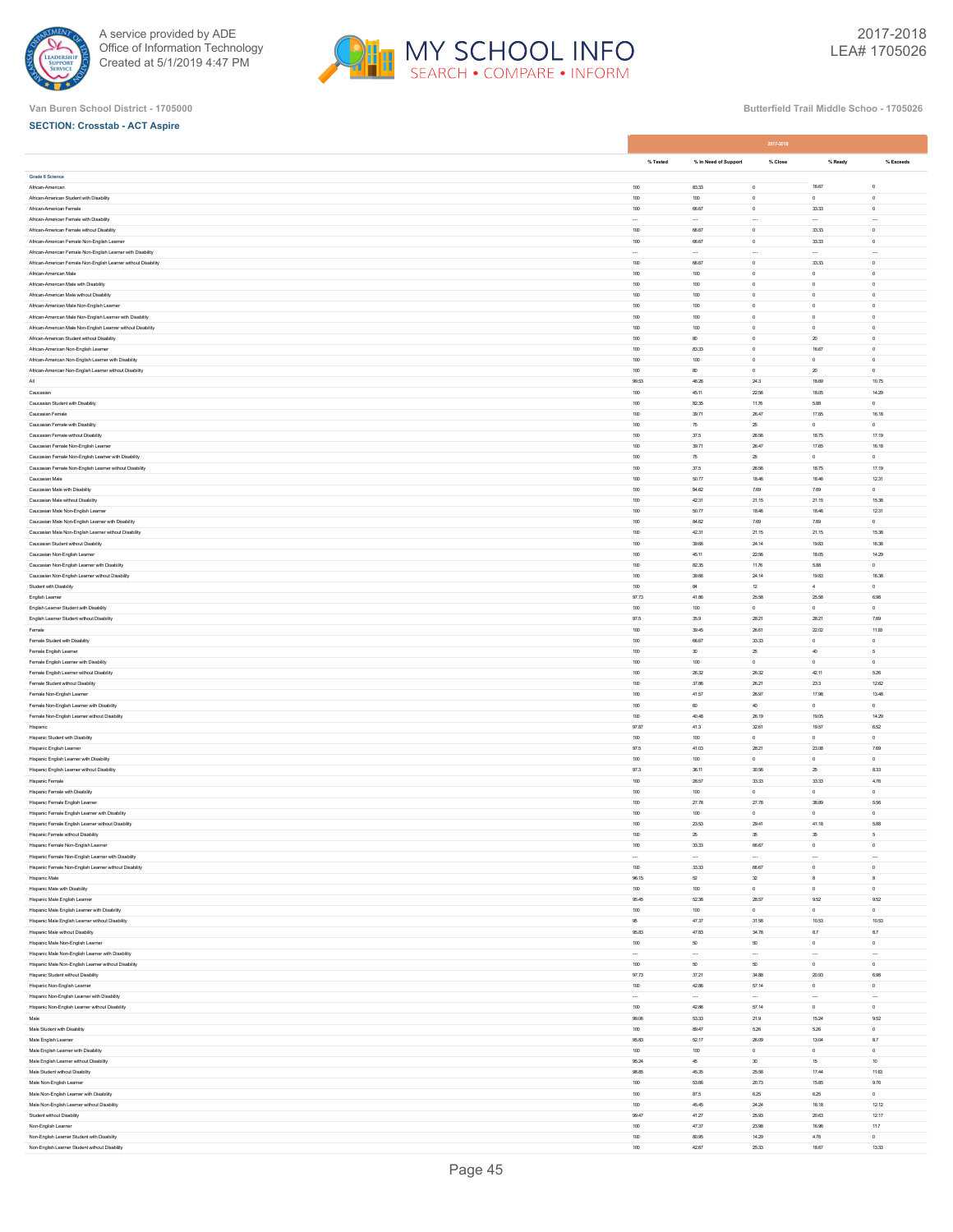



|                                                                                                                               |              |                      | 2017-2018             |                  |                       |
|-------------------------------------------------------------------------------------------------------------------------------|--------------|----------------------|-----------------------|------------------|-----------------------|
|                                                                                                                               | % Tested     | % In Need of Support | % Close               | % Ready          | % Exceeds             |
| Grade 8 Science                                                                                                               |              |                      |                       |                  |                       |
| African-American                                                                                                              | 100          | 83.33                | $\,$ 0 $\,$           | 16.67            | $\,$ 0 $\,$           |
| African-American Student with Disability                                                                                      | 100          | 100                  | $\,$ 0                | $\,0\,$          | $\,$ 0 $\,$           |
| African-American Female                                                                                                       | 100          | 66.67                | $\,$ 0 $\,$           | 33.33            | $\,$ 0 $\,$           |
| African-American Female with Disability                                                                                       |              |                      | $\ddot{\phantom{a}}$  |                  | $\ddot{\phantom{0}}$  |
| African-American Female without Disability                                                                                    | 100          | 66.67                | $\circ$               | 33.33            | $\circ$               |
| African-American Female Non-English Learner                                                                                   | 100<br>      | 66.67                | $\,$ 0 $\,$<br>$\sim$ | 33.33            | $\circ$<br>$\sim$     |
| African-American Female Non-English Learner with Disability<br>African-American Female Non-English Learner without Disability | 100          | 66.67                | $\,$ 0 $\,$           | 33.33            | $\circ$               |
| African-American Male                                                                                                         | 100          | 100                  | $\,$ 0                | $\,$ 0 $\,$      | $\,$ 0 $\,$           |
| African-American Male with Disability                                                                                         | 100          | 100                  | $\,$ 0 $\,$           | $\circ$          | $\circ$               |
| African-American Male without Disability                                                                                      | 100          | 100                  | $\,$ 0 $\,$           | $\,$ 0           | $\circ$               |
| African-American Male Non-English Learner                                                                                     | 100          | 100                  | $\,$ 0                | $\,$ 0           | $\,$ 0                |
| African-American Male Non-English Learner with Disability                                                                     | 100          | 100                  | $\circ$               | $\circ$          | $\circ$               |
| African-American Male Non-English Learner without Disability                                                                  | 100          | 100                  | $\,$ 0 $\,$           | $\circ$          | $\circ$               |
| African-American Student without Disability                                                                                   | 100          | 80                   | $\,$ 0                | $20\,$           | $\,$ 0 $\,$           |
| African-American Non-English Learner                                                                                          | 100          | 83.33                | $\circ$               | 16.67            | $\circ$               |
| African-American Non-English Learner with Disability                                                                          | 100<br>100   | 100<br>80            | $\,$ 0 $\,$<br>$\,$ 0 | $\,$ 0<br>$20\,$ | $\,$ 0<br>$\,$ 0 $\,$ |
| African-American Non-English Learner without Disability<br>$\mathsf{All}$                                                     | 99.53        | 46.26                | 24.3                  | 18.69            | 10.75                 |
| Caucasian                                                                                                                     | 100          | 45.11                | 22.56                 | 18.05            | 14.29                 |
| Caucasian Student with Disability                                                                                             | 100          | 82.35                | 11.76                 | 5.88             | $\circ$               |
| Caucasian Female                                                                                                              | 100          | 39.71                | 26.47                 | 17.65            | 16.18                 |
| Caucasian Female with Disability                                                                                              | 100          | 75                   | $_{\rm 25}$           | $\circ$          | $\circ$               |
| Caucasian Female without Disability                                                                                           | 100          | 37.5                 | 26.56                 | 18.75            | 17.19                 |
| Caucasian Female Non-English Learner                                                                                          | 100          | 39.71                | 26.47                 | 17.65            | 16.18                 |
| Caucasian Female Non-English Learner with Disability                                                                          | 100          | 75                   | $_{\rm 25}$           | $\circ$          | $\circ$               |
| Caucasian Female Non-English Learner without Disability                                                                       | 100          | 37.5                 | 26.56                 | 18.75            | 17.19                 |
| Caucasian Male<br>Caucasian Male with Disability                                                                              | 100<br>100   | 50.77<br>84.62       | 18.46<br>7.69         | 18.46<br>7.69    | 12.31<br>$\circ$      |
| Caucasian Male without Disability                                                                                             | 100          | 42.31                | 21.15                 | 21.15            | 15.38                 |
| Caucasian Male Non-English Learner                                                                                            | 100          | 50.77                | 18.46                 | 18.46            | 12.31                 |
| Caucasian Male Non-English Learner with Disability                                                                            | 100          | 84.62                | 7.69                  | 7.69             | $\circ$               |
| Caucasian Male Non-English Learner without Disability                                                                         | 100          | 42.31                | 21.15                 | 21.15            | 15.38                 |
| Caucasian Student without Disability                                                                                          | 100          | 39.66                | 24.14                 | 19.83            | 16.38                 |
| Caucasian Non-English Learner                                                                                                 | 100          | 45.11                | 22.56                 | 18.05            | 14.29                 |
| Caucasian Non-English Learner with Disability                                                                                 | 100          | 82.35                | 11.76                 | 5.88             | $\circ$               |
| Caucasian Non-English Learner without Disability                                                                              | 100          | 39.66                | 24.14                 | 19.83            | 16.38                 |
| Student with Disability                                                                                                       | 100          | 84                   | 12                    | $\,$ 4 $\,$      | $\,$ 0 $\,$           |
| English Learner<br>English Learner Student with Disability                                                                    | 97.73<br>100 | 41.86<br>100         | 25.58<br>$\circ$      | 25.58<br>$\circ$ | 6.98<br>$\circ$       |
| English Learner Student without Disability                                                                                    | $97.5\,$     | 35.9                 | 28.21                 | 28.21            | 7.69                  |
| Female                                                                                                                        | 100          | 39.45                | 26.61                 | 22.02            | 11.93                 |
| Female Student with Disability                                                                                                | 100          | 66.67                | 33.33                 | $\circ$          | $\circ$               |
| Female English Learner                                                                                                        | 100          | $_{\rm 30}$          | $\rm{2S}$             | $40\,$           | $\,$ 5 $\,$           |
| Female English Learner with Disability                                                                                        | 100          | 100                  | $\circ$               | $\circ$          | $\circ$               |
| Female English Learner without Disability                                                                                     | 100          | 26.32                | 26.32                 | 42.11            | 5.26                  |
| Female Student without Disability                                                                                             | 100          | 37.86                | 26.21                 | 23.3             | 12.62                 |
| Female Non-English Learner<br>Female Non-English Learner with Disability                                                      | 100<br>100   | 41.57<br>$_{60}$     | 26.97<br>$40\,$       | 17.98<br>$\,$ 0  | 13.48<br>$\,0\,$      |
| Female Non-English Learner without Disability                                                                                 | 100          | 40.48                | 26.19                 | 19.05            | 14.29                 |
| Hispanic                                                                                                                      | 97.87        | 41.3                 | 32.61                 | 19.57            | 6.52                  |
| Hispanic Student with Disability                                                                                              | 100          | 100                  | $\,$ 0                | $\circ$          | $\circ$               |
| Hispanic English Learner                                                                                                      | 97.5         | 41.03                | 28.21                 | 23.08            | 7.69                  |
| Hispanic English Learner with Disability                                                                                      | 100          | 100                  | $\,$ 0 $\,$           | $\,$ 0 $\,$      | $\,$ 0 $\,$           |
| Hispanic English Learner without Disability                                                                                   | 97.3         | 36.11                | 30.56                 | 25               | 8.33                  |
| Hispanic Female                                                                                                               | 100          | 28.57                | 33.33                 | 33.33            | 4.76                  |
| Hispanic Female with Disability                                                                                               | 100          | 100                  | $\,$ 0 $\,$           | $\,$ 0 $\,$      | $\,$ 0 $\,$           |
| Hispanic Female English Learner                                                                                               | 100<br>100   | 27.78<br>100         | 27.78<br>$\,$ 0 $\,$  | 38.89<br>$\,$ 0  | 5.56<br>$\circ$       |
| Hispanic Female English Learner with Disability                                                                               |              |                      |                       | 41.18            | 5.88                  |
| Hispanic Female English Learner without Disability<br>Hispanic Female without Disability                                      | 100<br>100   | 23.53<br>25          | 29.41<br>35           | 35               | 5                     |
| Hispanic Female Non-English Learner                                                                                           | 100          | 33.33                | 66.67                 | $\circ$          | $\circ$               |
| Hispanic Female Non-English Learner with Disability                                                                           | $\cdots$     | $\sim$               | $\sim$                | $\sim$           | $\sim$                |
| Hispanic Female Non-English Learner without Disability                                                                        | 100          | 33.33                | 66.67                 | $\circ$          | $\circ$               |
| Hispanic Male                                                                                                                 | 96.15        | $\mathsf{S2}$        | $_{32}$               | 8                | $\bf8$                |
| Hispanic Male with Disability                                                                                                 | 100          | 100                  | $\,$ 0                | $\,0\,$          | $\,$ 0 $\,$           |
| Hispanic Male English Learner                                                                                                 | 95.45        | 52.38                | 28.57                 | 9.52             | 9.52                  |
| Hispanic Male English Learner with Disability                                                                                 | 100<br>95    | 100<br>47.37         | $\,$ 0<br>31.58       | $\circ$<br>10.53 | $\,0\,$<br>10.53      |
| Hispanic Male English Learner without Disability<br>Hispanic Male without Disability                                          | 95.83        | 47.83                | 34.78                 | 8.7              | 8.7                   |
| Hispanic Male Non-English Learner                                                                                             | 100          | 60                   | 50                    | $\circ$          | $\circ$               |
| Hispanic Male Non-English Learner with Disability                                                                             | $\cdots$     | $\sim$               | $\cdots$              | $\cdots$         | $\cdots$              |
| Hispanic Male Non-English Learner without Disability                                                                          | 100          | $_{\rm 50}$          | $_{\rm 50}$           | $\,$ 0 $\,$      | $\,$ 0 $\,$           |
| Hispanic Student without Disability                                                                                           | 97.73        | 37.21                | 34.88                 | 20.93            | 6.98                  |
| Hispanic Non-English Learner                                                                                                  | 100          | 42.86                | 57.14                 | $\circ$          | $\circ$               |
| Hispanic Non-English Learner with Disability                                                                                  | $\cdots$     | $\ddotsc$            | $\ddot{\phantom{0}}$  |                  | $\ddotsc$             |
| Hispanic Non-English Learner without Disability                                                                               | 100          | 42.86                | 57.14                 | $\circ$          | $\circ$               |
| Male                                                                                                                          | 99.06        | 53.33                | 21.9                  | 15.24            | 9.52                  |
| Male Student with Disability                                                                                                  | 100          | 89.47                | 5.26                  | 5.26             | $\,$ 0 $\,$           |
| Male English Learner<br>Male English Learner with Disability                                                                  | 95.83<br>100 | 62.17<br>100         | 26.09<br>$\,$ 0       | 13.04<br>$\circ$ | 8.7<br>$\,0\,$        |
| Male English Learner without Disability                                                                                       | 95.24        | 45                   | 30                    | 15               | 10                    |
| Male Student without Disability                                                                                               | 98.85        | 45.35                | 25.58                 | 17.44            | 11.63                 |
| Male Non-English Learner                                                                                                      | 100          | 53.66                | 20.73                 | 15.85            | 9.76                  |
| Male Non-English Learner with Disability                                                                                      | 100          | 87.5                 | 6.25                  | 6.25             | $\circ$               |
| Male Non-English Learner without Disability                                                                                   | 100          | 45.45                | 24.24                 | 18.18            | 12.12                 |
| Student without Disability                                                                                                    | 99.47        | 41.27                | 25.93                 | 20.63            | 12.17                 |
| Non-English Learner                                                                                                           | 100          | 47.37                | 23.98                 | 16.96            | 11.7                  |
| Non-English Learner Student with Disability                                                                                   | 100          | 80.95                | 14.29                 | $4.76\,$         | $\,$ 0 $\,$           |
| Non-English Learner Student without Disability                                                                                | 100          | 42.67                | 25.33                 | 18.67            | 13.33                 |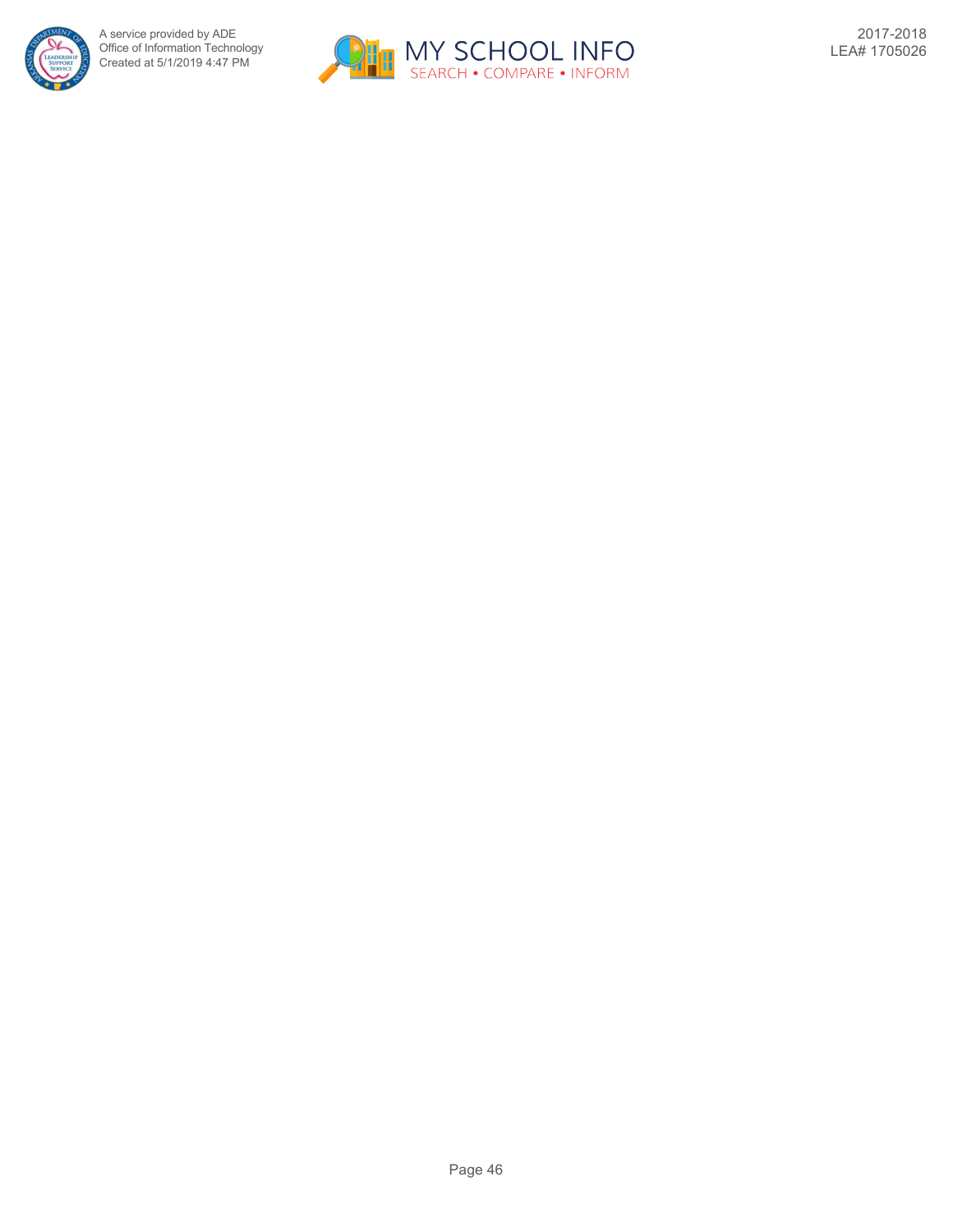

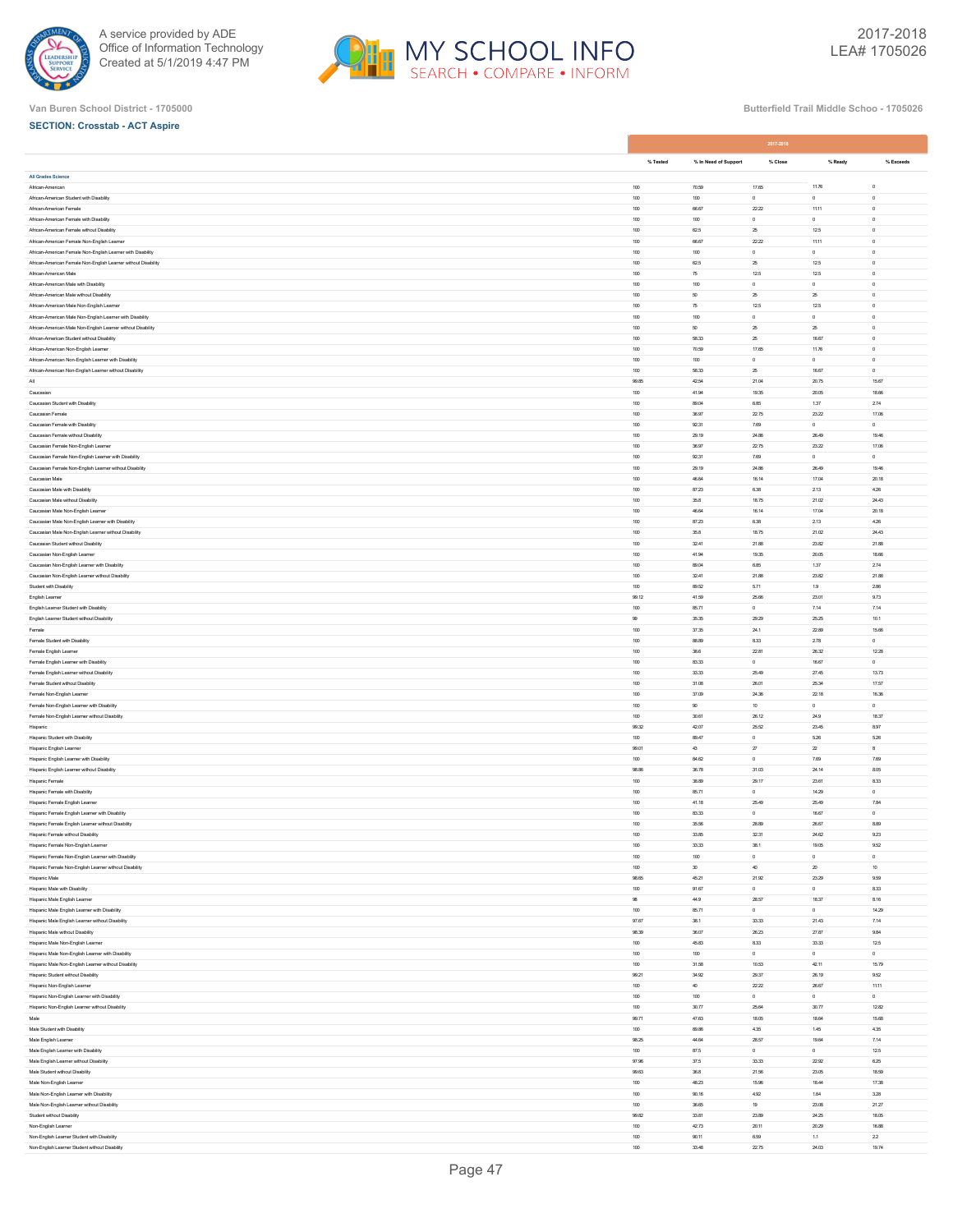



|                                                                                                             |              |                      | 2017-2018             |                      |                        |
|-------------------------------------------------------------------------------------------------------------|--------------|----------------------|-----------------------|----------------------|------------------------|
|                                                                                                             | % Tested     | % In Need of Support | % Close               | % Ready              | % Exceeds              |
| All Grades Science                                                                                          |              |                      |                       |                      |                        |
| African-American                                                                                            | 100          | 70.59                | 17.65                 | 11.76                | $\,$ 0 $\,$            |
| African-American Student with Disability                                                                    | 100          | 100                  | $\,$ 0                | $\,0\,$              | $\,$ 0 $\,$            |
| African-American Female                                                                                     | 100          | 66.67                | 22.22                 | 11.11                | $\,$ 0 $\,$            |
| African-American Female with Disability                                                                     | 100          | 100                  | $\,$ 0                | $\circ$              | $\,0\,$                |
| African-American Female without Disability                                                                  | 100          | 62.5                 | 25                    | 12.5                 | $\circ$                |
| African-American Female Non-English Learner<br>African-American Female Non-English Learner with Disability  | 100<br>100   | 66.67<br>100         | 22.22<br>$\,0\,$      | 11.11<br>$\,$ 0      | $\circ$<br>$\,0\,$     |
| African-American Female Non-English Learner without Disability                                              | 100          | 62.5                 | $\rm{2S}$             | 12.5                 | $\circ$                |
| African-American Male                                                                                       | 100          | $75\,$               | 12.5                  | 12.5                 | $\,$ 0 $\,$            |
| African-American Male with Disability                                                                       | 100          | 100                  | $\,$ 0 $\,$           | $\circ$              | $\circ$                |
| African-American Male without Disability                                                                    | 100          | $_{50}$              | $\rm{2S}$             | 25                   | $\circ$                |
| African-American Male Non-English Learner                                                                   | 100          | $7\!$                | $12.5$                | 12.5                 | $\,$ 0                 |
| African-American Male Non-English Learner with Disability                                                   | 100          | 100                  | $\circ$               | $^{\circ}$           | $\circ$                |
| African-American Male Non-English Learner without Disability<br>African-American Student without Disability | 100          | $_{50}$              | $\rm{2S}$             | 25<br>16.67          | $\circ$                |
| African-American Non-English Learner                                                                        | 100<br>100   | 58.33<br>70.59       | $\rm{2S}$<br>17.65    | 11.76                | $\,$ 0 $\,$<br>$\circ$ |
| African-American Non-English Learner with Disability                                                        | 100          | 100                  | $\,$ 0                | $\circ$              | $\,$ 0                 |
| African-American Non-English Learner without Disability                                                     | 100          | 58.33                | $_{\rm 25}$           | 16.67                | $\,$ 0 $\,$            |
| $\mathsf{All}$                                                                                              | 99.85        | 42.54                | 21.04                 | 20.75                | 15.67                  |
| Caucasian                                                                                                   | 100          | 41.94                | 19.35                 | 20.05                | 18.66                  |
| Caucasian Student with Disability                                                                           | 100          | 89.04                | 6.85                  | 1.37                 | 2.74                   |
| Caucasian Female                                                                                            | 100          | 36.97                | 22.75                 | 23.22                | 17.06                  |
| Caucasian Female with Disability                                                                            | 100          | 92.31                | 7.69                  | $\circ$              | $\circ$                |
| Caucasian Female without Disability                                                                         | 100          | 29.19                | 24.86                 | 26.49                | 19.46                  |
| Caucasian Female Non-English Learner<br>Caucasian Female Non-English Learner with Disability                | 100<br>100   | 36.97<br>92.31       | 22.75<br>7.69         | 23.22<br>$\circ$     | 17.06<br>$\circ$       |
| Caucasian Female Non-English Learner without Disability                                                     | 100          | 29.19                | 24.86                 | 26.49                | 19.46                  |
| Caucasian Male                                                                                              | 100          | 46.64                | 16.14                 | 17.04                | 20.18                  |
| Caucasian Male with Disability                                                                              | 100          | 87.23                | 6.38                  | 2.13                 | 4.26                   |
| Caucasian Male without Disability                                                                           | 100          | 35.8                 | 18.75                 | 21.02                | 24.43                  |
| Caucasian Male Non-English Learner                                                                          | 100          | 46.64                | 16.14                 | 17.04                | 20.18                  |
| Caucasian Male Non-English Learner with Disability                                                          | 100          | 87.23                | 6.38                  | 2.13                 | 4.26                   |
| Caucasian Male Non-English Learner without Disability                                                       | 100          | $35.8\,$             | 18.75                 | 21.02                | 24.43                  |
| Caucasian Student without Disability<br>Caucasian Non-English Learner                                       | 100<br>100   | 32.41<br>41.94       | 21.88<br>19.35        | 23.82<br>20.05       | 21.88<br>18.66         |
| Caucasian Non-English Learner with Disability                                                               | 100          | 89.04                | $6.85\,$              | 1.37                 | 2.74                   |
| Caucasian Non-English Learner without Disability                                                            | 100          | 32.41                | 21.88                 | 23.82                | 21.88                  |
| Student with Disability                                                                                     | 100          | 89.52                | 5.71                  | 1.9                  | 2.86                   |
| English Learner                                                                                             | 99.12        | 41.59                | 25.66                 | 23.01                | 9.73                   |
| English Learner Student with Disability                                                                     | 100          | 85.71                | $\circ$               | 7.14                 | 7.14                   |
| English Learner Student without Disability                                                                  | $99$         | 35.35                | 29.29                 | 25.25                | 10.1                   |
| Female                                                                                                      | 100          | 37.35                | 24.1                  | 22.89                | 15.66                  |
| Female Student with Disability                                                                              | 100          | 88.89                | 8.33                  | 2.78                 | $\circ$                |
| Female English Learner                                                                                      | 100<br>100   | $38.6\,$<br>83.33    | 22.81<br>$\circ$      | 26.32<br>16.67       | 12.28<br>$\circ$       |
| Female English Learner with Disability<br>Female English Learner without Disability                         | 100          | 33.33                | 25.49                 | 27.45                | 13.73                  |
| Female Student without Disability                                                                           | 100          | 31.08                | 26.01                 | 25.34                | 17.57                  |
| Female Non-English Learner                                                                                  | 100          | 37.09                | 24.36                 | 22.18                | 16.36                  |
| Female Non-English Learner with Disability                                                                  | 100          | $90\,$               | $10$                  | $\circ$              | $\,0\,$                |
| Female Non-English Learner without Disability                                                               | 100          | 30.61                | 26.12                 | 24.9                 | 18.37                  |
| Hispanic                                                                                                    | 99.32        | 42.07                | 25.52                 | 23.45                | 8.97                   |
| Hispanic Student with Disability                                                                            | 100          | 89.47                | $\,$ 0                | $_{\rm 5.26}$        | 5.26                   |
| Hispanic English Learner                                                                                    | 99.01<br>100 | 43<br>84.62          | $27\,$<br>$\,$ 0 $\,$ | $\mathbf{z}$<br>7.69 | 8<br>7.69              |
| Hispanic English Learner with Disability<br>Hispanic English Learner without Disability                     | 98.86        | 36.78                | 31.03                 | 24.14                | 8.05                   |
| Hispanic Female                                                                                             | 100          | 38.89                | 29.17                 | 23.61                | 8.33                   |
| Hispanic Female with Disability                                                                             | 100          | 85.71                | $\,$ 0 $\,$           | 14.29                | $\,$ 0 $\,$            |
| Hispanic Female English Learner                                                                             | 100          | 41.18                | 25.49                 | 25.49                | 7.84                   |
| Hispanic Female English Learner with Disability                                                             | 100          | 83.33                | $\,$ 0 $\,$           | 16.67                | $\circ$                |
| Hispanic Female English Learner without Disability                                                          | 100          | 35.56                | 28.89                 | 26.67                | 8.89                   |
| Hispanic Female without Disability                                                                          | 100          | 33.85                | 32.31                 | 24.62                | 9.23                   |
| Hispanic Female Non-English Learner<br>Hispanic Female Non-English Learner with Disability                  | 100<br>100   | 33.33<br>100         | 38.1<br>$\,$ 0 $\,$   | 19.05<br>$\circ$     | 9.52<br>$\circ$        |
| Hispanic Female Non-English Learner without Disability                                                      | 100          | 30                   | 40                    | $20\,$               | 10 <sub>10</sub>       |
| Hispanic Male                                                                                               | 98.65        | 45.21                | 21.92                 | 23.29                | 9.59                   |
| Hispanic Male with Disability                                                                               | 100          | 91.67                | $\,$ 0                | $\,0\,$              | 8.33                   |
| Hispanic Male English Learner                                                                               | 98           | 44.9                 | 28.57                 | 18.37                | 8.16                   |
| Hispanic Male English Learner with Disability                                                               | 100          | 85.71                | $\,$ 0                | $\circ$              | 14.29                  |
| Hispanic Male English Learner without Disability                                                            | 97.67        | 38.1                 | 33.33                 | 21.43                | 7.14                   |
| Hispanic Male without Disability                                                                            | 98.39        | 36.07                | 26.23                 | 27.87                | 9.84                   |
| Hispanic Male Non-English Learner<br>Hispanic Male Non-English Learner with Disability                      | 100<br>100   | 45.83<br>100         | 8.33<br>$\circ$       | 33.33<br>$^{\circ}$  | 12.5<br>$\circ$        |
| Hispanic Male Non-English Learner without Disability                                                        | 100          | 31.58                | 10.53                 | 42.11                | 15.79                  |
| Hispanic Student without Disability                                                                         | 99.21        | 34.92                | 29.37                 | 26.19                | 9.52                   |
| Hispanic Non-English Learner                                                                                | 100          | 40                   | 22.22                 | 26.67                | 11.11                  |
| Hispanic Non-English Learner with Disability                                                                | 100          | 100                  | $\,$ 0 $\,$           | $\,$ 0 $\,$          | $\,$ 0 $\,$            |
| Hispanic Non-English Learner without Disability                                                             | 100          | 30.77                | 25.64                 | 30.77                | 12.82                  |
| Male                                                                                                        | 99.71        | 47.63                | 18.05                 | 18.64                | 15.68                  |
| Male Student with Disability                                                                                | 100          | 89.86                | 4.35                  | 1.45                 | 4.35                   |
| Male English Learner<br>Male English Learner with Disability                                                | 98.25<br>100 | 44.64<br>$87.5\,$    | 28.57<br>$\,$ 0       | 19.64<br>$\,$ 0      | 7.14<br>12.5           |
| Male English Learner without Disability                                                                     | 97.96        | 37.5                 | 33.33                 | 22.92                | 6.25                   |
| Male Student without Disability                                                                             | 99.63        | 36.8                 | 21.56                 | 23.05                | 18.59                  |
| Male Non-English Learner                                                                                    | 100          | 48.23                | 15.96                 | 18.44                | 17.38                  |
| Male Non-English Learner with Disability                                                                    | 100          | 90.16                | 4.92                  | 1.64                 | 3.28                   |
| Male Non-English Learner without Disability                                                                 | 100          | 36.65                | 19                    | 23.08                | 21.27                  |
| Student without Disability                                                                                  | 99.82        | 33.81                | 23.89                 | 24.25                | 18.05                  |
| Non-English Learner                                                                                         | 100          | 42.73                | 20.11                 | 20.29                | 16.88                  |
| Non-English Learner Student with Disability                                                                 | 100          | 90.11<br>33.48       | $6.59\,$<br>22.75     | $1.1\,$<br>24.03     | $\bf{22}$<br>19.74     |
| Non-English Learner Student without Disability                                                              | 100          |                      |                       |                      |                        |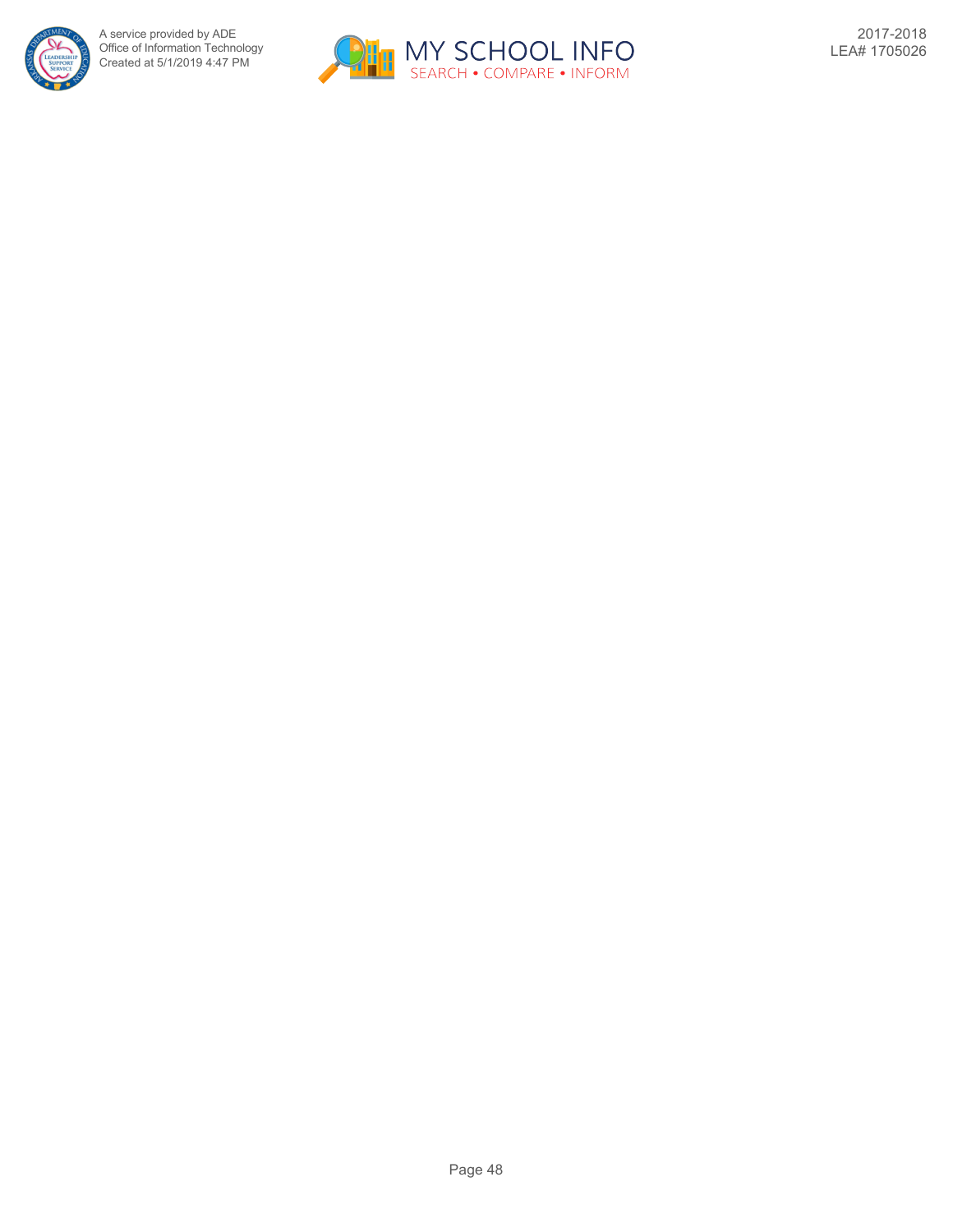

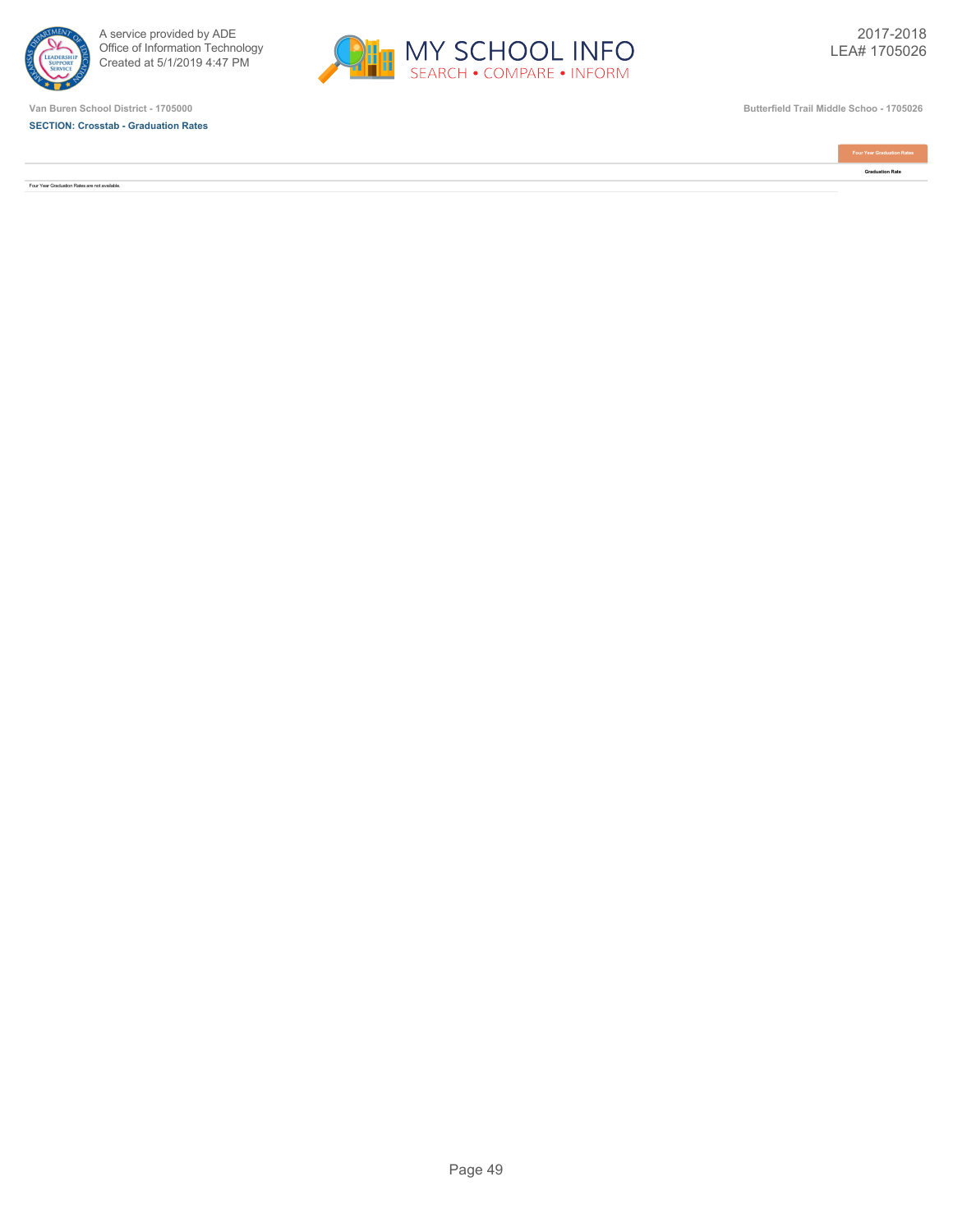

**SECTION: Crosstab - Graduation Rates**



**Van Buren School District - 1705000 Butterfield Trail Middle Schoo - 1705026**



Four Year Graduation Rates are not available.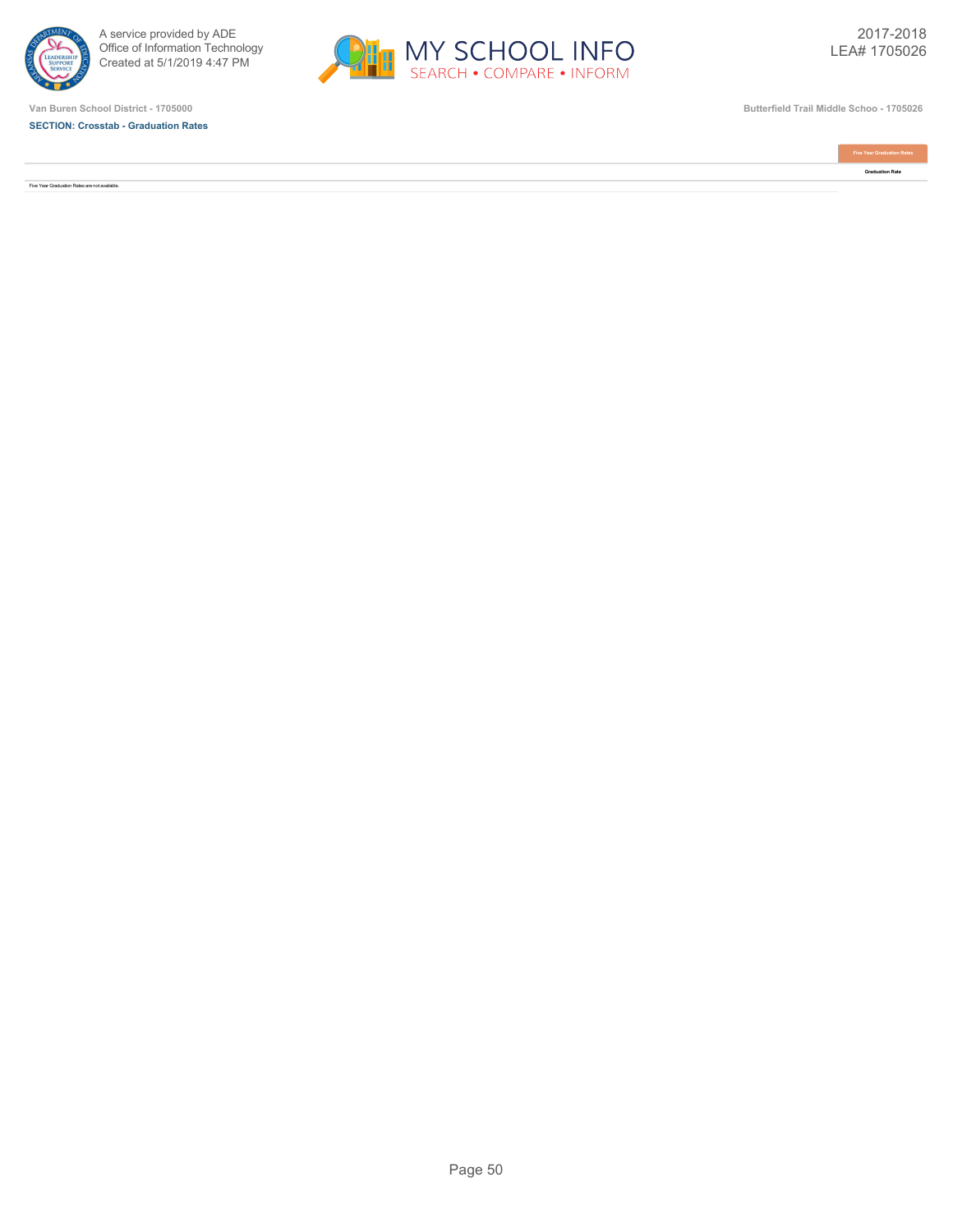

**SECTION: Crosstab - Graduation Rates**